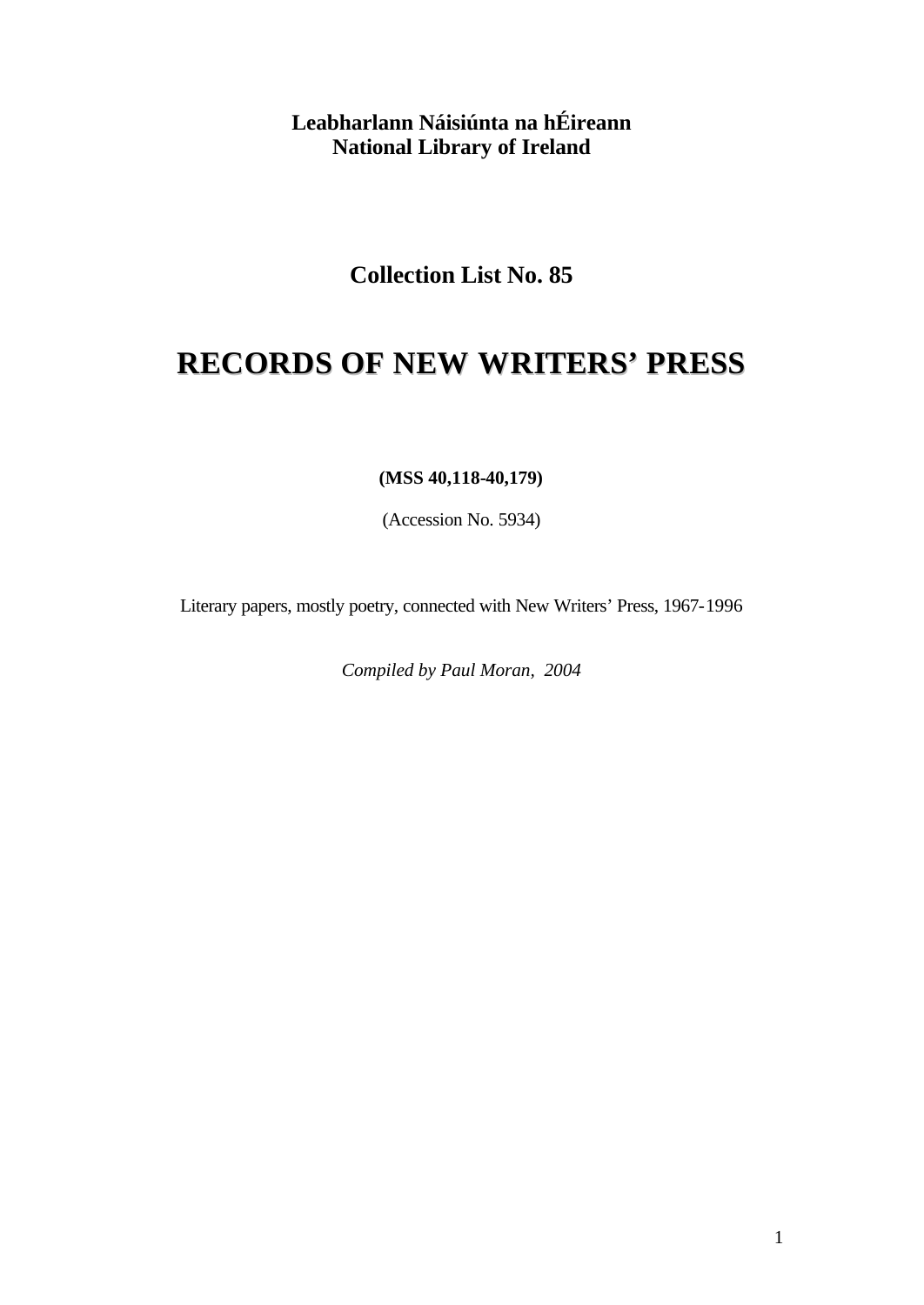**Leabharlann Náisiúnta na hÉireann National Library of Ireland**

**Collection List No. 85**

# **RECORDS OF NEW WRITERS' PRESS**

**(MSS 40,118-40,179)**

(Accession No. 5934)

Literary papers, mostly poetry, connected with New Writers' Press, 1967-1996

*Compiled by Paul Moran, 2004*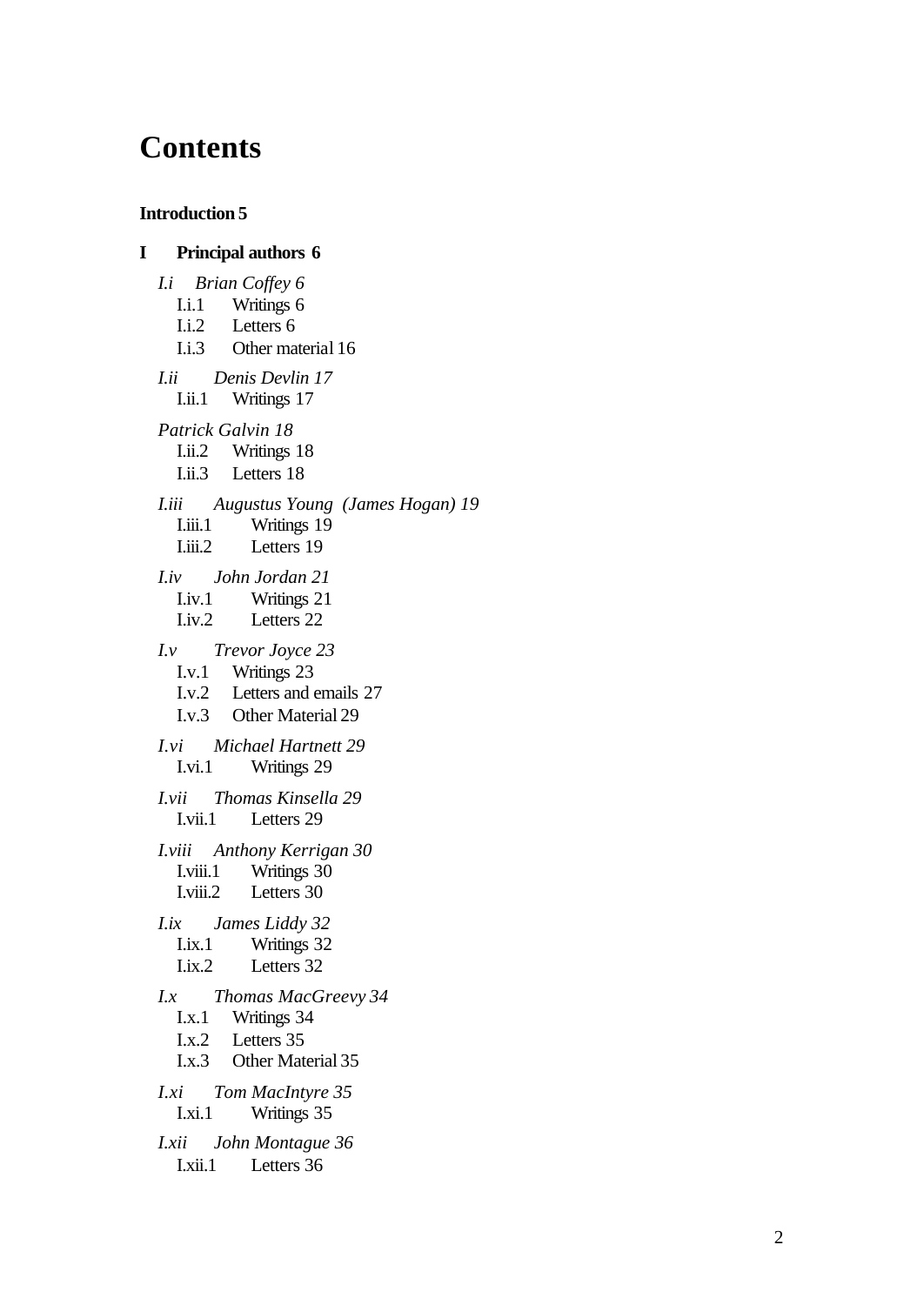## **Contents**

#### **Introduction 5**

**I Principal authors 6** *I.i Brian Coffey 6* I.i.1 Writings 6 I.i.2 Letters 6 I.i.3 Other materia l 16 *I.ii Denis Devlin 17* I.ii.1 Writings 17 *Patrick Galvin 18* I.ii.2 Writings 18 I.ii.3 Letters 18 *I.iii Augustus Young (James Hogan) 19* I.iii.1 Writings 19 I.iii.2 Letters 19 *I.iv John Jordan 21* I.iv.1 Writings 21 I.iv.2 Letters 22 *I.v Trevor Joyce 23* I.v.1 Writings 23 I.v.2 Letters and emails 27 I.v.3 Other Material 29 *I.vi Michael Hartnett 29* I.vi.1 Writings 29 *I.vii Thomas Kinsella 29* I.vii.1 Letters 29 *I.viii Anthony Kerrigan 30* I.viii.1 Writings 30 I.viii.2 Letters 30 *I.ix James Liddy 32* I.ix.1 Writings 32 I.ix.2 Letters 32 *I.x Thomas MacGreevy 34* I.x.1 Writings 34 I.x.2 Letters 35 I.x.3 Other Material 35 *I.xi Tom MacIntyre 35* I.xi.1 Writings 35 *I.xii John Montague 36* I.xii.1 Letters 36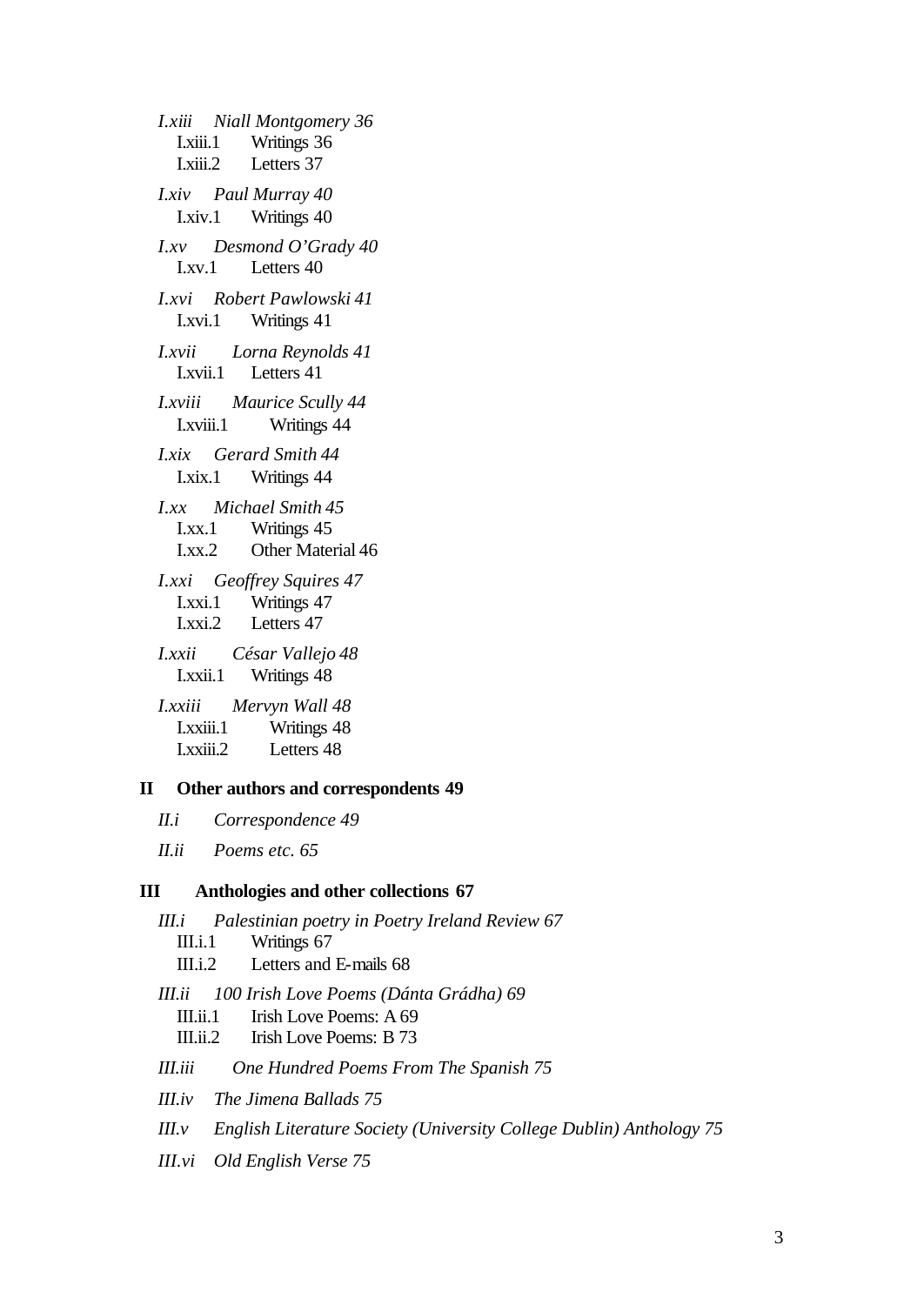*I.xiii Niall Montgomery 36* I.xiii.1 Writings 36 I.xiii.2 Letters 37 *I.xiv Paul Murray 40* I.xiv.1 Writings 40 *I.xv Desmond O'Grady 40* I.xv.1 Letters 40 *I.xvi Robert Pawlowski 41* I.xvi.1 Writings 41 *I.xvii Lorna Reynolds 41* I.xvii.1 Letters 41 *I.xviii Maurice Scully 44* I.xviii.1 Writings 44 *I.xix Gerard Smith 44* I.xix.1 Writings 44 *I.xx Michael Smith 45* I.xx.1 Writings 45 I.xx.2 Other Material 46 *I.xxi Geoffrey Squires 47* I.xxi.1 Writings 47 I.xxi.2 Letters 47 *I.xxii César Vallejo 48* I.xxii.1 Writings 48 *I.xxiii Mervyn Wall 48* I.xxiii.1 Writings 48 I.xxiii.2 Letters 48

#### **II Other authors and correspondents 49**

*II.i Correspondence 49*

*II.ii Poems etc. 65*

#### **III Anthologies and other collections 67**

*III.i Palestinian poetry in Poetry Ireland Review 67* III.i.1 Writings 67 III.i.2 Letters and E-mails 68 *III.ii 100 Irish Love Poems (Dánta Grádha) 69* III.ii.1 Irish Love Poems: A 69 III.ii.2 Irish Love Poems: B 73 *III.iii One Hundred Poems From The Spanish 75 III.iv The Jimena Ballads 75 III.v English Literature Society (University College Dublin) Anthology 75*

*III.vi Old English Verse 75*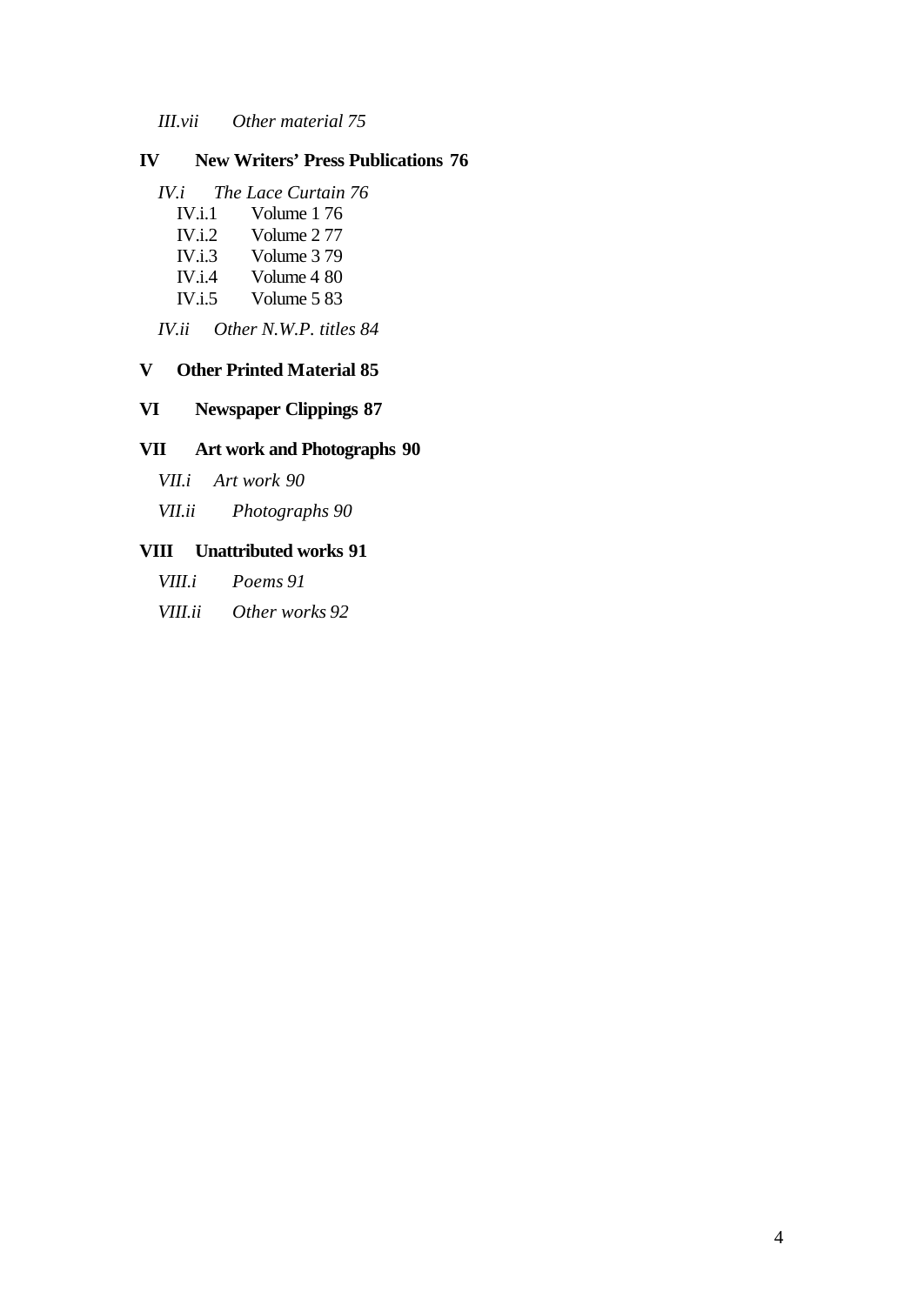*III.vii Other material 75*

#### **IV New Writers' Press Publications 76**

- *IV.i The Lace Curtain 76*
	- IV.i.1 Volume 1 76
	- IV.i.2 Volume 2 77
	- IV.i.3 Volume 3 79
	- IV.i.4 Volume 4 80
	- IV.i.5 Volume 5 83

*IV.ii Other N.W.P. titles 84*

#### **V Other Printed Material 85**

#### **VI Newspaper Clippings 87**

#### **VII Art work and Photographs 90**

- *VII.i Art work 90*
- *VII.ii Photographs 90*

#### **VIII Unattributed works 91**

*VIII.i Poems 91*

*VIII.ii Other works 92*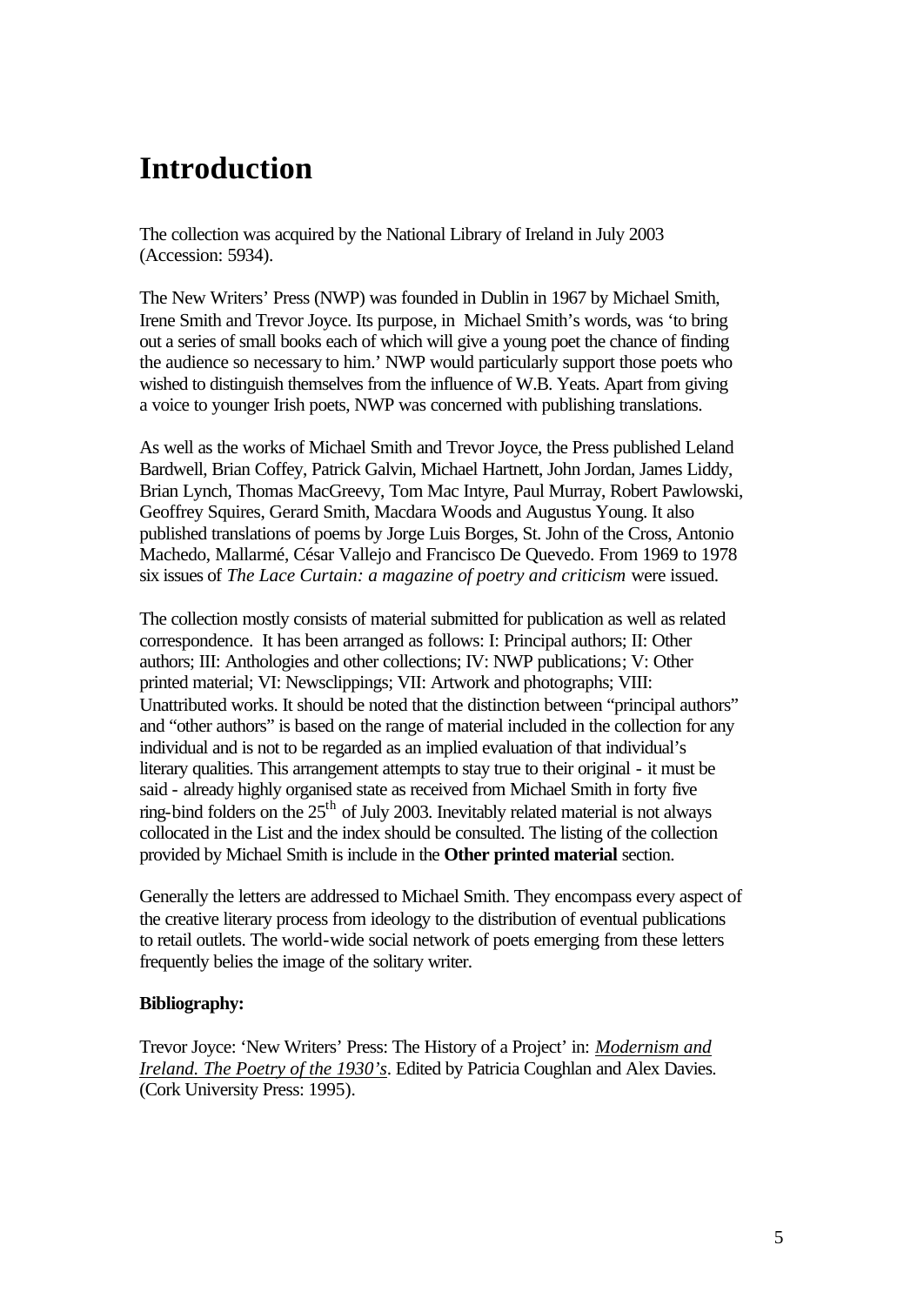# **Introduction**

The collection was acquired by the National Library of Ireland in July 2003 (Accession: 5934).

The New Writers' Press (NWP) was founded in Dublin in 1967 by Michael Smith, Irene Smith and Trevor Joyce. Its purpose, in Michael Smith's words, was 'to bring out a series of small books each of which will give a young poet the chance of finding the audience so necessary to him.' NWP would particularly support those poets who wished to distinguish themselves from the influence of W.B. Yeats. Apart from giving a voice to younger Irish poets, NWP was concerned with publishing translations.

As well as the works of Michael Smith and Trevor Joyce, the Press published Leland Bardwell, Brian Coffey, Patrick Galvin, Michael Hartnett, John Jordan, James Liddy, Brian Lynch, Thomas MacGreevy, Tom Mac Intyre, Paul Murray, Robert Pawlowski, Geoffrey Squires, Gerard Smith, Macdara Woods and Augustus Young. It also published translations of poems by Jorge Luis Borges, St. John of the Cross, Antonio Machedo, Mallarmé, César Vallejo and Francisco De Quevedo. From 1969 to 1978 six issues of *The Lace Curtain: a magazine of poetry and criticism* were issued.

The collection mostly consists of material submitted for publication as well as related correspondence. It has been arranged as follows: I: Principal authors; II: Other authors; III: Anthologies and other collections; IV: NWP publications; V: Other printed material; VI: Newsclippings; VII: Artwork and photographs; VIII: Unattributed works. It should be noted that the distinction between "principal authors" and "other authors" is based on the range of material included in the collection for any individual and is not to be regarded as an implied evaluation of that individual's literary qualities. This arrangement attempts to stay true to their original - it must be said - already highly organised state as received from Michael Smith in forty five ring-bind folders on the  $25<sup>th</sup>$  of July 2003. Inevitably related material is not always collocated in the List and the index should be consulted. The listing of the collection provided by Michael Smith is include in the **Other printed material** section.

Generally the letters are addressed to Michael Smith. They encompass every aspect of the creative literary process from ideology to the distribution of eventual publications to retail outlets. The world-wide social network of poets emerging from these letters frequently belies the image of the solitary writer.

#### **Bibliography:**

Trevor Joyce: 'New Writers' Press: The History of a Project' in: *Modernism and Ireland. The Poetry of the 1930's*. Edited by Patricia Coughlan and Alex Davies. (Cork University Press: 1995).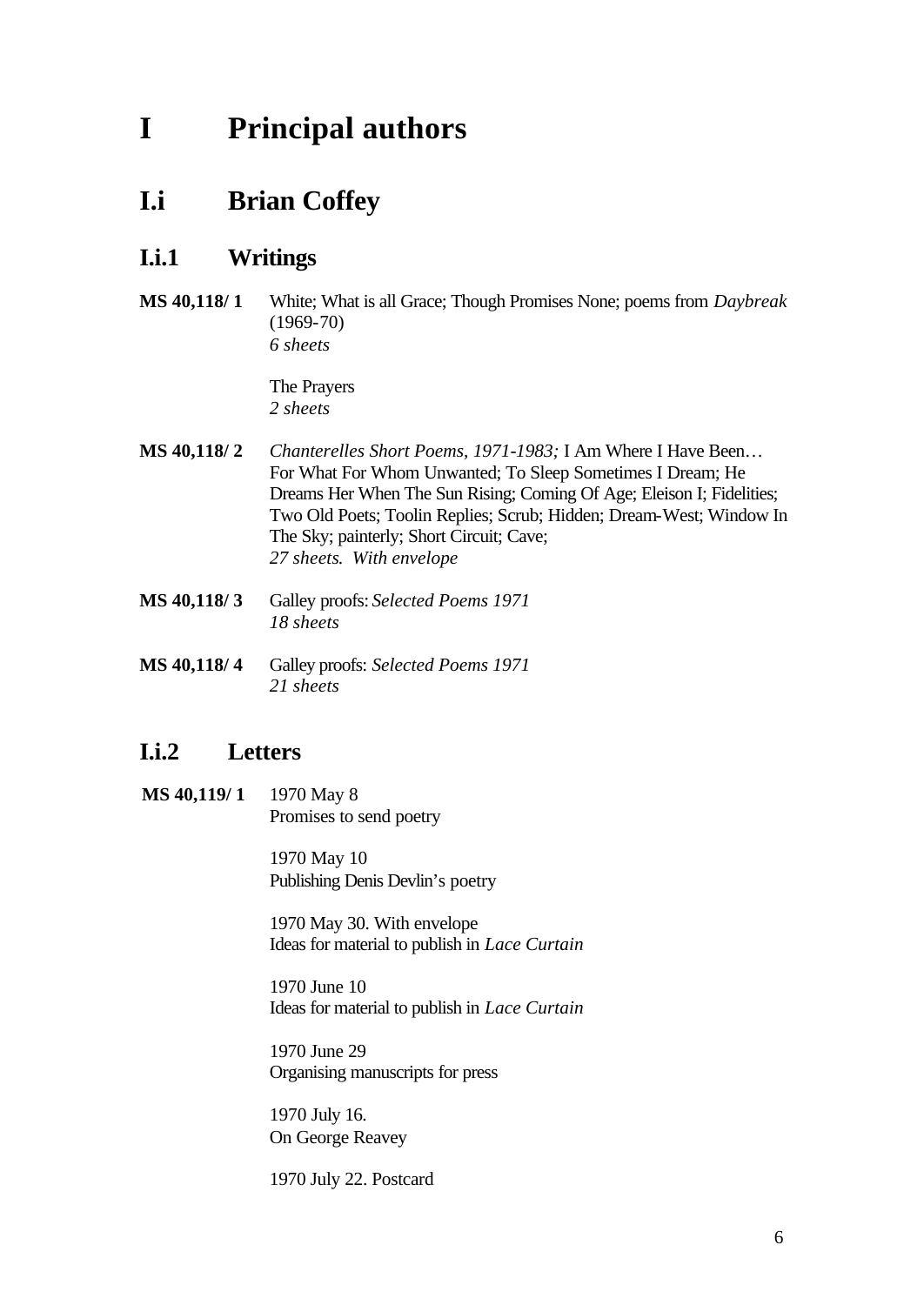# **I Principal authors**

## **I.i Brian Coffey**

## **I.i.1 Writings**

**MS 40,118/ 1** White; What is all Grace; Though Promises None; poems from *Daybreak*  (1969-70) *6 sheets*

> The Prayers *2 sheets*

- **MS 40,118/ 2** *Chanterelles Short Poems, 1971-1983;* I Am Where I Have Been… For What For Whom Unwanted; To Sleep Sometimes I Dream; He Dreams Her When The Sun Rising; Coming Of Age; Eleison I; Fidelities; Two Old Poets; Toolin Replies; Scrub; Hidden; Dream-West; Window In The Sky; painterly; Short Circuit; Cave; *27 sheets*. *With envelope*
- **MS 40,118/ 3** Galley proofs: *Selected Poems 1971 18 sheets*
- **MS 40,118/ 4** Galley proofs: *Selected Poems 1971 21 sheets*

### **I.i.2 Letters**

**MS 40,119/ 1** 1970 May 8 Promises to send poetry

> 1970 May 10 Publishing Denis Devlin's poetry

1970 May 30. With envelope Ideas for material to publish in *Lace Curtain*

1970 June 10 Ideas for material to publish in *Lace Curtain*

1970 June 29 Organising manuscripts for press

1970 July 16. On George Reavey

1970 July 22. Postcard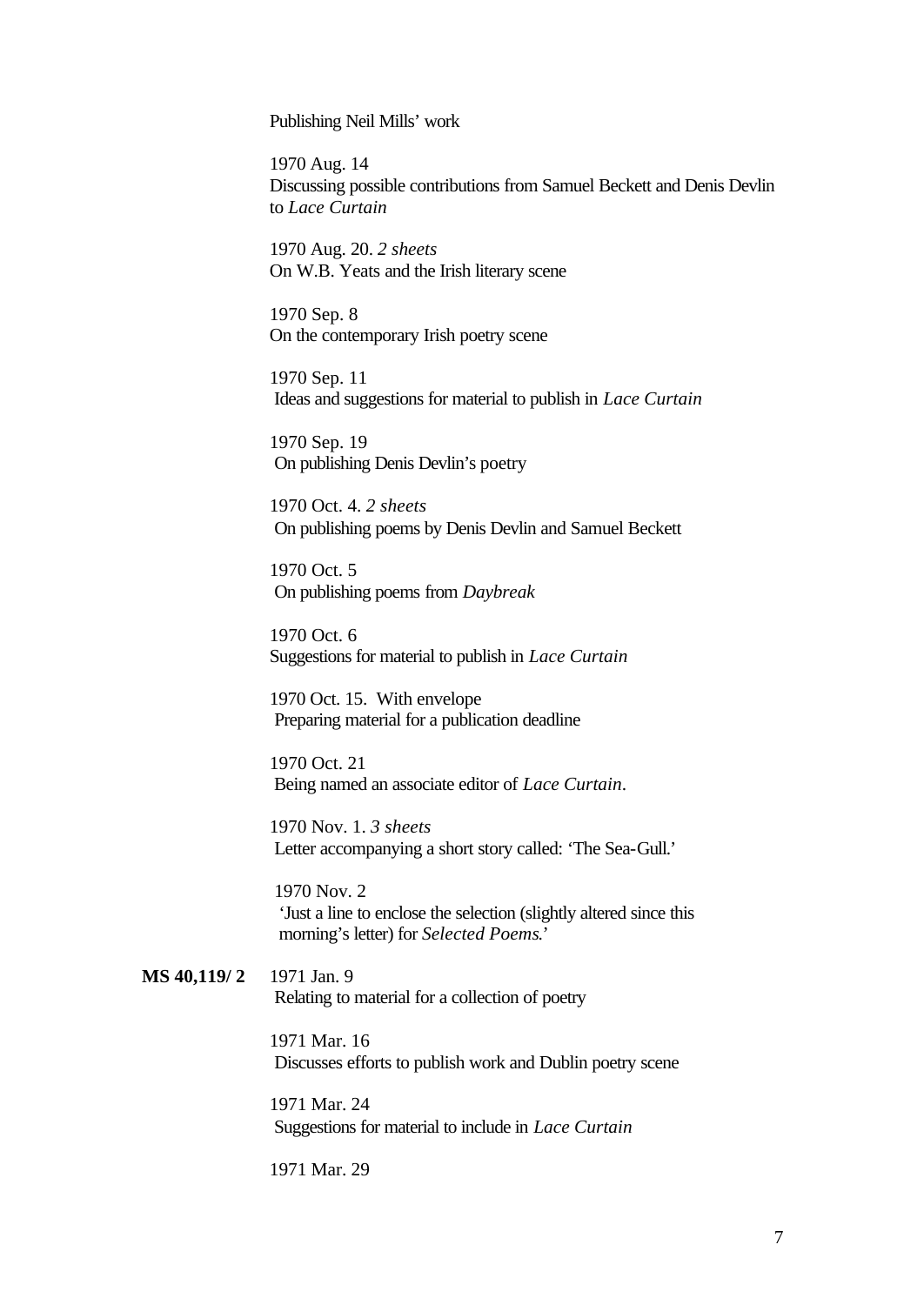Publishing Neil Mills' work

1970 Aug. 14 Discussing possible contributions from Samuel Beckett and Denis Devlin to *Lace Curtain*

1970 Aug. 20. *2 sheets*  On W.B. Yeats and the Irish literary scene

1970 Sep. 8 On the contemporary Irish poetry scene

1970 Sep. 11 Ideas and suggestions for material to publish in *Lace Curtain*

1970 Sep. 19 On publishing Denis Devlin's poetry

1970 Oct. 4. *2 sheets* On publishing poems by Denis Devlin and Samuel Beckett

1970 Oct. 5 On publishing poems from *Daybreak*

1970 Oct. 6 Suggestions for material to publish in *Lace Curtain*

1970 Oct. 15. With envelope Preparing material for a publication deadline

1970 Oct. 21 Being named an associate editor of *Lace Curtain*.

1970 Nov. 1. *3 sheets* Letter accompanying a short story called: 'The Sea-Gull.'

 1970 Nov. 2 'Just a line to enclose the selection (slightly altered since this morning's letter) for *Selected Poems*.'

**MS 40,119/ 2** 1971 Jan. 9 Relating to material for a collection of poetry

> 1971 Mar. 16 Discusses efforts to publish work and Dublin poetry scene

1971 Mar. 24 Suggestions for material to include in *Lace Curtain*

1971 Mar. 29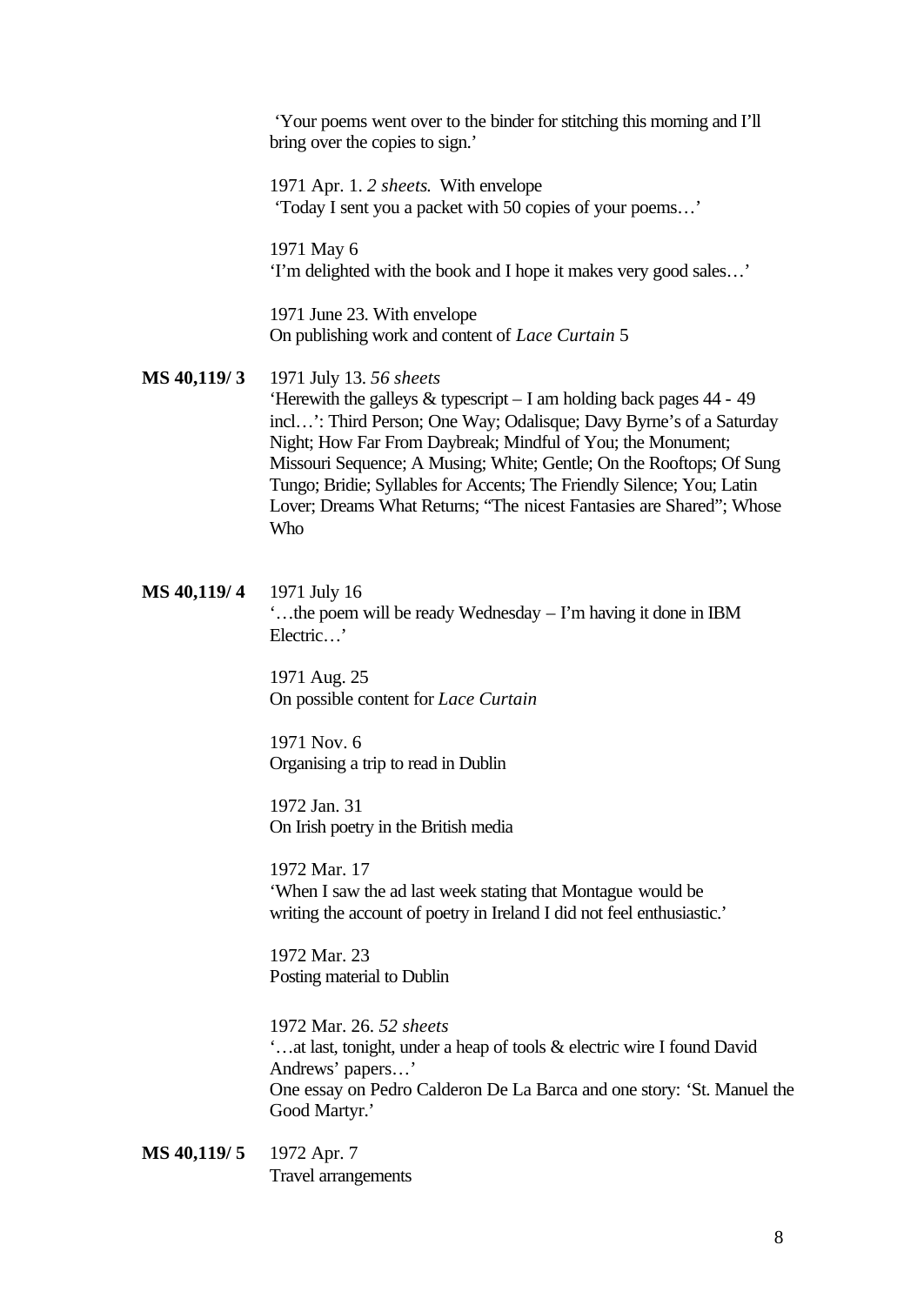'Your poems went over to the binder for stitching this morning and I'll bring over the copies to sign.'

1971 Apr. 1. *2 sheets*. With envelope 'Today I sent you a packet with 50 copies of your poems…'

1971 May 6 'I'm delighted with the book and I hope it makes very good sales…'

1971 June 23. With envelope On publishing work and content of *Lace Curtain* 5

**MS 40,119/ 3** 1971 July 13. *56 sheets* 'Herewith the galleys & typescript – I am holding back pages 44 - 49 incl…': Third Person; One Way; Odalisque; Davy Byrne's of a Saturday Night; How Far From Daybreak; Mindful of You; the Monument; Missouri Sequence; A Musing; White; Gentle; On the Rooftops; Of Sung Tungo; Bridie; Syllables for Accents; The Friendly Silence; You; Latin Lover; Dreams What Returns; "The nicest Fantasies are Shared"; Whose Who

**MS 40,119/ 4** 1971 July 16 '…the poem will be ready Wednesday – I'm having it done in IBM Electric…'

> 1971 Aug. 25 On possible content for *Lace Curtain*

1971 Nov. 6 Organising a trip to read in Dublin

1972 Jan. 31 On Irish poetry in the British media

1972 Mar. 17 'When I saw the ad last week stating that Montague would be writing the account of poetry in Ireland I did not feel enthusiastic.'

1972 Mar. 23 Posting material to Dublin

1972 Mar. 26. *52 sheets* '…at last, tonight, under a heap of tools & electric wire I found David Andrews' papers…' One essay on Pedro Calderon De La Barca and one story: 'St. Manuel the Good Martyr.'

**MS 40,119/ 5** 1972 Apr. 7 Travel arrangements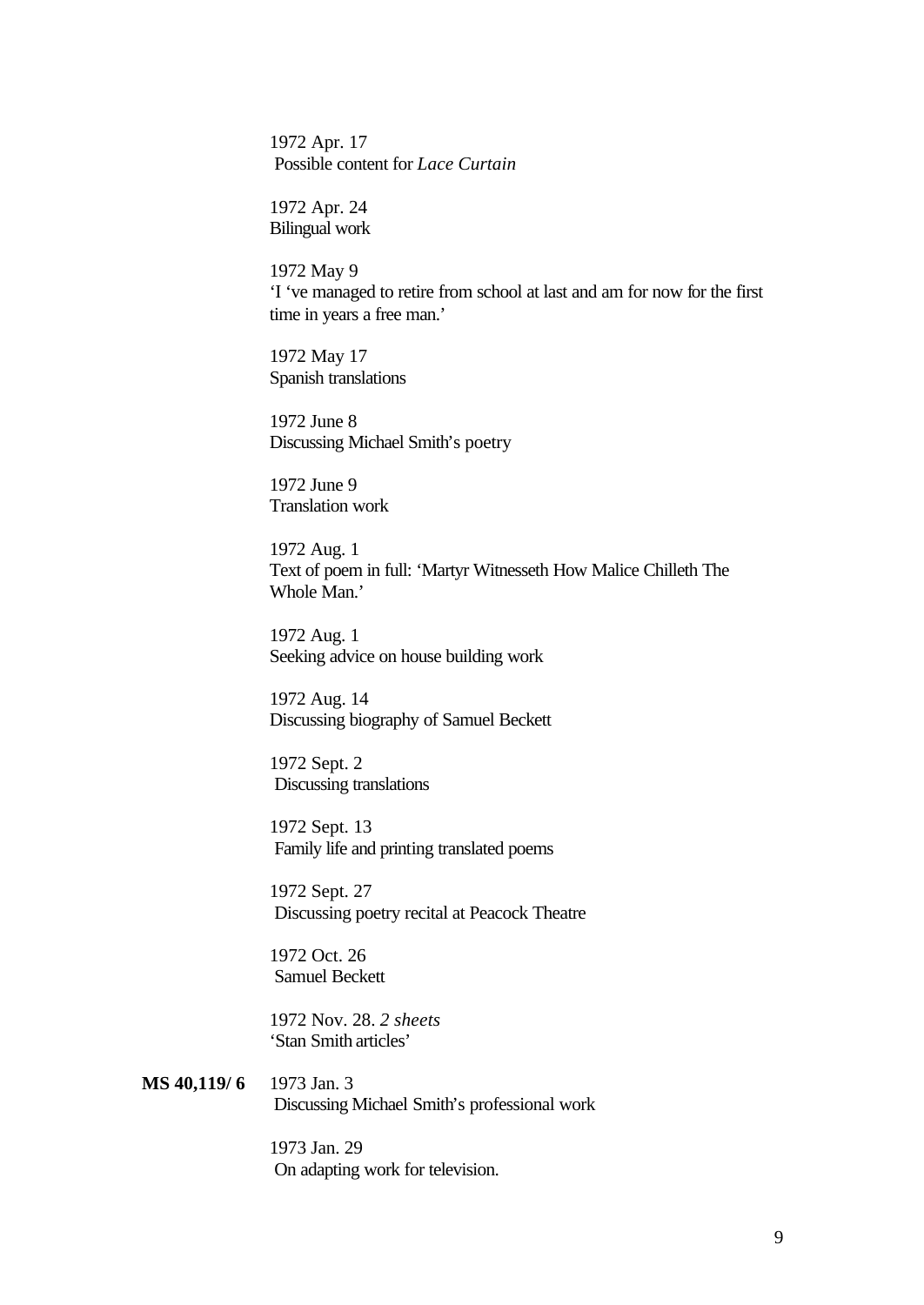1972 Apr. 17 Possible content for *Lace Curtain*

1972 Apr. 24 Bilingual work

1972 May 9 'I 've managed to retire from school at last and am for now for the first time in years a free man.'

1972 May 17 Spanish translations

1972 June 8 Discussing Michael Smith's poetry

1972 June 9 Translation work

1972 Aug. 1 Text of poem in full: 'Martyr Witnesseth How Malice Chilleth The Whole Man.'

1972 Aug. 1 Seeking advice on house building work

1972 Aug. 14 Discussing biography of Samuel Beckett

1972 Sept. 2 Discussing translations

1972 Sept. 13 Family life and printing translated poems

1972 Sept. 27 Discussing poetry recital at Peacock Theatre

1972 Oct. 26 Samuel Beckett

1972 Nov. 28. *2 sheets* 'Stan Smith articles'

**MS 40,119/ 6** 1973 Jan. 3 Discussing Michael Smith's professional work

> 1973 Jan. 29 On adapting work for television.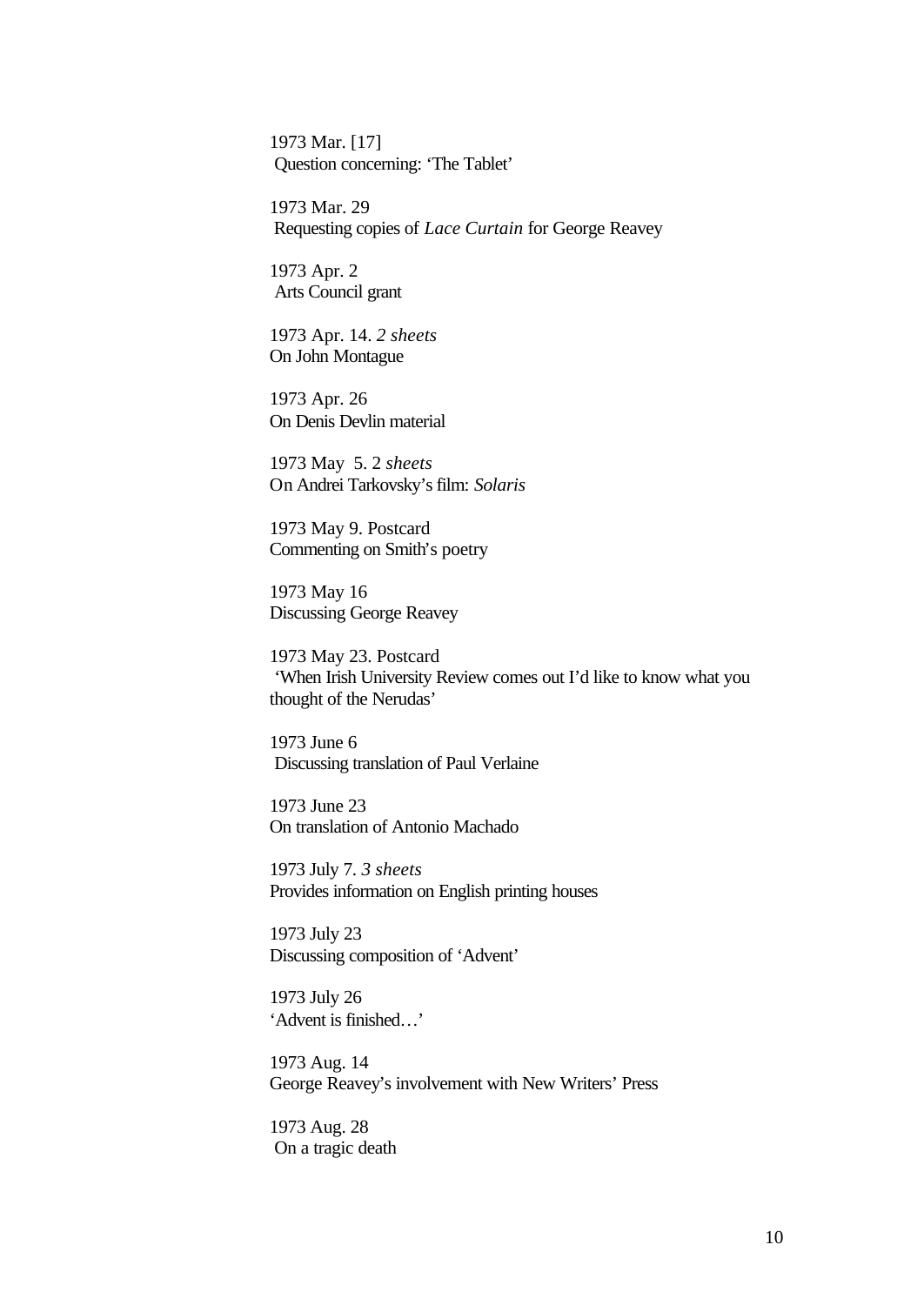1973 Mar. [17] Question concerning: 'The Tablet'

1973 Mar. 29 Requesting copies of *Lace Curtain* for George Reavey

1973 Apr. 2 Arts Council grant

1973 Apr. 14. *2 sheets* On John Montague

1973 Apr. 26 On Denis Devlin material

1973 May 5. 2 *sheets* On Andrei Tarkovsky's film: *Solaris*

1973 May 9. Postcard Commenting on Smith's poetry

1973 May 16 Discussing George Reavey

1973 May 23. Postcard 'When Irish University Review comes out I'd like to know what you thought of the Nerudas'

1973 June 6 Discussing translation of Paul Verlaine

1973 June 23 On translation of Antonio Machado

1973 July 7. *3 sheets* Provides information on English printing houses

1973 July 23 Discussing composition of 'Advent'

1973 July 26 'Advent is finished…'

1973 Aug. 14 George Reavey's involvement with New Writers' Press

1973 Aug. 28 On a tragic death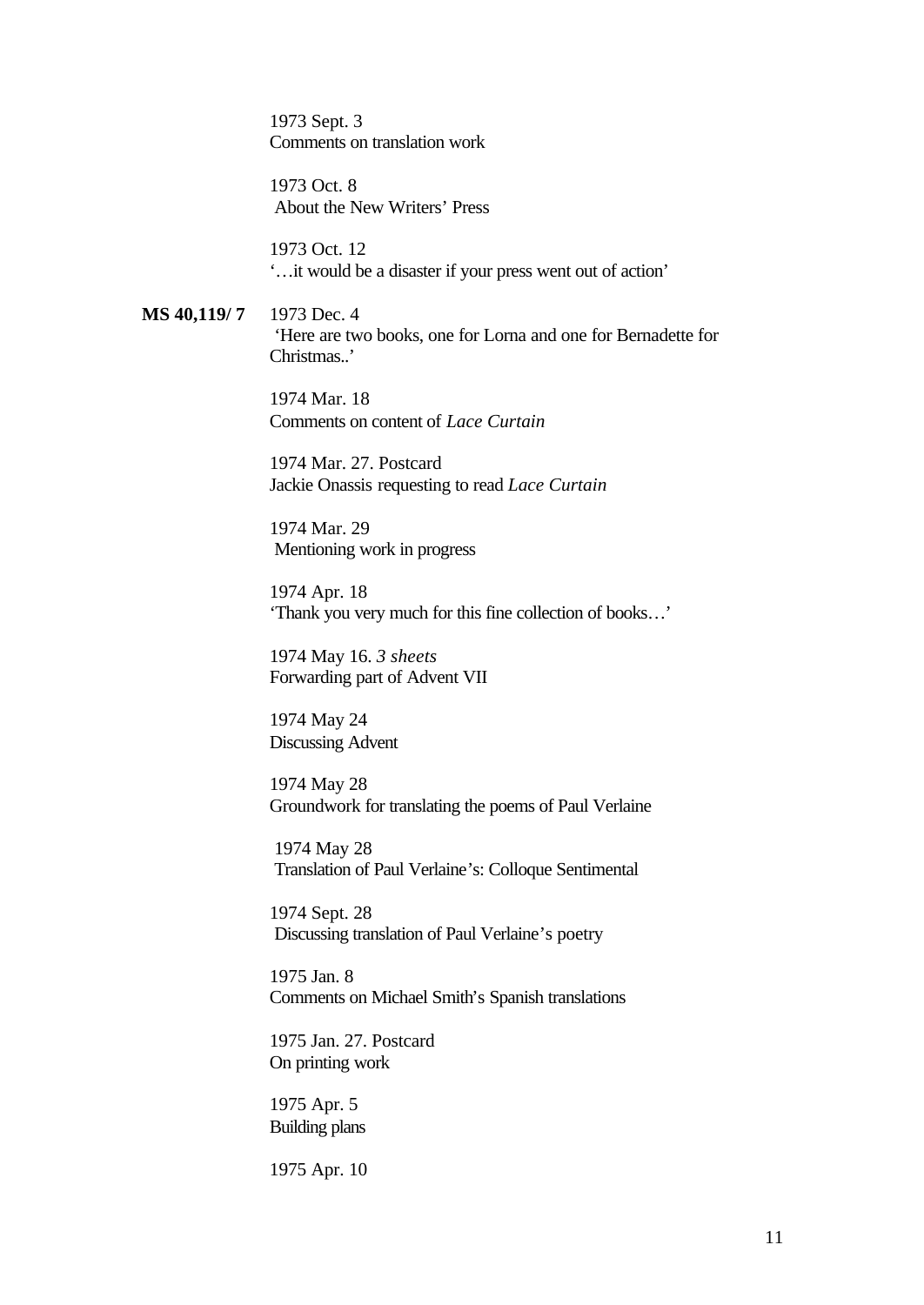1973 Sept. 3 Comments on translation work

1973 Oct. 8 About the New Writers' Press

1973 Oct. 12 '…it would be a disaster if your press went out of action'

**MS 40,119/ 7** 1973 Dec. 4 'Here are two books, one for Lorna and one for Bernadette for Christmas..'

> 1974 Mar. 18 Comments on content of *Lace Curtain*

1974 Mar. 27. Postcard Jackie Onassis requesting to read *Lace Curtain*

1974 Mar. 29 Mentioning work in progress

1974 Apr. 18 'Thank you very much for this fine collection of books…'

1974 May 16. *3 sheets* Forwarding part of Advent VII

1974 May 24 Discussing Advent

1974 May 28 Groundwork for translating the poems of Paul Verlaine

 1974 May 28 Translation of Paul Verlaine's: Colloque Sentimental

1974 Sept. 28 Discussing translation of Paul Verlaine's poetry

1975 Jan. 8 Comments on Michael Smith's Spanish translations

1975 Jan. 27. Postcard On printing work

1975 Apr. 5 Building plans

1975 Apr. 10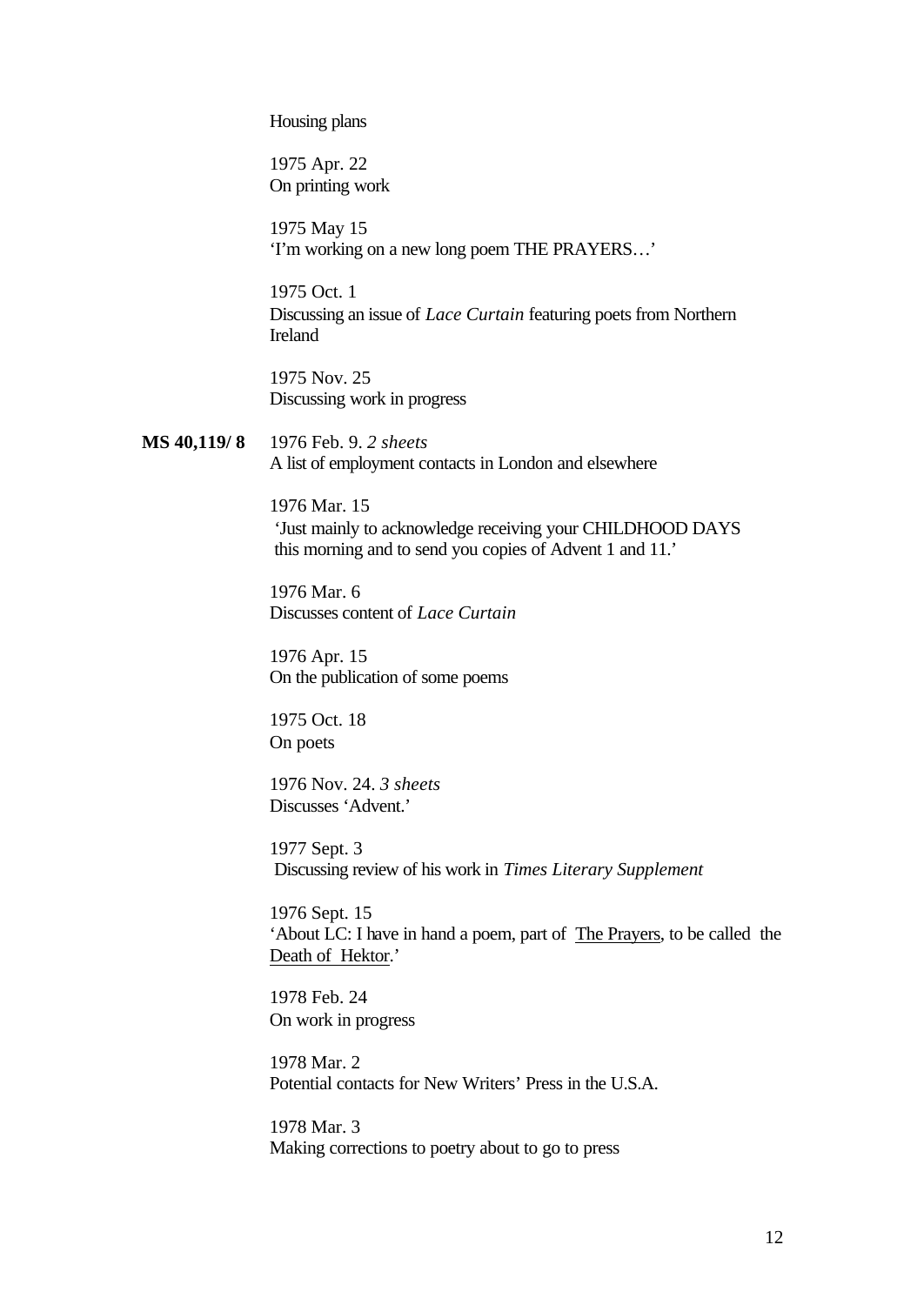Housing plans

1975 Apr. 22 On printing work

1975 May 15 'I'm working on a new long poem THE PRAYERS…'

1975 Oct. 1 Discussing an issue of *Lace Curtain* featuring poets from Northern Ireland

1975 Nov. 25 Discussing work in progress

**MS 40,119/ 8** 1976 Feb. 9. *2 sheets* A list of employment contacts in London and elsewhere

> 1976 Mar. 15 'Just mainly to acknowledge receiving your CHILDHOOD DAYS this morning and to send you copies of Advent 1 and 11.'

1976 Mar. 6 Discusses content of *Lace Curtain*

1976 Apr. 15 On the publication of some poems

1975 Oct. 18 On poets

1976 Nov. 24. *3 sheets* Discusses 'Advent.'

1977 Sept. 3 Discussing review of his work in *Times Literary Supplement*

1976 Sept. 15 'About LC: I have in hand a poem, part of The Prayers, to be called the Death of Hektor.'

1978 Feb. 24 On work in progress

1978 Mar. 2 Potential contacts for New Writers' Press in the U.S.A.

1978 Mar. 3 Making corrections to poetry about to go to press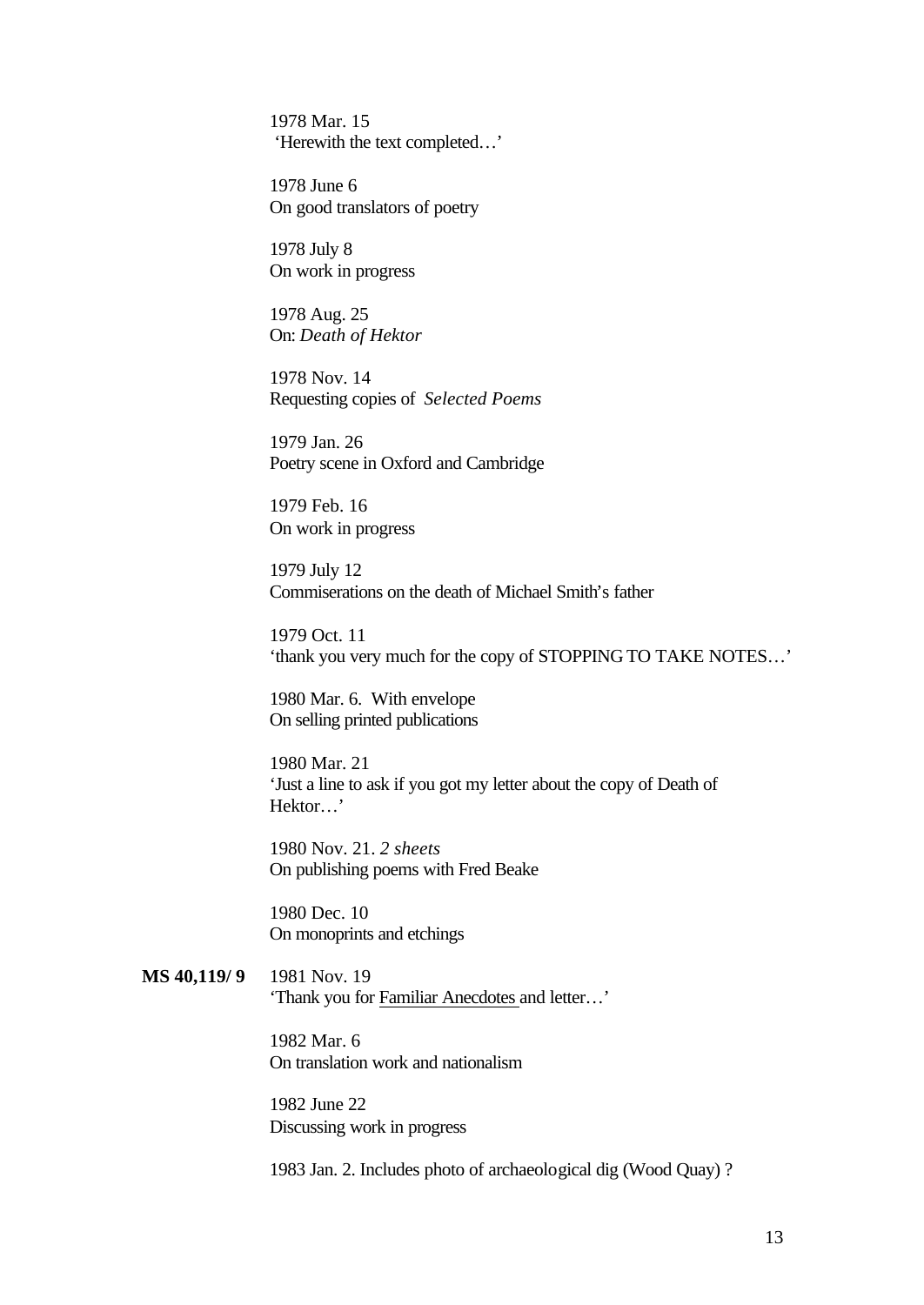1978 Mar. 15 'Herewith the text completed…'

1978 June 6 On good translators of poetry

1978 July 8 On work in progress

1978 Aug. 25 On: *Death of Hektor*

1978 Nov. 14 Requesting copies of *Selected Poems*

1979 Jan. 26 Poetry scene in Oxford and Cambridge

1979 Feb. 16 On work in progress

1979 July 12 Commiserations on the death of Michael Smith's father

1979 Oct. 11 'thank you very much for the copy of STOPPING TO TAKE NOTES…'

1980 Mar. 6. With envelope On selling printed publications

1980 Mar. 21 'Just a line to ask if you got my letter about the copy of Death of Hektor…'

1980 Nov. 21. *2 sheets* On publishing poems with Fred Beake

1980 Dec. 10 On monoprints and etchings

**MS 40,119/ 9** 1981 Nov. 19 'Thank you for Familiar Anecdotes and letter…'

> 1982 Mar. 6 On translation work and nationalism

1982 June 22 Discussing work in progress

1983 Jan. 2. Includes photo of archaeological dig (Wood Quay) ?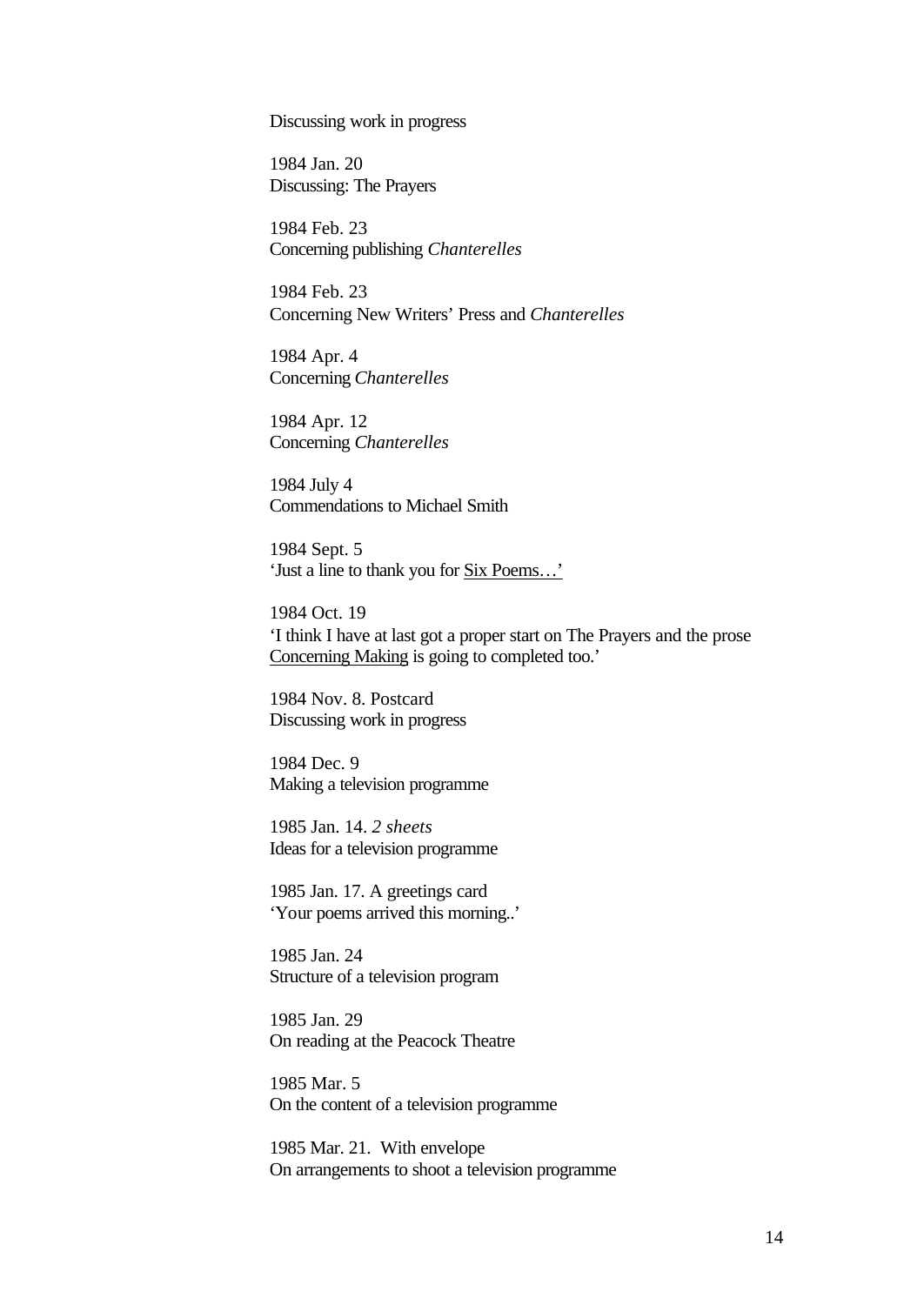Discussing work in progress

1984 Jan. 20 Discussing: The Prayers

1984 Feb. 23 Concerning publishing *Chanterelles*

1984 Feb. 23 Concerning New Writers' Press and *Chanterelles*

1984 Apr. 4 Concerning *Chanterelles*

1984 Apr. 12 Concerning *Chanterelles*

1984 July 4 Commendations to Michael Smith

1984 Sept. 5 'Just a line to thank you for Six Poems…'

1984 Oct. 19 'I think I have at last got a proper start on The Prayers and the prose Concerning Making is going to completed too.'

1984 Nov. 8. Postcard Discussing work in progress

1984 Dec. 9 Making a television programme

1985 Jan. 14. *2 sheets* Ideas for a television programme

1985 Jan. 17. A greetings card 'Your poems arrived this morning..'

1985 Jan. 24 Structure of a television program

1985 Jan. 29 On reading at the Peacock Theatre

1985 Mar. 5 On the content of a television programme

1985 Mar. 21. With envelope On arrangements to shoot a television programme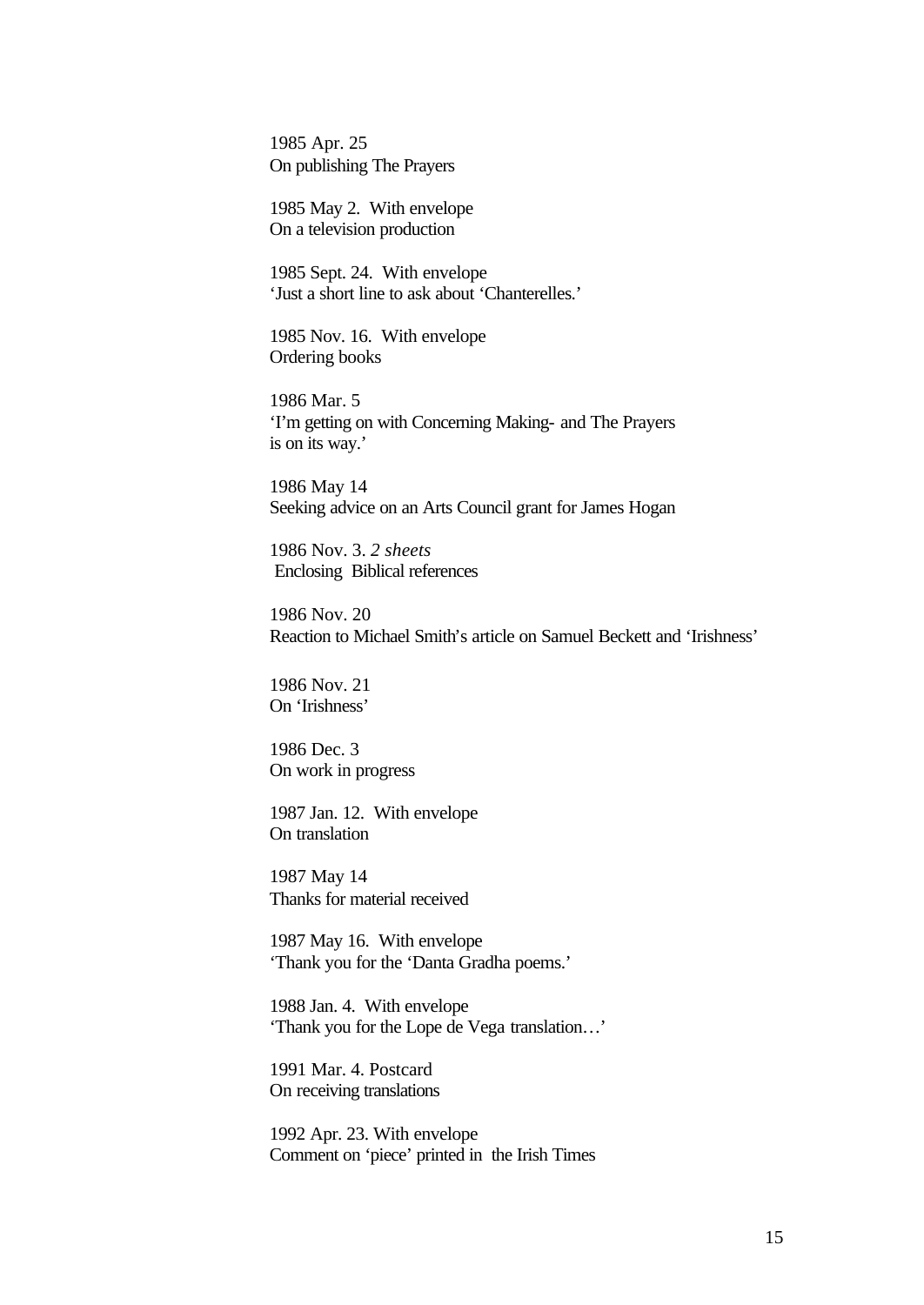1985 Apr. 25 On publishing The Prayers

1985 May 2. With envelope On a television production

1985 Sept. 24. With envelope 'Just a short line to ask about 'Chanterelles.'

1985 Nov. 16. With envelope Ordering books

1986 Mar. 5 'I'm getting on with Concerning Making- and The Prayers is on its way.'

1986 May 14 Seeking advice on an Arts Council grant for James Hogan

1986 Nov. 3. *2 sheets* Enclosing Biblical references

1986 Nov. 20 Reaction to Michael Smith's article on Samuel Beckett and 'Irishness'

1986 Nov. 21 On 'Irishness'

1986 Dec. 3 On work in progress

1987 Jan. 12. With envelope On translation

1987 May 14 Thanks for material received

1987 May 16. With envelope 'Thank you for the 'Danta Gradha poems.'

1988 Jan. 4. With envelope 'Thank you for the Lope de Vega translation…'

1991 Mar. 4. Postcard On receiving translations

1992 Apr. 23. With envelope Comment on 'piece' printed in the Irish Times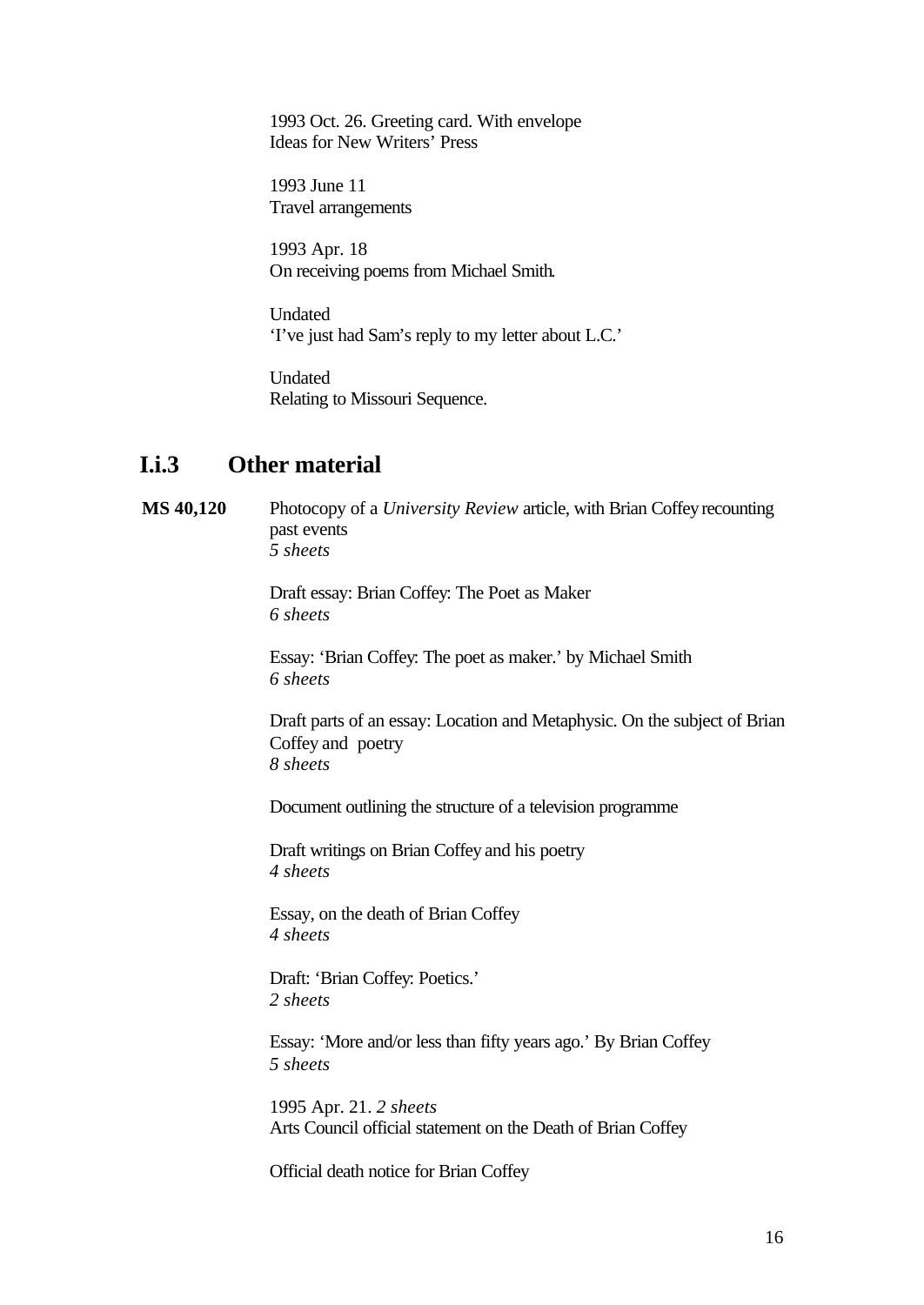1993 Oct. 26. Greeting card. With envelope Ideas for New Writers' Press

1993 June 11 Travel arrangements

1993 Apr. 18 On receiving poems from Michael Smith.

Undated 'I've just had Sam's reply to my letter about L.C.'

Undated Relating to Missouri Sequence.

### **I.i.3 Other material**

**MS 40,120** Photocopy of a *University Review* article, with Brian Coffey recounting past events *5 sheets*

> Draft essay: Brian Coffey: The Poet as Maker *6 sheets*

Essay: 'Brian Coffey: The poet as maker.' by Michael Smith *6 sheets*

Draft parts of an essay: Location and Metaphysic. On the subject of Brian Coffey and poetry *8 sheets*

Document outlining the structure of a television programme

Draft writings on Brian Coffey and his poetry *4 sheets*

Essay, on the death of Brian Coffey *4 sheets*

Draft: 'Brian Coffey: Poetics.' *2 sheets*

Essay: 'More and/or less than fifty years ago.' By Brian Coffey *5 sheets*

1995 Apr. 21. *2 sheets* Arts Council official statement on the Death of Brian Coffey

Official death notice for Brian Coffey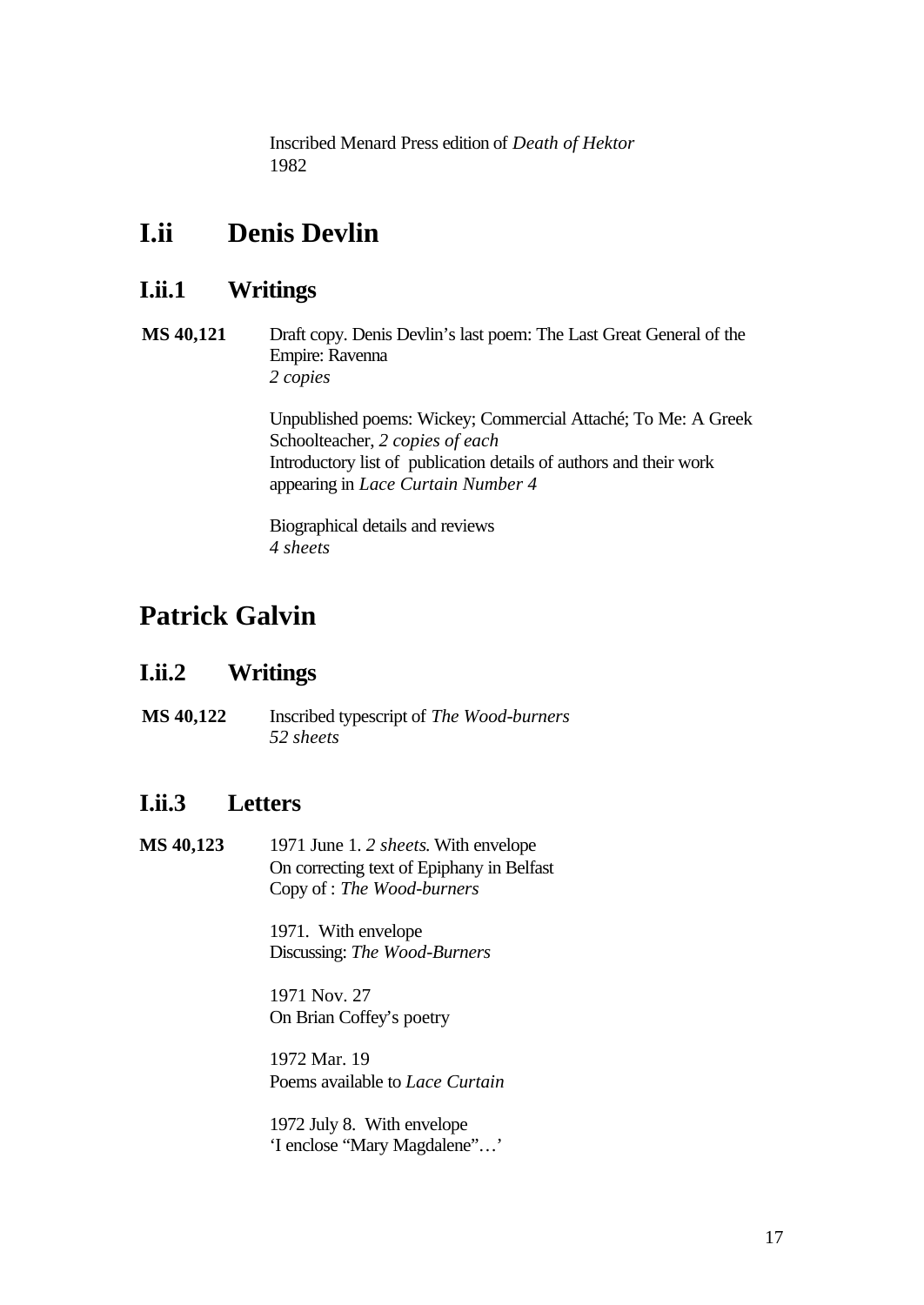Inscribed Menard Press edition of *Death of Hektor* 1982

## **I.ii Denis Devlin**

## **I.ii.1 Writings**

**MS 40,121** Draft copy. Denis Devlin's last poem: The Last Great General of the Empire: Ravenna *2 copies*

> Unpublished poems: Wickey; Commercial Attaché; To Me: A Greek Schoolteacher, *2 copies of each* Introductory list of publication details of authors and their work appearing in *Lace Curtain Number 4*

Biographical details and reviews *4 sheets*

# **Patrick Galvin**

## **I.ii.2 Writings**

**MS 40,122** Inscribed typescript of *The Wood-burners 52 sheets*

## **I.ii.3 Letters**

**MS 40,123** 1971 June 1. *2 sheets*. With envelope On correcting text of Epiphany in Belfast Copy of : *The Wood-burners*

> 1971. With envelope Discussing: *The Wood-Burners*

1971 Nov. 27 On Brian Coffey's poetry

1972 Mar. 19 Poems available to *Lace Curtain*

1972 July 8. With envelope 'I enclose "Mary Magdalene"…'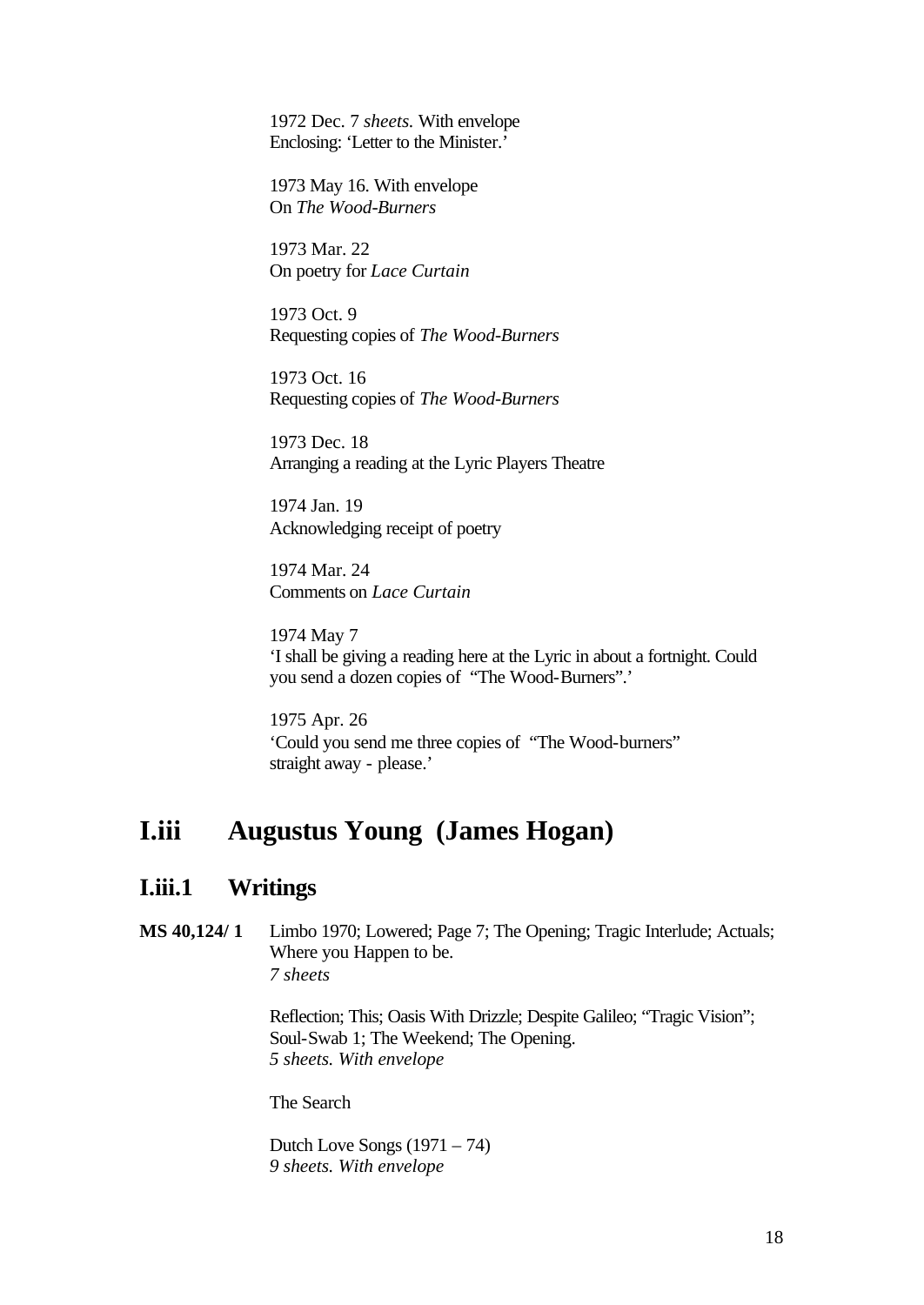1972 Dec. 7 *sheets.* With envelope Enclosing: 'Letter to the Minister.'

1973 May 16. With envelope On *The Wood-Burners*

1973 Mar. 22 On poetry for *Lace Curtain*

1973 Oct. 9 Requesting copies of *The Wood-Burners*

1973 Oct. 16 Requesting copies of *The Wood-Burners*

1973 Dec. 18 Arranging a reading at the Lyric Players Theatre

1974 Jan. 19 Acknowledging receipt of poetry

1974 Mar. 24 Comments on *Lace Curtain*

1974 May 7 'I shall be giving a reading here at the Lyric in about a fortnight. Could you send a dozen copies of "The Wood-Burners".'

1975 Apr. 26 'Could you send me three copies of "The Wood-burners" straight away - please.'

## **I.iii Augustus Young (James Hogan)**

### **I.iii.1 Writings**

**MS 40,124/ 1** Limbo 1970; Lowered; Page 7; The Opening; Tragic Interlude; Actuals; Where you Happen to be. *7 sheets*

> Reflection; This; Oasis With Drizzle; Despite Galileo; "Tragic Vision"; Soul-Swab 1; The Weekend; The Opening. *5 sheets. With envelope*

The Search

Dutch Love Songs  $(1971 - 74)$ *9 sheets. With envelope*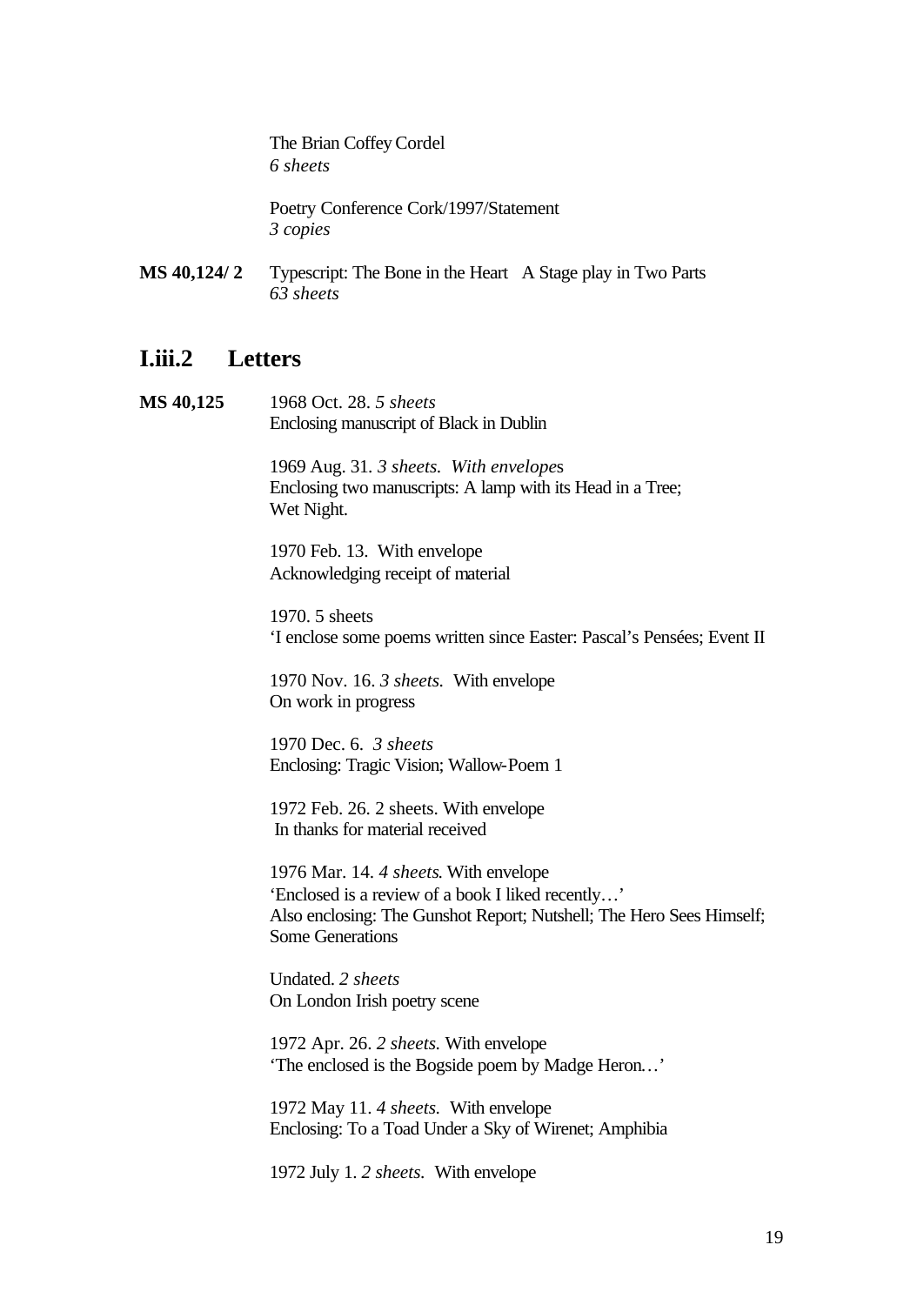The Brian Coffey Cordel *6 sheets*

Poetry Conference Cork/1997/Statement *3 copies*

**MS 40,124/ 2** Typescript: The Bone in the Heart A Stage play in Two Parts *63 sheets*

### **I.iii.2 Letters**

**MS 40,125** 1968 Oct. 28. *5 sheets* Enclosing manuscript of Black in Dublin

> 1969 Aug. 31*. 3 sheets. With envelope*s Enclosing two manuscripts: A lamp with its Head in a Tree; Wet Night.

1970 Feb. 13. With envelope Acknowledging receipt of material

1970. 5 sheets 'I enclose some poems written since Easter: Pascal's Pensées; Event II

1970 Nov. 16. *3 sheets.* With envelope On work in progress

1970 Dec. 6. *3 sheets* Enclosing: Tragic Vision; Wallow-Poem 1

1972 Feb. 26. 2 sheets. With envelope In thanks for material received

1976 Mar. 14. *4 sheets*. With envelope 'Enclosed is a review of a book I liked recently…' Also enclosing: The Gunshot Report; Nutshell; The Hero Sees Himself; Some Generations

Undated. *2 sheets* On London Irish poetry scene

1972 Apr. 26. *2 sheets.* With envelope 'The enclosed is the Bogside poem by Madge Heron…'

1972 May 11. *4 sheets.* With envelope Enclosing: To a Toad Under a Sky of Wirenet; Amphibia

1972 July 1. *2 sheets.* With envelope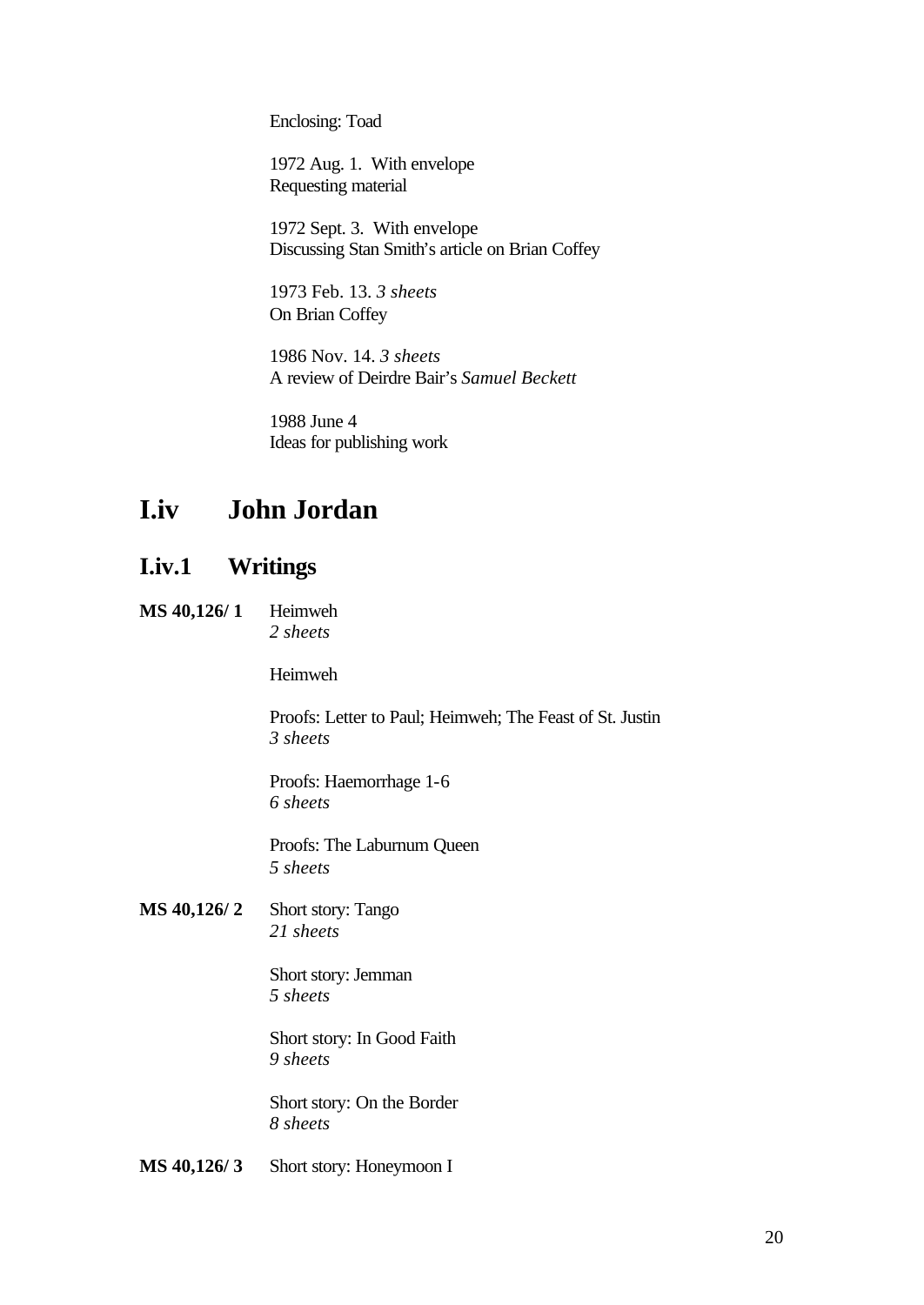Enclosing: Toad

1972 Aug. 1. With envelope Requesting material

1972 Sept. 3. With envelope Discussing Stan Smith's article on Brian Coffey

1973 Feb. 13. *3 sheets* On Brian Coffey

1986 Nov. 14. *3 sheets* A review of Deirdre Bair's *Samuel Beckett*

1988 June 4 Ideas for publishing work

## **I.iv John Jordan**

### **I.iv.1 Writings**

**MS 40,126/ 1** Heimweh *2 sheets*

Heimweh

Proofs: Letter to Paul; Heimweh; The Feast of St. Justin *3 sheets*

Proofs: Haemorrhage 1-6 *6 sheets*

Proofs: The Laburnum Queen *5 sheets*

**MS 40,126/ 2** Short story: Tango *21 sheets*

> Short story: Jemman *5 sheets*

Short story: In Good Faith *9 sheets*

Short story: On the Border *8 sheets*

**MS 40,126/ 3** Short story: Honeymoon I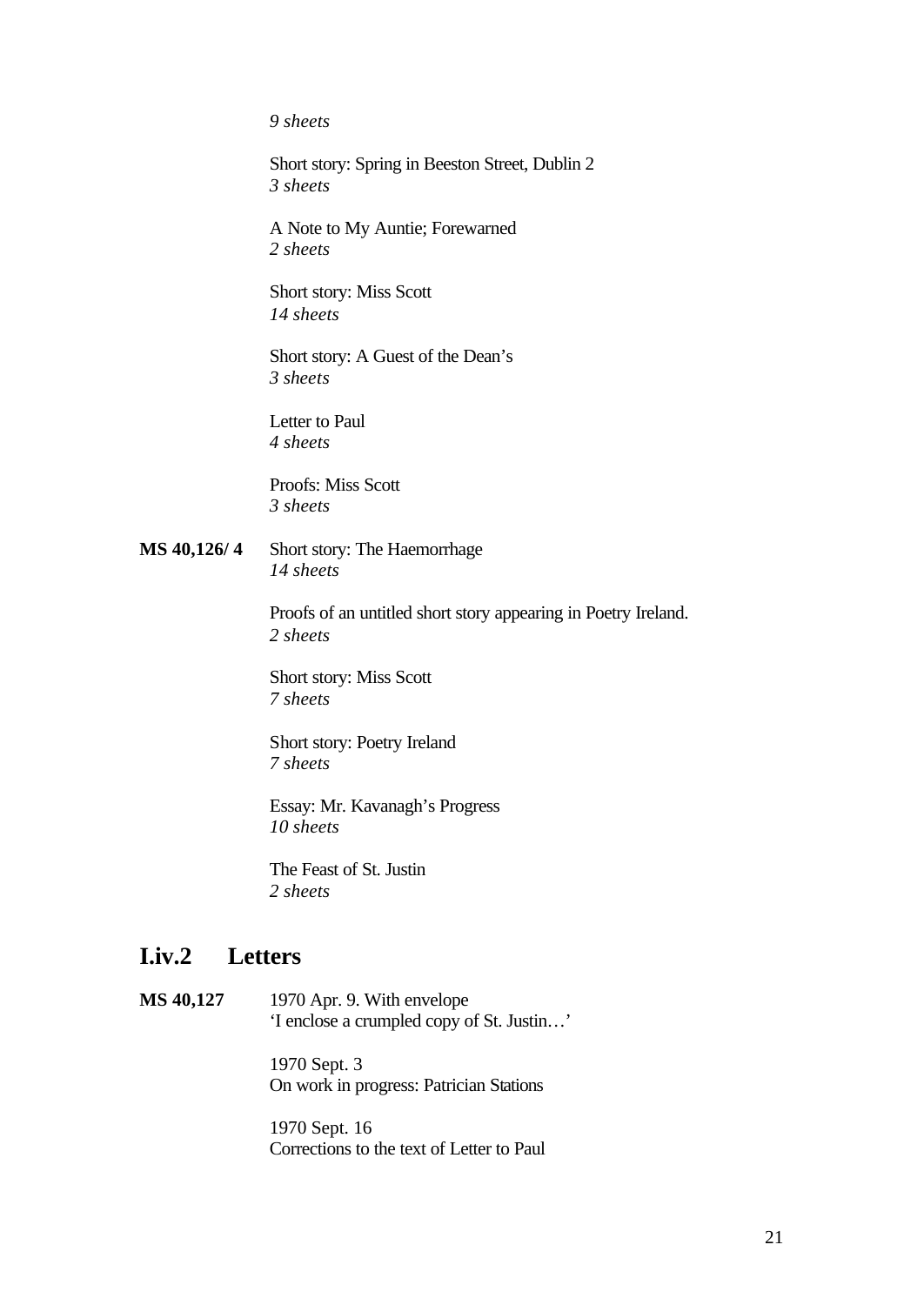*9 sheets*

Short story: Spring in Beeston Street, Dublin 2 *3 sheets*

A Note to My Auntie; Forewarned *2 sheets*

Short story: Miss Scott *14 sheets*

Short story: A Guest of the Dean's *3 sheets*

Letter to Paul *4 sheets*

Proofs: Miss Scott *3 sheets*

**MS 40,126/ 4** Short story: The Haemorrhage *14 sheets*

> Proofs of an untitled short story appearing in Poetry Ireland. *2 sheets*

Short story: Miss Scott *7 sheets*

Short story: Poetry Ireland *7 sheets*

Essay: Mr. Kavanagh's Progress *10 sheets*

The Feast of St. Justin *2 sheets*

### **I.iv.2 Letters**

**MS 40,127** 1970 Apr. 9. With envelope 'I enclose a crumpled copy of St. Justin…'

> 1970 Sept. 3 On work in progress: Patrician Stations

1970 Sept. 16 Corrections to the text of Letter to Paul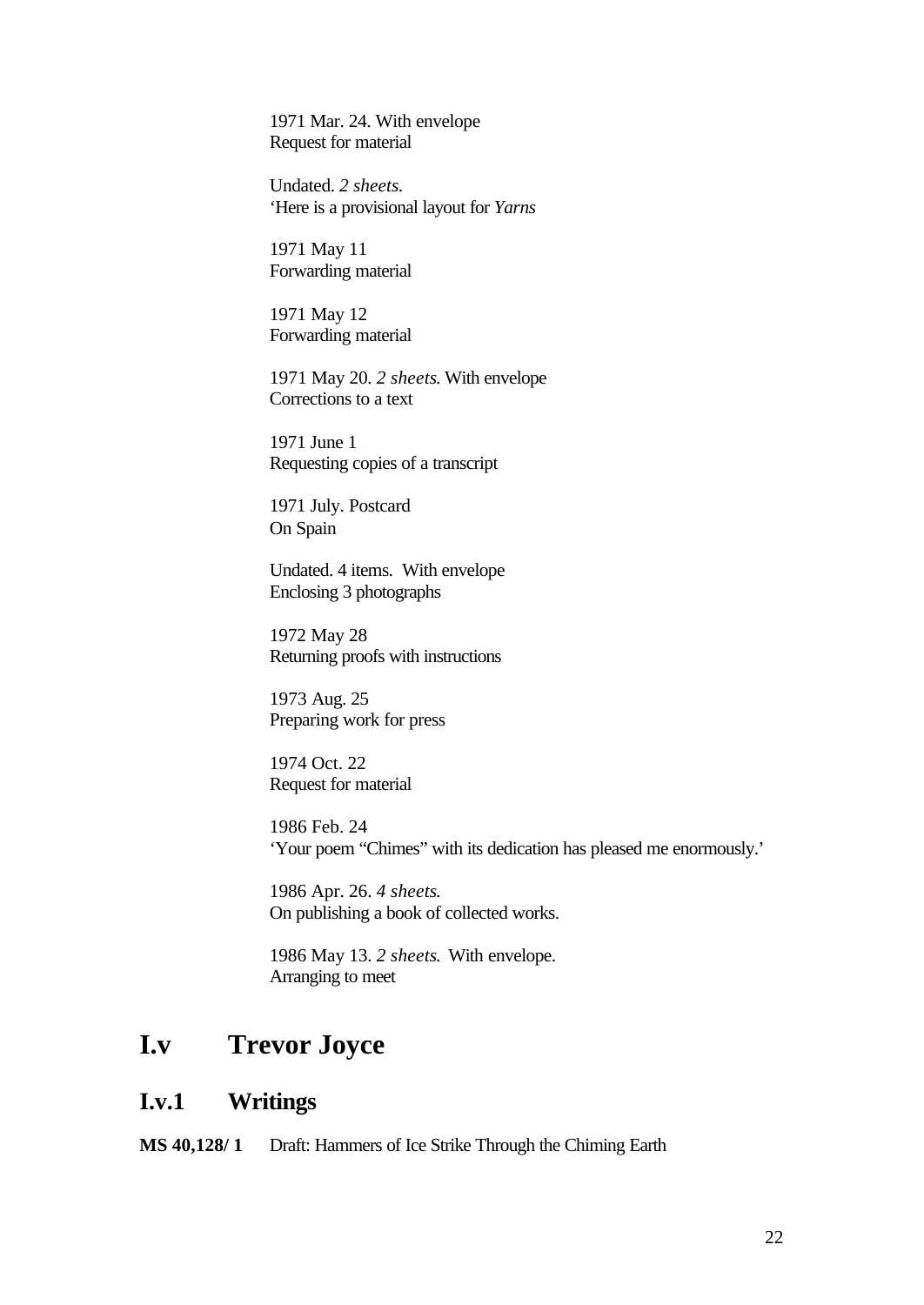1971 Mar. 24. With envelope Request for material

Undated. *2 sheets.* 'Here is a provisional layout for *Yarns*

1971 May 11 Forwarding material

1971 May 12 Forwarding material

1971 May 20. *2 sheets*. With envelope Corrections to a text

1971 June 1 Requesting copies of a transcript

1971 July. Postcard On Spain

Undated. 4 items. With envelope Enclosing 3 photographs

1972 May 28 Returning proofs with instructions

1973 Aug. 25 Preparing work for press

1974 Oct. 22 Request for material

1986 Feb. 24 'Your poem "Chimes" with its dedication has pleased me enormously.'

1986 Apr. 26. *4 sheets*. On publishing a book of collected works.

1986 May 13. *2 sheets*. With envelope. Arranging to meet

## **I.v Trevor Joyce**

### **I.v.1 Writings**

**MS 40,128/ 1** Draft: Hammers of Ice Strike Through the Chiming Earth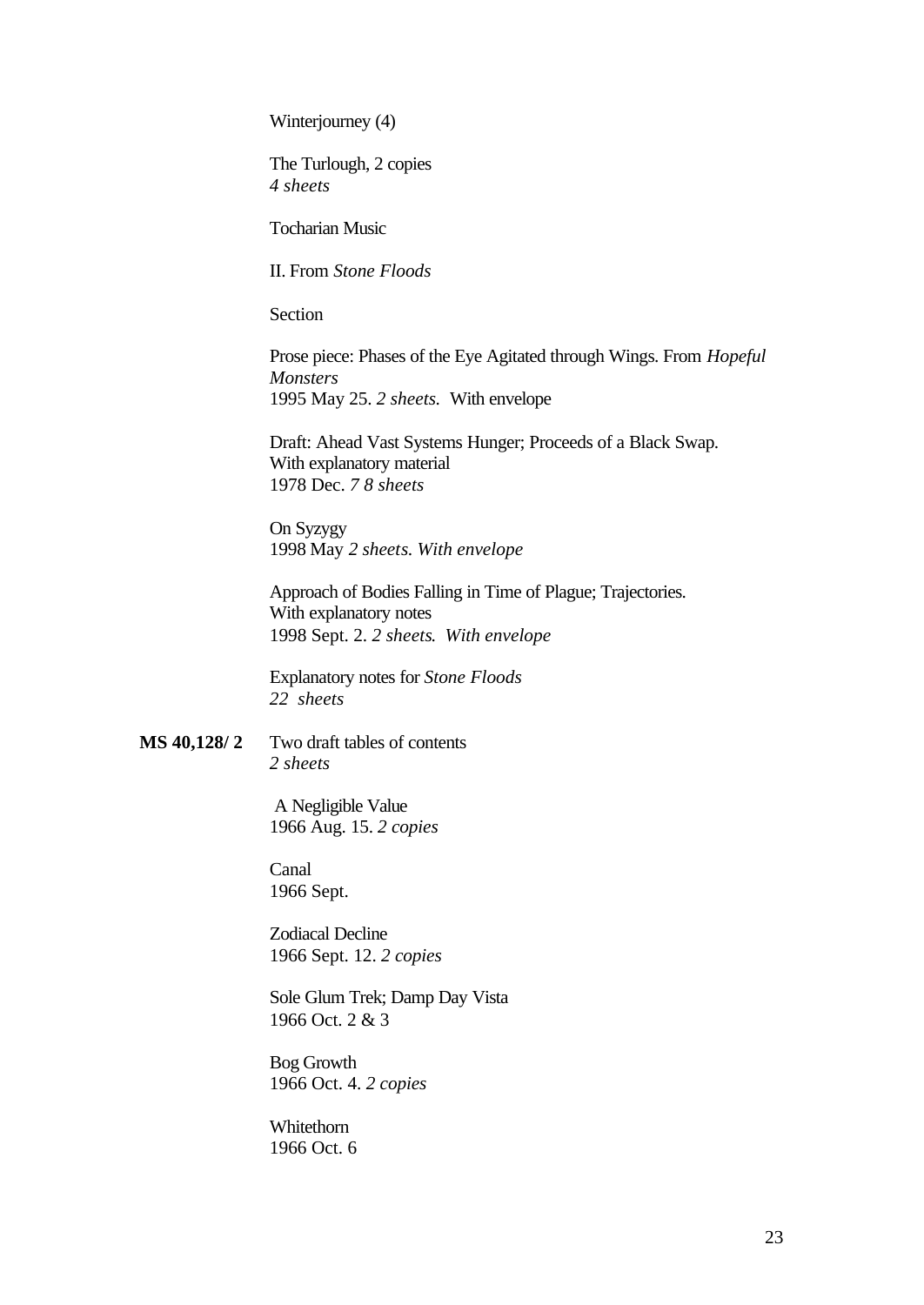Winterjourney (4)

The Turlough, 2 copies *4 sheets*

Tocharian Music

II. From *Stone Floods*

Section

Prose piece: Phases of the Eye Agitated through Wings. From *Hopeful Monsters* 1995 May 25. *2 sheets.* With envelope

Draft: Ahead Vast Systems Hunger; Proceeds of a Black Swap. With explanatory material 1978 Dec. *7 8 sheets*

On Syzygy 1998 May *2 sheets*. *With envelope*

Approach of Bodies Falling in Time of Plague; Trajectories. With explanatory notes 1998 Sept. 2. *2 sheets*. *With envelope*

Explanatory notes for *Stone Floods 22 sheets*

**MS 40,128/ 2** Two draft tables of contents *2 sheets*

> A Negligible Value 1966 Aug. 15. *2 copies*

Canal 1966 Sept.

Zodiacal Decline 1966 Sept. 12. *2 copies*

Sole Glum Trek; Damp Day Vista 1966 Oct. 2 & 3

Bog Growth 1966 Oct. 4. *2 copies*

Whitethorn 1966 Oct. 6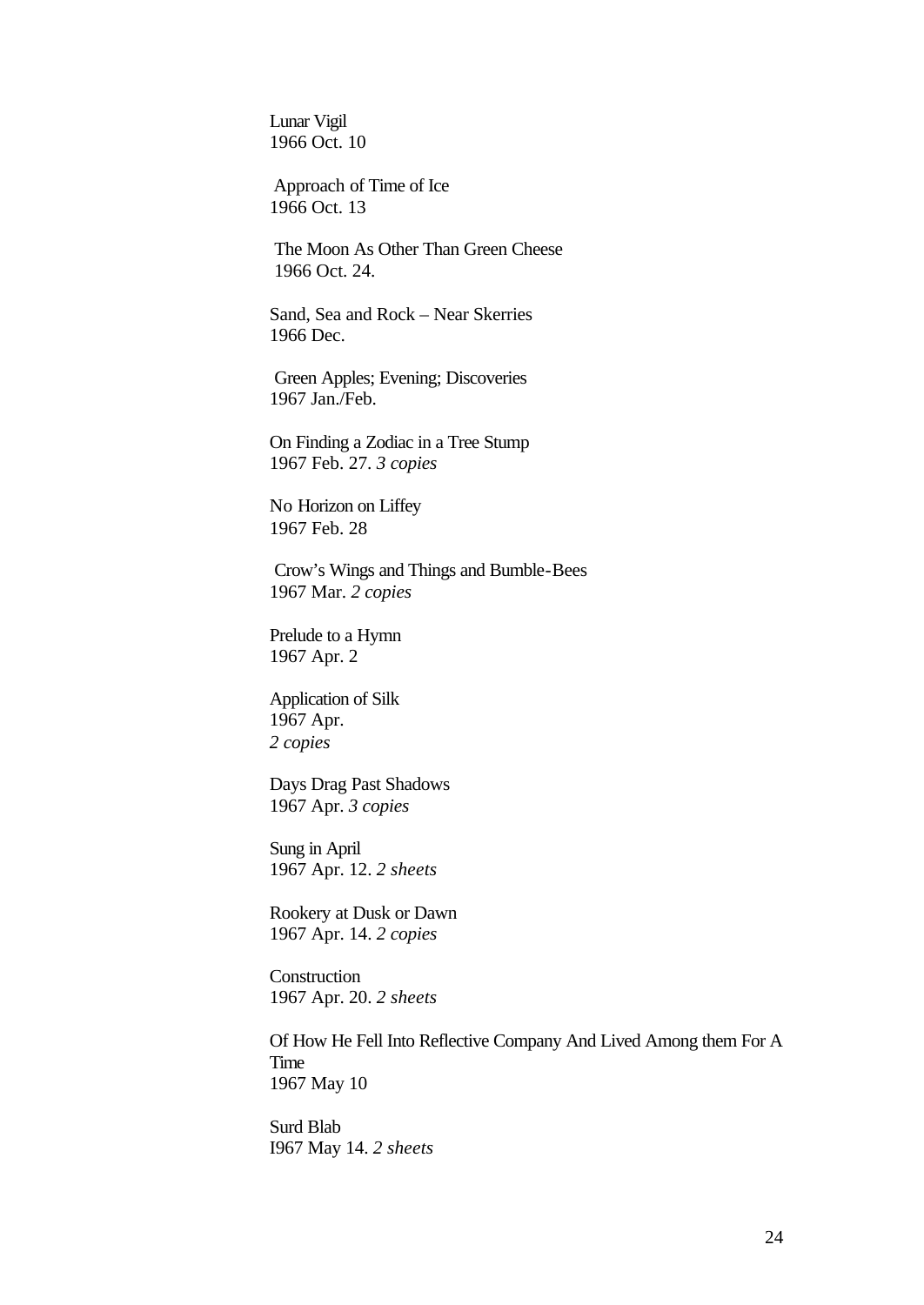Lunar Vigil 1966 Oct. 10

 Approach of Time of Ice 1966 Oct. 13

 The Moon As Other Than Green Cheese 1966 Oct. 24.

Sand, Sea and Rock – Near Skerries 1966 Dec.

 Green Apples; Evening; Discoveries 1967 Jan./Feb.

On Finding a Zodiac in a Tree Stump 1967 Feb. 27. *3 copies*

No Horizon on Liffey 1967 Feb. 28

 Crow's Wings and Things and Bumble-Bees 1967 Mar. *2 copies*

Prelude to a Hymn 1967 Apr. 2

Application of Silk 1967 Apr. *2 copies*

Days Drag Past Shadows 1967 Apr. *3 copies*

Sung in April 1967 Apr. 12. *2 sheets*

Rookery at Dusk or Dawn 1967 Apr. 14. *2 copies* 

Construction 1967 Apr. 20. *2 sheets*

Of How He Fell Into Reflective Company And Lived Among them For A Time 1967 May 10

Surd Blab I967 May 14. *2 sheets*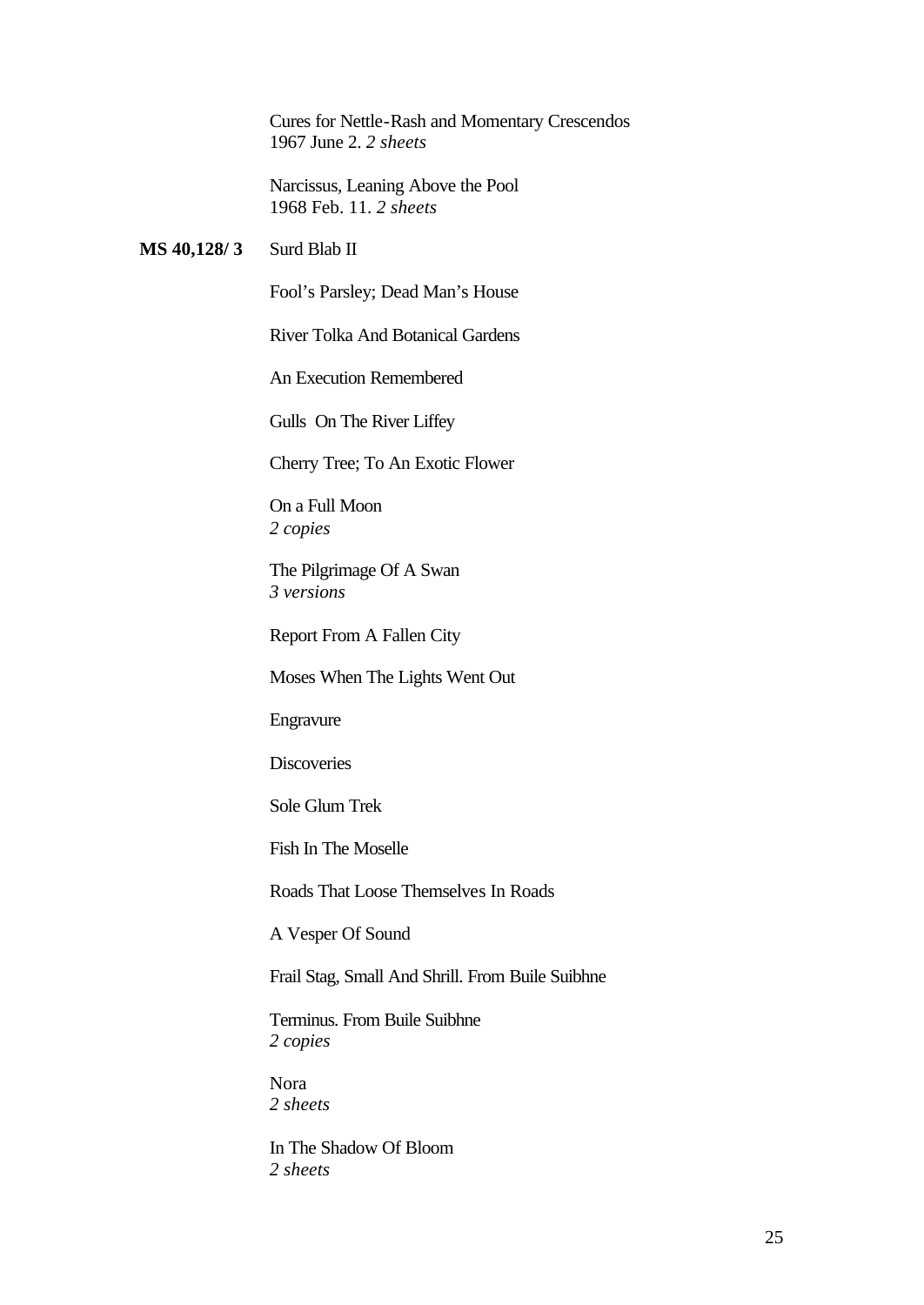Cures for Nettle-Rash and Momentary Crescendos 1967 June 2. *2 sheets*

Narcissus, Leaning Above the Pool 1968 Feb. 11. *2 sheets*

#### **MS 40,128/ 3** Surd Blab II

Fool's Parsley; Dead Man's House

River Tolka And Botanical Gardens

An Execution Remembered

Gulls On The River Liffey

Cherry Tree; To An Exotic Flower

On a Full Moon *2 copies*

The Pilgrimage Of A Swan *3 versions* 

Report From A Fallen City

Moses When The Lights Went Out

Engravure

**Discoveries** 

Sole Glum Trek

Fish In The Moselle

Roads That Loose Themselves In Roads

A Vesper Of Sound

Frail Stag, Small And Shrill. From Buile Suibhne

Terminus. From Buile Suibhne *2 copies* 

Nora *2 sheets*

In The Shadow Of Bloom *2 sheets*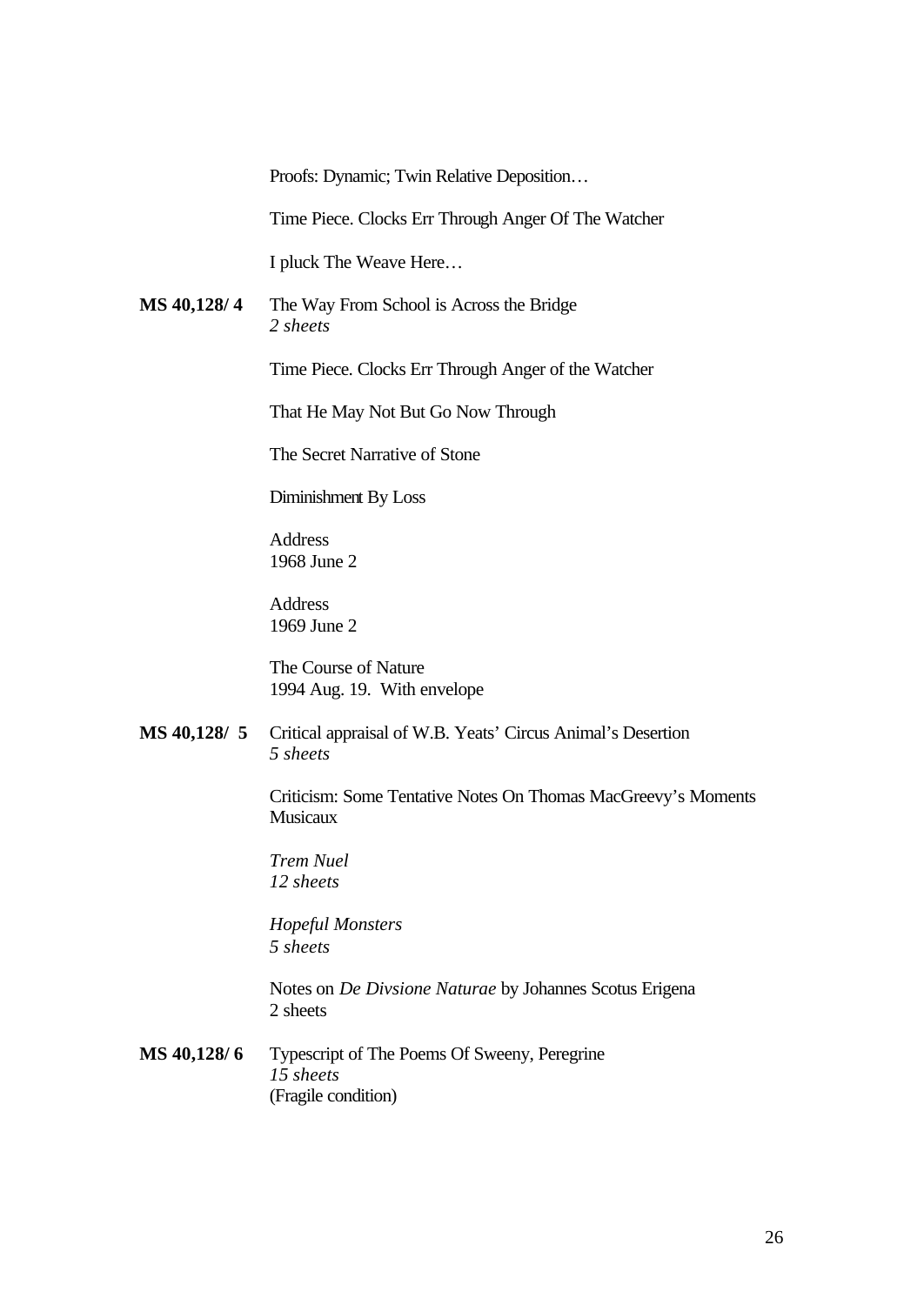Proofs: Dynamic; Twin Relative Deposition…

Time Piece. Clocks Err Through Anger Of The Watcher

I pluck The Weave Here…

**MS 40,128/ 4** The Way From School is Across the Bridge *2 sheets*

Time Piece. Clocks Err Through Anger of the Watcher

That He May Not But Go Now Through

The Secret Narrative of Stone

Diminishment By Loss

Address 1968 June 2

Address 1969 June 2

The Course of Nature 1994 Aug. 19. With envelope

**MS 40,128/ 5** Critical appraisal of W.B. Yeats' Circus Animal's Desertion *5 sheets*

> Criticism: Some Tentative Notes On Thomas MacGreevy's Moments **Musicaux**

*Trem Nuel 12 sheets*

*Hopeful Monsters 5 sheets*

Notes on *De Divsione Naturae* by Johannes Scotus Erigena 2 sheets

**MS 40,128/ 6** Typescript of The Poems Of Sweeny, Peregrine *15 sheets* (Fragile condition)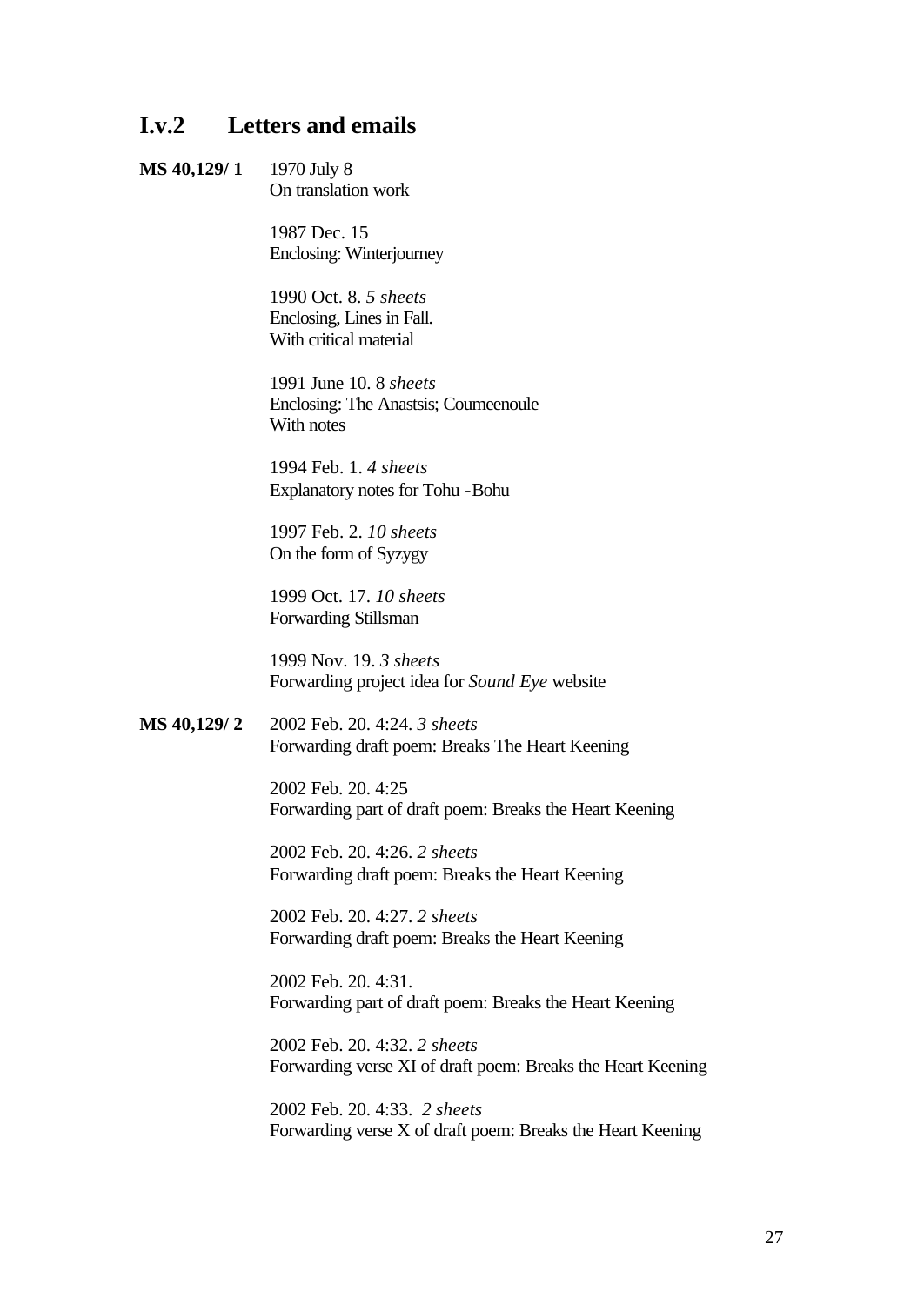### **I.v.2 Letters and emails**

#### **MS 40,129/ 1** 1970 July 8 On translation work

1987 Dec. 15 Enclosing: Winterjourney

1990 Oct. 8. *5 sheets* Enclosing, Lines in Fall. With critical material

1991 June 10. 8 *sheets* Enclosing: The Anastsis; Coumeenoule With notes

1994 Feb. 1. *4 sheets* Explanatory notes for Tohu -Bohu

1997 Feb. 2. *10 sheets* On the form of Syzygy

1999 Oct. 17. *10 sheets* Forwarding Stillsman

1999 Nov. 19. *3 sheets* Forwarding project idea for *Sound Eye* website

**MS 40,129/ 2** 2002 Feb. 20. 4:24. *3 sheets* Forwarding draft poem: Breaks The Heart Keening

> 2002 Feb. 20. 4:25 Forwarding part of draft poem: Breaks the Heart Keening

2002 Feb. 20. 4:26. *2 sheets* Forwarding draft poem: Breaks the Heart Keening

2002 Feb. 20. 4:27. *2 sheets* Forwarding draft poem: Breaks the Heart Keening

2002 Feb. 20. 4:31. Forwarding part of draft poem: Breaks the Heart Keening

2002 Feb. 20. 4:32. *2 sheets* Forwarding verse XI of draft poem: Breaks the Heart Keening

2002 Feb. 20. 4:33. *2 sheets* Forwarding verse X of draft poem: Breaks the Heart Keening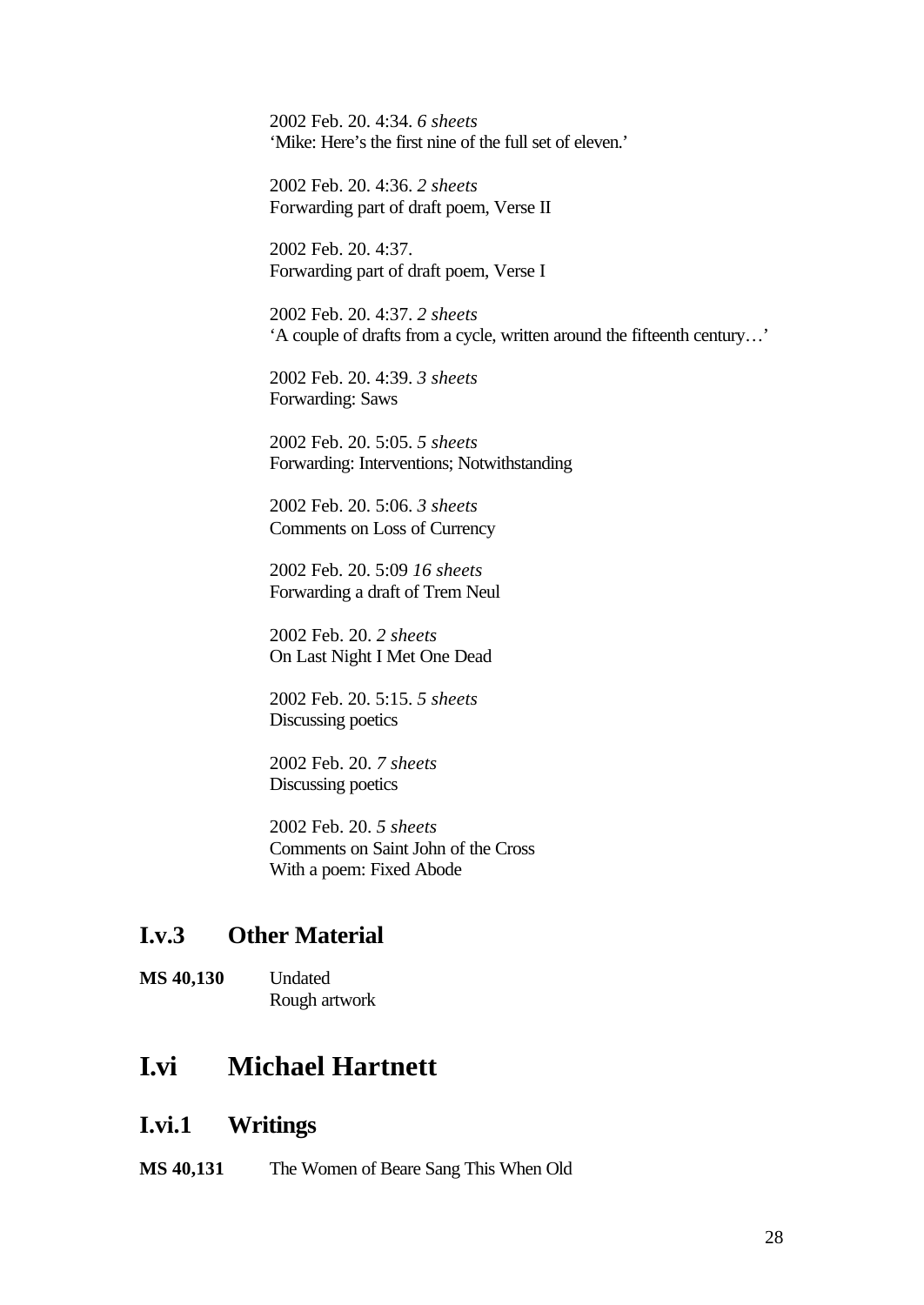2002 Feb. 20. 4:34. *6 sheets* 'Mike: Here's the first nine of the full set of eleven.'

2002 Feb. 20. 4:36. *2 sheets* Forwarding part of draft poem, Verse II

2002 Feb. 20. 4:37. Forwarding part of draft poem, Verse I

2002 Feb. 20. 4:37. *2 sheets* 'A couple of drafts from a cycle, written around the fifteenth century…'

2002 Feb. 20. 4:39. *3 sheets* Forwarding: Saws

2002 Feb. 20. 5:05. *5 sheets* Forwarding: Interventions; Notwithstanding

2002 Feb. 20. 5:06. *3 sheets* Comments on Loss of Currency

2002 Feb. 20. 5:09 *16 sheets* Forwarding a draft of Trem Neul

2002 Feb. 20. *2 sheets* On Last Night I Met One Dead

2002 Feb. 20. 5:15. *5 sheets* Discussing poetics

2002 Feb. 20. *7 sheets* Discussing poetics

2002 Feb. 20. *5 sheets* Comments on Saint John of the Cross With a poem: Fixed Abode

### **I.v.3 Other Material**

**MS 40,130** Undated Rough artwork

## **I.vi Michael Hartnett**

#### **I.vi.1 Writings**

**MS 40,131** The Women of Beare Sang This When Old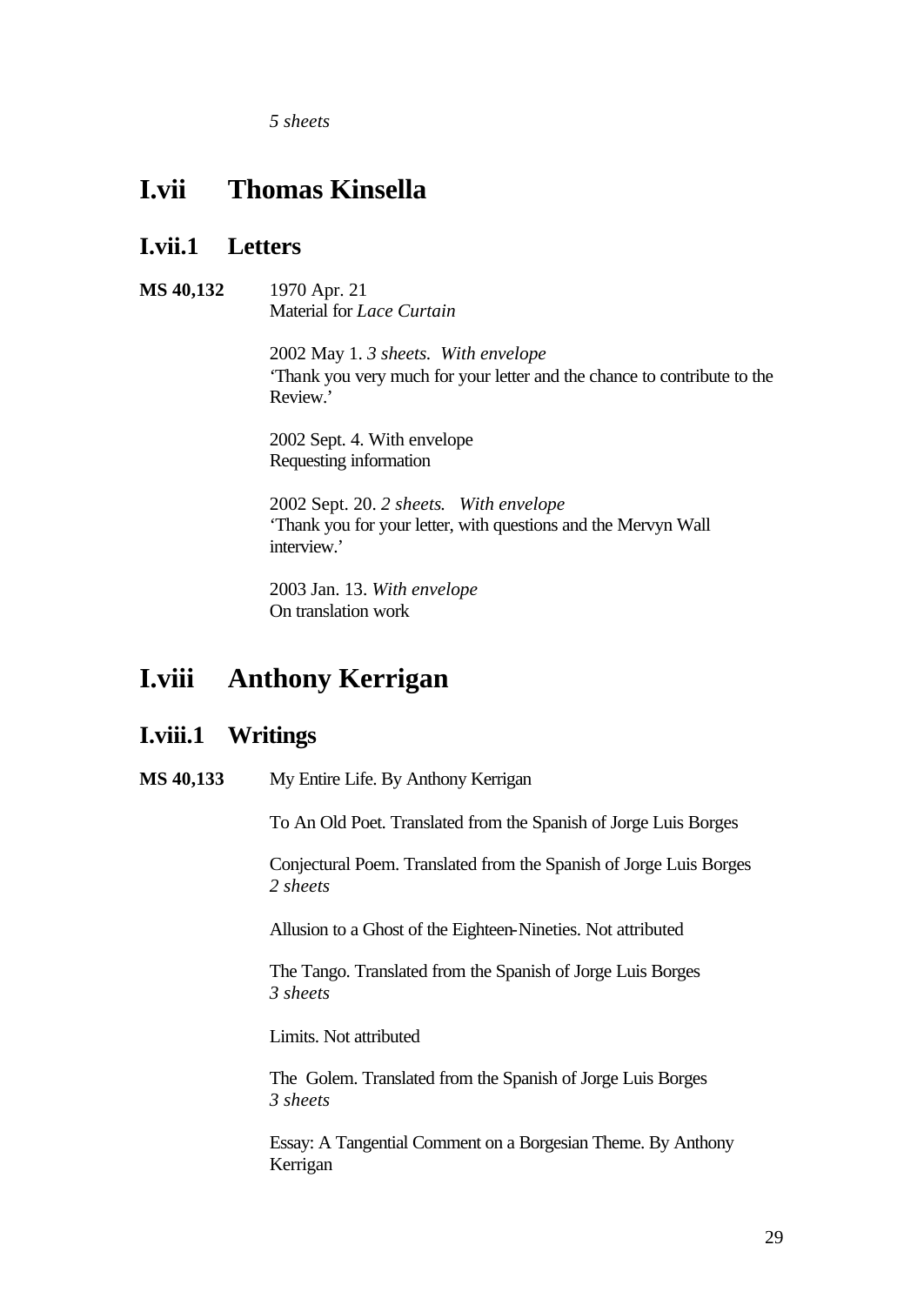*5 sheets*

## **I.vii Thomas Kinsella**

## **I.vii.1 Letters**

**MS 40,132** 1970 Apr. 21 Material for *Lace Curtain*

> 2002 May 1. *3 sheets. With envelope* 'Thank you very much for your letter and the chance to contribute to the Review.'

2002 Sept. 4. With envelope Requesting information

2002 Sept. 20. *2 sheets*. *With envelope* 'Thank you for your letter, with questions and the Mervyn Wall interview.'

2003 Jan. 13. *With envelope* On translation work

## **I.viii Anthony Kerrigan**

### **I.viii.1 Writings**

**MS 40,133** My Entire Life. By Anthony Kerrigan

To An Old Poet. Translated from the Spanish of Jorge Luis Borges

Conjectural Poem. Translated from the Spanish of Jorge Luis Borges *2 sheets*

Allusion to a Ghost of the Eighteen-Nineties. Not attributed

The Tango. Translated from the Spanish of Jorge Luis Borges *3 sheets*

Limits. Not attributed

The Golem. Translated from the Spanish of Jorge Luis Borges *3 sheets*

Essay: A Tangential Comment on a Borgesian Theme. By Anthony Kerrigan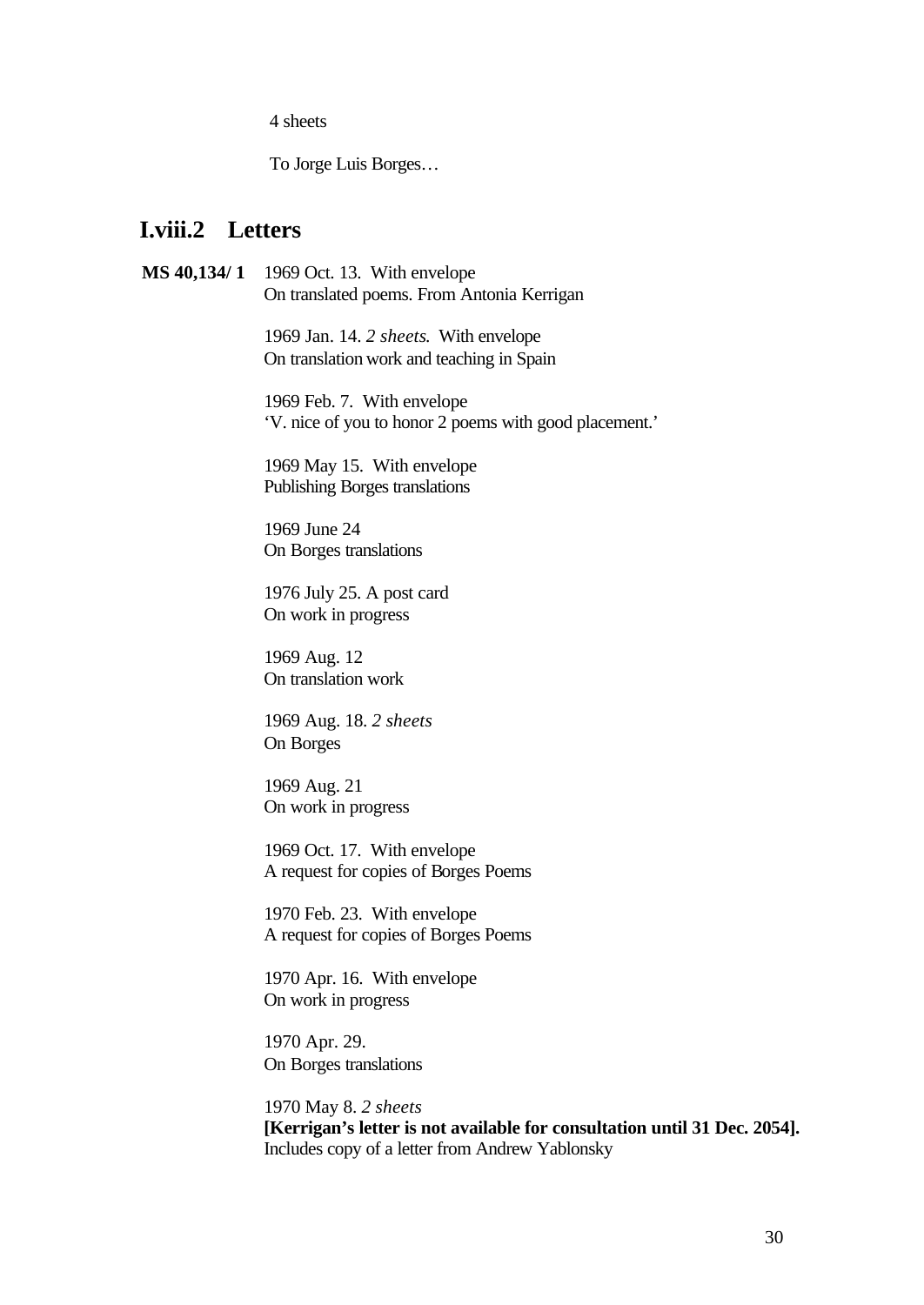4 sheets

To Jorge Luis Borges…

### **I.viii.2 Letters**

**MS 40,134/ 1** 1969 Oct. 13. With envelope On translated poems. From Antonia Kerrigan

> 1969 Jan. 14. *2 sheets*. With envelope On translation work and teaching in Spain

1969 Feb. 7. With envelope 'V. nice of you to honor 2 poems with good placement.'

1969 May 15. With envelope Publishing Borges translations

1969 June 24 On Borges translations

1976 July 25. A post card On work in progress

1969 Aug. 12 On translation work

1969 Aug. 18. *2 sheets* On Borges

1969 Aug. 21 On work in progress

1969 Oct. 17. With envelope A request for copies of Borges Poems

1970 Feb. 23. With envelope A request for copies of Borges Poems

1970 Apr. 16. With envelope On work in progress

1970 Apr. 29. On Borges translations

1970 May 8. *2 sheets* **[Kerrigan's letter is not available for consultation until 31 Dec. 2054].**  Includes copy of a letter from Andrew Yablonsky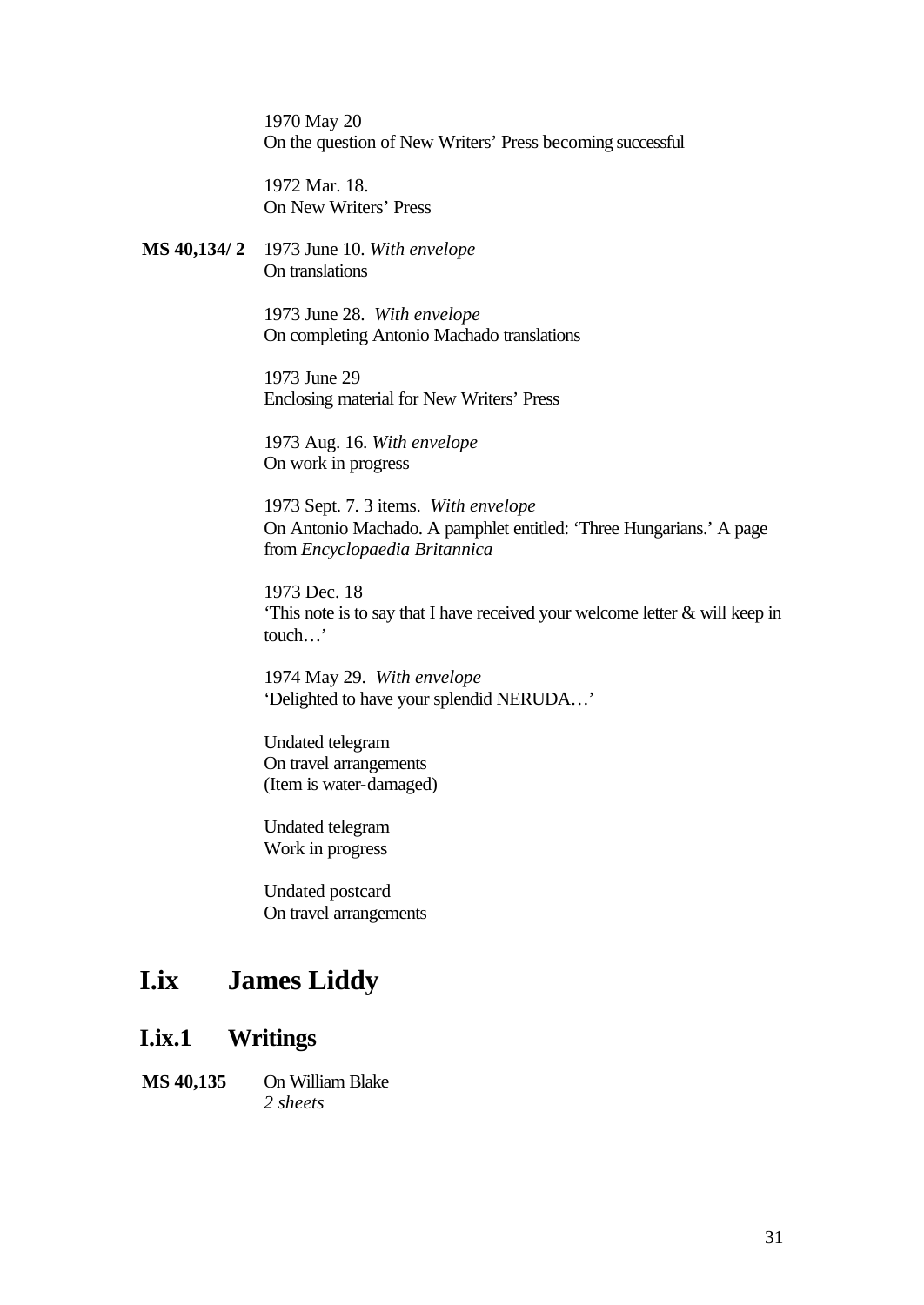1970 May 20 On the question of New Writers' Press becoming successful

1972 Mar. 18. On New Writers' Press

**MS 40,134/ 2** 1973 June 10. *With envelope* On translations

> 1973 June 28. *With envelope* On completing Antonio Machado translations

1973 June 29 Enclosing material for New Writers' Press

1973 Aug. 16. *With envelope* On work in progress

1973 Sept. 7. 3 items. *With envelope* On Antonio Machado. A pamphlet entitled: 'Three Hungarians.' A page from *Encyclopaedia Britannica*

1973 Dec. 18 'This note is to say that I have received your welcome letter & will keep in touch…'

1974 May 29. *With envelope* 'Delighted to have your splendid NERUDA…'

Undated telegram On travel arrangements (Item is water-damaged)

Undated telegram Work in progress

Undated postcard On travel arrangements

## **I.ix James Liddy**

### **I.ix.1 Writings**

**MS 40,135** On William Blake *2 sheets*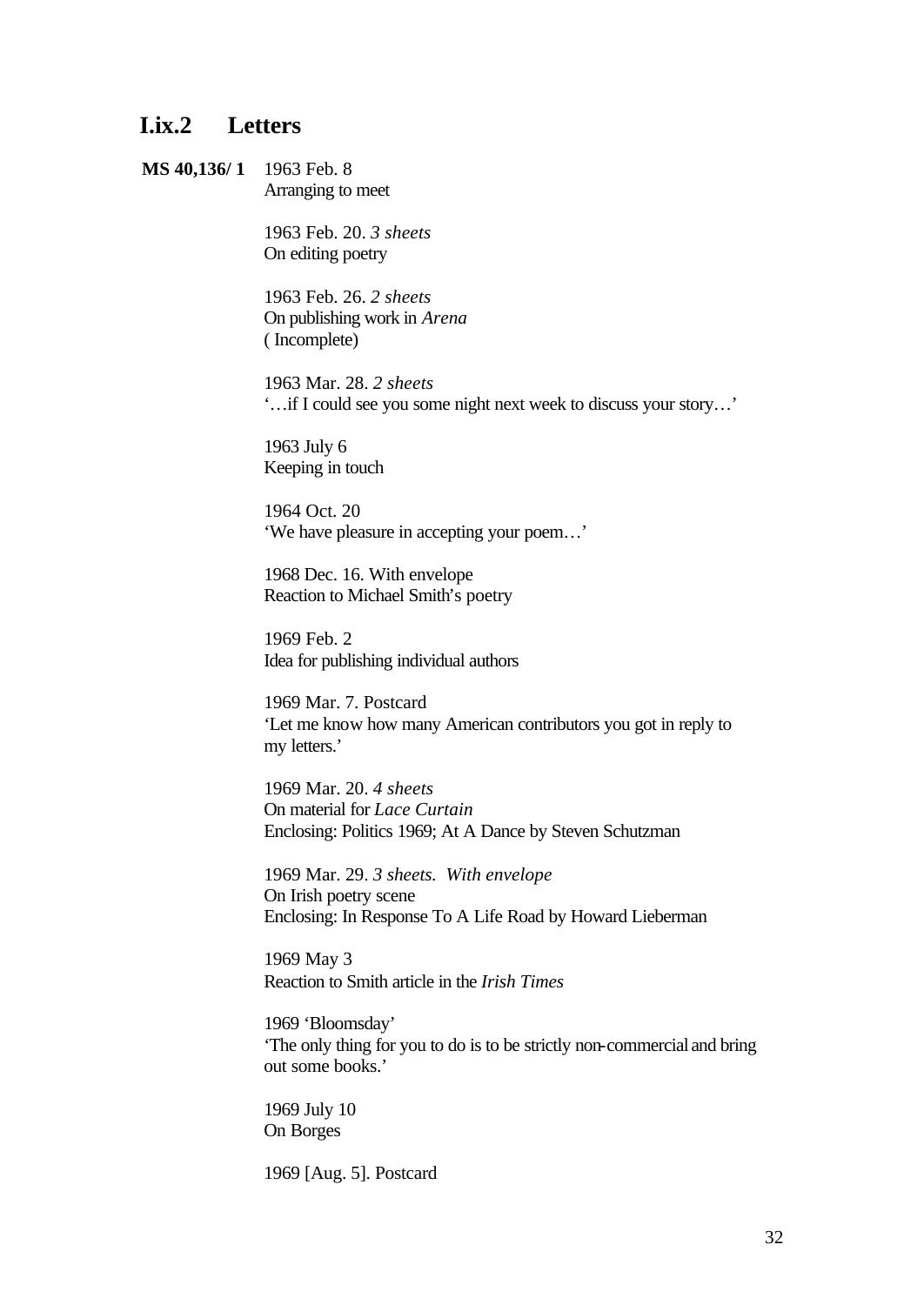## **I.ix.2 Letters**

**MS 40,136/ 1** 1963 Feb. 8 Arranging to meet

> 1963 Feb. 20. *3 sheets* On editing poetry

1963 Feb. 26. *2 sheets* On publishing work in *Arena* ( Incomplete)

1963 Mar. 28. *2 sheets* '…if I could see you some night next week to discuss your story…'

1963 July 6 Keeping in touch

1964 Oct. 20 'We have pleasure in accepting your poem…'

1968 Dec. 16. With envelope Reaction to Michael Smith's poetry

1969 Feb. 2 Idea for publishing individual authors

1969 Mar. 7. Postcard 'Let me know how many American contributors you got in reply to my letters.'

1969 Mar. 20. *4 sheets* On material for *Lace Curtain* Enclosing: Politics 1969; At A Dance by Steven Schutzman

1969 Mar. 29. *3 sheets. With envelope* On Irish poetry scene Enclosing: In Response To A Life Road by Howard Lieberman

1969 May 3 Reaction to Smith article in the *Irish Times*

1969 'Bloomsday' 'The only thing for you to do is to be strictly non-commercial and bring out some books.'

1969 July 10 On Borges

1969 [Aug. 5]. Postcard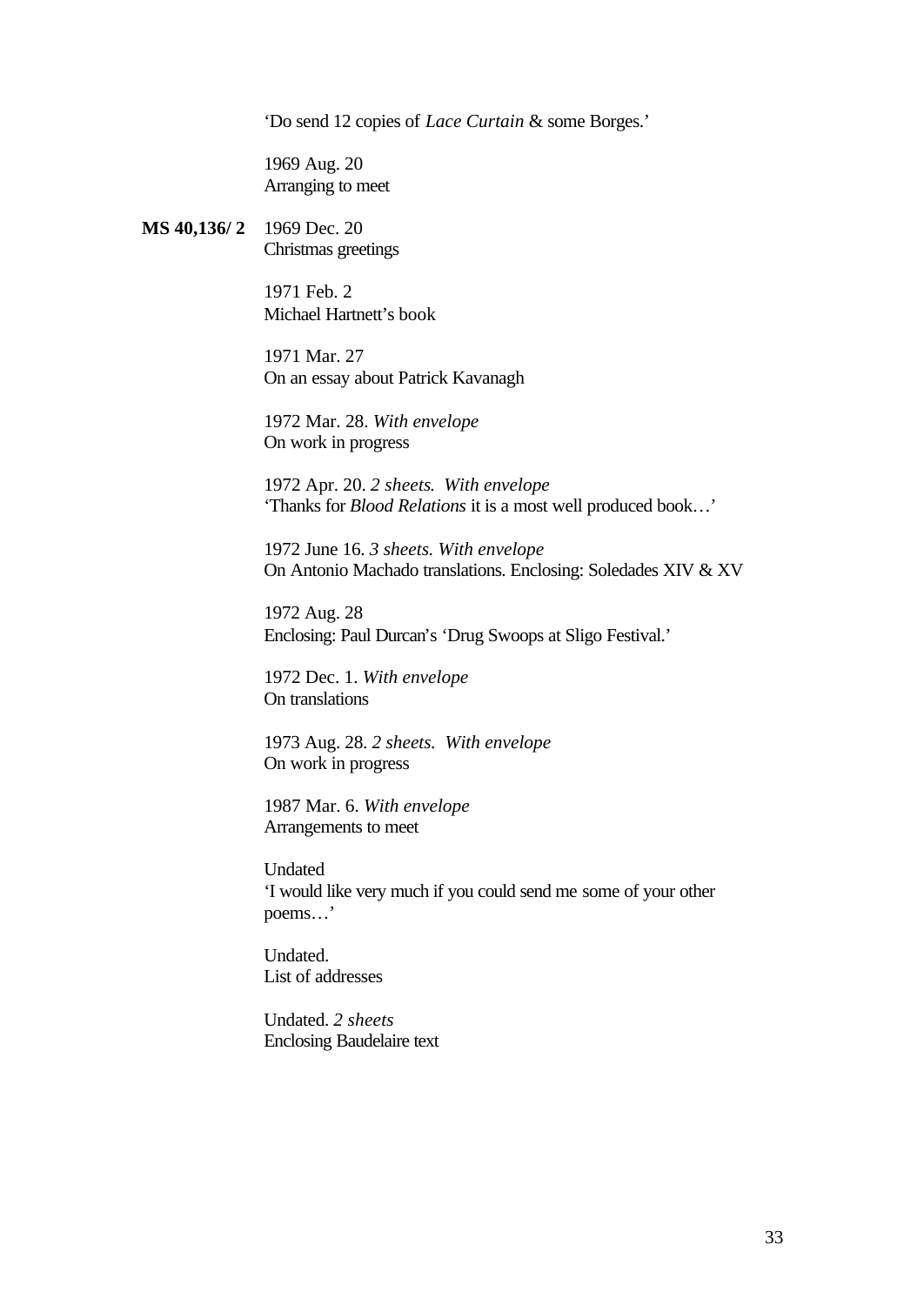'Do send 12 copies of *Lace Curtain* & some Borges.'

1969 Aug. 20 Arranging to meet

**MS 40,136/ 2** 1969 Dec. 20 Christmas greetings

> 1971 Feb. 2 Michael Hartnett's book

1971 Mar. 27 On an essay about Patrick Kavanagh

1972 Mar. 28. *With envelope* On work in progress

1972 Apr. 20. *2 sheets*. *With envelope* 'Thanks for *Blood Relations* it is a most well produced book…'

1972 June 16. *3 sheets. With envelope* On Antonio Machado translations. Enclosing: Soledades XIV & XV

1972 Aug. 28 Enclosing: Paul Durcan's 'Drug Swoops at Sligo Festival.'

1972 Dec. 1. *With envelope* On translations

1973 Aug. 28. *2 sheets. With envelope* On work in progress

1987 Mar. 6. *With envelope* Arrangements to meet

Undated 'I would like very much if you could send me some of your other poems…'

Undated. List of addresses

Undated. *2 sheets* Enclosing Baudelaire text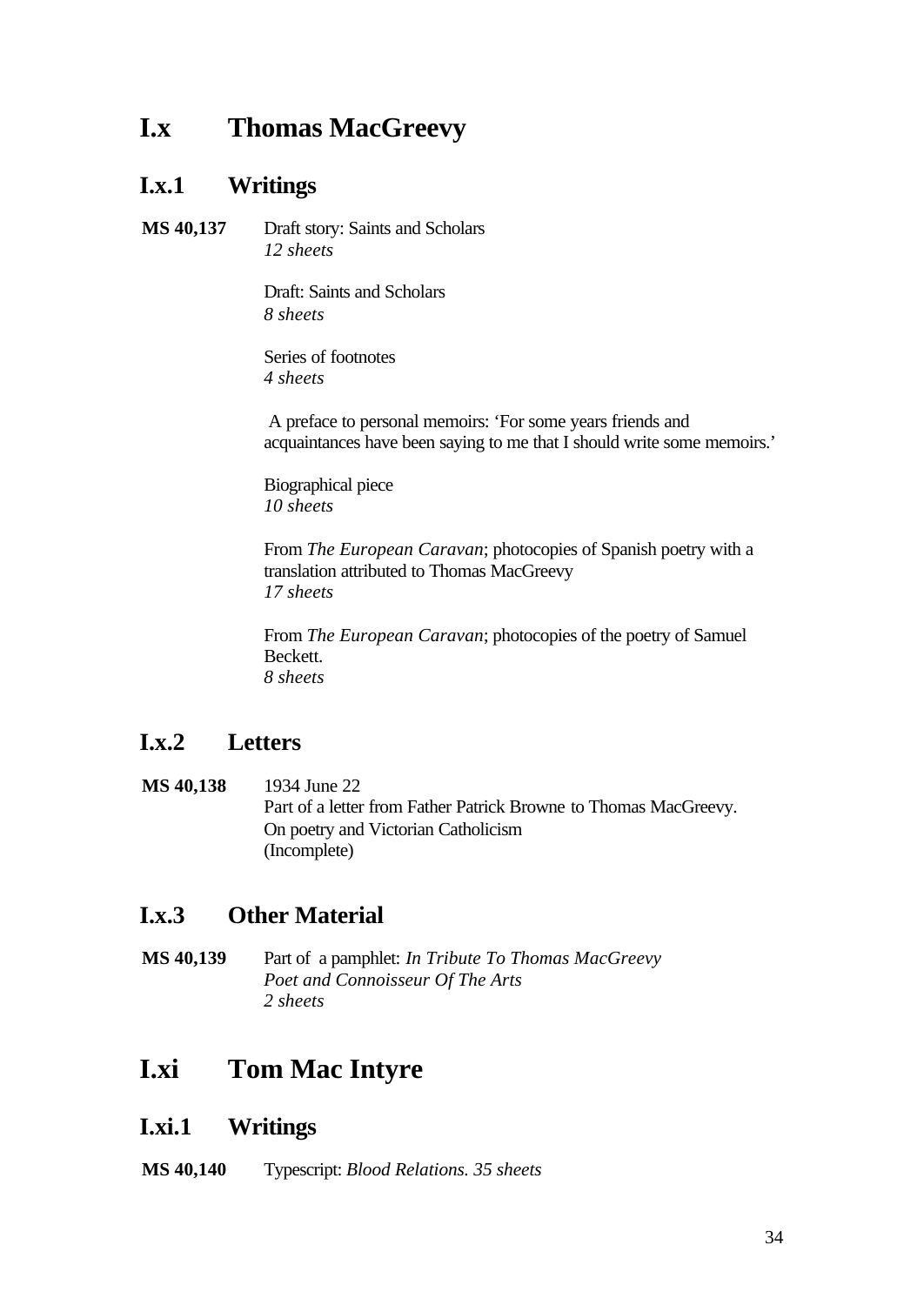## **I.x Thomas MacGreevy**

## **I.x.1 Writings**

**MS 40,137** Draft story: Saints and Scholars *12 sheets*

> Draft: Saints and Scholars *8 sheets*

Series of footnotes *4 sheets*

 A preface to personal memoirs: 'For some years friends and acquaintances have been saying to me that I should write some memoirs.'

Biographical piece *10 sheets*

From *The European Caravan*; photocopies of Spanish poetry with a translation attributed to Thomas MacGreevy *17 sheets*

From *The European Caravan*; photocopies of the poetry of Samuel Beckett. *8 sheets*

## **I.x.2 Letters**

**MS 40,138** 1934 June 22 Part of a letter from Father Patrick Browne to Thomas MacGreevy. On poetry and Victorian Catholicism (Incomplete)

## **I.x.3 Other Material**

**MS 40,139** Part of a pamphlet: *In Tribute To Thomas MacGreevy Poet and Connoisseur Of The Arts 2 sheets*

## **I.xi Tom Mac Intyre**

## **I.xi.1 Writings**

**MS 40,140** Typescript: *Blood Relations. 35 sheets*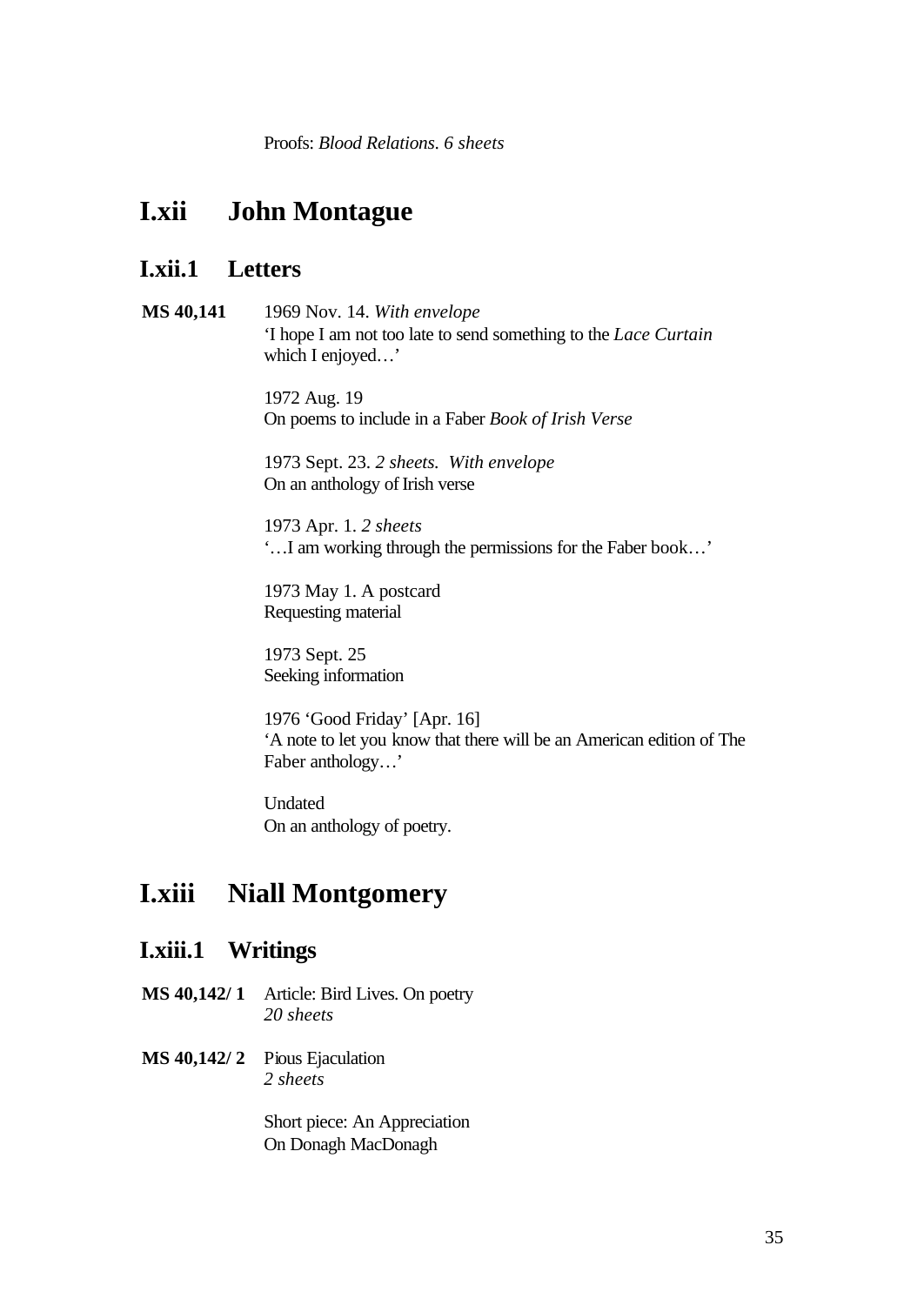Proofs: *Blood Relations*. *6 sheets*

## **I.xii John Montague**

### **I.xii.1 Letters**

**MS 40,141** 1969 Nov. 14. *With envelope* 'I hope I am not too late to send something to the *Lace Curtain* which I enjoyed…'

> 1972 Aug. 19 On poems to include in a Faber *Book of Irish Verse*

1973 Sept. 23. *2 sheets. With envelope* On an anthology of Irish verse

1973 Apr. 1. *2 sheets* '…I am working through the permissions for the Faber book…'

1973 May 1. A postcard Requesting material

1973 Sept. 25 Seeking information

1976 'Good Friday' [Apr. 16] 'A note to let you know that there will be an American edition of The Faber anthology…'

Undated On an anthology of poetry.

## **I.xiii Niall Montgomery**

### **I.xiii.1 Writings**

- **MS 40,142/ 1** Article: Bird Lives. On poetry *20 sheets*
- **MS 40,142/ 2** Pious Ejaculation *2 sheets*

Short piece: An Appreciation On Donagh MacDonagh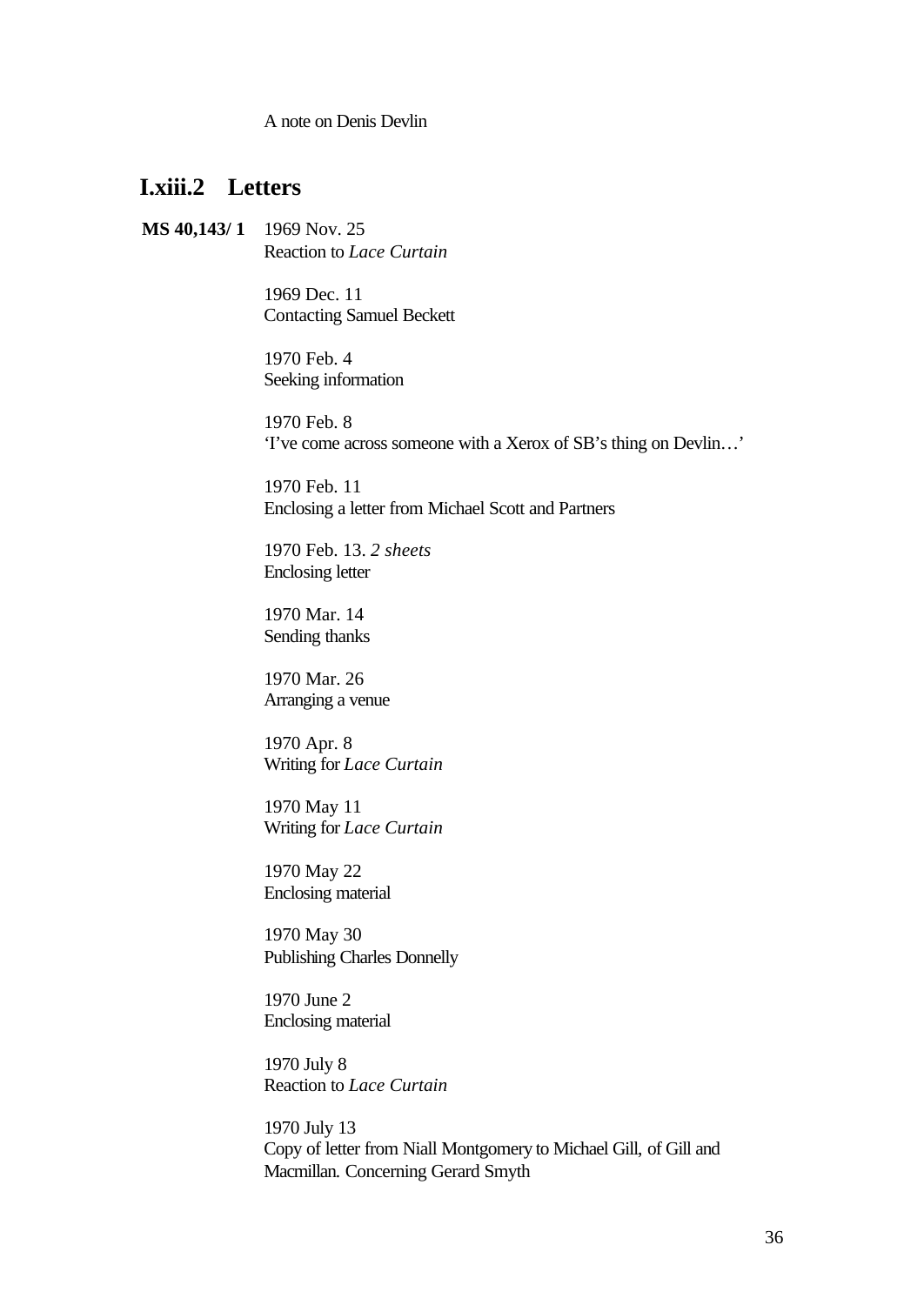A note on Denis Devlin

### **I.xiii.2 Letters**

**MS 40,143/ 1** 1969 Nov. 25 Reaction to *Lace Curtain*

> 1969 Dec. 11 Contacting Samuel Beckett

1970 Feb. 4 Seeking information

1970 Feb. 8 'I've come across someone with a Xerox of SB's thing on Devlin…'

1970 Feb. 11 Enclosing a letter from Michael Scott and Partners

1970 Feb. 13. *2 sheets* Enclosing letter

1970 Mar. 14 Sending thanks

1970 Mar. 26 Arranging a venue

1970 Apr. 8 Writing for *Lace Curtain*

1970 May 11 Writing for *Lace Curtain*

1970 May 22 Enclosing material

1970 May 30 Publishing Charles Donnelly

1970 June 2 Enclosing material

1970 July 8 Reaction to *Lace Curtain*

1970 July 13 Copy of letter from Niall Montgomery to Michael Gill, of Gill and Macmillan. Concerning Gerard Smyth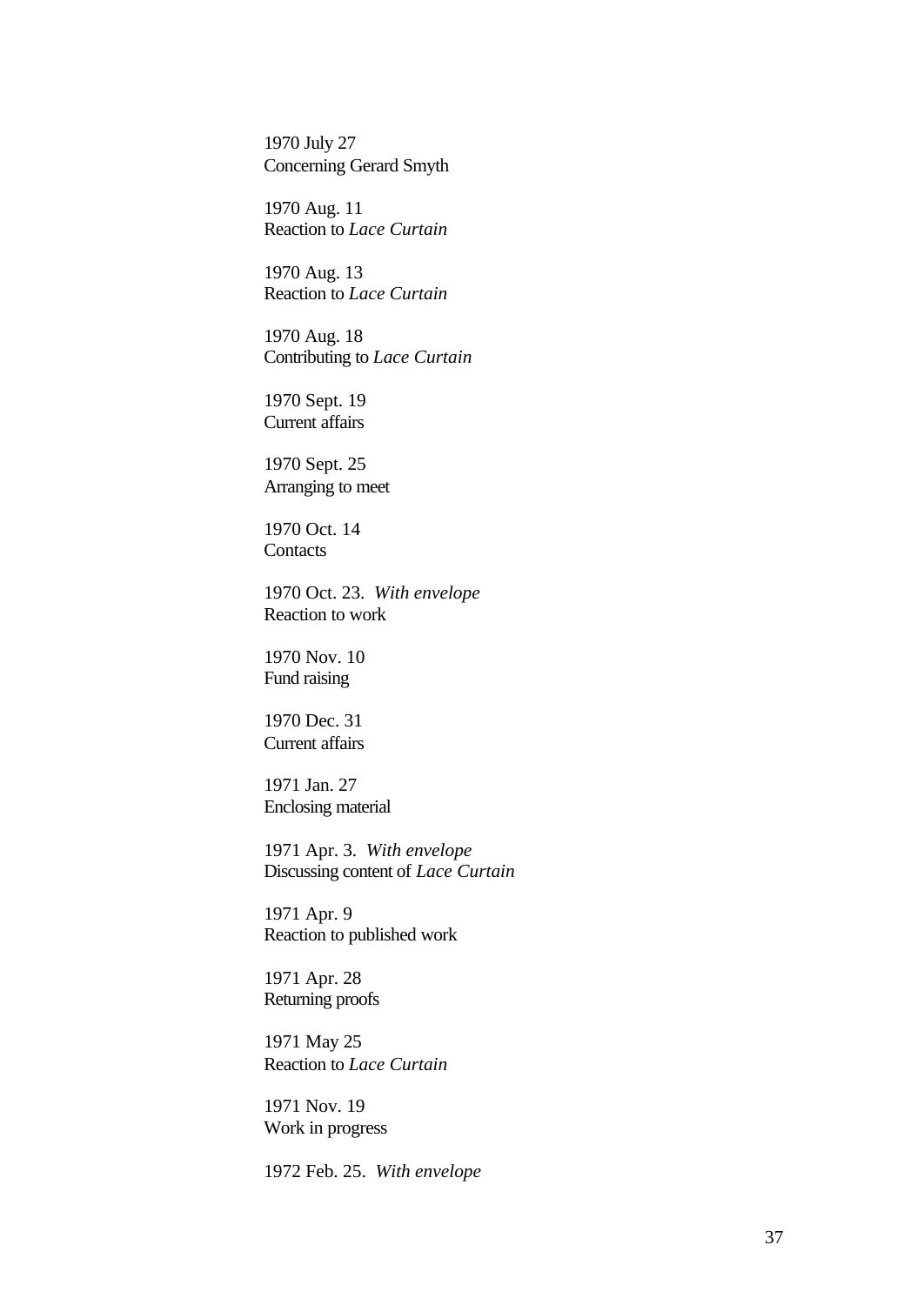1970 July 27 Concerning Gerard Smyth

1970 Aug. 11 Reaction to *Lace Curtain*

1970 Aug. 13 Reaction to *Lace Curtain*

1970 Aug. 18 Contributing to *Lace Curtain*

1970 Sept. 19 Current affairs

1970 Sept. 25 Arranging to meet

1970 Oct. 14 **Contacts** 

1970 Oct. 23. *With envelope* Reaction to work

1970 Nov. 10 Fund raising

1970 Dec. 31 Current affairs

1971 Jan. 27 Enclosing material

1971 Apr. 3. *With envelope*  Discussing content of *Lace Curtain*

1971 Apr. 9 Reaction to published work

1971 Apr. 28 Returning proofs

1971 May 25 Reaction to *Lace Curtain*

1971 Nov. 19 Work in progress

1972 Feb. 25. *With envelope*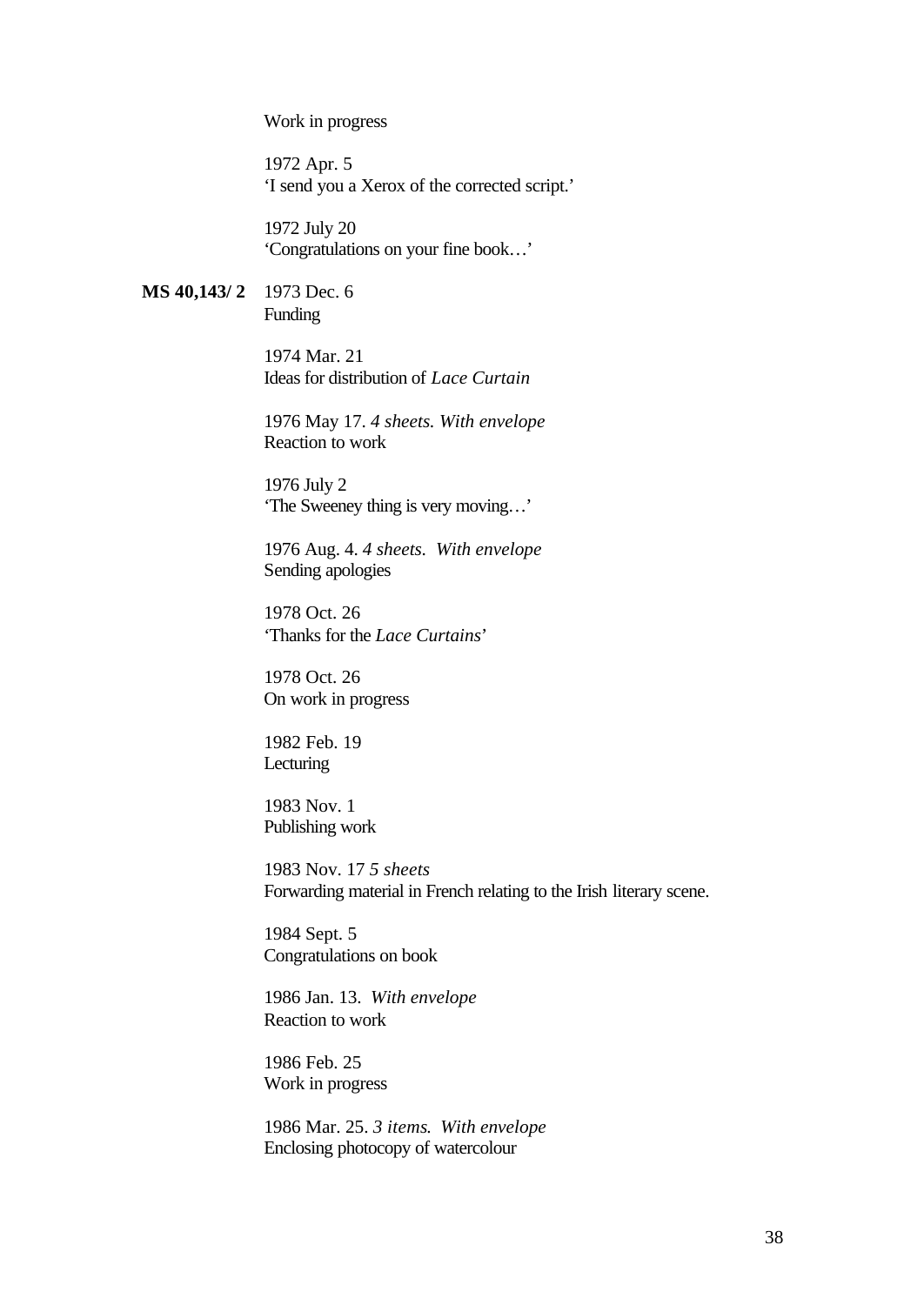Work in progress

1972 Apr. 5 'I send you a Xerox of the corrected script.'

1972 July 20 'Congratulations on your fine book…'

**MS 40,143/ 2** 1973 Dec. 6 Funding

> 1974 Mar. 21 Ideas for distribution of *Lace Curtain*

1976 May 17. *4 sheets. With envelope* Reaction to work

1976 July 2 'The Sweeney thing is very moving…'

1976 Aug. 4. *4 sheets. With envelope* Sending apologies

1978 Oct. 26 'Thanks for the *Lace Curtains*'

1978 Oct. 26 On work in progress

1982 Feb. 19 Lecturing

1983 Nov. 1 Publishing work

1983 Nov. 17 *5 sheets* Forwarding material in French relating to the Irish literary scene.

1984 Sept. 5 Congratulations on book

1986 Jan. 13. *With envelope* Reaction to work

1986 Feb. 25 Work in progress

1986 Mar. 25. *3 items*. *With envelope*  Enclosing photocopy of watercolour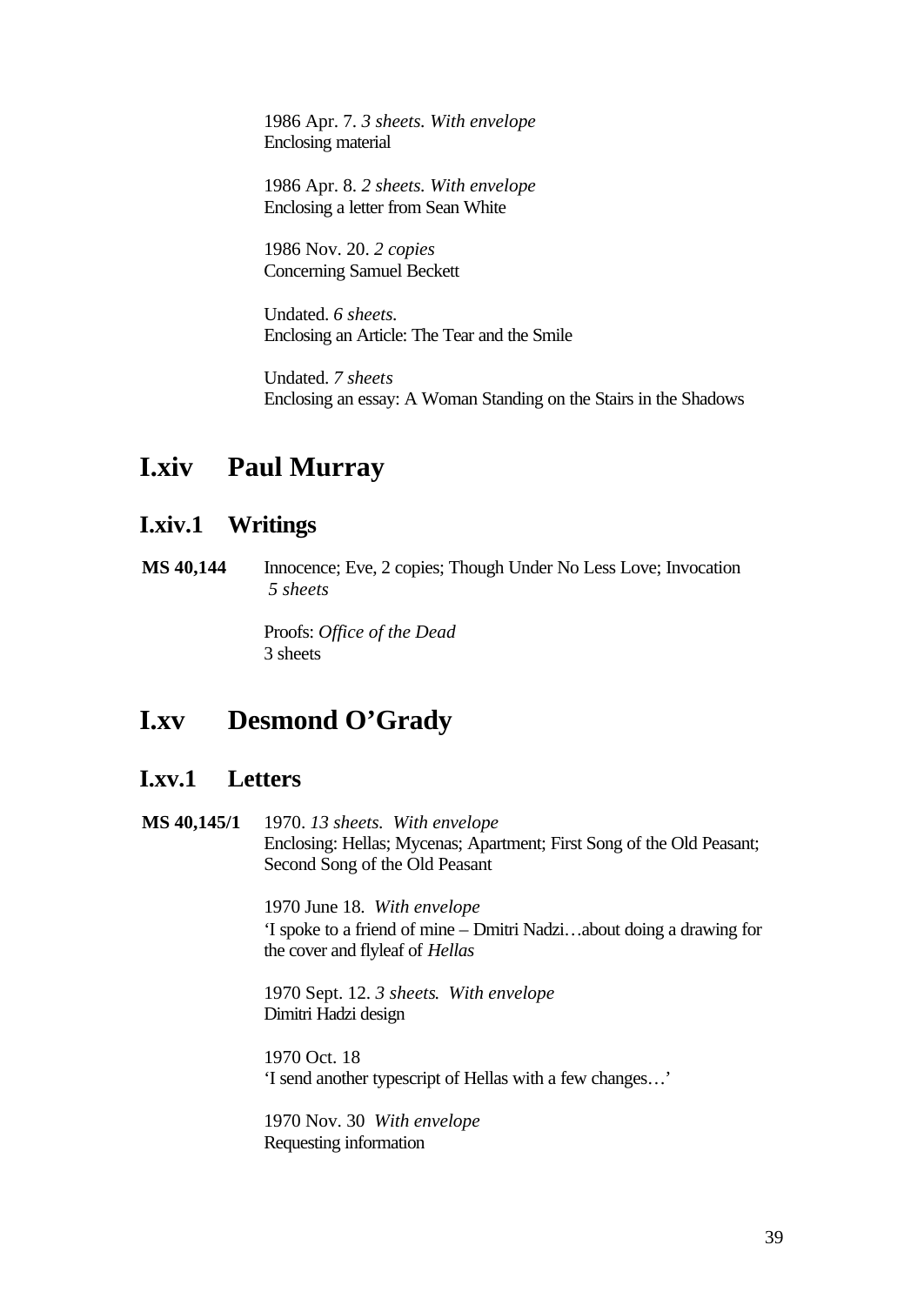1986 Apr. 7. *3 sheets. With envelope*  Enclosing material

1986 Apr. 8. *2 sheets. With envelope* Enclosing a letter from Sean White

1986 Nov. 20. *2 copies* Concerning Samuel Beckett

Undated. *6 sheets.* Enclosing an Article: The Tear and the Smile

Undated. *7 sheets* Enclosing an essay: A Woman Standing on the Stairs in the Shadows

## **I.xiv Paul Murray**

### **I.xiv.1 Writings**

**MS 40,144** Innocence; Eve, 2 copies; Though Under No Less Love; Invocation  *5 sheets*

> Proofs: *Office of the Dead* 3 sheets

## **I.xv Desmond O'Grady**

### **I.xv.1 Letters**

**MS 40,145/1** 1970. *13 sheets. With envelope* Enclosing: Hellas; Mycenas; Apartment; First Song of the Old Peasant; Second Song of the Old Peasant

> 1970 June 18. *With envelope* 'I spoke to a friend of mine – Dmitri Nadzi…about doing a drawing for the cover and flyleaf of *Hellas*

1970 Sept. 12. *3 sheets*. *With envelope* Dimitri Hadzi design

1970 Oct. 18 'I send another typescript of Hellas with a few changes…'

1970 Nov. 30 *With envelope* Requesting information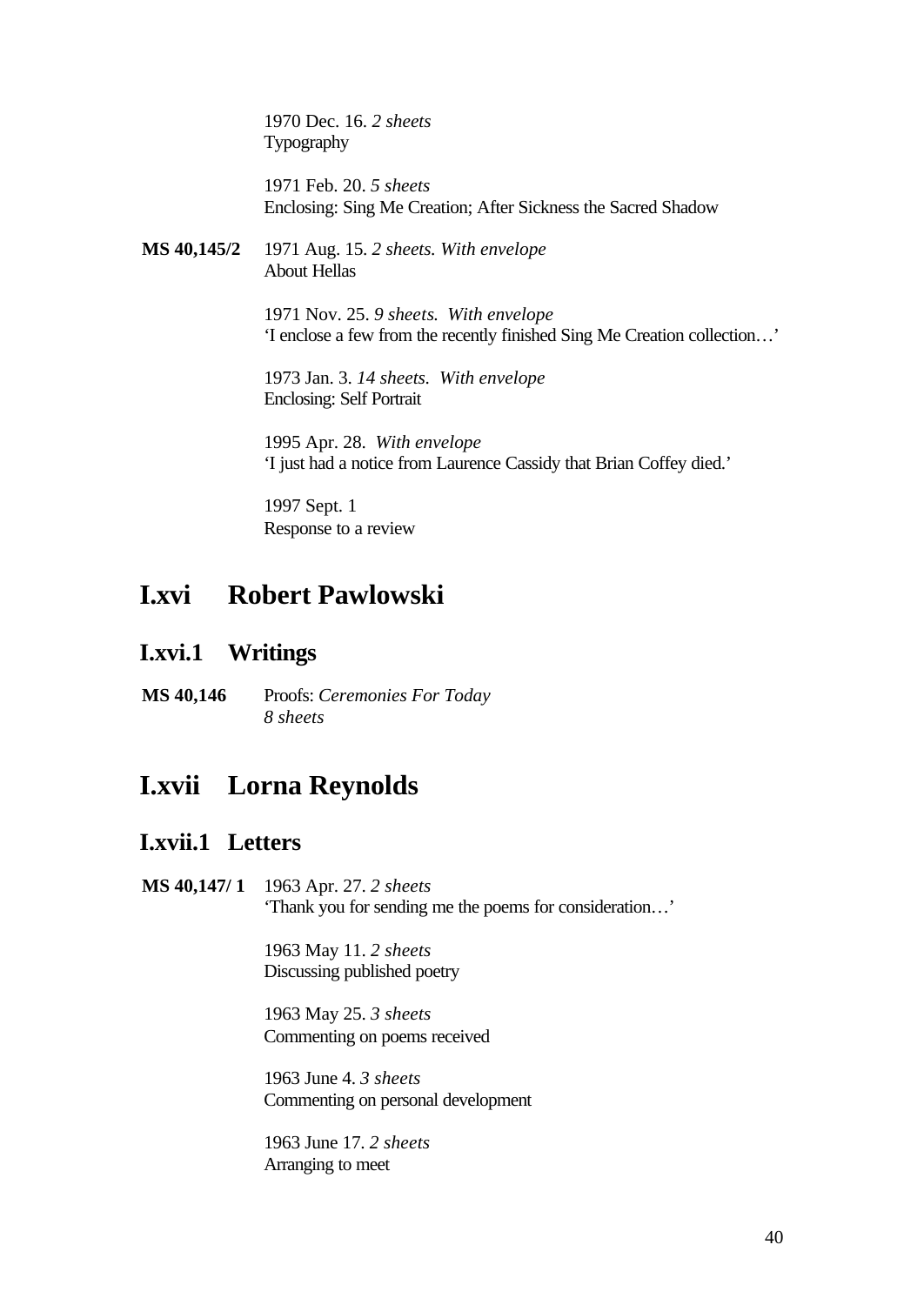1970 Dec. 16. *2 sheets*  Typography

1971 Feb. 20. *5 sheets*  Enclosing: Sing Me Creation; After Sickness the Sacred Shadow

**MS 40,145/2** 1971 Aug. 15. *2 sheets. With envelope* About Hellas

> 1971 Nov. 25. *9 sheets*. *With envelope* 'I enclose a few from the recently finished Sing Me Creation collection…'

1973 Jan. 3. *14 sheets. With envelope* Enclosing: Self Portrait

1995 Apr. 28. *With envelope* 'I just had a notice from Laurence Cassidy that Brian Coffey died.'

1997 Sept. 1 Response to a review

## **I.xvi Robert Pawlowski**

### **I.xvi.1 Writings**

**MS 40,146** Proofs: *Ceremonies For Today 8 sheets*

## **I.xvii Lorna Reynolds**

### **I.xvii.1 Letters**

**MS 40,147/ 1** 1963 Apr. 27. *2 sheets* 'Thank you for sending me the poems for consideration…'

> 1963 May 11. *2 sheets* Discussing published poetry

1963 May 25. *3 sheets* Commenting on poems received

1963 June 4. *3 sheets* Commenting on personal development

1963 June 17. *2 sheets* Arranging to meet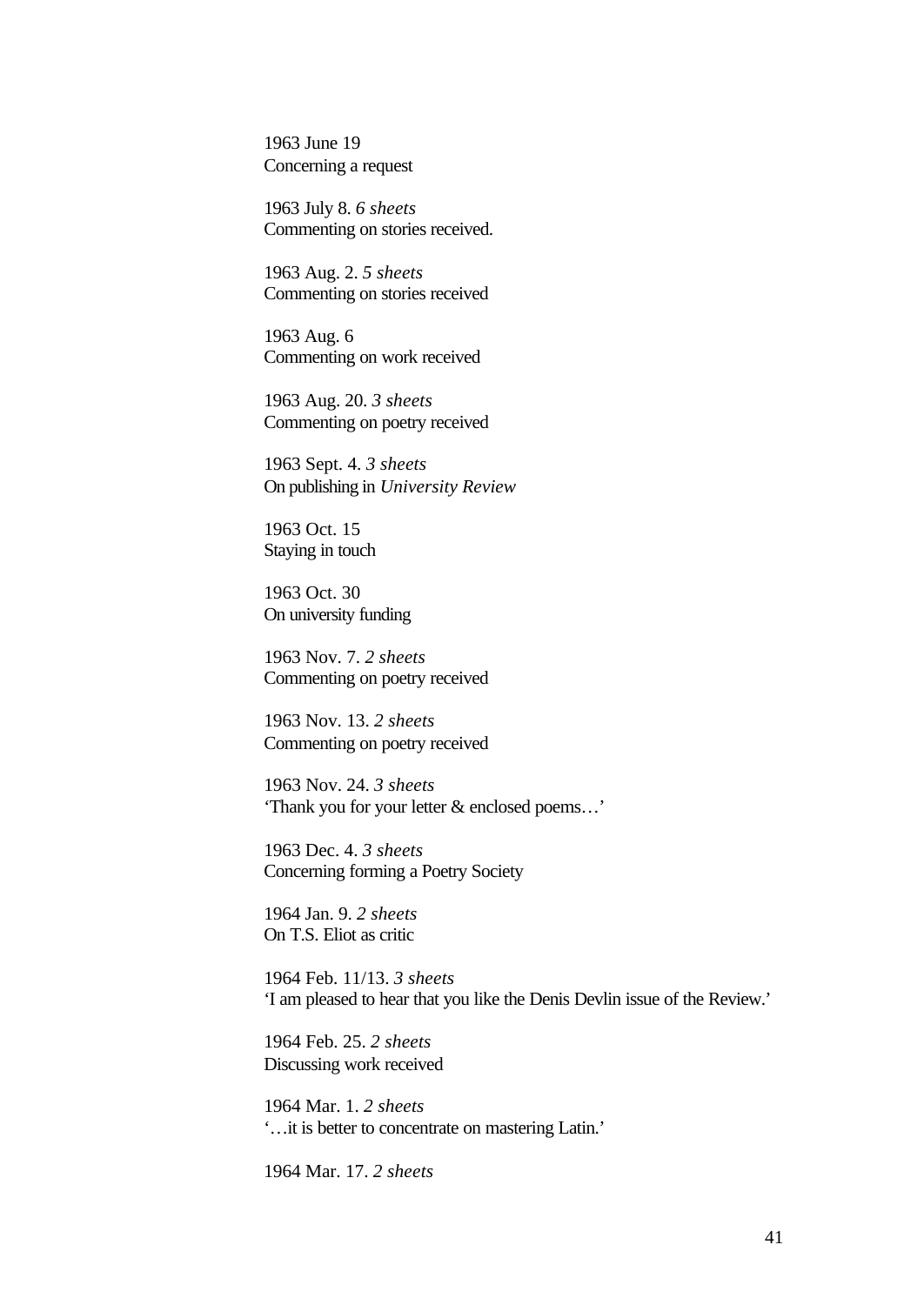1963 June 19 Concerning a request

1963 July 8. *6 sheets* Commenting on stories received.

1963 Aug. 2. *5 sheets* Commenting on stories received

1963 Aug. 6 Commenting on work received

1963 Aug. 20. *3 sheets* Commenting on poetry received

1963 Sept. 4. *3 sheets* On publishing in *University Review*

1963 Oct. 15 Staying in touch

1963 Oct. 30 On university funding

1963 Nov. 7. *2 sheets* Commenting on poetry received

1963 Nov. 13. *2 sheets* Commenting on poetry received

1963 Nov. 24. *3 sheets* 'Thank you for your letter & enclosed poems…'

1963 Dec. 4. *3 sheets* Concerning forming a Poetry Society

1964 Jan. 9. *2 sheets* On T.S. Eliot as critic

1964 Feb. 11/13. *3 sheets* 'I am pleased to hear that you like the Denis Devlin issue of the Review.'

1964 Feb. 25. *2 sheets* Discussing work received

1964 Mar. 1. *2 sheets* '…it is better to concentrate on mastering Latin.'

1964 Mar. 17. *2 sheets*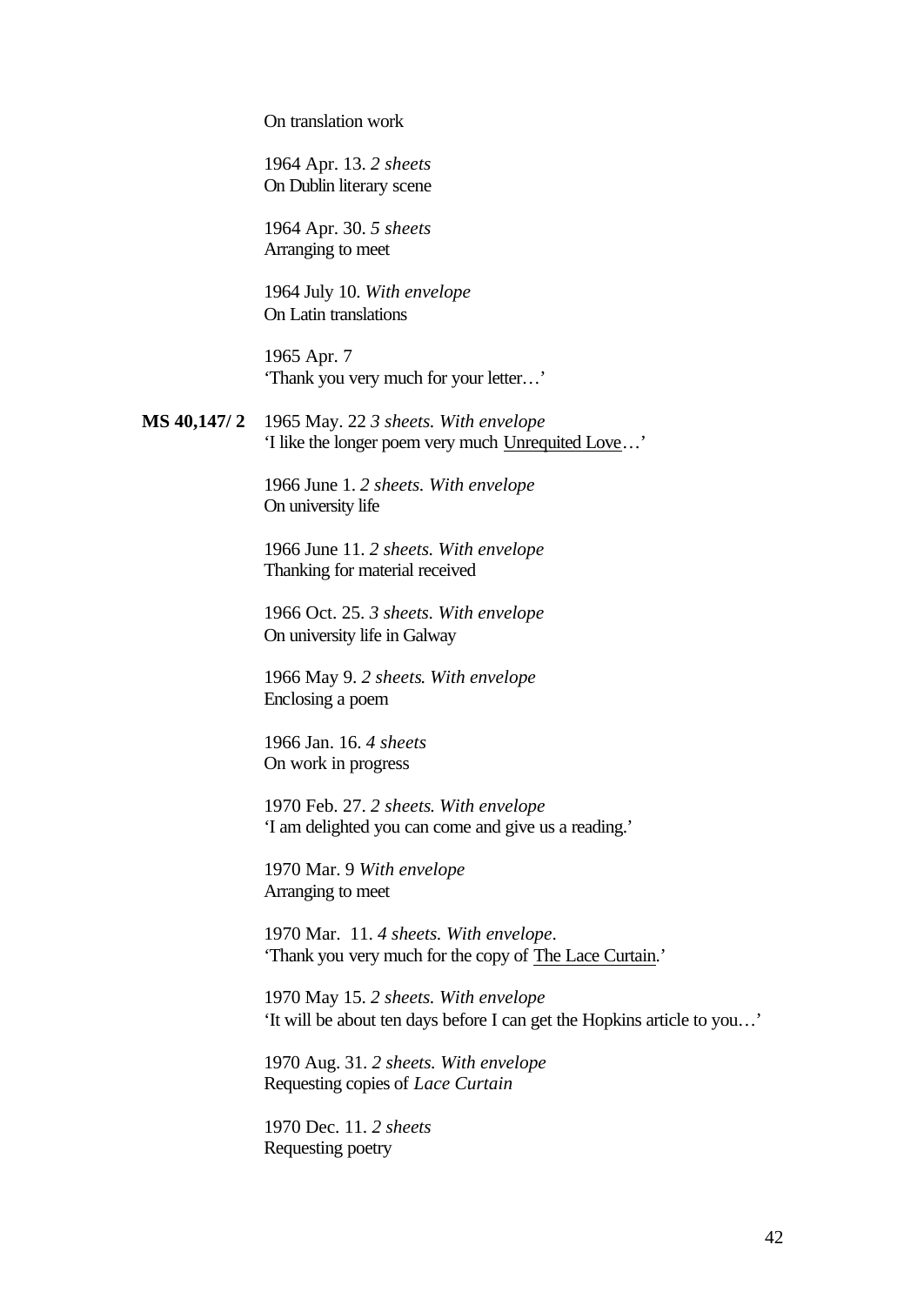On translation work

1964 Apr. 13. *2 sheets* On Dublin literary scene

1964 Apr. 30. *5 sheets* Arranging to meet

1964 July 10. *With envelope* On Latin translations

1965 Apr. 7 'Thank you very much for your letter…'

**MS 40,147/ 2** 1965 May. 22 *3 sheets. With envelope* 'I like the longer poem very much Unrequited Love…'

> 1966 June 1. *2 sheets. With envelope* On university life

1966 June 11. *2 sheets. With envelope* Thanking for material received

1966 Oct. 25. *3 sheets. With envelope* On university life in Galway

1966 May 9. *2 sheets*. *With envelope* Enclosing a poem

1966 Jan. 16. *4 sheets* On work in progress

1970 Feb. 27. *2 sheets*. *With envelope* 'I am delighted you can come and give us a reading.'

1970 Mar. 9 *With envelope* Arranging to meet

1970 Mar. 11. *4 sheets. With envelope*. 'Thank you very much for the copy of The Lace Curtain.'

1970 May 15. *2 sheets. With envelope* 'It will be about ten days before I can get the Hopkins article to you…'

1970 Aug. 31. *2 sheets. With envelope* Requesting copies of *Lace Curtain*

1970 Dec. 11. *2 sheets*  Requesting poetry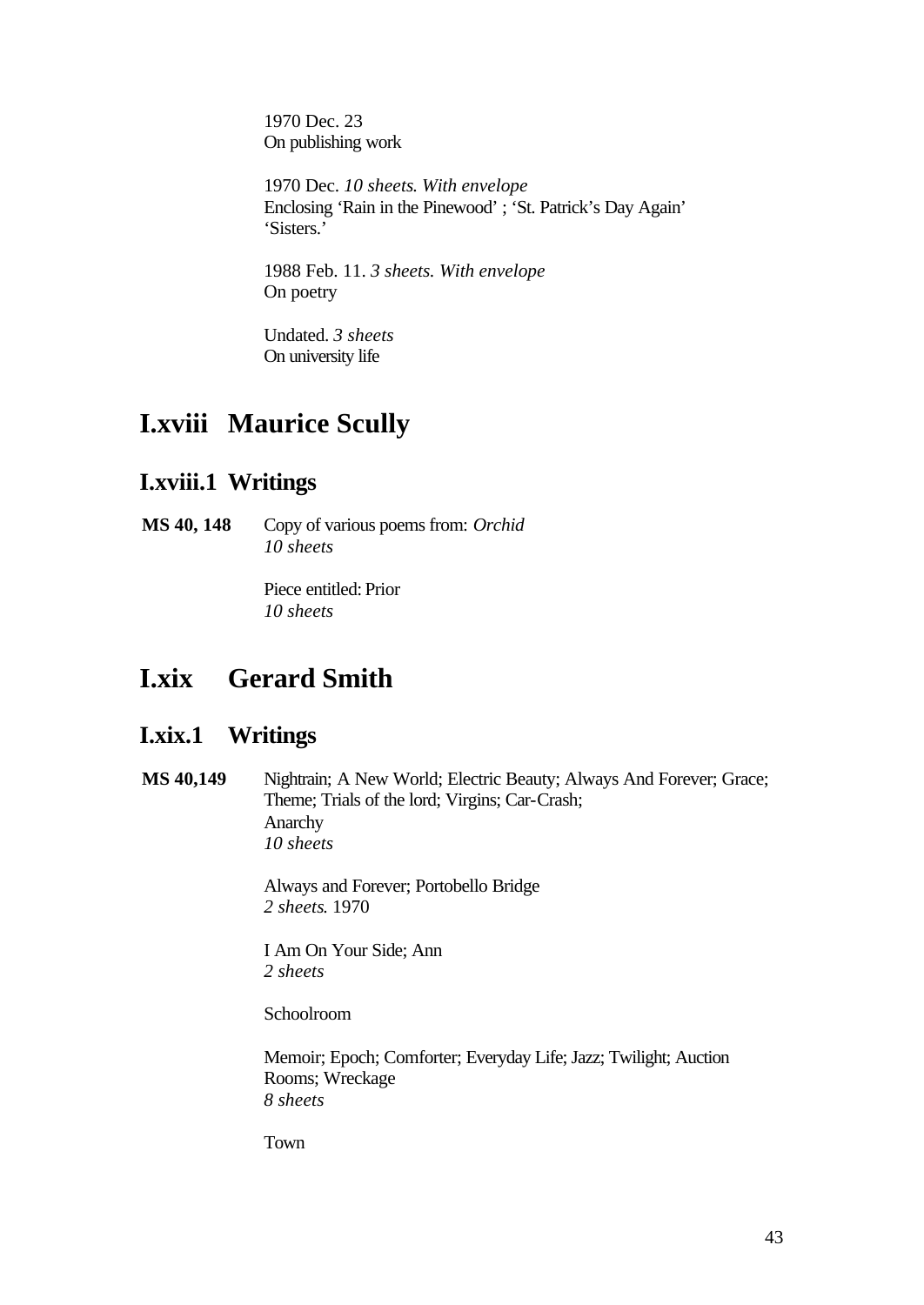1970 Dec. 23 On publishing work

1970 Dec. *10 sheets*. *With envelope* Enclosing 'Rain in the Pinewood' ; 'St. Patrick's Day Again' 'Sisters.'

1988 Feb. 11. *3 sheets. With envelope* On poetry

Undated. *3 sheets* On university life

# **I.xviii Maurice Scully**

## **I.xviii.1 Writings**

**MS 40, 148** Copy of various poems from: *Orchid 10 sheets*

> Piece entitled: Prior *10 sheets*

## **I.xix Gerard Smith**

### **I.xix.1 Writings**

**MS 40,149** Nightrain; A New World; Electric Beauty; Always And Forever; Grace; Theme; Trials of the lord; Virgins; Car-Crash; Anarchy *10 sheets*

> Always and Forever; Portobello Bridge *2 sheets*. 1970

I Am On Your Side; Ann *2 sheets*

Schoolroom

Memoir; Epoch; Comforter; Everyday Life; Jazz; Twilight; Auction Rooms; Wreckage *8 sheets*

Town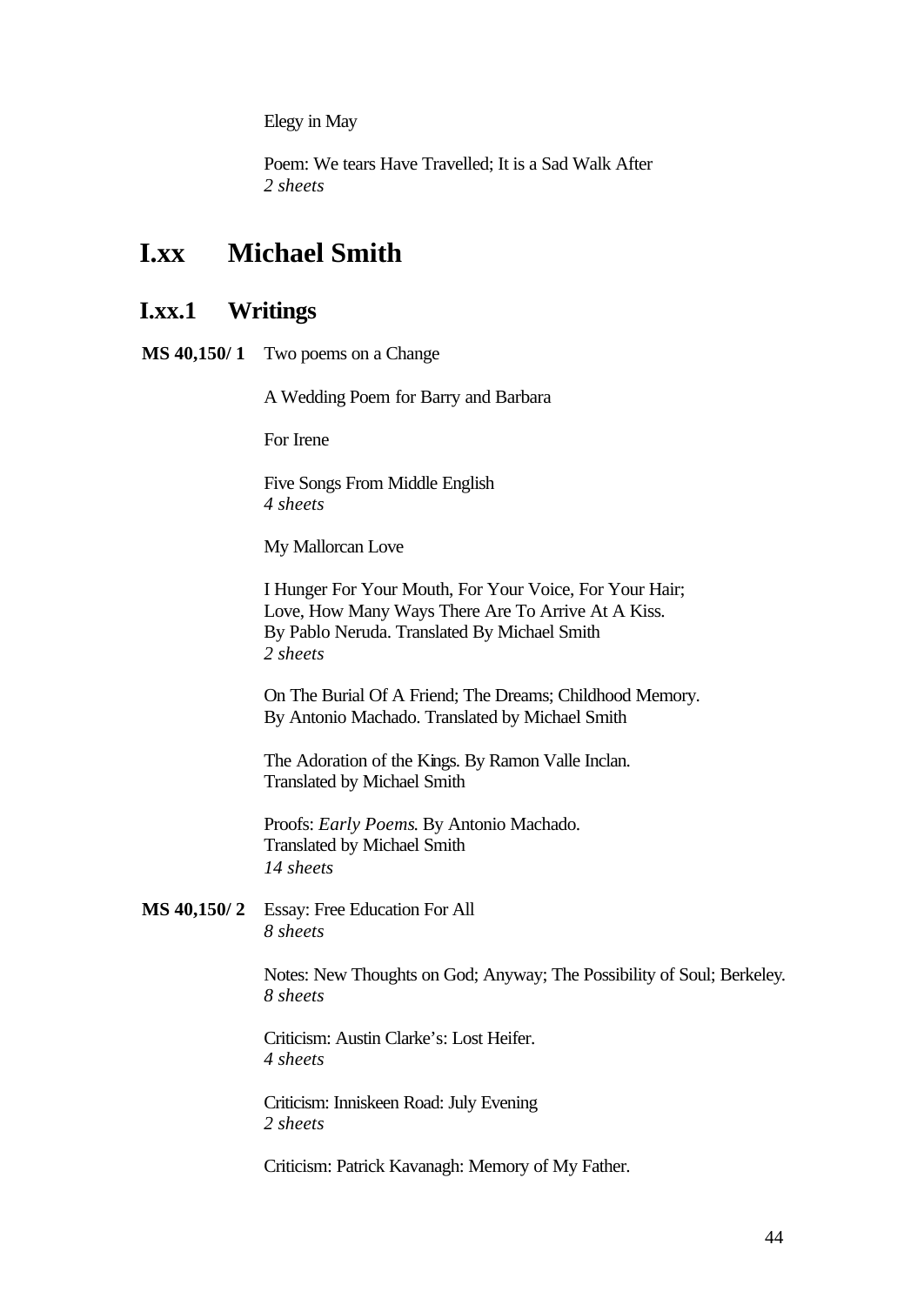Elegy in May

Poem: We tears Have Travelled; It is a Sad Walk After *2 sheets*

## **I.xx Michael Smith**

### **I.xx.1 Writings**

**MS 40,150/ 1** Two poems on a Change

A Wedding Poem for Barry and Barbara

For Irene

Five Songs From Middle English *4 sheets*

My Mallorcan Love

I Hunger For Your Mouth, For Your Voice, For Your Hair; Love, How Many Ways There Are To Arrive At A Kiss. By Pablo Neruda. Translated By Michael Smith *2 sheets*

On The Burial Of A Friend; The Dreams; Childhood Memory. By Antonio Machado. Translated by Michael Smith

The Adoration of the Kings. By Ramon Valle Inclan. Translated by Michael Smith

Proofs: *Early Poems*. By Antonio Machado. Translated by Michael Smith *14 sheets*

**MS 40,150/ 2** Essay: Free Education For All *8 sheets*

> Notes: New Thoughts on God; Anyway; The Possibility of Soul; Berkeley. *8 sheets*

Criticism: Austin Clarke's: Lost Heifer. *4 sheets*

Criticism: Inniskeen Road: July Evening *2 sheets*

Criticism: Patrick Kavanagh: Memory of My Father.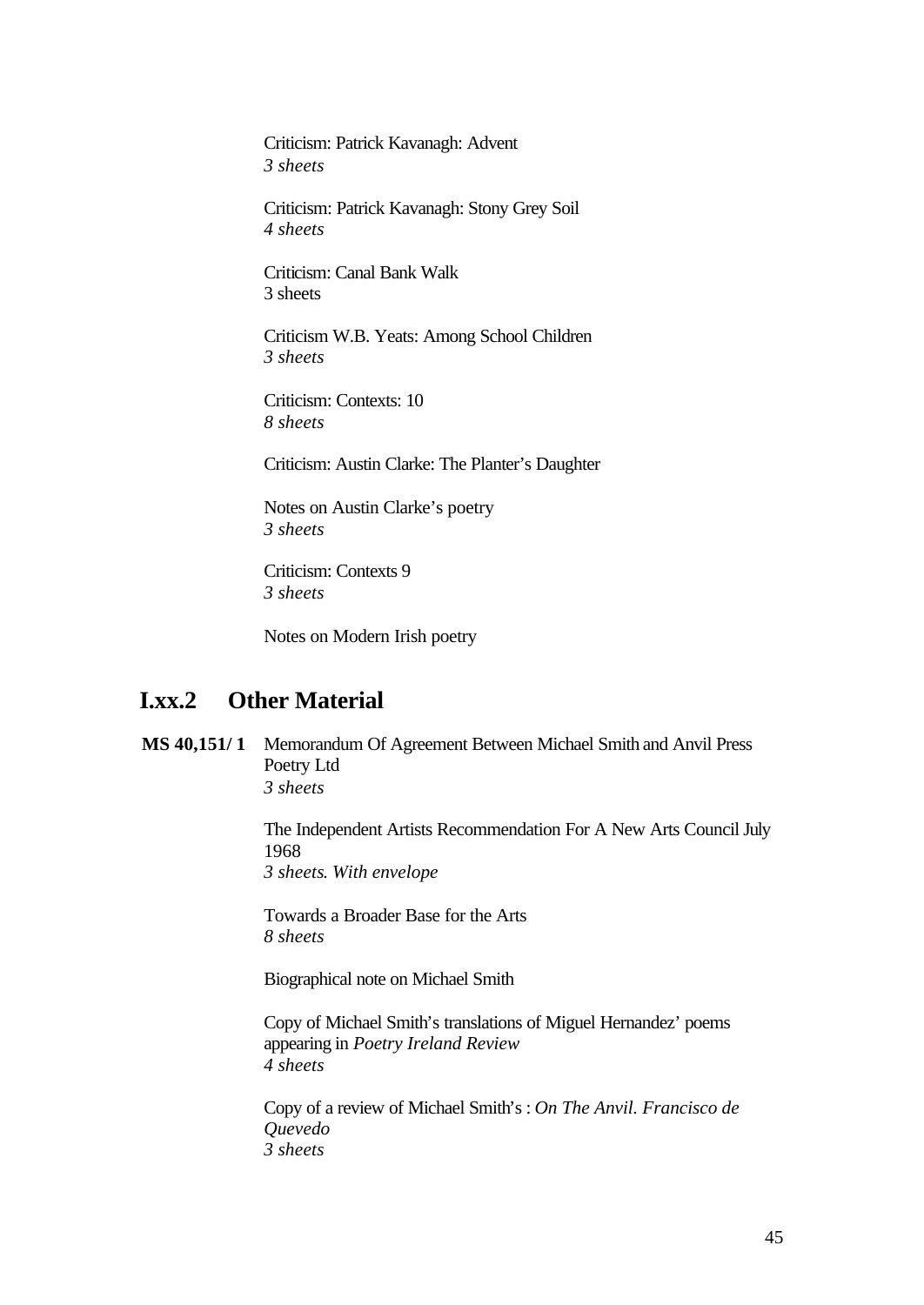Criticism: Patrick Kavanagh: Advent *3 sheets*

Criticism: Patrick Kavanagh: Stony Grey Soil *4 sheets*

Criticism: Canal Bank Walk 3 sheets

Criticism W.B. Yeats: Among School Children *3 sheets*

Criticism: Contexts: 10 *8 sheets*

Criticism: Austin Clarke: The Planter's Daughter

Notes on Austin Clarke's poetry *3 sheets*

Criticism: Contexts 9 *3 sheets*

Notes on Modern Irish poetry

### **I.xx.2 Other Material**

**MS 40,151/ 1** Memorandum Of Agreement Between Michael Smith and Anvil Press Poetry Ltd *3 sheets*

> The Independent Artists Recommendation For A New Arts Council July 1968 *3 sheets*. *With envelope*

Towards a Broader Base for the Arts *8 sheets*

Biographical note on Michael Smith

Copy of Michael Smith's translations of Miguel Hernandez' poems appearing in *Poetry Ireland Review 4 sheets*

Copy of a review of Michael Smith's : *On The Anvil. Francisco de Quevedo 3 sheets*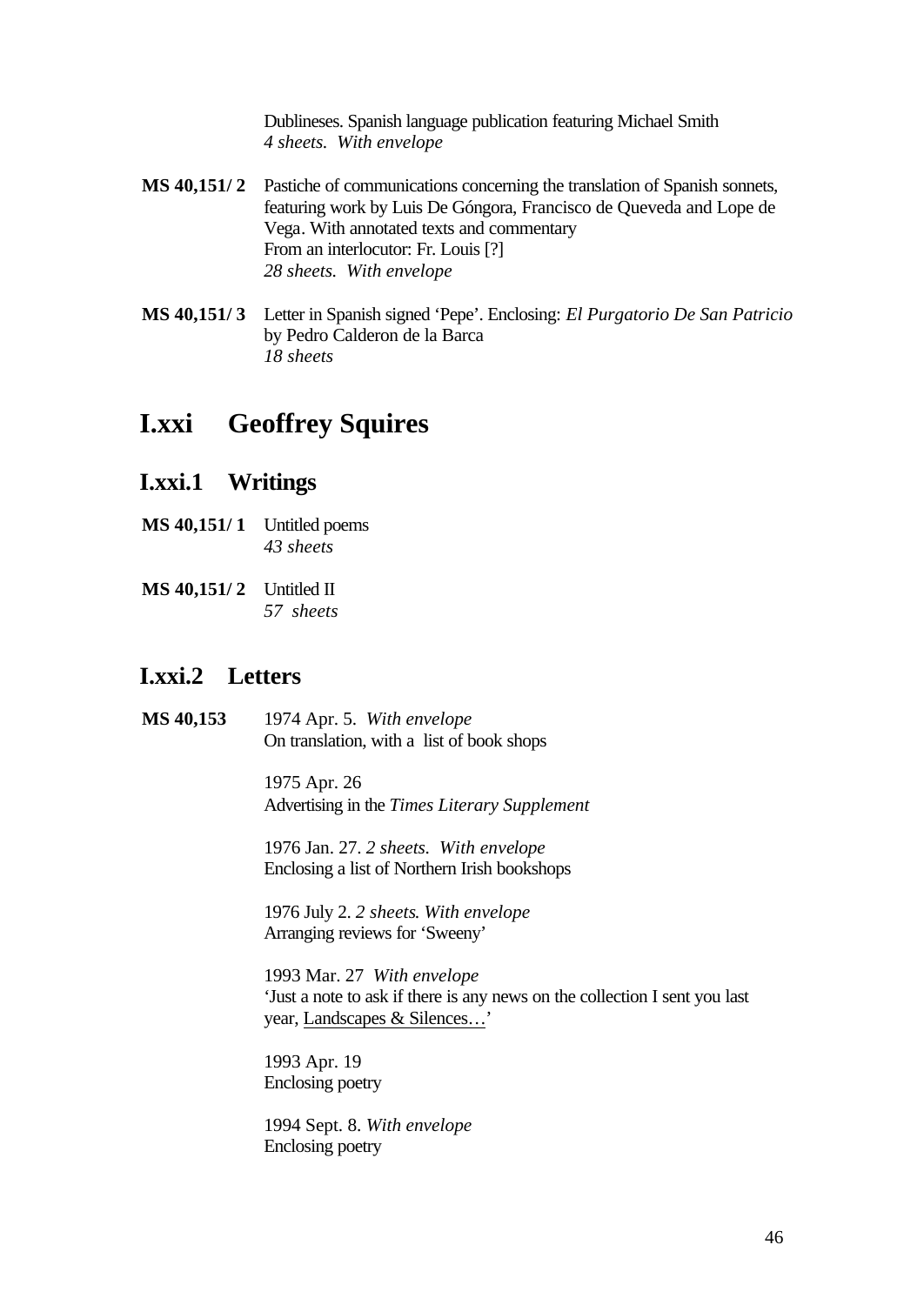Dublineses. Spanish language publication featuring Michael Smith *4 sheets. With envelope*

- **MS 40,151/ 2** Pastiche of communications concerning the translation of Spanish sonnets, featuring work by Luis De Góngora, Francisco de Queveda and Lope de Vega. With annotated texts and commentary From an interlocutor: Fr. Louis [?] *28 sheets. With envelope*
- **MS 40,151/ 3** Letter in Spanish signed 'Pepe'. Enclosing: *El Purgatorio De San Patricio* by Pedro Calderon de la Barca *18 sheets*

## **I.xxi Geoffrey Squires**

### **I.xxi.1 Writings**

- **MS 40,151/ 1** Untitled poems *43 sheets*
- **MS 40,151/2** Untitled II *57 sheets*

### **I.xxi.2 Letters**

**MS 40,153** 1974 Apr. 5. *With envelope* On translation, with a list of book shops

> 1975 Apr. 26 Advertising in the *Times Literary Supplement*

1976 Jan. 27. *2 sheets. With envelope* Enclosing a list of Northern Irish bookshops

1976 July 2. *2 sheets*. *With envelope* Arranging reviews for 'Sweeny'

1993 Mar. 27 *With envelope* 'Just a note to ask if there is any news on the collection I sent you last year, Landscapes & Silences…'

1993 Apr. 19 Enclosing poetry

1994 Sept. 8. *With envelope* Enclosing poetry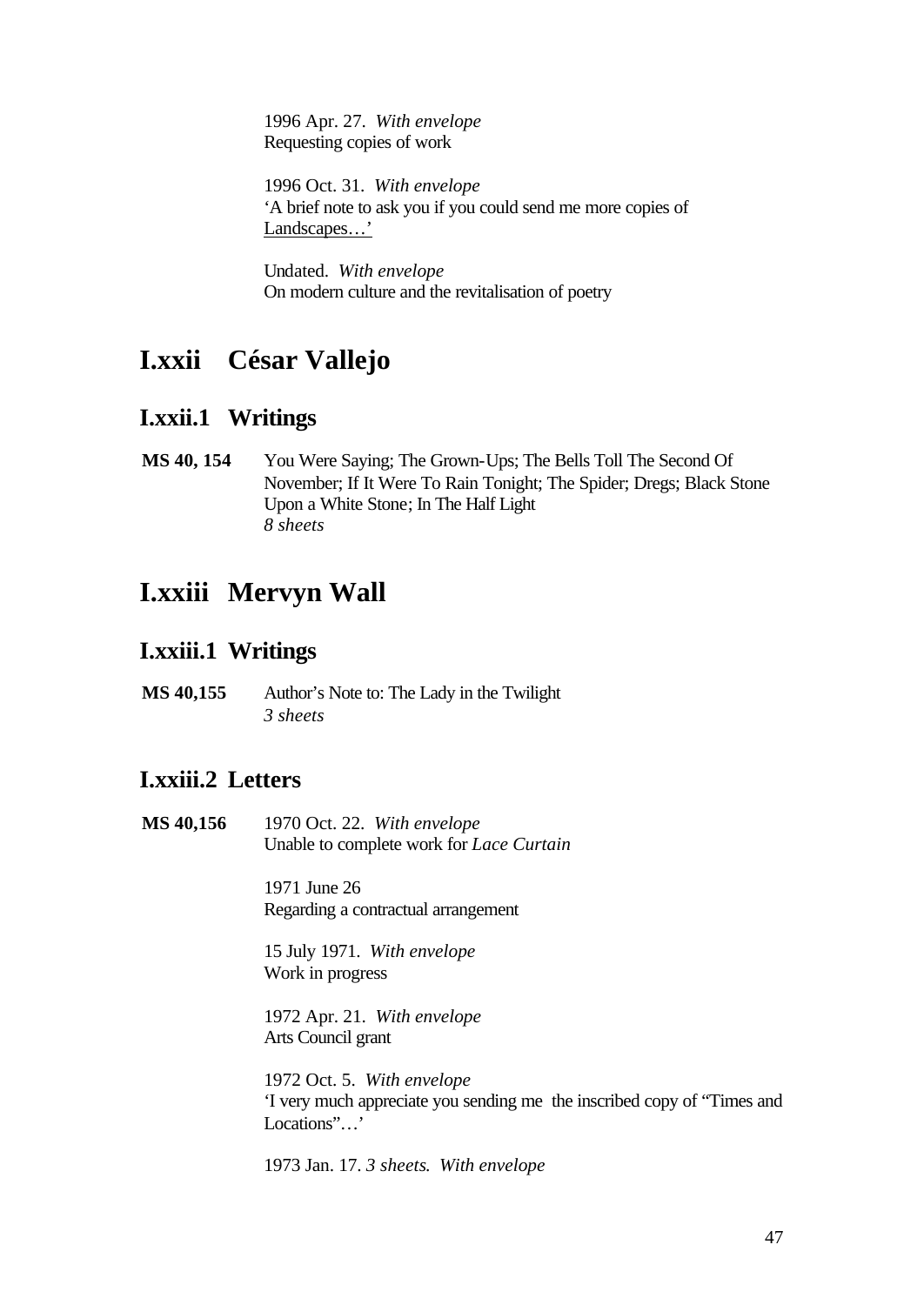1996 Apr. 27. *With envelope* Requesting copies of work

1996 Oct. 31. *With envelope*  'A brief note to ask you if you could send me more copies of Landscapes…'

Undated. *With envelope* On modern culture and the revitalisation of poetry

## **I.xxii César Vallejo**

### **I.xxii.1 Writings**

**MS 40, 154** You Were Saying; The Grown-Ups; The Bells Toll The Second Of November; If It Were To Rain Tonight; The Spider; Dregs; Black Stone Upon a White Stone; In The Half Light *8 sheets*

## **I.xxiii Mervyn Wall**

### **I.xxiii.1 Writings**

**MS 40,155** Author's Note to: The Lady in the Twilight *3 sheets*

## **I.xxiii.2 Letters**

**MS 40,156** 1970 Oct. 22. *With envelope* Unable to complete work for *Lace Curtain*

> 1971 June 26 Regarding a contractual arrangement

15 July 1971. *With envelope* Work in progress

1972 Apr. 21. *With envelope* Arts Council grant

1972 Oct. 5. *With envelope* 'I very much appreciate you sending me the inscribed copy of "Times and Locations"...'

1973 Jan. 17. *3 sheets*. *With envelope*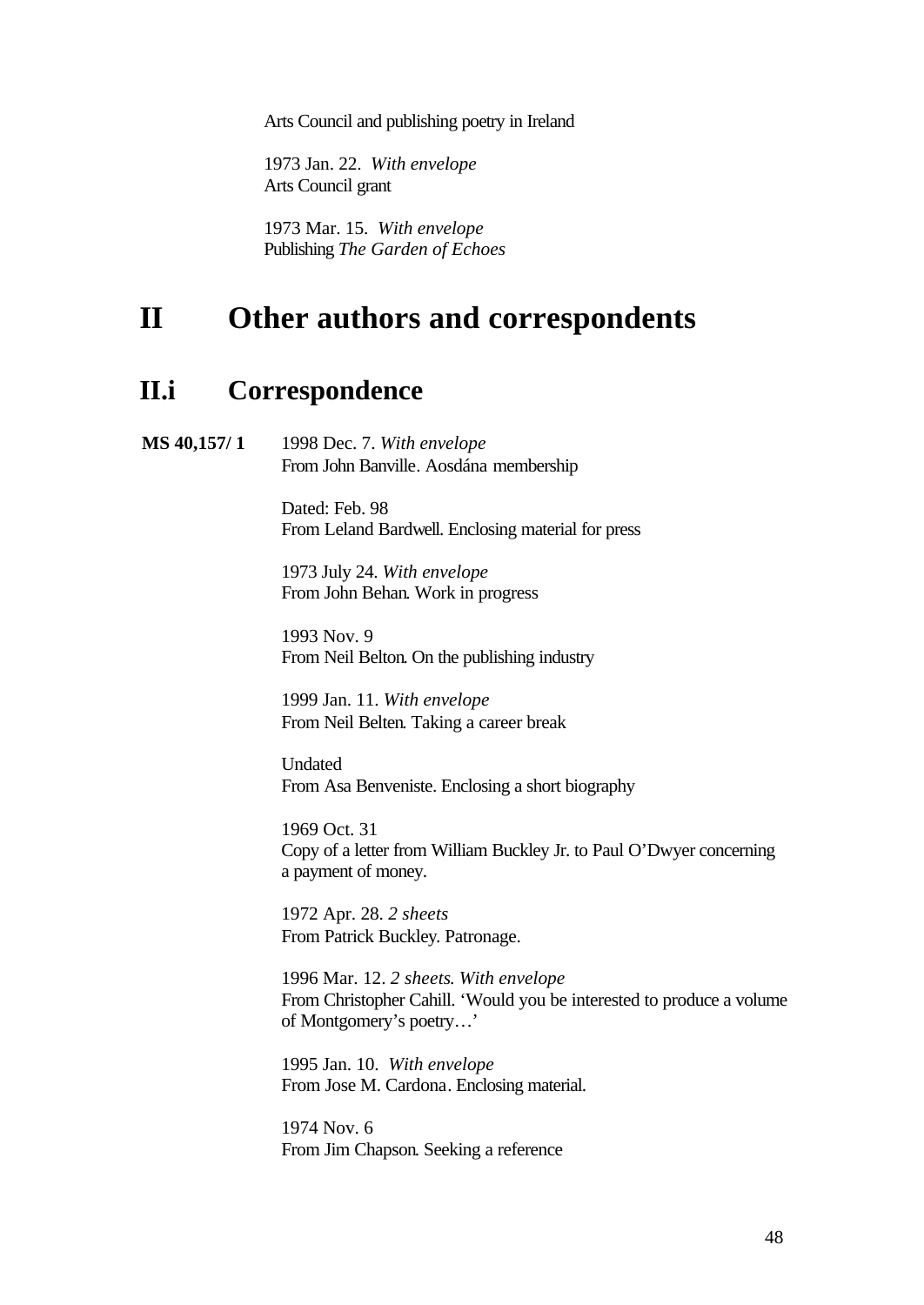Arts Council and publishing poetry in Ireland

1973 Jan. 22. *With envelope* Arts Council grant

1973 Mar. 15. *With envelope* Publishing *The Garden of Echoes*

# **II Other authors and correspondents**

### **II.i Correspondence**

**MS 40,157/ 1** 1998 Dec. 7. *With envelope* From John Banville. Aosdána membership

> Dated: Feb. 98 From Leland Bardwell. Enclosing material for press

1973 July 24. *With envelope* From John Behan. Work in progress

1993 Nov. 9 From Neil Belton. On the publishing industry

1999 Jan. 11. *With envelope* From Neil Belten. Taking a career break

Undated From Asa Benveniste. Enclosing a short biography

1969 Oct. 31 Copy of a letter from William Buckley Jr. to Paul O'Dwyer concerning a payment of money.

1972 Apr. 28. *2 sheets* From Patrick Buckley. Patronage.

1996 Mar. 12. *2 sheets*. *With envelope* From Christopher Cahill. 'Would you be interested to produce a volume of Montgomery's poetry…'

1995 Jan. 10. *With envelope* From Jose M. Cardona. Enclosing material.

1974 Nov. 6 From Jim Chapson. Seeking a reference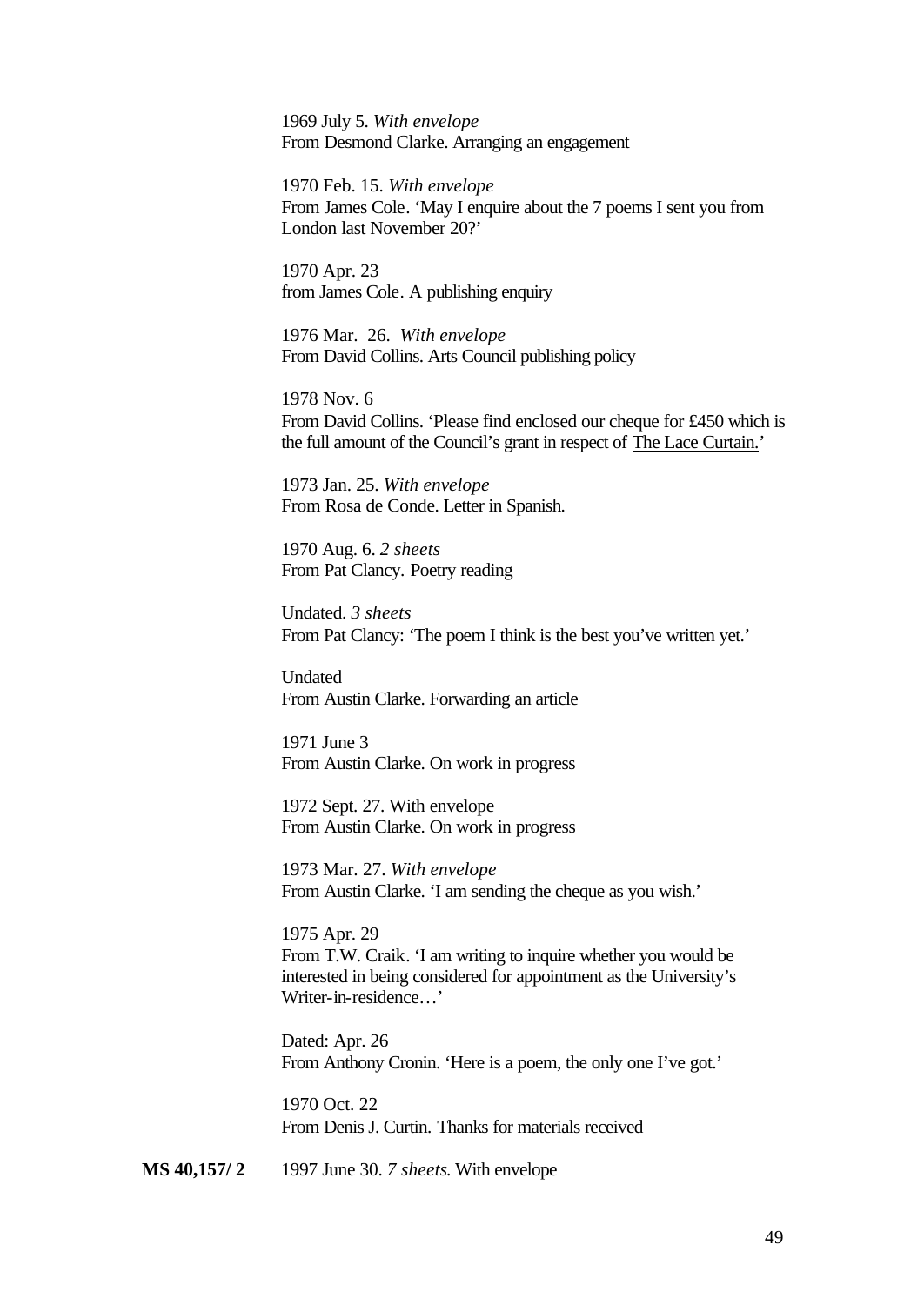1969 July 5. *With envelope* From Desmond Clarke. Arranging an engagement

1970 Feb. 15. *With envelope* From James Cole. 'May I enquire about the 7 poems I sent you from London last November 20?'

1970 Apr. 23 from James Cole. A publishing enquiry

1976 Mar. 26. *With envelope* From David Collins. Arts Council publishing policy

1978 Nov. 6 From David Collins. 'Please find enclosed our cheque for £450 which is the full amount of the Council's grant in respect of The Lace Curtain.'

1973 Jan. 25. *With envelope* From Rosa de Conde. Letter in Spanish.

1970 Aug. 6. *2 sheets* From Pat Clancy. Poetry reading

Undated. *3 sheets* From Pat Clancy: 'The poem I think is the best you've written yet.'

Undated From Austin Clarke. Forwarding an article

1971 June 3 From Austin Clarke. On work in progress

1972 Sept. 27. With envelope From Austin Clarke. On work in progress

1973 Mar. 27. *With envelope* From Austin Clarke. 'I am sending the cheque as you wish.'

1975 Apr. 29 From T.W. Craik. 'I am writing to inquire whether you would be interested in being considered for appointment as the University's Writer-in-residence…'

Dated: Apr. 26 From Anthony Cronin. 'Here is a poem, the only one I've got.'

1970 Oct. 22 From Denis J. Curtin. Thanks for materials received

**MS 40,157/ 2** 1997 June 30. *7 sheets*. With envelope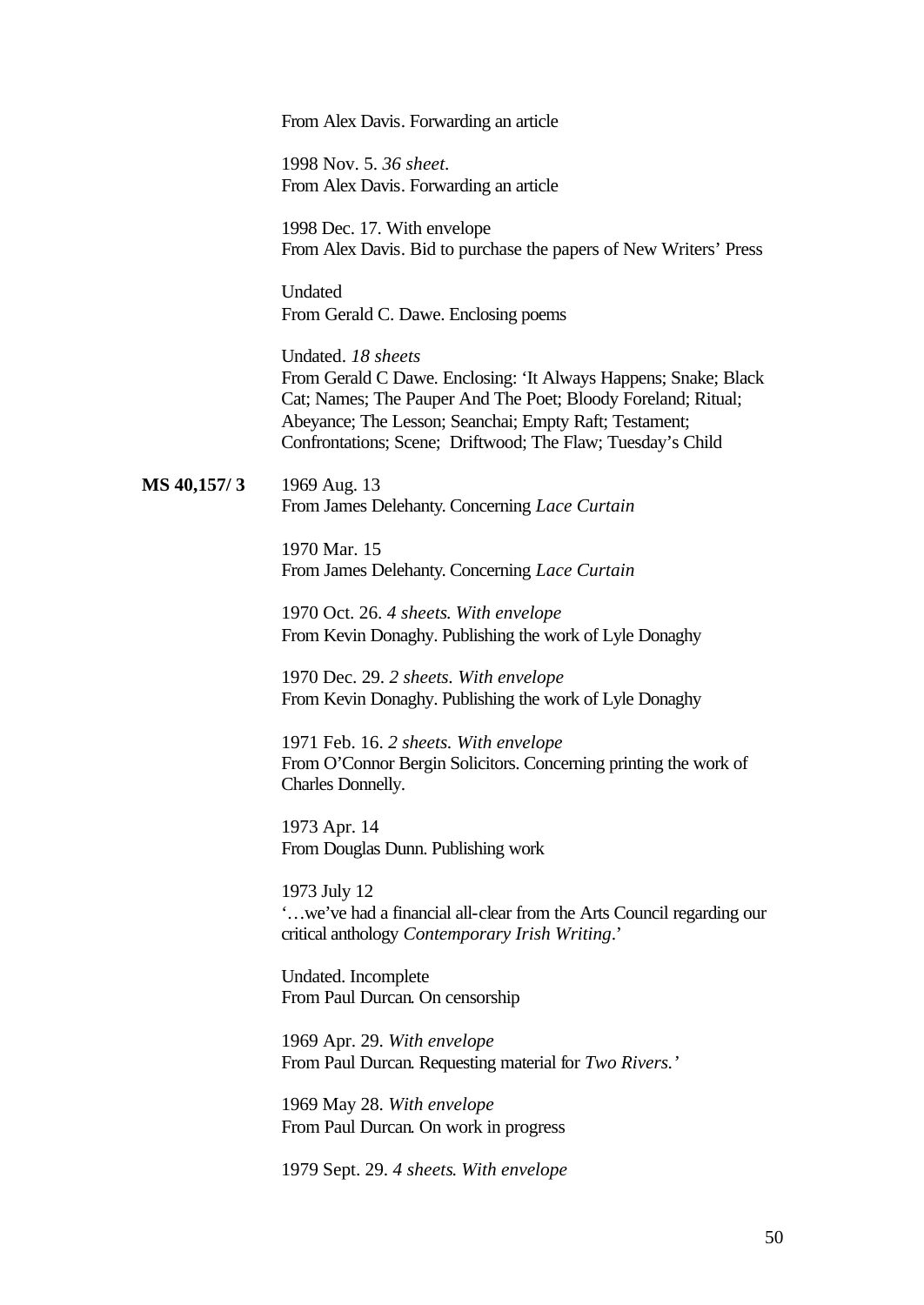From Alex Davis. Forwarding an article

1998 Nov. 5. *36 sheet.* From Alex Davis. Forwarding an article

1998 Dec. 17. With envelope From Alex Davis. Bid to purchase the papers of New Writers' Press

**Undated** From Gerald C. Dawe. Enclosing poems

Undated. *18 sheets* From Gerald C Dawe. Enclosing: 'It Always Happens; Snake; Black Cat; Names; The Pauper And The Poet; Bloody Foreland; Ritual; Abeyance; The Lesson; Seanchai; Empty Raft; Testament; Confrontations; Scene; Driftwood; The Flaw; Tuesday's Child

**MS 40,157/ 3** 1969 Aug. 13 From James Delehanty. Concerning *Lace Curtain*

> 1970 Mar. 15 From James Delehanty. Concerning *Lace Curtain*

1970 Oct. 26. *4 sheets*. *With envelope* From Kevin Donaghy. Publishing the work of Lyle Donaghy

1970 Dec. 29. *2 sheets. With envelope* From Kevin Donaghy. Publishing the work of Lyle Donaghy

1971 Feb. 16. *2 sheets. With envelope* From O'Connor Bergin Solicitors. Concerning printing the work of Charles Donnelly.

1973 Apr. 14 From Douglas Dunn. Publishing work

1973 July 12 '…we've had a financial all-clear from the Arts Council regarding our critical anthology *Contemporary Irish Writing*.'

Undated. Incomplete From Paul Durcan. On censorship

1969 Apr. 29. *With envelope* From Paul Durcan. Requesting material for *Two Rivers.'*

1969 May 28. *With envelope* From Paul Durcan. On work in progress

1979 Sept. 29. *4 sheets*. *With envelope*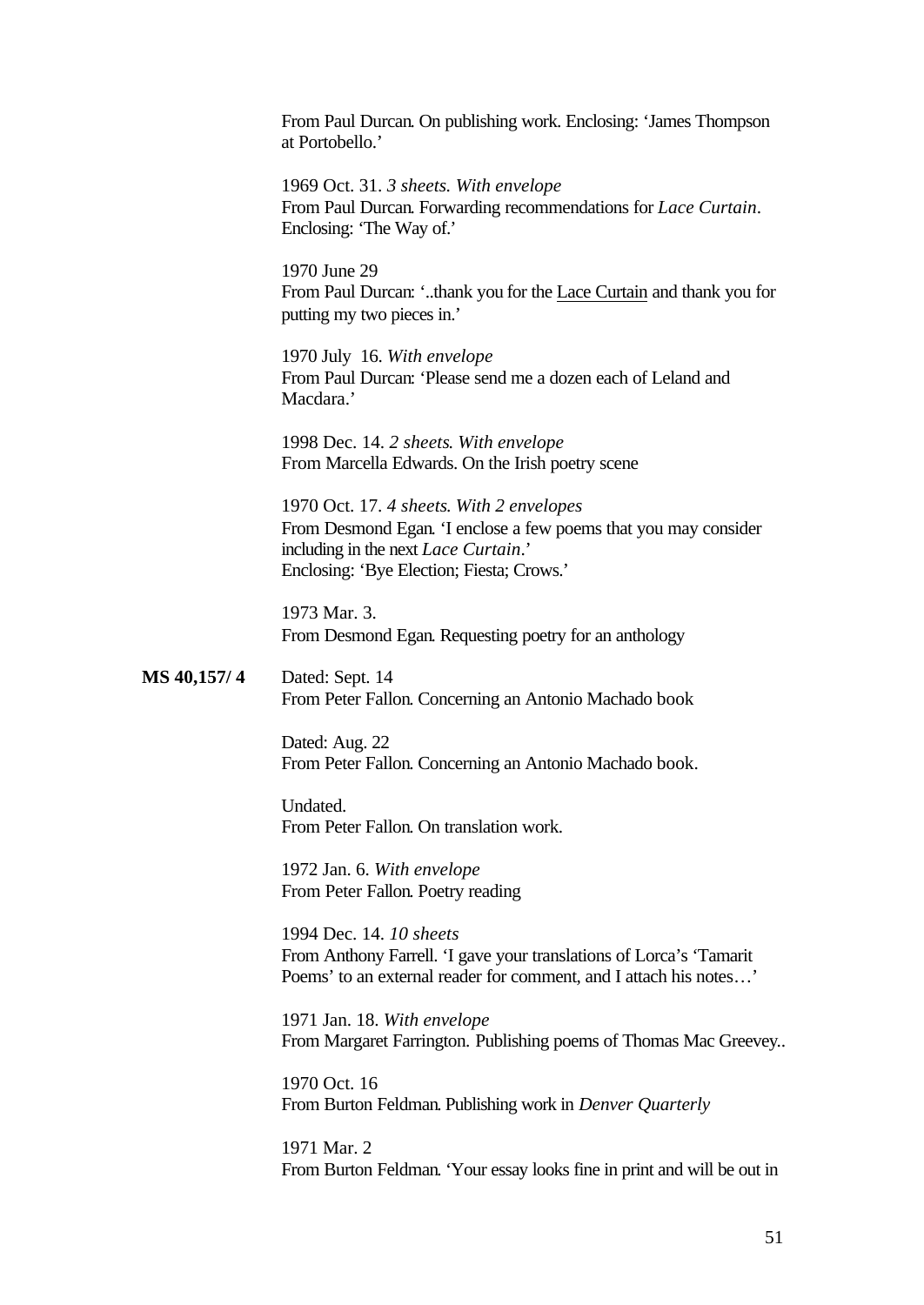From Paul Durcan. On publishing work. Enclosing: 'James Thompson at Portobello.'

1969 Oct. 31. *3 sheets. With envelope* From Paul Durcan. Forwarding recommendations for *Lace Curtain*. Enclosing: 'The Way of.'

1970 June 29 From Paul Durcan: '..thank you for the Lace Curtain and thank you for putting my two pieces in.'

1970 July 16. *With envelope* From Paul Durcan: 'Please send me a dozen each of Leland and Macdara.'

1998 Dec. 14. *2 sheets*. *With envelope* From Marcella Edwards. On the Irish poetry scene

1970 Oct. 17. *4 sheets*. *With 2 envelopes* From Desmond Egan. 'I enclose a few poems that you may consider including in the next *Lace Curtain*.' Enclosing: 'Bye Election; Fiesta; Crows.'

1973 Mar. 3. From Desmond Egan. Requesting poetry for an anthology

**MS 40,157/ 4** Dated: Sept. 14 From Peter Fallon. Concerning an Antonio Machado book

> Dated: Aug. 22 From Peter Fallon. Concerning an Antonio Machado book.

Undated. From Peter Fallon. On translation work.

1972 Jan. 6. *With envelope* From Peter Fallon. Poetry reading

1994 Dec. 14. *10 sheets* From Anthony Farrell. 'I gave your translations of Lorca's 'Tamarit Poems' to an external reader for comment, and I attach his notes…'

1971 Jan. 18. *With envelope* From Margaret Farrington. Publishing poems of Thomas Mac Greevey..

1970 Oct. 16 From Burton Feldman. Publishing work in *Denver Quarterly*

1971 Mar. 2 From Burton Feldman. 'Your essay looks fine in print and will be out in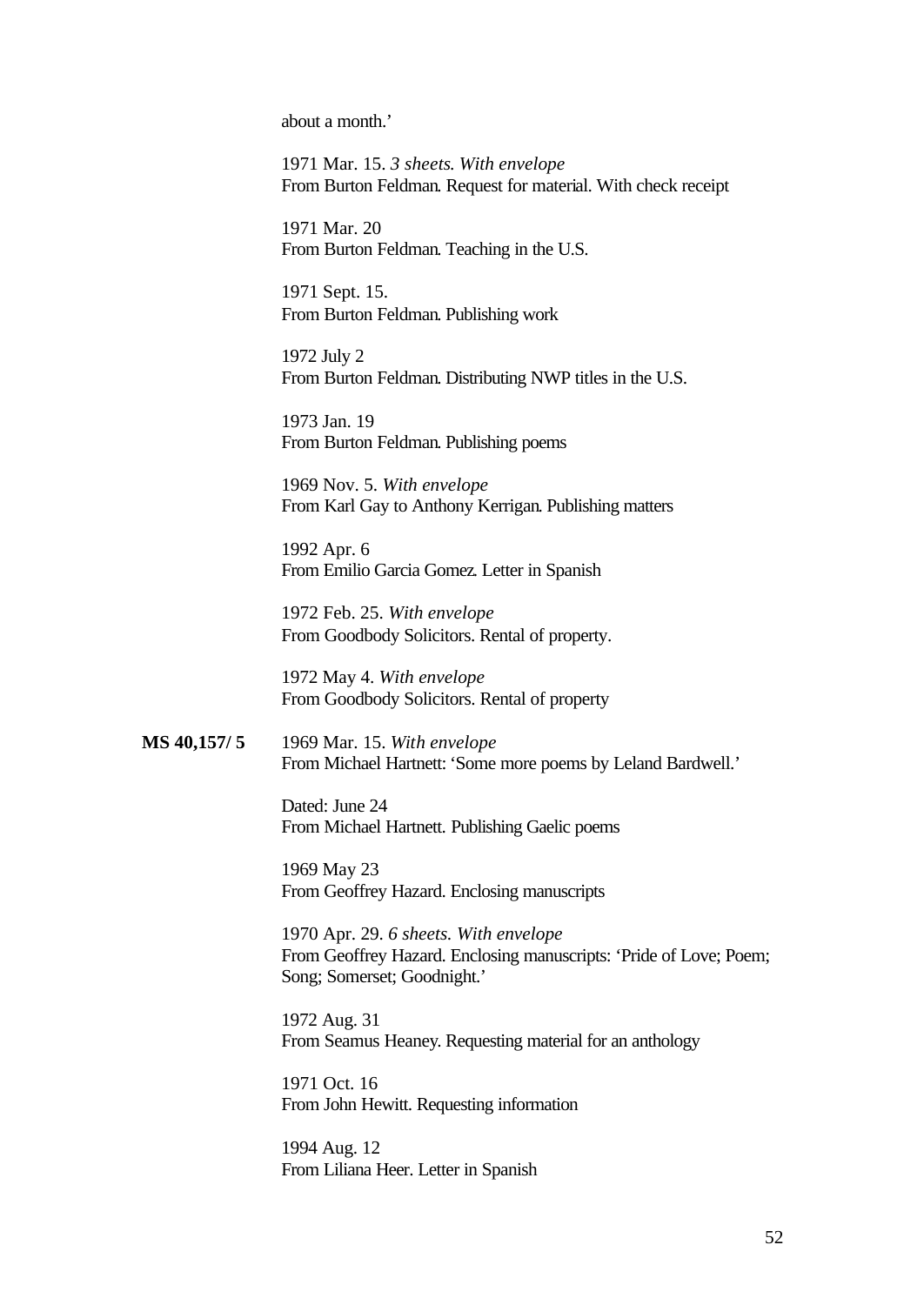about a month.'

1971 Mar. 15. *3 sheets*. *With envelope* From Burton Feldman. Request for material. With check receipt

1971 Mar. 20 From Burton Feldman. Teaching in the U.S.

1971 Sept. 15. From Burton Feldman. Publishing work

1972 July 2 From Burton Feldman. Distributing NWP titles in the U.S.

1973 Jan. 19 From Burton Feldman. Publishing poems

1969 Nov. 5. *With envelope* From Karl Gay to Anthony Kerrigan. Publishing matters

1992 Apr. 6 From Emilio Garcia Gomez. Letter in Spanish

1972 Feb. 25. *With envelope* From Goodbody Solicitors. Rental of property.

1972 May 4. *With envelope* From Goodbody Solicitors. Rental of property

**MS 40,157/ 5** 1969 Mar. 15. *With envelope* From Michael Hartnett: 'Some more poems by Leland Bardwell.'

> Dated: June 24 From Michael Hartnett. Publishing Gaelic poems

1969 May 23 From Geoffrey Hazard. Enclosing manuscripts

1970 Apr. 29. *6 sheets. With envelope* From Geoffrey Hazard. Enclosing manuscripts: 'Pride of Love; Poem; Song; Somerset; Goodnight.'

1972 Aug. 31 From Seamus Heaney. Requesting material for an anthology

1971 Oct. 16 From John Hewitt. Requesting information

1994 Aug. 12 From Liliana Heer. Letter in Spanish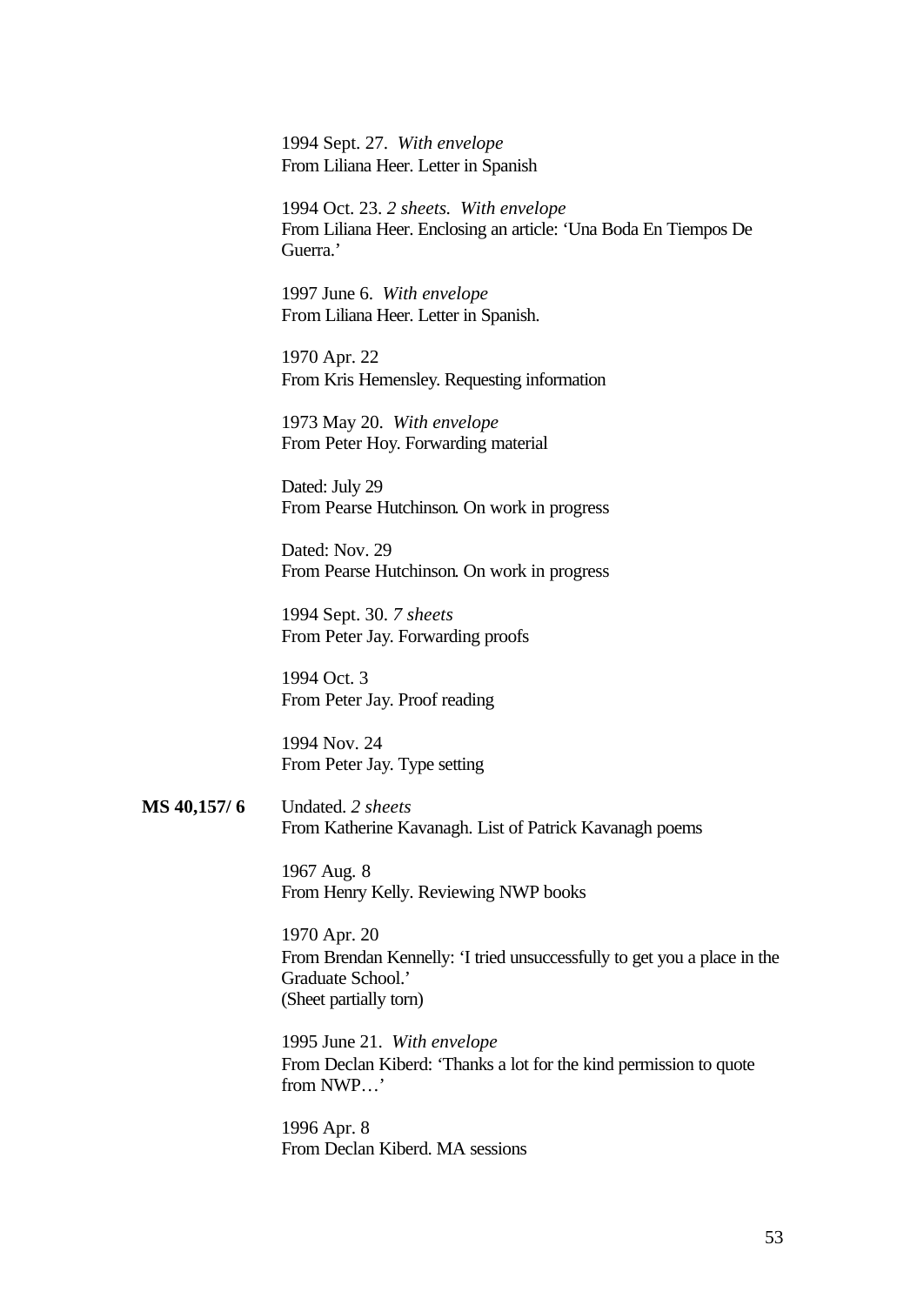1994 Sept. 27. *With envelope* From Liliana Heer. Letter in Spanish

1994 Oct. 23. *2 sheets. With envelope* From Liliana Heer. Enclosing an article: 'Una Boda En Tiempos De Guerra.'

1997 June 6. *With envelope* From Liliana Heer. Letter in Spanish.

1970 Apr. 22 From Kris Hemensley. Requesting information

1973 May 20. *With envelope* From Peter Hoy. Forwarding material

Dated: July 29 From Pearse Hutchinson. On work in progress

Dated: Nov. 29 From Pearse Hutchinson. On work in progress

1994 Sept. 30. *7 sheets* From Peter Jay. Forwarding proofs

1994 Oct. 3 From Peter Jay. Proof reading

1994 Nov. 24 From Peter Jay. Type setting

**MS 40,157/ 6** Undated. *2 sheets* From Katherine Kavanagh. List of Patrick Kavanagh poems

> 1967 Aug. 8 From Henry Kelly. Reviewing NWP books

1970 Apr. 20 From Brendan Kennelly: 'I tried unsuccessfully to get you a place in the Graduate School.' (Sheet partially torn)

1995 June 21. *With envelope* From Declan Kiberd: 'Thanks a lot for the kind permission to quote from NWP…'

1996 Apr. 8 From Declan Kiberd. MA sessions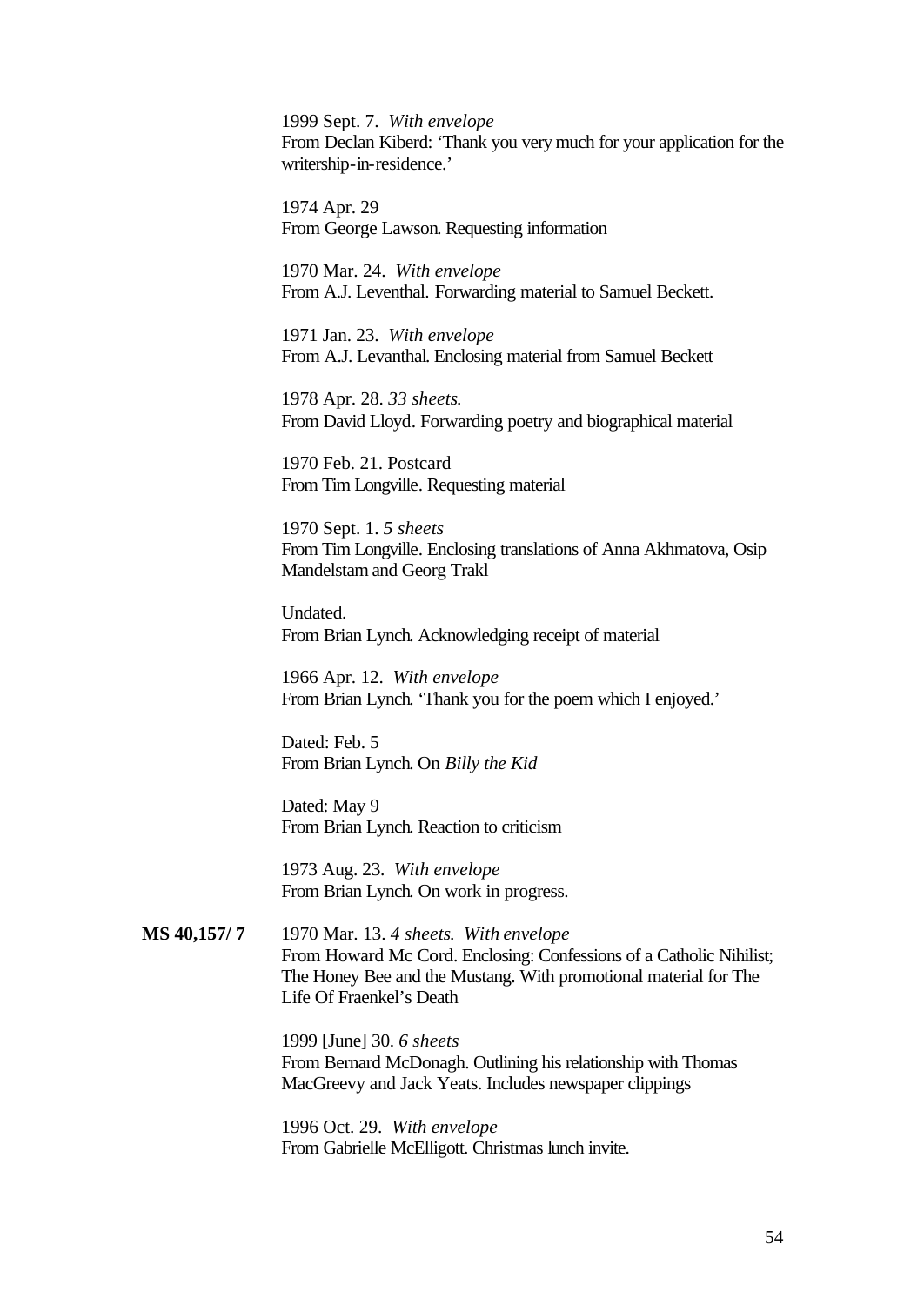1999 Sept. 7. *With envelope* From Declan Kiberd: 'Thank you very much for your application for the writership-in-residence.'

1974 Apr. 29 From George Lawson. Requesting information

1970 Mar. 24. *With envelope* From A.J. Leventhal. Forwarding material to Samuel Beckett.

1971 Jan. 23. *With envelope* From A.J. Levanthal. Enclosing material from Samuel Beckett

1978 Apr. 28. *33 sheets*. From David Lloyd. Forwarding poetry and biographical material

1970 Feb. 21. Postcard From Tim Longville. Requesting material

1970 Sept. 1. *5 sheets* From Tim Longville. Enclosing translations of Anna Akhmatova, Osip Mandelstam and Georg Trakl

Undated. From Brian Lynch. Acknowledging receipt of material

1966 Apr. 12. *With envelope* From Brian Lynch. 'Thank you for the poem which I enjoyed.'

Dated: Feb. 5 From Brian Lynch. On *Billy the Kid*

Dated: May 9 From Brian Lynch. Reaction to criticism

1973 Aug. 23. *With envelope* From Brian Lynch. On work in progress.

#### **MS 40,157/ 7** 1970 Mar. 13. *4 sheets*. *With envelope* From Howard Mc Cord. Enclosing: Confessions of a Catholic Nihilist; The Honey Bee and the Mustang. With promotional material for The Life Of Fraenkel's Death

1999 [June] 30. *6 sheets* From Bernard McDonagh. Outlining his relationship with Thomas MacGreevy and Jack Yeats. Includes newspaper clippings

1996 Oct. 29. *With envelope* From Gabrielle McElligott. Christmas lunch invite.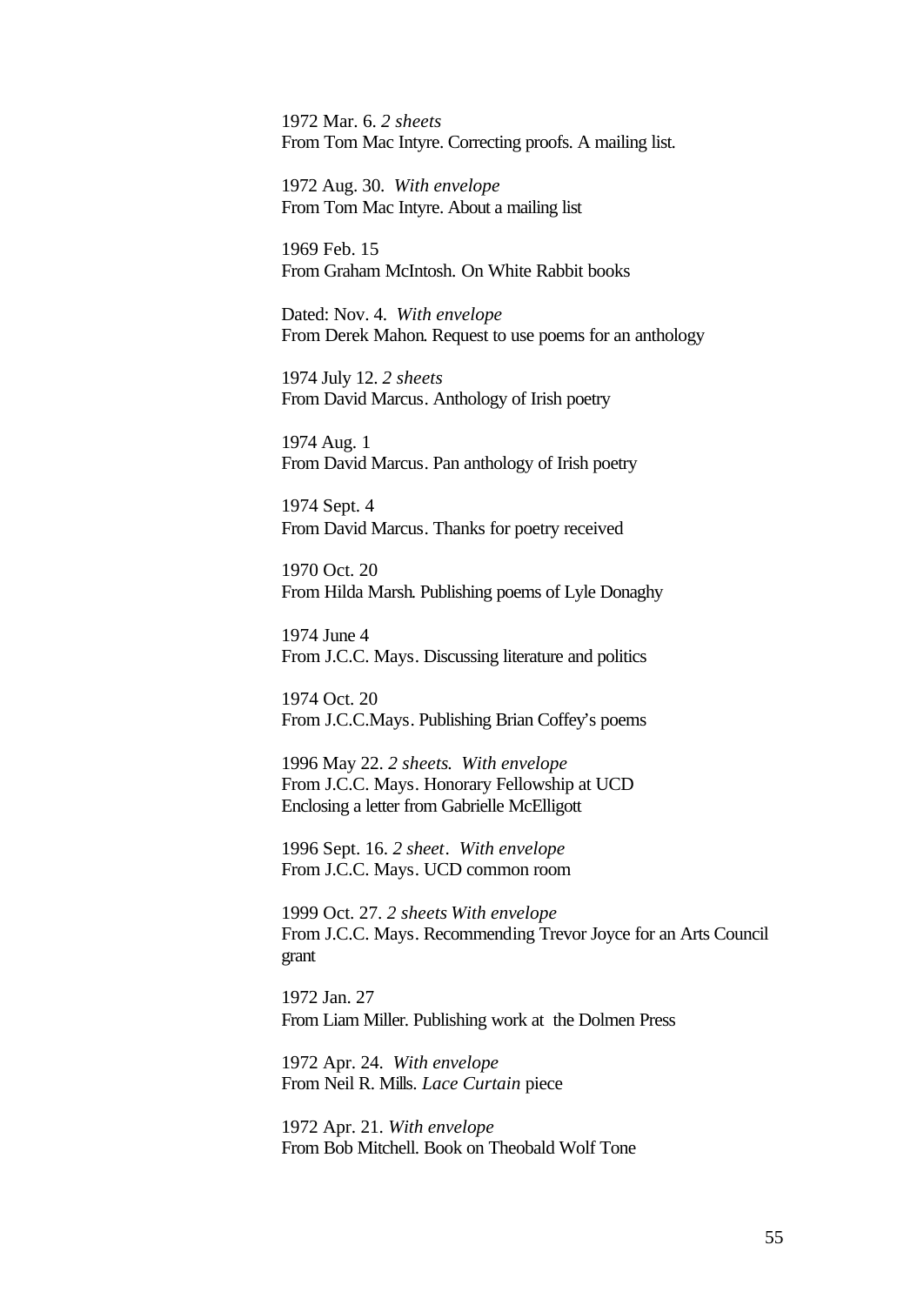1972 Mar. 6. *2 sheets* From Tom Mac Intyre. Correcting proofs. A mailing list.

1972 Aug. 30. *With envelope* From Tom Mac Intyre. About a mailing list

1969 Feb. 15 From Graham McIntosh. On White Rabbit books

Dated: Nov. 4. *With envelope* From Derek Mahon. Request to use poems for an anthology

1974 July 12. *2 sheets* From David Marcus. Anthology of Irish poetry

1974 Aug. 1 From David Marcus. Pan anthology of Irish poetry

1974 Sept. 4 From David Marcus. Thanks for poetry received

1970 Oct. 20 From Hilda Marsh. Publishing poems of Lyle Donaghy

1974 June 4 From J.C.C. Mays. Discussing literature and politics

1974 Oct. 20 From J.C.C.Mays. Publishing Brian Coffey's poems

1996 May 22. *2 sheets*. *With envelope* From J.C.C. Mays. Honorary Fellowship at UCD Enclosing a letter from Gabrielle McElligott

1996 Sept. 16. *2 sheet*. *With envelope* From J.C.C. Mays. UCD common room

1999 Oct. 27. *2 sheets With envelope* From J.C.C. Mays. Recommending Trevor Joyce for an Arts Council grant

1972 Jan. 27 From Liam Miller. Publishing work at the Dolmen Press

1972 Apr. 24. *With envelope* From Neil R. Mills. *Lace Curtain* piece

1972 Apr. 21. *With envelope* From Bob Mitchell. Book on Theobald Wolf Tone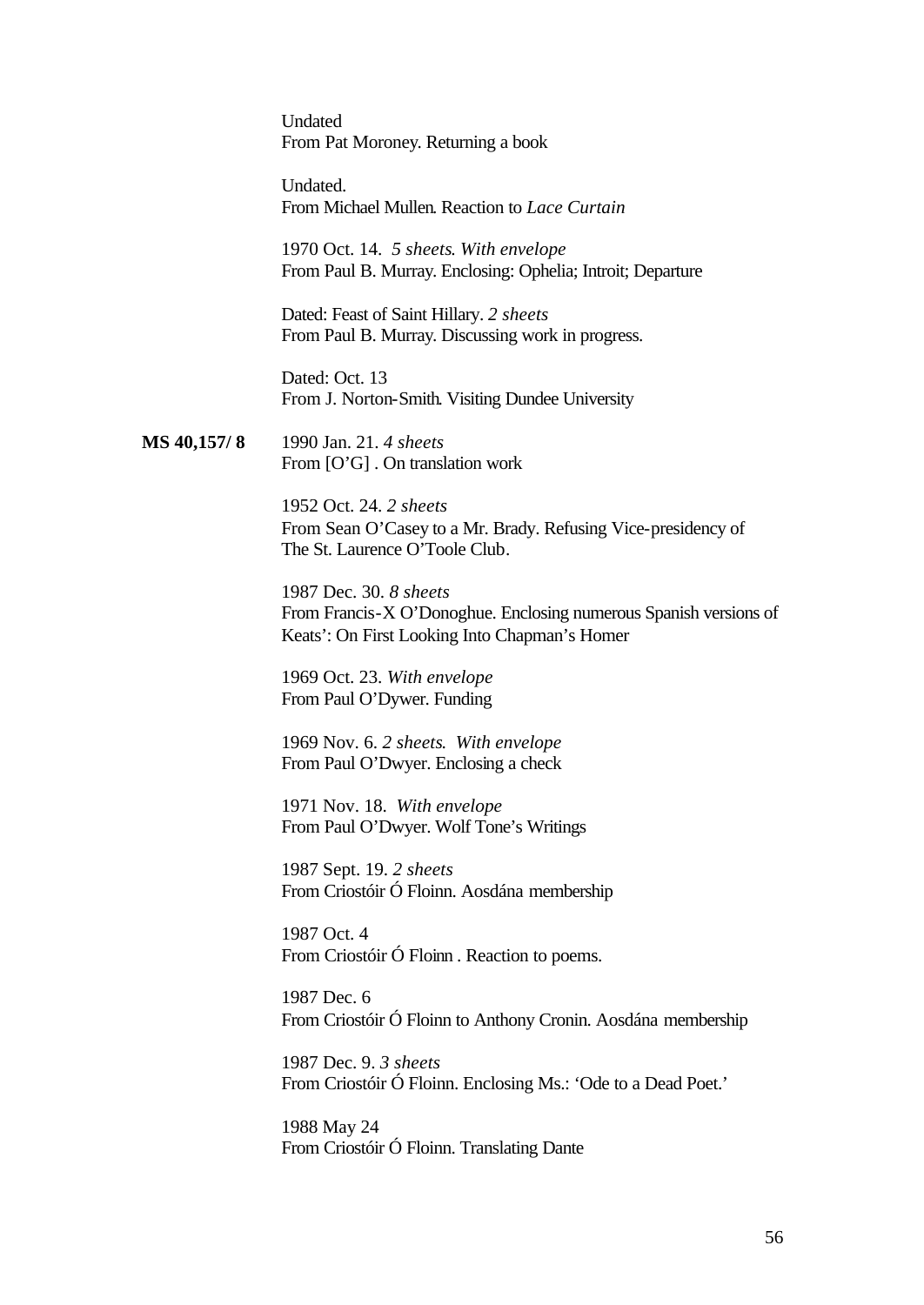Undated From Pat Moroney. Returning a book

Undated. From Michael Mullen. Reaction to *Lace Curtain*

1970 Oct. 14. *5 sheets*. *With envelope* From Paul B. Murray. Enclosing: Ophelia; Introit; Departure

Dated: Feast of Saint Hillary. *2 sheets* From Paul B. Murray. Discussing work in progress.

Dated: Oct. 13 From J. Norton-Smith. Visiting Dundee University

**MS 40,157/ 8** 1990 Jan. 21. *4 sheets* From [O'G] . On translation work

> 1952 Oct. 24. *2 sheets* From Sean O'Casey to a Mr. Brady. Refusing Vice-presidency of The St. Laurence O'Toole Club.

1987 Dec. 30. *8 sheets* From Francis-X O'Donoghue. Enclosing numerous Spanish versions of Keats': On First Looking Into Chapman's Homer

1969 Oct. 23. *With envelope* From Paul O'Dywer. Funding

1969 Nov. 6. *2 sheets*. *With envelope* From Paul O'Dwyer. Enclosing a check

1971 Nov. 18. *With envelope* From Paul O'Dwyer. Wolf Tone's Writings

1987 Sept. 19. *2 sheets* From Criostóir Ó Floinn. Aosdána membership

1987 Oct. 4 From Criostóir Ó Floinn. Reaction to poems.

1987 Dec. 6 From Criostóir Ó Floinn to Anthony Cronin. Aosdána membership

1987 Dec. 9. *3 sheets* From Criostóir Ó Floinn. Enclosing Ms.: 'Ode to a Dead Poet.'

1988 May 24 From Criostóir Ó Floinn. Translating Dante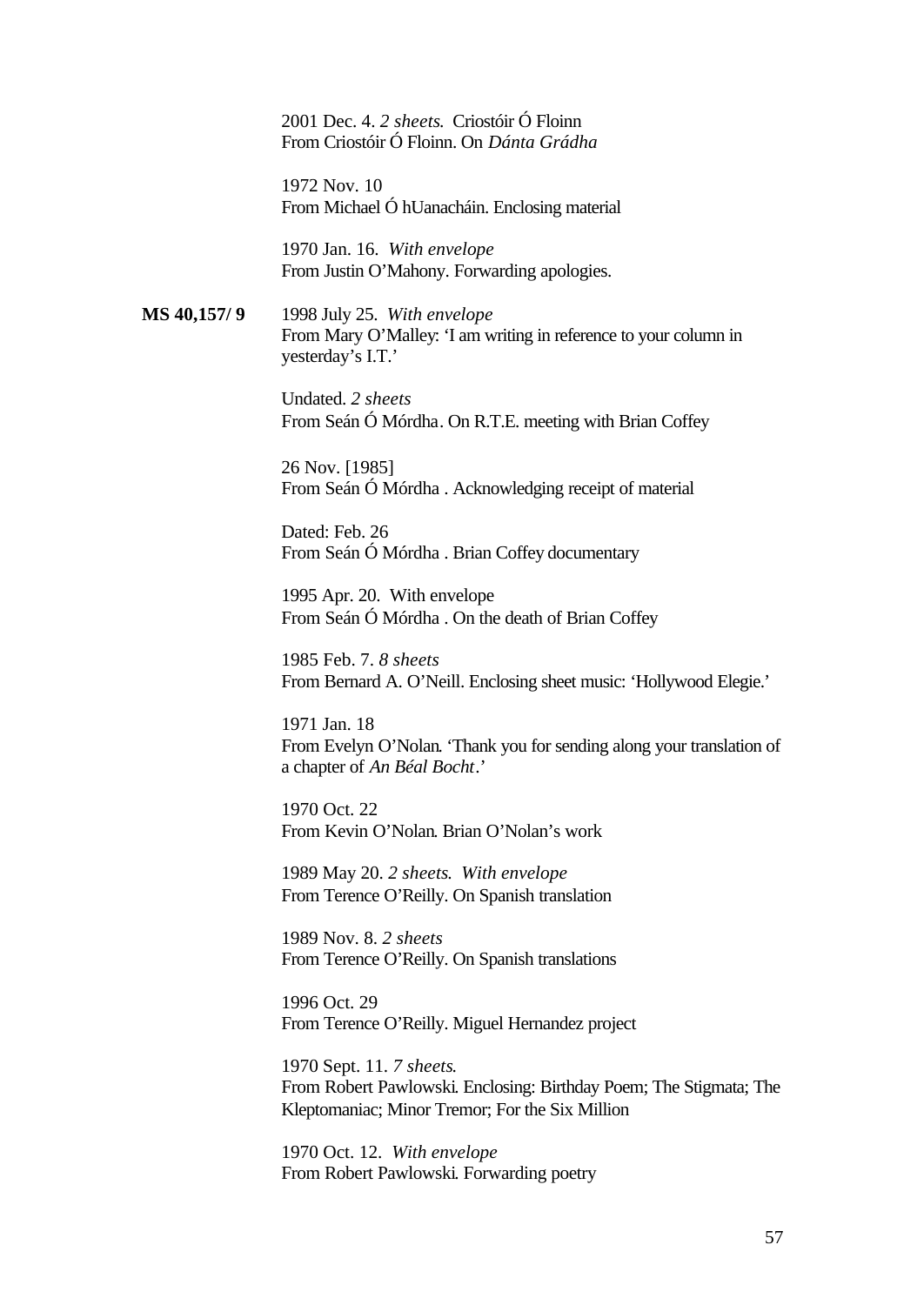2001 Dec. 4. *2 sheets*. Criostóir Ó Floinn From Criostóir Ó Floinn. On *Dánta Grádha*

1972 Nov. 10 From Michael Ó hUanacháin. Enclosing material

1970 Jan. 16. *With envelope* From Justin O'Mahony. Forwarding apologies.

**MS 40,157/ 9** 1998 July 25. *With envelope* From Mary O'Malley: 'I am writing in reference to your column in yesterday's I.T.'

> Undated. *2 sheets* From Seán Ó Mórdha. On R.T.E. meeting with Brian Coffey

26 Nov. [1985] From Seán Ó Mórdha . Acknowledging receipt of material

Dated: Feb. 26 From Seán Ó Mórdha . Brian Coffey documentary

1995 Apr. 20. With envelope From Seán Ó Mórdha . On the death of Brian Coffey

1985 Feb. 7. *8 sheets* From Bernard A. O'Neill. Enclosing sheet music: 'Hollywood Elegie.'

1971 Jan. 18 From Evelyn O'Nolan. 'Thank you for sending along your translation of a chapter of *An Béal Bocht*.'

1970 Oct. 22 From Kevin O'Nolan. Brian O'Nolan's work

1989 May 20. *2 sheets*. *With envelope* From Terence O'Reilly. On Spanish translation

1989 Nov. 8. *2 sheets* From Terence O'Reilly. On Spanish translations

1996 Oct. 29 From Terence O'Reilly. Miguel Hernandez project

1970 Sept. 11. *7 sheets*. From Robert Pawlowski. Enclosing: Birthday Poem; The Stigmata; The Kleptomaniac; Minor Tremor; For the Six Million

1970 Oct. 12. *With envelope* From Robert Pawlowski. Forwarding poetry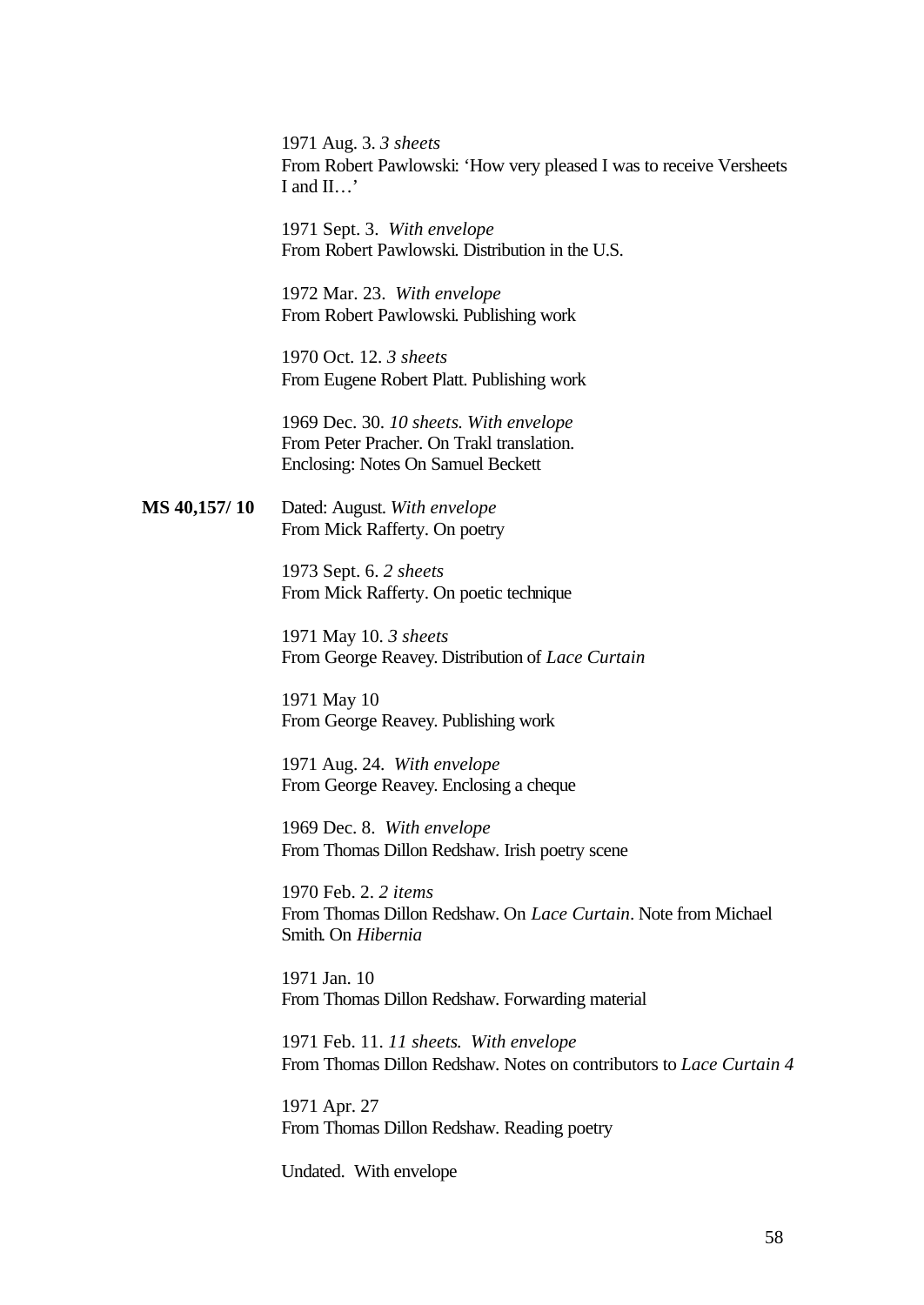1971 Aug. 3. *3 sheets* From Robert Pawlowski: 'How very pleased I was to receive Versheets I and II…'

1971 Sept. 3. *With envelope* From Robert Pawlowski. Distribution in the U.S.

1972 Mar. 23. *With envelope* From Robert Pawlowski. Publishing work

1970 Oct. 12. *3 sheets* From Eugene Robert Platt. Publishing work

1969 Dec. 30. *10 sheets*. *With envelope* From Peter Pracher. On Trakl translation. Enclosing: Notes On Samuel Beckett

**MS 40,157/ 10** Dated: August. *With envelope* From Mick Rafferty. On poetry

> 1973 Sept. 6. *2 sheets* From Mick Rafferty. On poetic technique

1971 May 10. *3 sheets* From George Reavey. Distribution of *Lace Curtain*

1971 May 10 From George Reavey. Publishing work

1971 Aug. 24. *With envelope* From George Reavey. Enclosing a cheque

1969 Dec. 8. *With envelope* From Thomas Dillon Redshaw. Irish poetry scene

1970 Feb. 2. *2 items* From Thomas Dillon Redshaw. On *Lace Curtain*. Note from Michael Smith. On *Hibernia*

1971 Jan. 10 From Thomas Dillon Redshaw. Forwarding material

1971 Feb. 11. *11 sheets*. *With envelope* From Thomas Dillon Redshaw. Notes on contributors to *Lace Curtain 4*

1971 Apr. 27 From Thomas Dillon Redshaw. Reading poetry

Undated. With envelope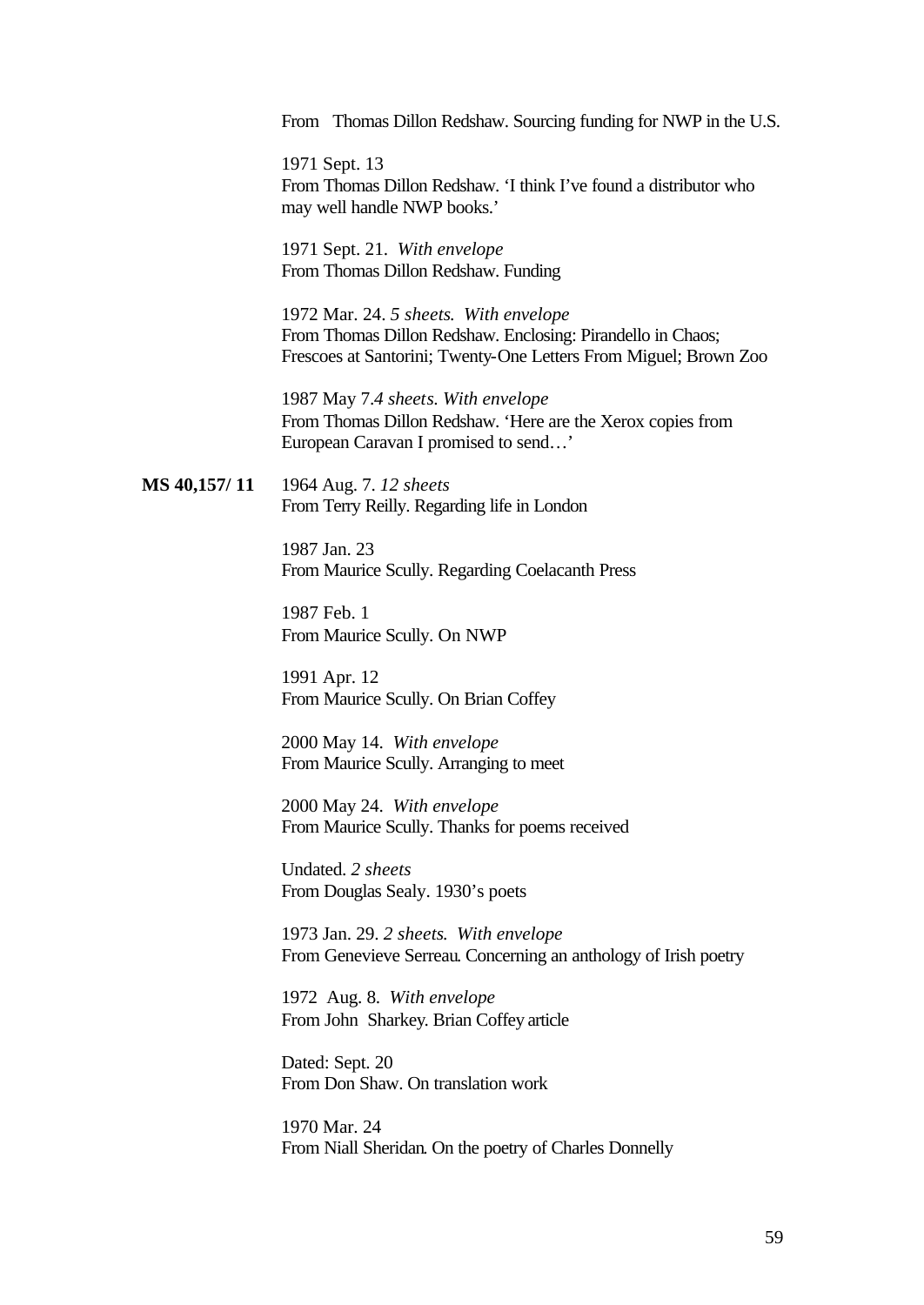From Thomas Dillon Redshaw. Sourcing funding for NWP in the U.S.

1971 Sept. 13 From Thomas Dillon Redshaw. 'I think I've found a distributor who may well handle NWP books.'

1971 Sept. 21. *With envelope* From Thomas Dillon Redshaw. Funding

1972 Mar. 24. *5 sheets*. *With envelope* From Thomas Dillon Redshaw. Enclosing: Pirandello in Chaos; Frescoes at Santorini; Twenty-One Letters From Miguel; Brown Zoo

1987 May 7.*4 sheets*. *With envelope* From Thomas Dillon Redshaw. 'Here are the Xerox copies from European Caravan I promised to send…'

**MS 40,157/ 11** 1964 Aug. 7. *12 sheets* From Terry Reilly. Regarding life in London

> 1987 Jan. 23 From Maurice Scully. Regarding Coelacanth Press

1987 Feb. 1 From Maurice Scully. On NWP

1991 Apr. 12 From Maurice Scully. On Brian Coffey

2000 May 14. *With envelope* From Maurice Scully. Arranging to meet

2000 May 24. *With envelope*  From Maurice Scully. Thanks for poems received

Undated. *2 sheets* From Douglas Sealy. 1930's poets

1973 Jan. 29. *2 sheets*. *With envelope* From Genevieve Serreau. Concerning an anthology of Irish poetry

1972 Aug. 8. *With envelope* From John Sharkey. Brian Coffey article

Dated: Sept. 20 From Don Shaw. On translation work

1970 Mar. 24 From Niall Sheridan. On the poetry of Charles Donnelly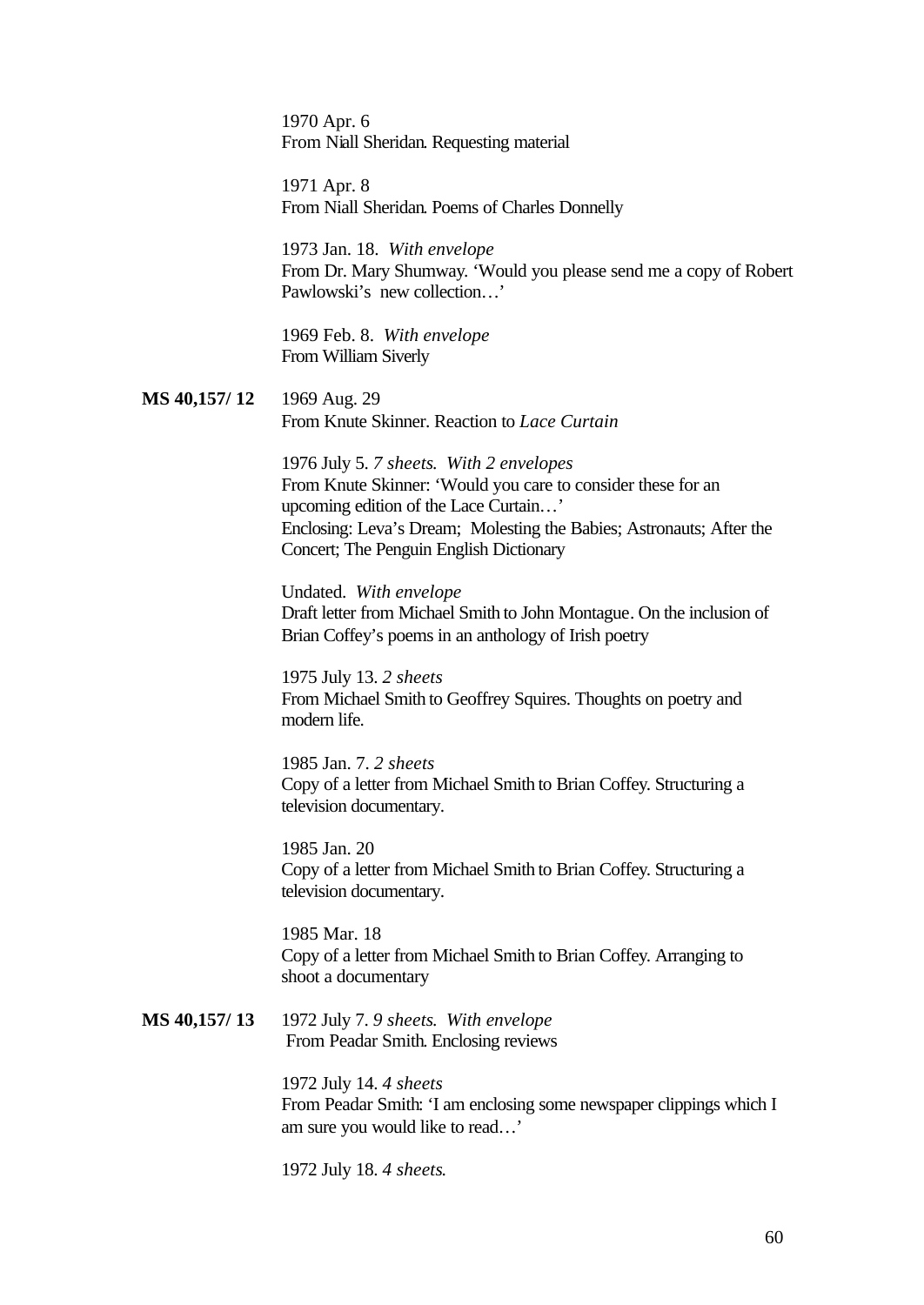1970 Apr. 6 From Niall Sheridan. Requesting material

1971 Apr. 8 From Niall Sheridan. Poems of Charles Donnelly

1973 Jan. 18. *With envelope* From Dr. Mary Shumway. 'Would you please send me a copy of Robert Pawlowski's new collection…'

1969 Feb. 8. *With envelope* From William Siverly

**MS 40,157/ 12** 1969 Aug. 29 From Knute Skinner. Reaction to *Lace Curtain*

> 1976 July 5. *7 sheets*. *With 2 envelopes* From Knute Skinner: 'Would you care to consider these for an upcoming edition of the Lace Curtain…' Enclosing: Leva's Dream; Molesting the Babies; Astronauts; After the Concert; The Penguin English Dictionary

> Undated. *With envelope* Draft letter from Michael Smith to John Montague. On the inclusion of Brian Coffey's poems in an anthology of Irish poetry

1975 July 13. *2 sheets* From Michael Smith to Geoffrey Squires. Thoughts on poetry and modern life.

1985 Jan. 7. *2 sheets* Copy of a letter from Michael Smith to Brian Coffey. Structuring a television documentary.

1985 Jan. 20 Copy of a letter from Michael Smith to Brian Coffey. Structuring a television documentary.

1985 Mar. 18 Copy of a letter from Michael Smith to Brian Coffey. Arranging to shoot a documentary

#### **MS 40,157/ 13** 1972 July 7. *9 sheets*. *With envelope* From Peadar Smith. Enclosing reviews

1972 July 14. *4 sheets* From Peadar Smith: 'I am enclosing some newspaper clippings which I am sure you would like to read…'

1972 July 18. *4 sheets*.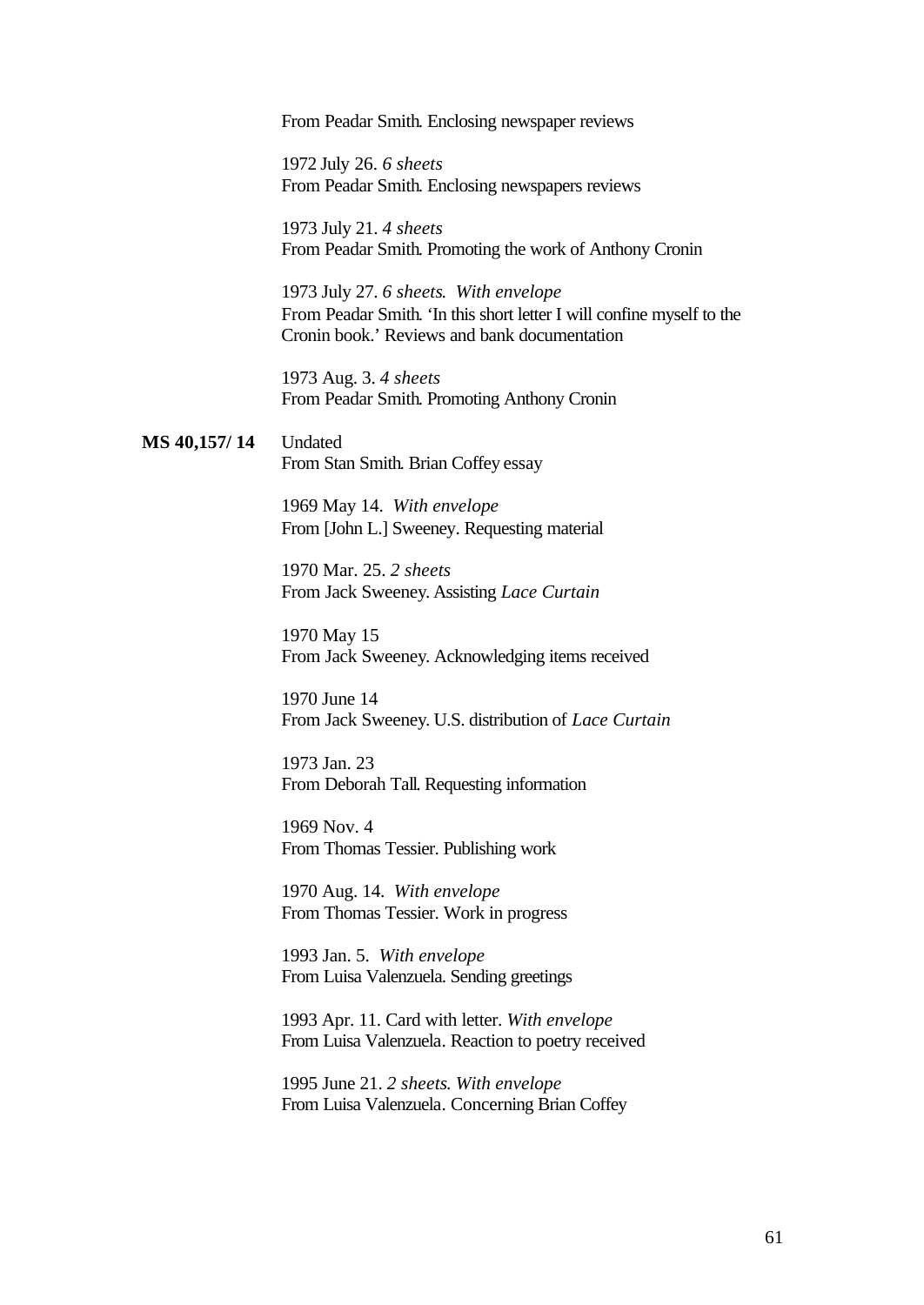From Peadar Smith. Enclosing newspaper reviews

1972 July 26. *6 sheets* From Peadar Smith. Enclosing newspapers reviews

1973 July 21. *4 sheets* From Peadar Smith. Promoting the work of Anthony Cronin

1973 July 27. *6 sheets*. *With envelope* From Peadar Smith. 'In this short letter I will confine myself to the Cronin book.' Reviews and bank documentation

1973 Aug. 3. *4 sheets* From Peadar Smith. Promoting Anthony Cronin

**MS 40,157/ 14** Undated From Stan Smith. Brian Coffey essay

> 1969 May 14. *With envelope* From [John L.] Sweeney. Requesting material

1970 Mar. 25. *2 sheets* From Jack Sweeney. Assisting *Lace Curtain*

1970 May 15 From Jack Sweeney. Acknowledging items received

1970 June 14 From Jack Sweeney. U.S. distribution of *Lace Curtain*

1973 Jan. 23 From Deborah Tall. Requesting information

1969 Nov. 4 From Thomas Tessier. Publishing work

1970 Aug. 14. *With envelope* From Thomas Tessier. Work in progress

1993 Jan. 5. *With envelope* From Luisa Valenzuela. Sending greetings

1993 Apr. 11. Card with letter. *With envelope* From Luisa Valenzuela. Reaction to poetry received

1995 June 21. *2 sheets*. *With envelope* From Luisa Valenzuela. Concerning Brian Coffey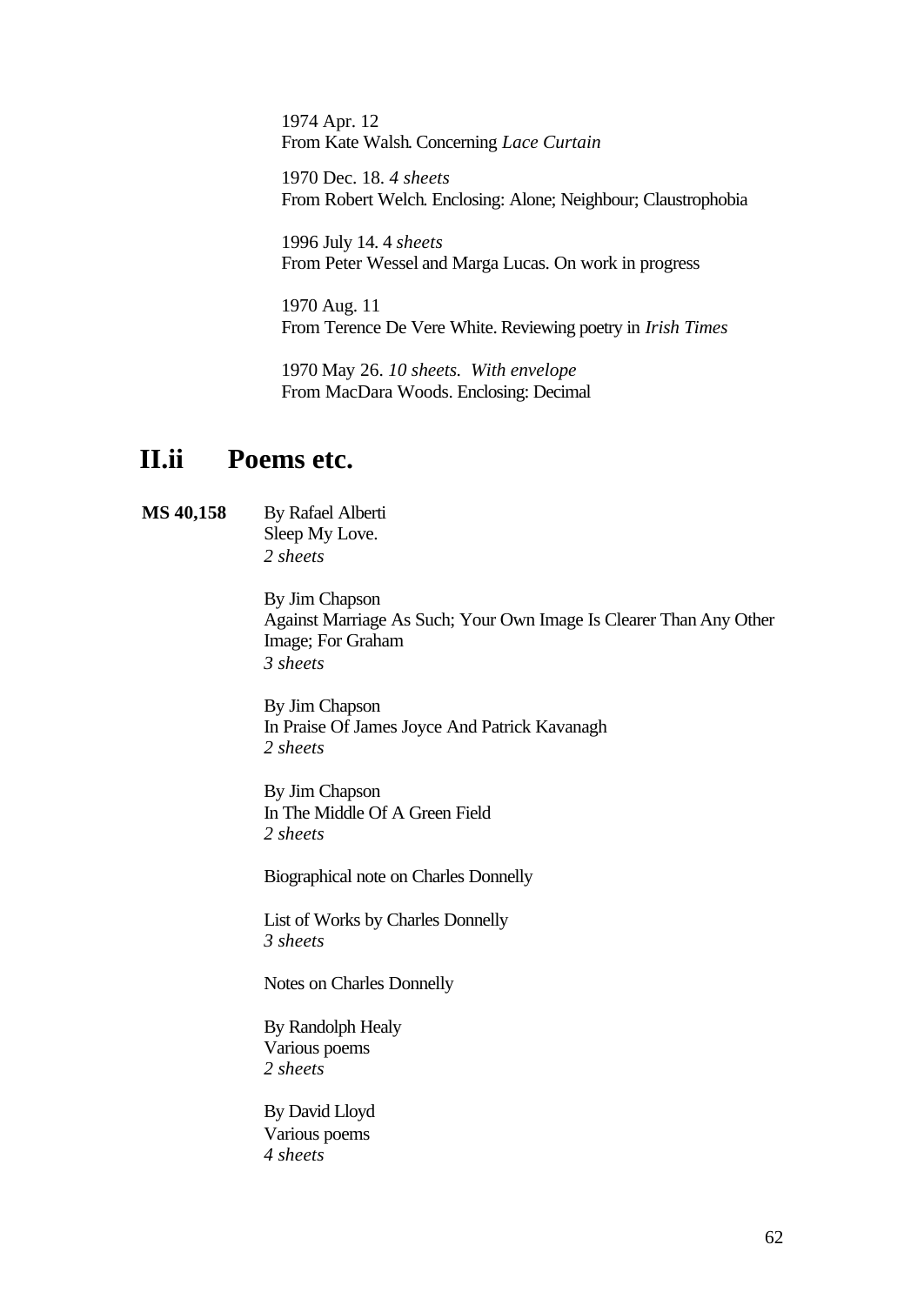1974 Apr. 12 From Kate Walsh. Concerning *Lace Curtain*

1970 Dec. 18. *4 sheets* From Robert Welch. Enclosing: Alone; Neighbour; Claustrophobia

1996 July 14. 4 *sheets* From Peter Wessel and Marga Lucas. On work in progress

1970 Aug. 11 From Terence De Vere White. Reviewing poetry in *Irish Times*

1970 May 26. *10 sheets. With envelope* From MacDara Woods. Enclosing: Decimal

## **II.ii Poems etc.**

#### **MS 40,158** By Rafael Alberti Sleep My Love. *2 sheets*

By Jim Chapson Against Marriage As Such; Your Own Image Is Clearer Than Any Other Image; For Graham *3 sheets*

By Jim Chapson In Praise Of James Joyce And Patrick Kavanagh *2 sheets*

By Jim Chapson In The Middle Of A Green Field *2 sheets*

Biographical note on Charles Donnelly

List of Works by Charles Donnelly *3 sheets*

Notes on Charles Donnelly

By Randolph Healy Various poems *2 sheets*

By David Lloyd Various poems *4 sheets*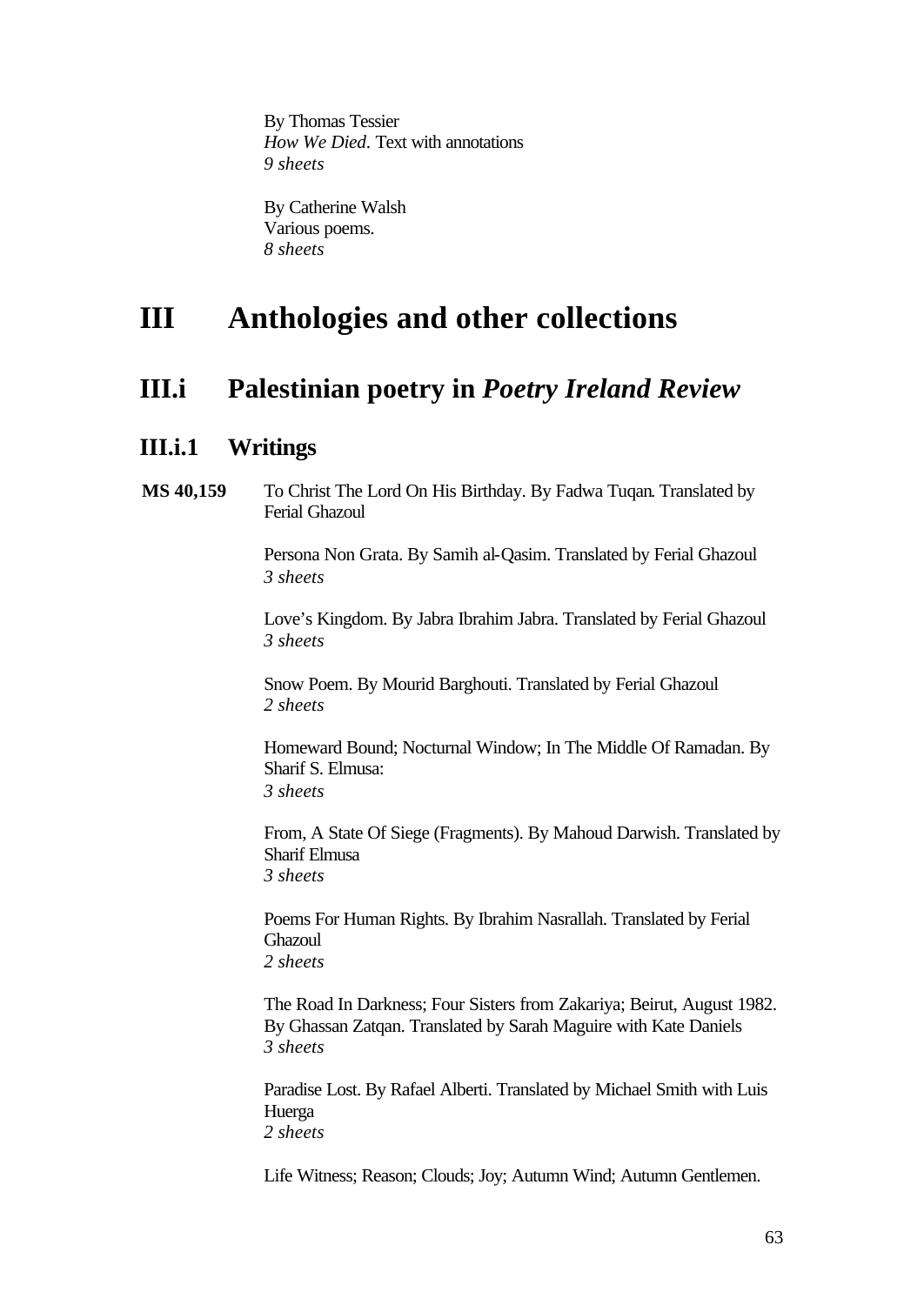By Thomas Tessier *How We Died*. Text with annotations *9 sheets*

By Catherine Walsh Various poems. *8 sheets*

# **III Anthologies and other collections**

## **III.i Palestinian poetry in** *Poetry Ireland Review*

### **III.i.1 Writings**

**MS 40,159** To Christ The Lord On His Birthday. By Fadwa Tuqan. Translated by Ferial Ghazoul

> Persona Non Grata. By Samih al-Qasim. Translated by Ferial Ghazoul *3 sheets*

Love's Kingdom. By Jabra Ibrahim Jabra. Translated by Ferial Ghazoul *3 sheets*

Snow Poem. By Mourid Barghouti. Translated by Ferial Ghazoul *2 sheets*

Homeward Bound; Nocturnal Window; In The Middle Of Ramadan. By Sharif S. Elmusa: *3 sheets*

From, A State Of Siege (Fragments). By Mahoud Darwish. Translated by Sharif Elmusa *3 sheets*

Poems For Human Rights. By Ibrahim Nasrallah. Translated by Ferial Ghazoul *2 sheets*

The Road In Darkness; Four Sisters from Zakariya; Beirut, August 1982. By Ghassan Zatqan. Translated by Sarah Maguire with Kate Daniels *3 sheets*

Paradise Lost. By Rafael Alberti. Translated by Michael Smith with Luis Huerga *2 sheets*

Life Witness; Reason; Clouds; Joy; Autumn Wind; Autumn Gentlemen.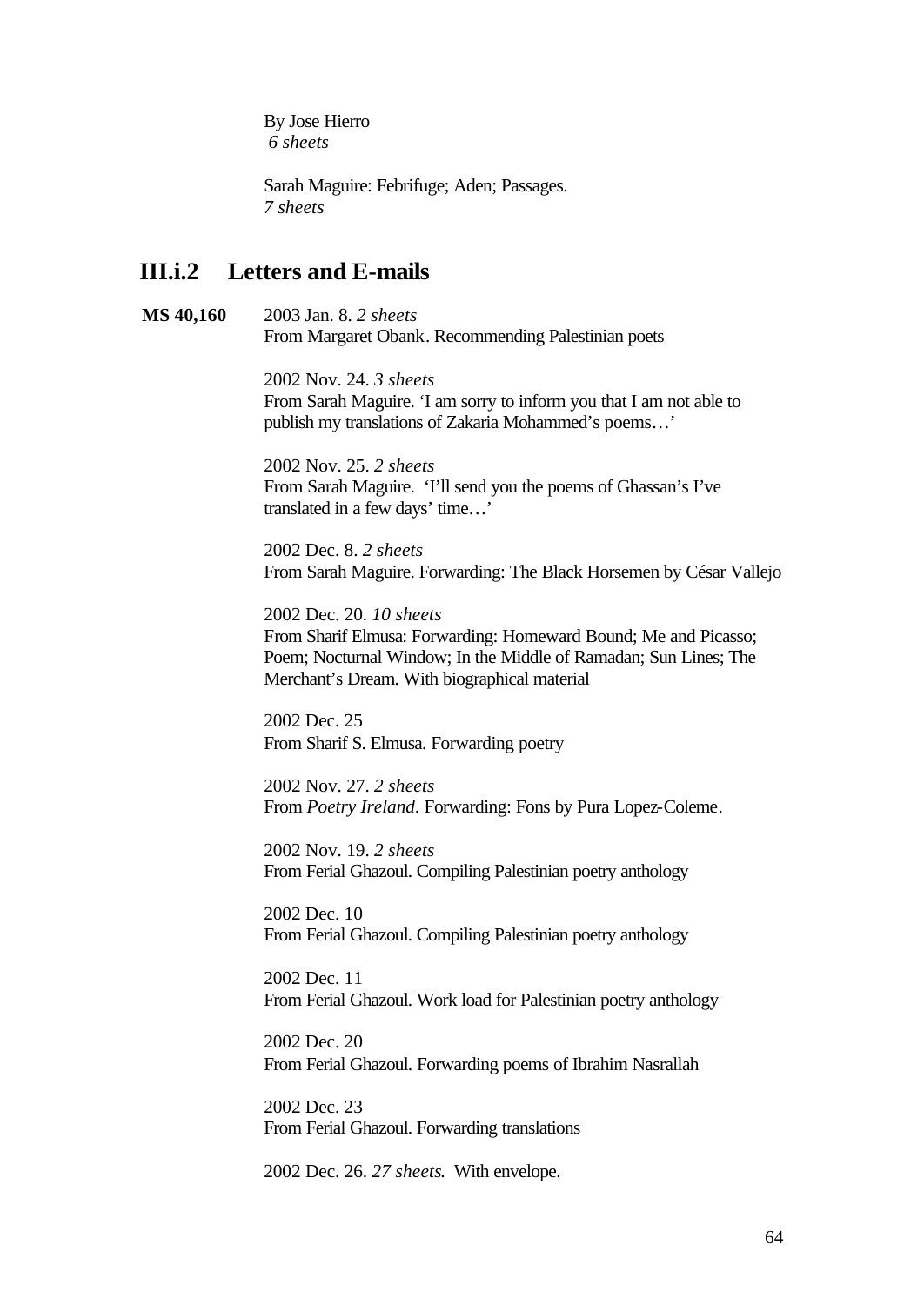By Jose Hierro *6 sheets*

Sarah Maguire: Febrifuge; Aden; Passages. *7 sheets*

### **III.i.2 Letters and E-mails**

**MS 40,160** 2003 Jan. 8. *2 sheets* From Margaret Obank. Recommending Palestinian poets

> 2002 Nov. 24. *3 sheets* From Sarah Maguire. 'I am sorry to inform you that I am not able to publish my translations of Zakaria Mohammed's poems…'

2002 Nov. 25. *2 sheets* From Sarah Maguire. 'I'll send you the poems of Ghassan's I've translated in a few days' time…'

2002 Dec. 8. *2 sheets* From Sarah Maguire. Forwarding: The Black Horsemen by César Vallejo

2002 Dec. 20. *10 sheets* From Sharif Elmusa: Forwarding: Homeward Bound; Me and Picasso; Poem; Nocturnal Window; In the Middle of Ramadan; Sun Lines; The Merchant's Dream. With biographical material

2002 Dec. 25 From Sharif S. Elmusa. Forwarding poetry

2002 Nov. 27. *2 sheets* From *Poetry Ireland*. Forwarding: Fons by Pura Lopez-Coleme.

2002 Nov. 19. *2 sheets* From Ferial Ghazoul. Compiling Palestinian poetry anthology

2002 Dec. 10 From Ferial Ghazoul. Compiling Palestinian poetry anthology

2002 Dec. 11 From Ferial Ghazoul. Work load for Palestinian poetry anthology

2002 Dec. 20 From Ferial Ghazoul. Forwarding poems of Ibrahim Nasrallah

2002 Dec. 23 From Ferial Ghazoul. Forwarding translations

2002 Dec. 26. *27 sheets*. With envelope.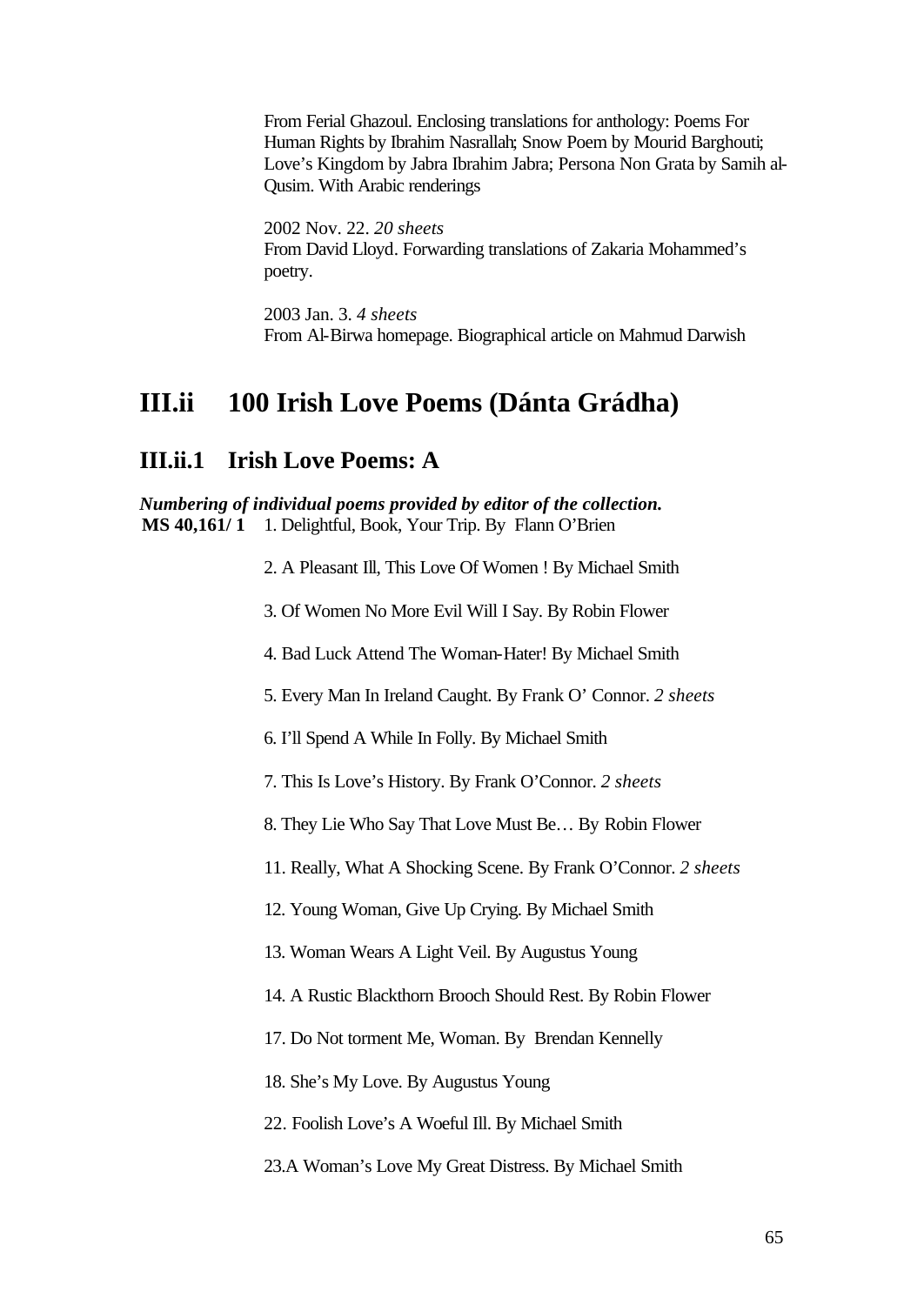From Ferial Ghazoul. Enclosing translations for anthology: Poems For Human Rights by Ibrahim Nasrallah; Snow Poem by Mourid Barghouti; Love's Kingdom by Jabra Ibrahim Jabra; Persona Non Grata by Samih al-Qusim. With Arabic renderings

2002 Nov. 22. *20 sheets* From David Lloyd. Forwarding translations of Zakaria Mohammed's poetry.

2003 Jan. 3. *4 sheets* From Al-Birwa homepage. Biographical article on Mahmud Darwish

## **III.ii 100 Irish Love Poems (Dánta Grádha)**

### **III.ii.1 Irish Love Poems: A**

*Numbering of individual poems provided by editor of the collection.* **MS 40,161/ 1** 1. Delightful, Book, Your Trip. By Flann O'Brien

2. A Pleasant Ill, This Love Of Women ! By Michael Smith

3. Of Women No More Evil Will I Say. By Robin Flower

4. Bad Luck Attend The Woman-Hater! By Michael Smith

5. Every Man In Ireland Caught. By Frank O' Connor. *2 sheets*

6. I'll Spend A While In Folly. By Michael Smith

7. This Is Love's History. By Frank O'Connor. *2 sheets*

8. They Lie Who Say That Love Must Be… By Robin Flower

11. Really, What A Shocking Scene. By Frank O'Connor. *2 sheets*

12. Young Woman, Give Up Crying. By Michael Smith

13. Woman Wears A Light Veil. By Augustus Young

14. A Rustic Blackthorn Brooch Should Rest. By Robin Flower

17. Do Not torment Me, Woman. By Brendan Kennelly

18. She's My Love. By Augustus Young

22. Foolish Love's A Woeful Ill. By Michael Smith

23.A Woman's Love My Great Distress. By Michael Smith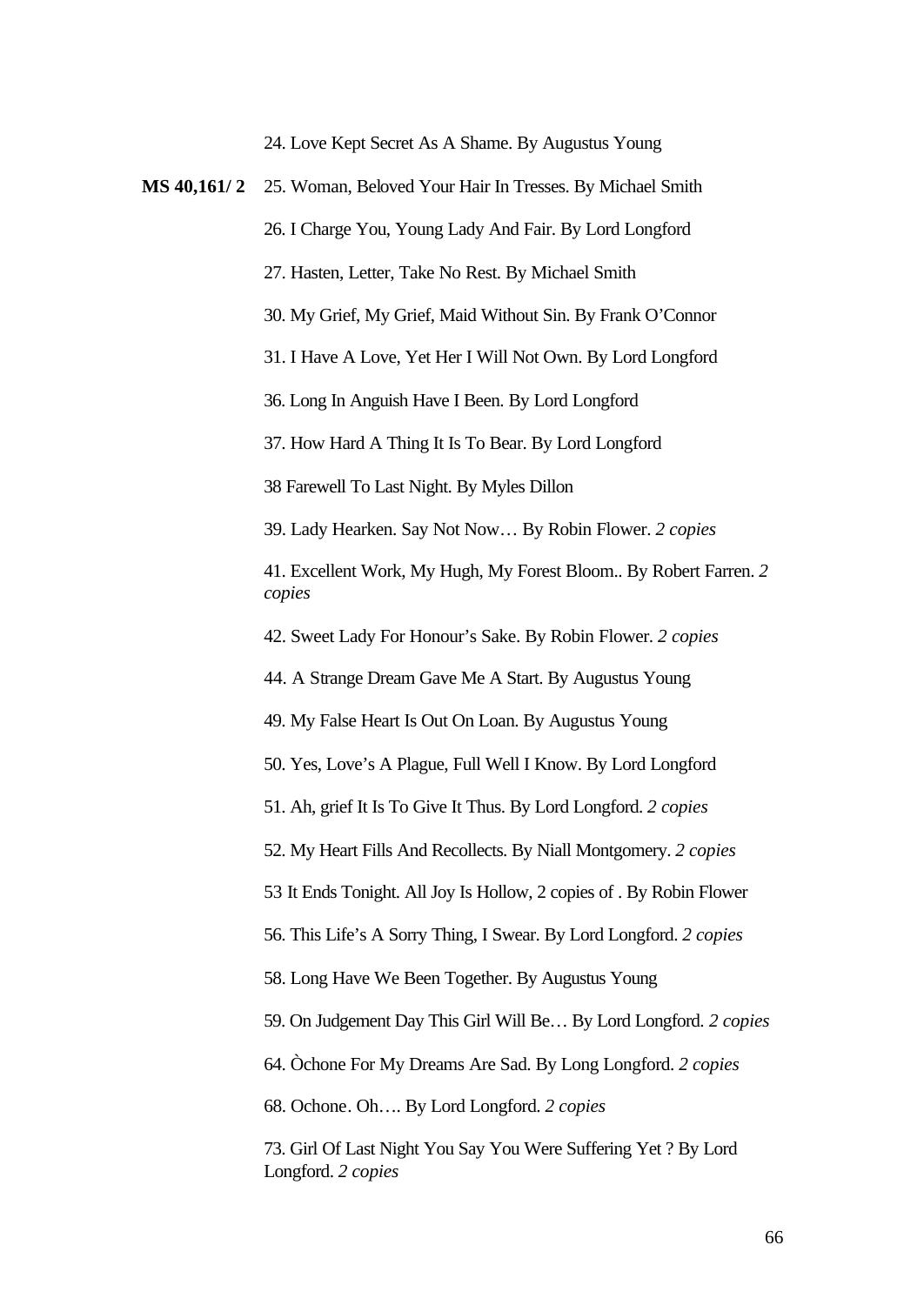24. Love Kept Secret As A Shame. By Augustus Young

**MS 40,161/ 2** 25. Woman, Beloved Your Hair In Tresses. By Michael Smith 26. I Charge You, Young Lady And Fair. By Lord Longford 27. Hasten, Letter, Take No Rest. By Michael Smith 30. My Grief, My Grief, Maid Without Sin. By Frank O'Connor 31. I Have A Love, Yet Her I Will Not Own. By Lord Longford 36. Long In Anguish Have I Been. By Lord Longford 37. How Hard A Thing It Is To Bear. By Lord Longford 38 Farewell To Last Night. By Myles Dillon 39. Lady Hearken. Say Not Now… By Robin Flower. *2 copies* 41. Excellent Work, My Hugh, My Forest Bloom.. By Robert Farren. *2 copies*  42. Sweet Lady For Honour's Sake. By Robin Flower. *2 copies* 44. A Strange Dream Gave Me A Start. By Augustus Young 49. My False Heart Is Out On Loan. By Augustus Young 50. Yes, Love's A Plague, Full Well I Know. By Lord Longford 51. Ah, grief It Is To Give It Thus. By Lord Longford. *2 copies* 52. My Heart Fills And Recollects. By Niall Montgomery. *2 copies* 53 It Ends Tonight. All Joy Is Hollow, 2 copies of . By Robin Flower 56. This Life's A Sorry Thing, I Swear. By Lord Longford. *2 copies* 58. Long Have We Been Together. By Augustus Young 59. On Judgement Day This Girl Will Be… By Lord Longford. *2 copies* 64. Òchone For My Dreams Are Sad. By Long Longford. *2 copies* 68. Ochone. Oh…. By Lord Longford. *2 copies* 73. Girl Of Last Night You Say You Were Suffering Yet ? By Lord Longford. *2 copies*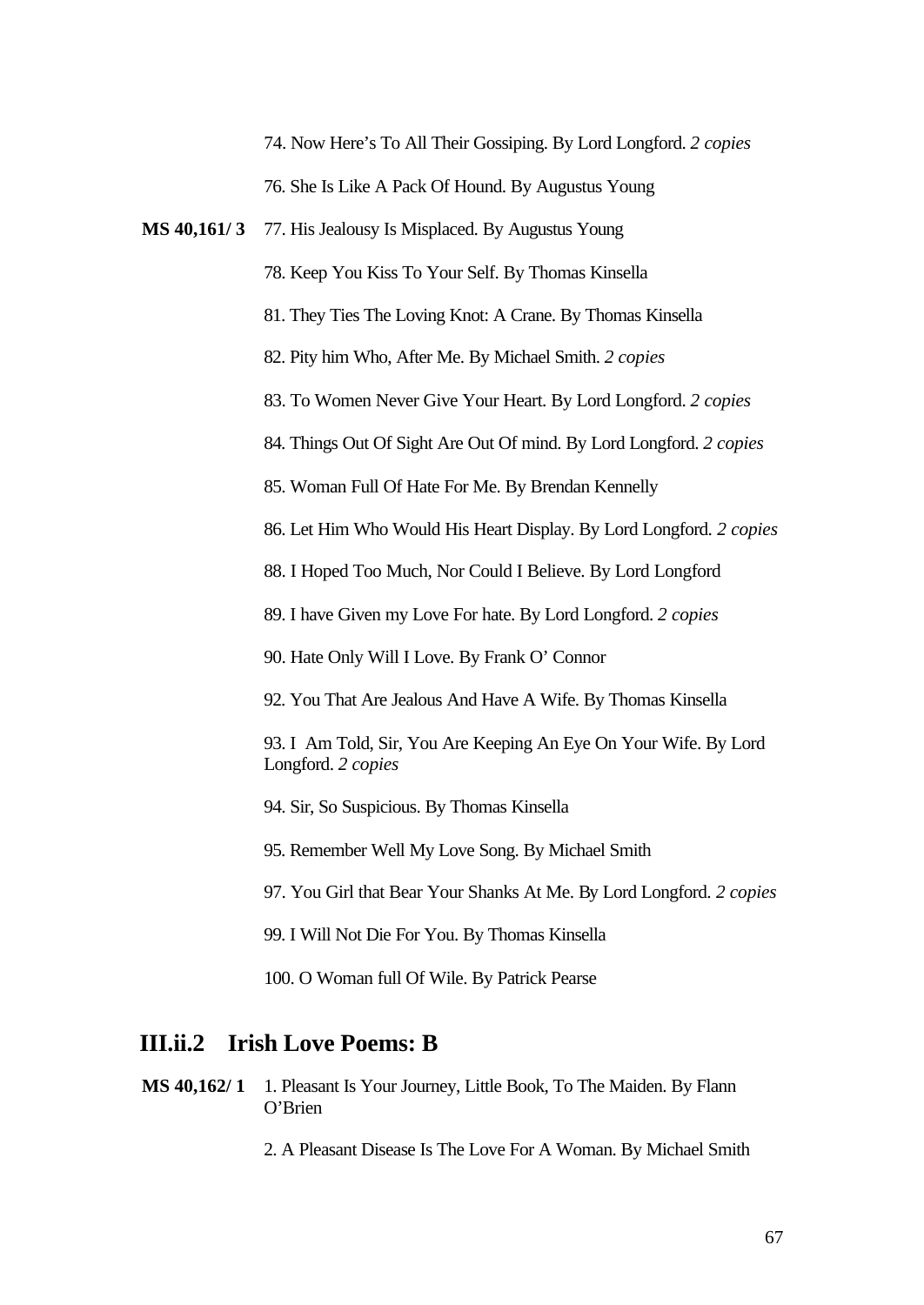74. Now Here's To All Their Gossiping. By Lord Longford. *2 copies* 76. She Is Like A Pack Of Hound. By Augustus Young

**MS 40,161/ 3** 77. His Jealousy Is Misplaced. By Augustus Young

78. Keep You Kiss To Your Self. By Thomas Kinsella

81. They Ties The Loving Knot: A Crane. By Thomas Kinsella

82. Pity him Who, After Me. By Michael Smith. *2 copies*

83. To Women Never Give Your Heart. By Lord Longford. *2 copies*

84. Things Out Of Sight Are Out Of mind. By Lord Longford. *2 copies*

85. Woman Full Of Hate For Me. By Brendan Kennelly

86. Let Him Who Would His Heart Display. By Lord Longford. *2 copies*

88. I Hoped Too Much, Nor Could I Believe. By Lord Longford

89. I have Given my Love For hate. By Lord Longford. *2 copies*

90. Hate Only Will I Love. By Frank O' Connor

92. You That Are Jealous And Have A Wife. By Thomas Kinsella

93. I Am Told, Sir, You Are Keeping An Eye On Your Wife. By Lord Longford. *2 copies*

94. Sir, So Suspicious. By Thomas Kinsella

95. Remember Well My Love Song. By Michael Smith

97. You Girl that Bear Your Shanks At Me. By Lord Longford. *2 copies*

99. I Will Not Die For You. By Thomas Kinsella

100. O Woman full Of Wile. By Patrick Pearse

### **III.ii.2 Irish Love Poems: B**

**MS 40,162/ 1** 1. Pleasant Is Your Journey, Little Book, To The Maiden. By Flann O'Brien

2. A Pleasant Disease Is The Love For A Woman. By Michael Smith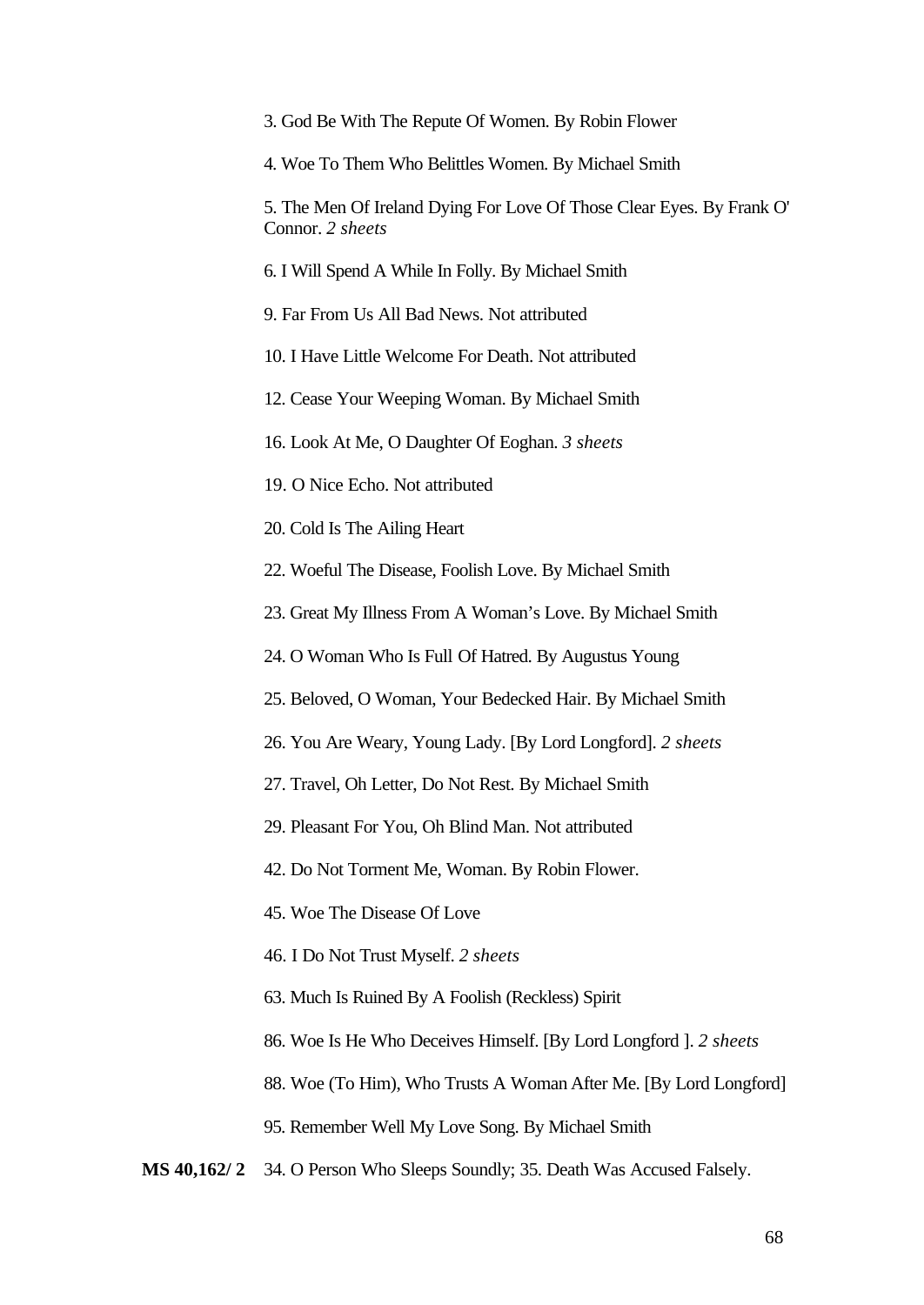|  |  | 3. God Be With The Repute Of Women. By Robin Flower |
|--|--|-----------------------------------------------------|
|  |  |                                                     |

4. Woe To Them Who Belittles Women. By Michael Smith

5. The Men Of Ireland Dying For Love Of Those Clear Eyes. By Frank O' Connor. *2 sheets*

6. I Will Spend A While In Folly. By Michael Smith

9. Far From Us All Bad News. Not attributed

10. I Have Little Welcome For Death. Not attributed

12. Cease Your Weeping Woman. By Michael Smith

16. Look At Me, O Daughter Of Eoghan. *3 sheets*

19. O Nice Echo. Not attributed

20. Cold Is The Ailing Heart

22. Woeful The Disease, Foolish Love. By Michael Smith

23. Great My Illness From A Woman's Love. By Michael Smith

24. O Woman Who Is Full Of Hatred. By Augustus Young

25. Beloved, O Woman, Your Bedecked Hair. By Michael Smith

26. You Are Weary, Young Lady. [By Lord Longford]. *2 sheets*

27. Travel, Oh Letter, Do Not Rest. By Michael Smith

29. Pleasant For You, Oh Blind Man. Not attributed

42. Do Not Torment Me, Woman. By Robin Flower.

45. Woe The Disease Of Love

46. I Do Not Trust Myself. *2 sheets*

63. Much Is Ruined By A Foolish (Reckless) Spirit

86. Woe Is He Who Deceives Himself. [By Lord Longford ]. *2 sheets*

88. Woe (To Him), Who Trusts A Woman After Me. [By Lord Longford]

95. Remember Well My Love Song. By Michael Smith

**MS 40,162/ 2** 34. O Person Who Sleeps Soundly; 35. Death Was Accused Falsely.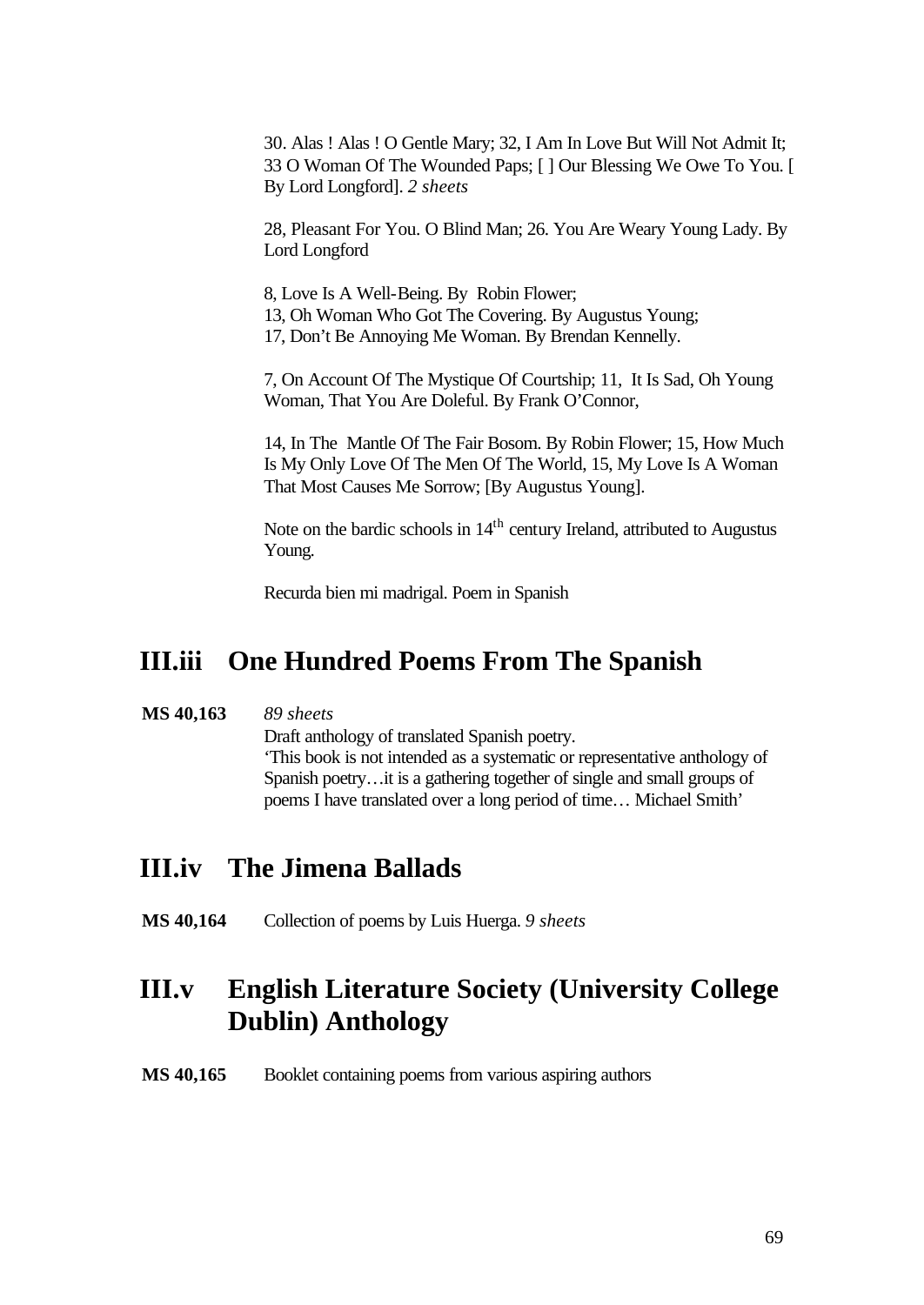30. Alas ! Alas ! O Gentle Mary; 32, I Am In Love But Will Not Admit It; 33 O Woman Of The Wounded Paps; [ ] Our Blessing We Owe To You. [ By Lord Longford]. *2 sheets*

28, Pleasant For You. O Blind Man; 26. You Are Weary Young Lady. By Lord Longford

8, Love Is A Well-Being. By Robin Flower; 13, Oh Woman Who Got The Covering. By Augustus Young; 17, Don't Be Annoying Me Woman. By Brendan Kennelly.

7, On Account Of The Mystique Of Courtship; 11, It Is Sad, Oh Young Woman, That You Are Doleful. By Frank O'Connor,

14, In The Mantle Of The Fair Bosom. By Robin Flower; 15, How Much Is My Only Love Of The Men Of The World, 15, My Love Is A Woman That Most Causes Me Sorrow; [By Augustus Young].

Note on the bardic schools in 14<sup>th</sup> century Ireland, attributed to Augustus Young.

Recurda bien mi madrigal. Poem in Spanish

## **III.iii One Hundred Poems From The Spanish**

#### **MS 40,163** *89 sheets*

Draft anthology of translated Spanish poetry. 'This book is not intended as a systematic or representative anthology of Spanish poetry…it is a gathering together of single and small groups of poems I have translated over a long period of time… Michael Smith'

## **III.iv The Jimena Ballads**

**MS 40,164** Collection of poems by Luis Huerga. *9 sheets*

## **III.v English Literature Society (University College Dublin) Anthology**

MS 40,165 Booklet containing poems from various aspiring authors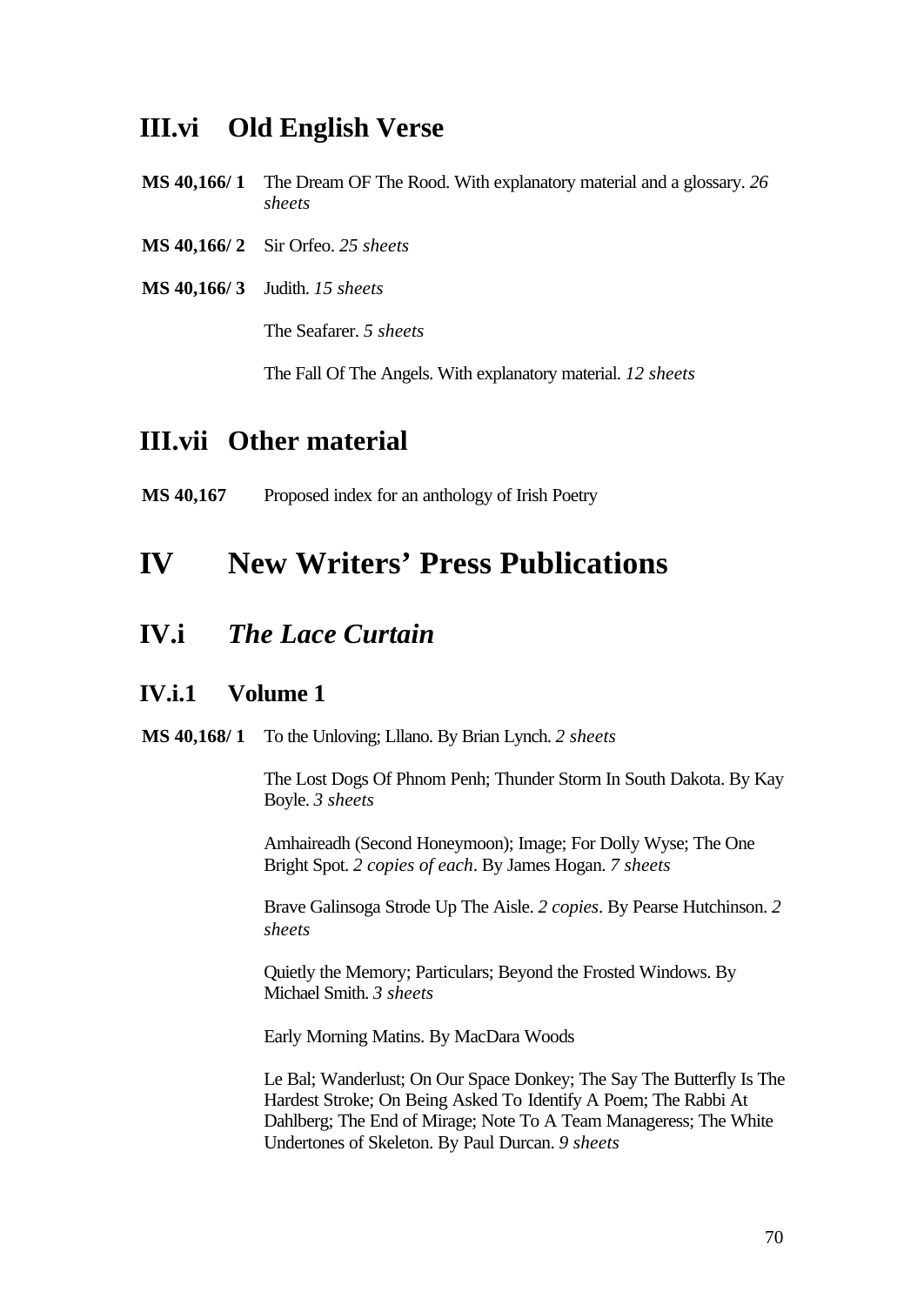## **III.vi Old English Verse**

- **MS 40,166/ 1** The Dream OF The Rood. With explanatory material and a glossary. *26 sheets*
- **MS 40,166/ 2** Sir Orfeo. *25 sheets*
- **MS 40,166/ 3** Judith. *15 sheets*

The Seafarer. *5 sheets*

The Fall Of The Angels. With explanatory material. *12 sheets*

## **III.vii Other material**

**MS 40,167** Proposed index for an anthology of Irish Poetry

# **IV New Writers' Press Publications**

## **IV.i** *The Lace Curtain*

#### **IV.i.1 Volume 1**

**MS 40,168/ 1** To the Unloving; Lllano. By Brian Lynch. *2 sheets*

The Lost Dogs Of Phnom Penh; Thunder Storm In South Dakota. By Kay Boyle. *3 sheets*

Amhaireadh (Second Honeymoon); Image; For Dolly Wyse; The One Bright Spot. *2 copies of each*. By James Hogan. *7 sheets*

Brave Galinsoga Strode Up The Aisle. *2 copies*. By Pearse Hutchinson. *2 sheets*

Quietly the Memory; Particulars; Beyond the Frosted Windows. By Michael Smith. *3 sheets*

Early Morning Matins. By MacDara Woods

Le Bal; Wanderlust; On Our Space Donkey; The Say The Butterfly Is The Hardest Stroke; On Being Asked To Identify A Poem; The Rabbi At Dahlberg; The End of Mirage; Note To A Team Manageress; The White Undertones of Skeleton. By Paul Durcan. *9 sheets*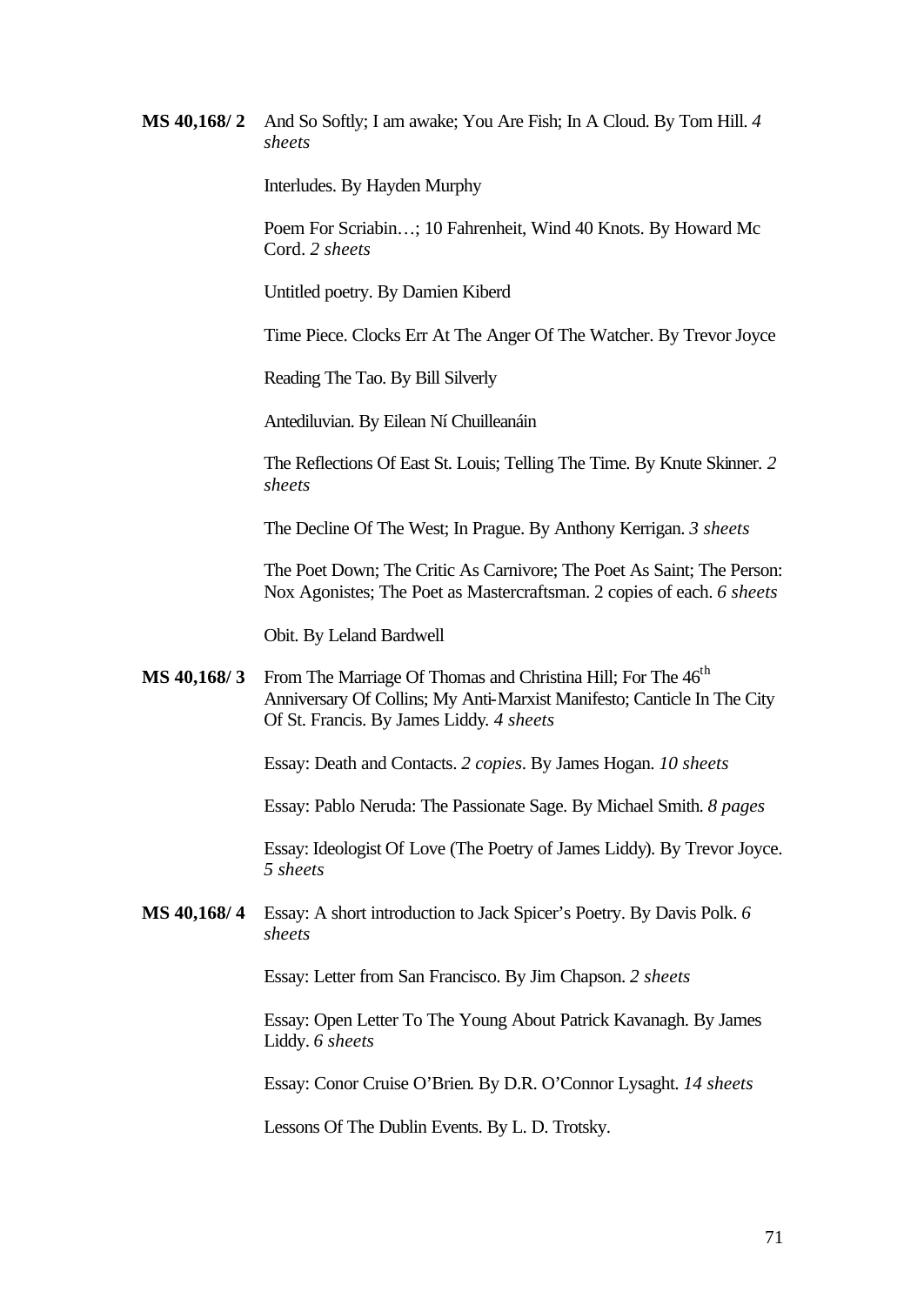**MS 40,168/ 2** And So Softly; I am awake; You Are Fish; In A Cloud. By Tom Hill. *4 sheets*

Interludes. By Hayden Murphy

Poem For Scriabin…; 10 Fahrenheit, Wind 40 Knots. By Howard Mc Cord. *2 sheets*

Untitled poetry. By Damien Kiberd

Time Piece. Clocks Err At The Anger Of The Watcher. By Trevor Joyce

Reading The Tao. By Bill Silverly

Antediluvian. By Eilean Ní Chuilleanáin

The Reflections Of East St. Louis; Telling The Time. By Knute Skinner. *2 sheets*

The Decline Of The West; In Prague. By Anthony Kerrigan. *3 sheets*

The Poet Down; The Critic As Carnivore; The Poet As Saint; The Person: Nox Agonistes; The Poet as Mastercraftsman. 2 copies of each. *6 sheets*

Obit. By Leland Bardwell

**MS 40,168/3** From The Marriage Of Thomas and Christina Hill; For The 46<sup>th</sup> Anniversary Of Collins; My Anti-Marxist Manifesto; Canticle In The City Of St. Francis. By James Liddy. *4 sheets*

Essay: Death and Contacts. *2 copies*. By James Hogan. *10 sheets*

Essay: Pablo Neruda: The Passionate Sage. By Michael Smith. *8 pages*

Essay: Ideologist Of Love (The Poetry of James Liddy). By Trevor Joyce. *5 sheets*

**MS 40,168/ 4** Essay: A short introduction to Jack Spicer's Poetry. By Davis Polk. *6 sheets*

Essay: Letter from San Francisco. By Jim Chapson. *2 sheets*

Essay: Open Letter To The Young About Patrick Kavanagh. By James Liddy. *6 sheets*

Essay: Conor Cruise O'Brien. By D.R. O'Connor Lysaght. *14 sheets*

Lessons Of The Dublin Events. By L. D. Trotsky.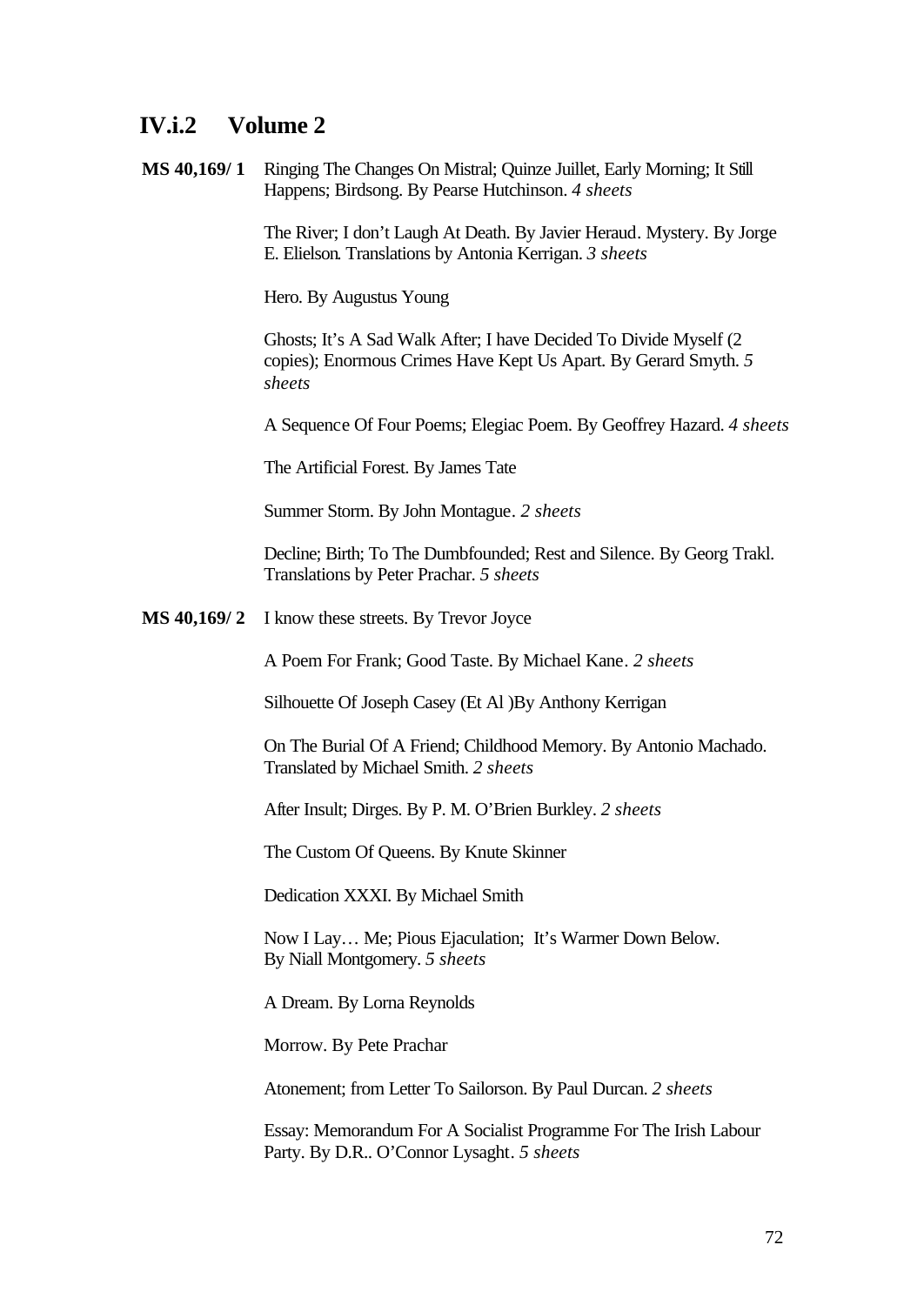### **IV.i.2 Volume 2**

**MS 40,169/ 1** Ringing The Changes On Mistral; Quinze Juillet, Early Morning; It Still Happens; Birdsong. By Pearse Hutchinson. *4 sheets*

> The River; I don't Laugh At Death. By Javier Heraud. Mystery. By Jorge E. Elielson. Translations by Antonia Kerrigan. *3 sheets*

Hero. By Augustus Young

Ghosts; It's A Sad Walk After; I have Decided To Divide Myself (2 copies); Enormous Crimes Have Kept Us Apart. By Gerard Smyth. *5 sheets*

A Sequence Of Four Poems; Elegiac Poem. By Geoffrey Hazard. *4 sheets*

The Artificial Forest. By James Tate

Summer Storm. By John Montague. *2 sheets*

Decline; Birth; To The Dumbfounded; Rest and Silence. By Georg Trakl. Translations by Peter Prachar. *5 sheets* 

**MS 40,169/ 2** I know these streets. By Trevor Joyce

A Poem For Frank; Good Taste. By Michael Kane. *2 sheets*

Silhouette Of Joseph Casey (Et Al )By Anthony Kerrigan

On The Burial Of A Friend; Childhood Memory. By Antonio Machado. Translated by Michael Smith. *2 sheets*

After Insult; Dirges. By P. M. O'Brien Burkley. *2 sheets*

The Custom Of Queens. By Knute Skinner

Dedication XXXI. By Michael Smith

Now I Lay… Me; Pious Ejaculation; It's Warmer Down Below. By Niall Montgomery. *5 sheets*

A Dream. By Lorna Reynolds

Morrow. By Pete Prachar

Atonement; from Letter To Sailorson. By Paul Durcan. *2 sheets*

Essay: Memorandum For A Socialist Programme For The Irish Labour Party. By D.R.. O'Connor Lysaght. *5 sheets*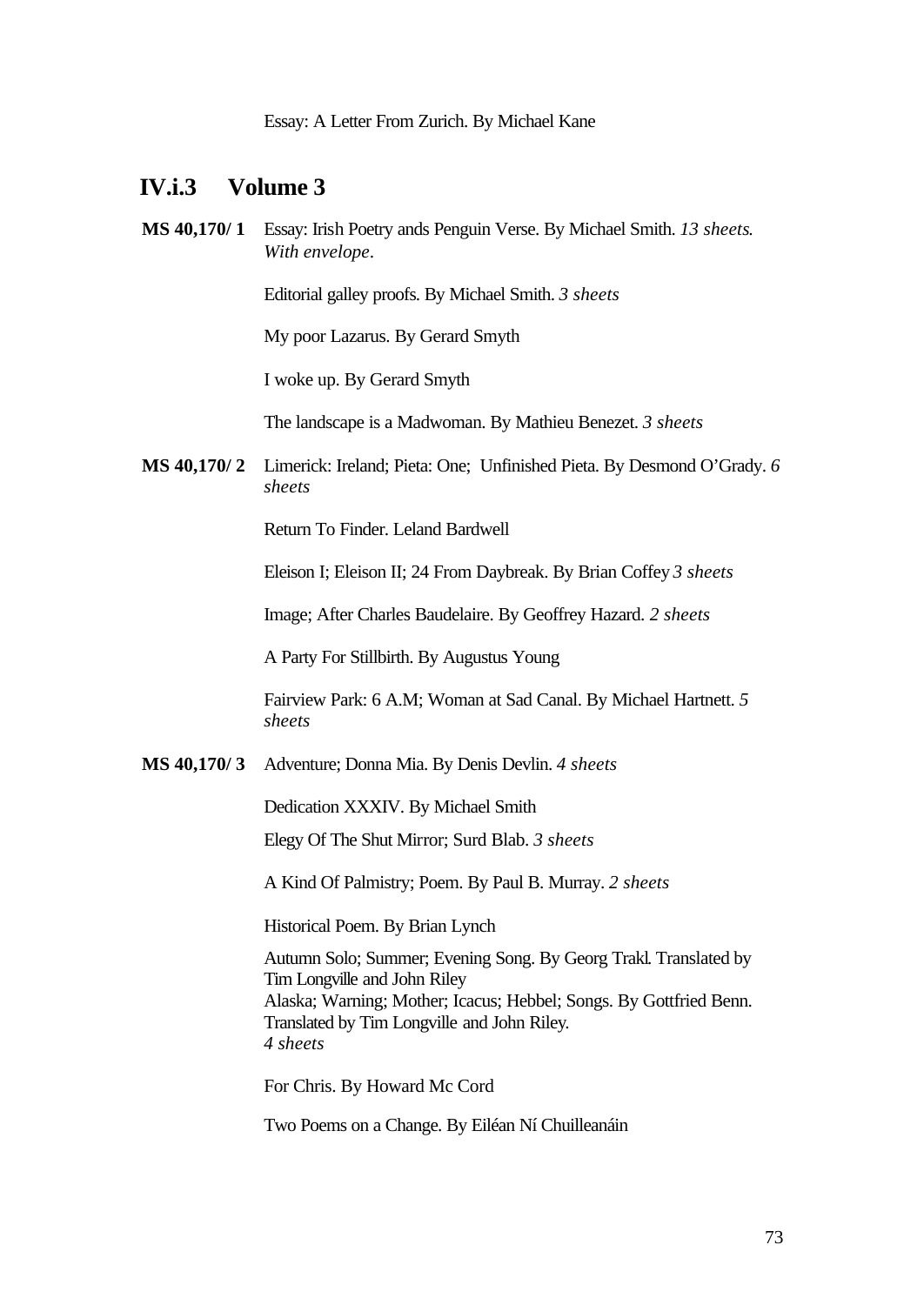#### **IV.i.3 Volume 3**

**MS 40,170/ 1** Essay: Irish Poetry ands Penguin Verse. By Michael Smith. *13 sheets*. *With envelope*.

Editorial galley proofs. By Michael Smith. *3 sheets*

My poor Lazarus. By Gerard Smyth

I woke up. By Gerard Smyth

The landscape is a Madwoman. By Mathieu Benezet. *3 sheets*

**MS 40,170/ 2** Limerick: Ireland; Pieta: One; Unfinished Pieta. By Desmond O'Grady. *6 sheets*

Return To Finder. Leland Bardwell

Eleison I; Eleison II; 24 From Daybreak. By Brian Coffey *3 sheets*

Image; After Charles Baudelaire. By Geoffrey Hazard. *2 sheets*

A Party For Stillbirth. By Augustus Young

Fairview Park: 6 A.M; Woman at Sad Canal. By Michael Hartnett. *5 sheets*

**MS 40,170/ 3** Adventure; Donna Mia. By Denis Devlin. *4 sheets*

Dedication XXXIV. By Michael Smith

Elegy Of The Shut Mirror; Surd Blab. *3 sheets*

A Kind Of Palmistry; Poem. By Paul B. Murray. *2 sheets*

Historical Poem. By Brian Lynch

Autumn Solo; Summer; Evening Song. By Georg Trakl. Translated by Tim Longville and John Riley Alaska; Warning; Mother; Icacus; Hebbel; Songs. By Gottfried Benn. Translated by Tim Longville and John Riley. *4 sheets*

For Chris. By Howard Mc Cord

Two Poems on a Change. By Eiléan Ní Chuilleanáin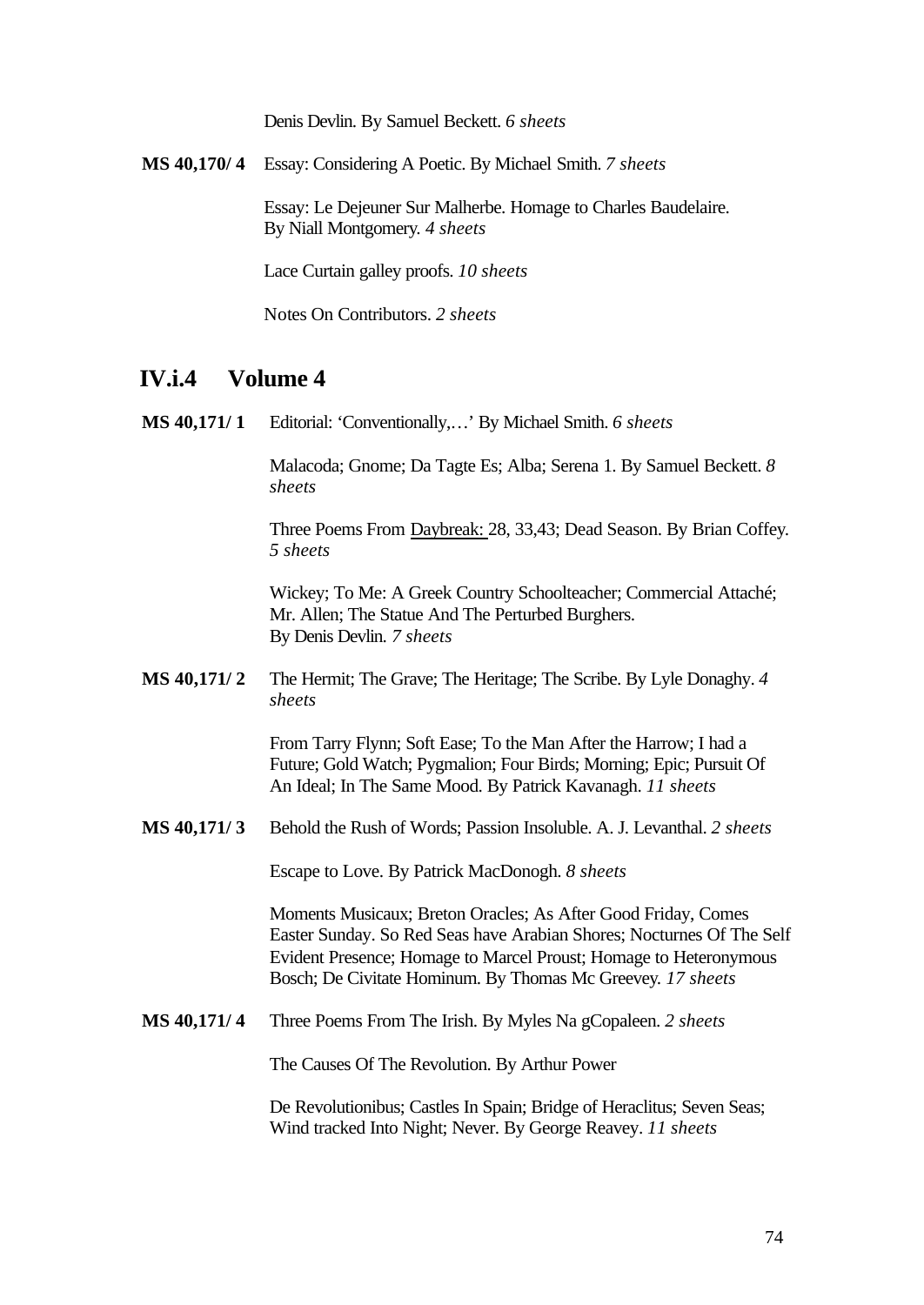Denis Devlin. By Samuel Beckett. *6 sheets*

**MS 40,170/ 4** Essay: Considering A Poetic. By Michael Smith. *7 sheets*

Essay: Le Dejeuner Sur Malherbe. Homage to Charles Baudelaire. By Niall Montgomery. *4 sheets*

Lace Curtain galley proofs. *10 sheets*

Notes On Contributors. *2 sheets*

#### **IV.i.4 Volume 4**

**MS 40,171/ 1** Editorial: 'Conventionally,…' By Michael Smith. *6 sheets*

Malacoda; Gnome; Da Tagte Es; Alba; Serena 1. By Samuel Beckett. *8 sheets*

Three Poems From Daybreak: 28, 33,43; Dead Season. By Brian Coffey. *5 sheets*

Wickey; To Me: A Greek Country Schoolteacher; Commercial Attaché; Mr. Allen; The Statue And The Perturbed Burghers. By Denis Devlin. *7 sheets*

**MS 40,171/ 2** The Hermit; The Grave; The Heritage; The Scribe. By Lyle Donaghy. *4 sheets*

> From Tarry Flynn; Soft Ease; To the Man After the Harrow; I had a Future; Gold Watch; Pygmalion; Four Birds; Morning; Epic; Pursuit Of An Ideal; In The Same Mood. By Patrick Kavanagh. *11 sheets*

**MS 40,171/ 3** Behold the Rush of Words; Passion Insoluble. A. J. Levanthal. *2 sheets*

Escape to Love. By Patrick MacDonogh. *8 sheets*

Moments Musicaux; Breton Oracles; As After Good Friday, Comes Easter Sunday. So Red Seas have Arabian Shores; Nocturnes Of The Self Evident Presence; Homage to Marcel Proust; Homage to Heteronymous Bosch; De Civitate Hominum. By Thomas Mc Greevey. *17 sheets*

**MS 40,171/ 4** Three Poems From The Irish. By Myles Na gCopaleen. *2 sheets*

The Causes Of The Revolution. By Arthur Power

De Revolutionibus; Castles In Spain; Bridge of Heraclitus; Seven Seas; Wind tracked Into Night; Never. By George Reavey. *11 sheets*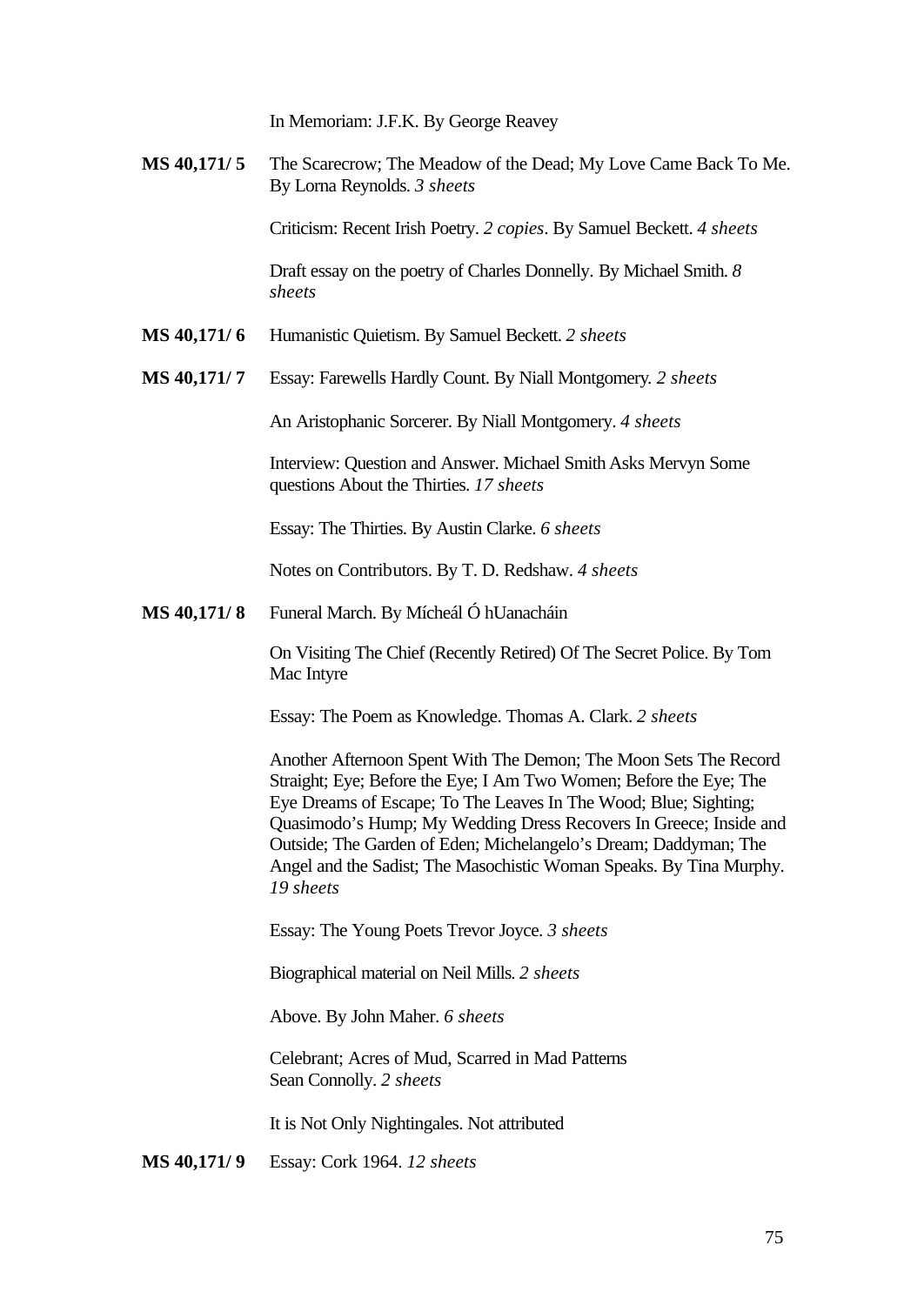In Memoriam: J.F.K. By George Reavey

**MS 40,171/ 5** The Scarecrow; The Meadow of the Dead; My Love Came Back To Me. By Lorna Reynolds. *3 sheets*

Criticism: Recent Irish Poetry. *2 copies*. By Samuel Beckett. *4 sheets*

Draft essay on the poetry of Charles Donnelly. By Michael Smith. *8 sheets*

- **MS 40,171/ 6** Humanistic Quietism. By Samuel Beckett. *2 sheets*
- **MS 40,171/ 7** Essay: Farewells Hardly Count. By Niall Montgomery. *2 sheets*

An Aristophanic Sorcerer. By Niall Montgomery. *4 sheets*

Interview: Question and Answer. Michael Smith Asks Mervyn Some questions About the Thirties. *17 sheets*

Essay: The Thirties. By Austin Clarke. *6 sheets*

Notes on Contributors. By T. D. Redshaw. *4 sheets*

**MS 40,171/ 8** Funeral March. By Mícheál Ó hUanacháin

On Visiting The Chief (Recently Retired) Of The Secret Police. By Tom Mac Intyre

Essay: The Poem as Knowledge. Thomas A. Clark. *2 sheets*

Another Afternoon Spent With The Demon; The Moon Sets The Record Straight; Eye; Before the Eye; I Am Two Women; Before the Eye; The Eye Dreams of Escape; To The Leaves In The Wood; Blue; Sighting; Quasimodo's Hump; My Wedding Dress Recovers In Greece; Inside and Outside; The Garden of Eden; Michelangelo's Dream; Daddyman; The Angel and the Sadist; The Masochistic Woman Speaks. By Tina Murphy. *19 sheets*

Essay: The Young Poets Trevor Joyce. *3 sheets*

Biographical material on Neil Mills. *2 sheets*

Above. By John Maher. *6 sheets*

Celebrant; Acres of Mud, Scarred in Mad Patterns Sean Connolly. *2 sheets*

It is Not Only Nightingales. Not attributed

**MS 40,171/ 9** Essay: Cork 1964. *12 sheets*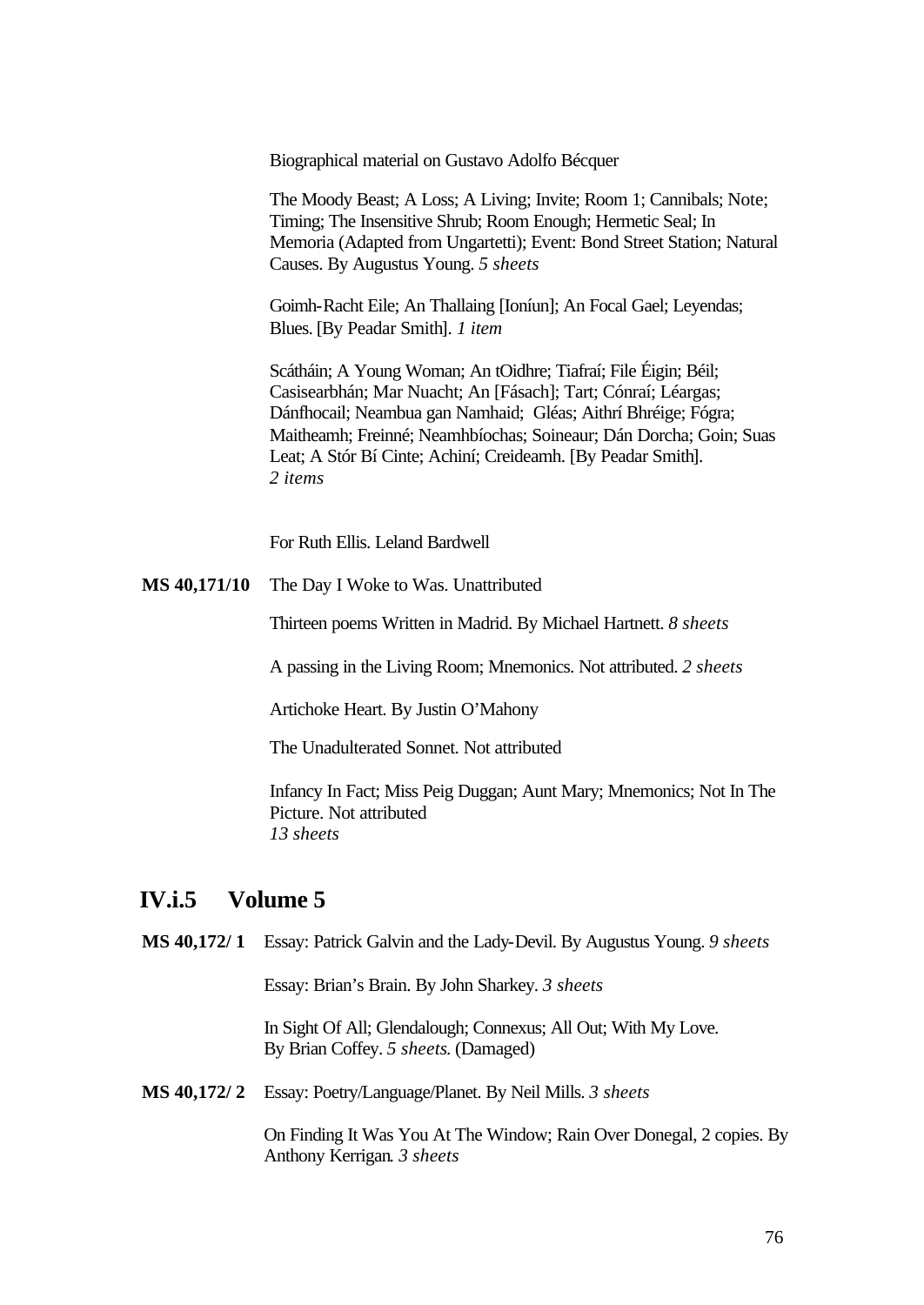Biographical material on Gustavo Adolfo Bécquer

The Moody Beast; A Loss; A Living; Invite; Room 1; Cannibals; Note; Timing; The Insensitive Shrub; Room Enough; Hermetic Seal; In Memoria (Adapted from Ungartetti); Event: Bond Street Station; Natural Causes. By Augustus Young. *5 sheets*

Goimh-Racht Eile; An Thallaing [Ioníun]; An Focal Gael; Leyendas; Blues. [By Peadar Smith]. *1 item*

Scátháin; A Young Woman; An tOidhre; Tiafraí; File Éigin; Béil; Casisearbhán; Mar Nuacht; An [Fásach]; Tart; Cónraí; Léargas; Dánfhocail; Neambua gan Namhaid; Gléas; Aithrí Bhréige; Fógra; Maitheamh; Freinné; Neamhbíochas; Soineaur; Dán Dorcha; Goin; Suas Leat; A Stór Bí Cinte; Achiní; Creideamh. [By Peadar Smith]. *2 items*

For Ruth Ellis. Leland Bardwell

**MS 40,171/10** The Day I Woke to Was. Unattributed

Thirteen poems Written in Madrid. By Michael Hartnett. *8 sheets*

A passing in the Living Room; Mnemonics. Not attributed. *2 sheets*

Artichoke Heart. By Justin O'Mahony

The Unadulterated Sonnet. Not attributed

Infancy In Fact; Miss Peig Duggan; Aunt Mary; Mnemonics; Not In The Picture. Not attributed *13 sheets*

#### **IV.i.5 Volume 5**

**MS 40,172/ 1** Essay: Patrick Galvin and the Lady-Devil. By Augustus Young. *9 sheets*

Essay: Brian's Brain. By John Sharkey. *3 sheets*

In Sight Of All; Glendalough; Connexus; All Out; With My Love. By Brian Coffey. *5 sheets*. (Damaged)

**MS 40,172/ 2** Essay: Poetry/Language/Planet. By Neil Mills. *3 sheets*

On Finding It Was You At The Window; Rain Over Donegal, 2 copies. By Anthony Kerrigan. *3 sheets*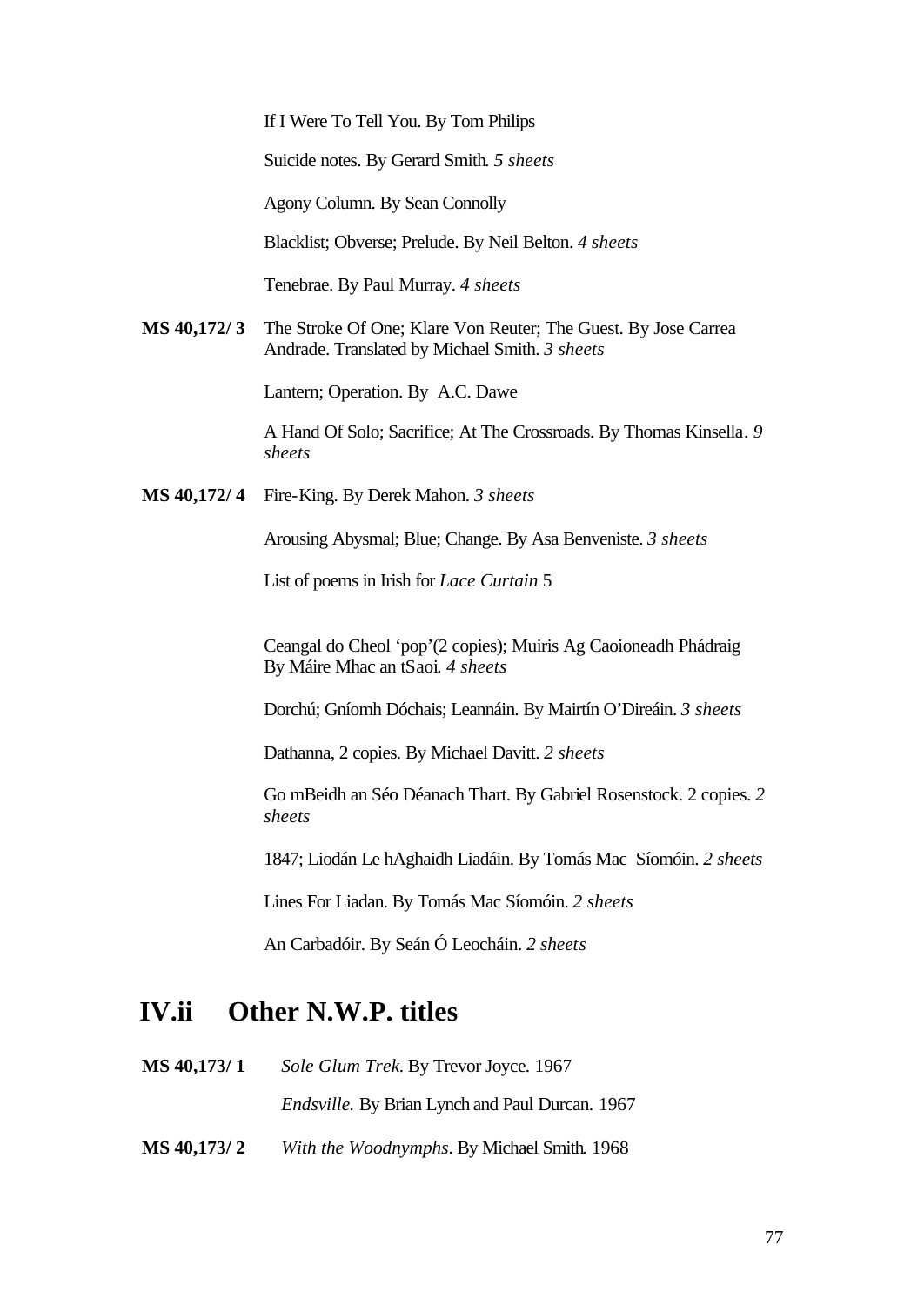If I Were To Tell You. By Tom Philips

Suicide notes. By Gerard Smith. *5 sheets*

Agony Column. By Sean Connolly

Blacklist; Obverse; Prelude. By Neil Belton. *4 sheets*

Tenebrae. By Paul Murray. *4 sheets*

**MS 40,172/ 3** The Stroke Of One; Klare Von Reuter; The Guest. By Jose Carrea Andrade. Translated by Michael Smith. *3 sheets*

Lantern; Operation. By A.C. Dawe

A Hand Of Solo; Sacrifice; At The Crossroads. By Thomas Kinsella. *9 sheets*

**MS 40,172/ 4** Fire-King. By Derek Mahon. *3 sheets*

Arousing Abysmal; Blue; Change. By Asa Benveniste. *3 sheets*

List of poems in Irish for *Lace Curtain* 5

Ceangal do Cheol 'pop'(2 copies); Muiris Ag Caoioneadh Phádraig By Máire Mhac an tSaoi. *4 sheets*

Dorchú; Gníomh Dóchais; Leannáin. By Mairtín O'Direáin. *3 sheets*

Dathanna, 2 copies. By Michael Davitt. *2 sheets*

Go mBeidh an Séo Déanach Thart. By Gabriel Rosenstock. 2 copies. *2 sheets*

1847; Liodán Le hAghaidh Liadáin. By Tomás Mac Síomóin. *2 sheets* 

Lines For Liadan. By Tomás Mac Síomóin. *2 sheets*

An Carbadóir. By Seán Ó Leocháin. *2 sheets*

#### **IV.ii Other N.W.P. titles**

**MS 40,173/ 1** *Sole Glum Trek.* By Trevor Joyce. 1967

*Endsville.* By Brian Lynch and Paul Durcan. 1967

**MS 40,173/ 2** *With the Woodnymphs*. By Michael Smith. 1968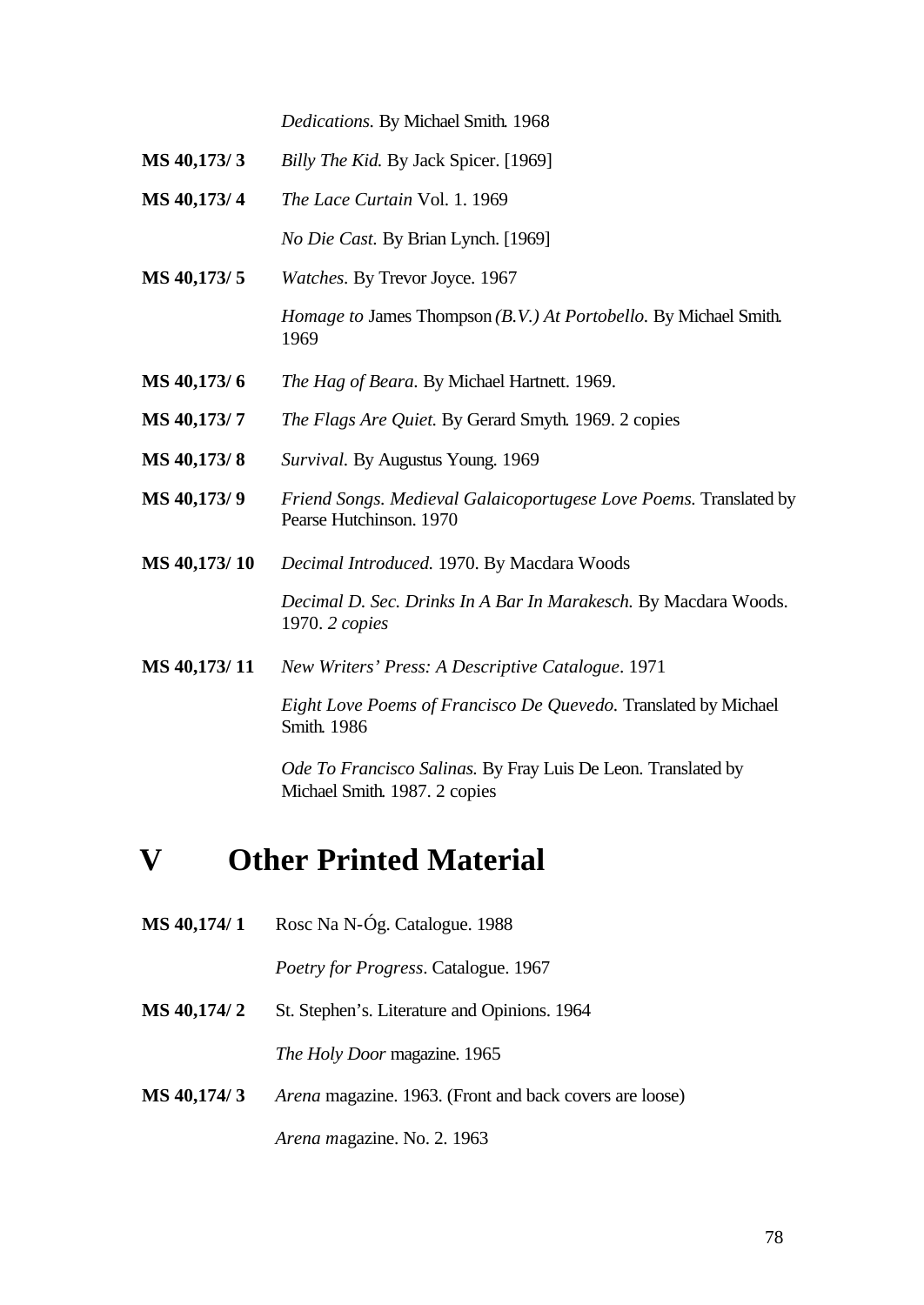*Dedications.* By Michael Smith. 1968

- **MS 40,173/ 3** *Billy The Kid.* By Jack Spicer. [1969]
- **MS 40,173/ 4** *The Lace Curtain* Vol. 1. 1969

*No Die Cast.* By Brian Lynch. [1969]

**MS 40,173/ 5** *Watches.* By Trevor Joyce. 1967 *Homage to* James Thompson *(B.V.) At Portobello.* By Michael Smith.

1969

- **MS 40,173/ 6** *The Hag of Beara.* By Michael Hartnett. 1969.
- **MS 40,173/ 7** *The Flags Are Quiet.* By Gerard Smyth. 1969. 2 copies
- **MS 40,173/ 8** *Survival.* By Augustus Young. 1969
- **MS 40,173/ 9** *Friend Songs. Medieval Galaicoportugese Love Poems.* Translated by Pearse Hutchinson. 1970
- **MS 40,173/ 10** *Decimal Introduced.* 1970. By Macdara Woods

*Decimal D. Sec. Drinks In A Bar In Marakesch.* By Macdara Woods. 1970. *2 copies*

**MS 40,173/ 11** *New Writers' Press: A Descriptive Catalogue*. 1971

*Eight Love Poems of Francisco De Quevedo.* Translated by Michael Smith. 1986

*Ode To Francisco Salinas.* By Fray Luis De Leon. Translated by Michael Smith. 1987. 2 copies

# **V Other Printed Material**

**MS 40,174/ 1** Rosc Na N-Óg. Catalogue. 1988

*Poetry for Progress*. Catalogue. 1967

**MS 40,174/ 2** St. Stephen's. Literature and Opinions. 1964

*The Holy Door* magazine. 1965

**MS 40,174/ 3** *Arena* magazine. 1963. (Front and back covers are loose)

*Arena m*agazine. No. 2. 1963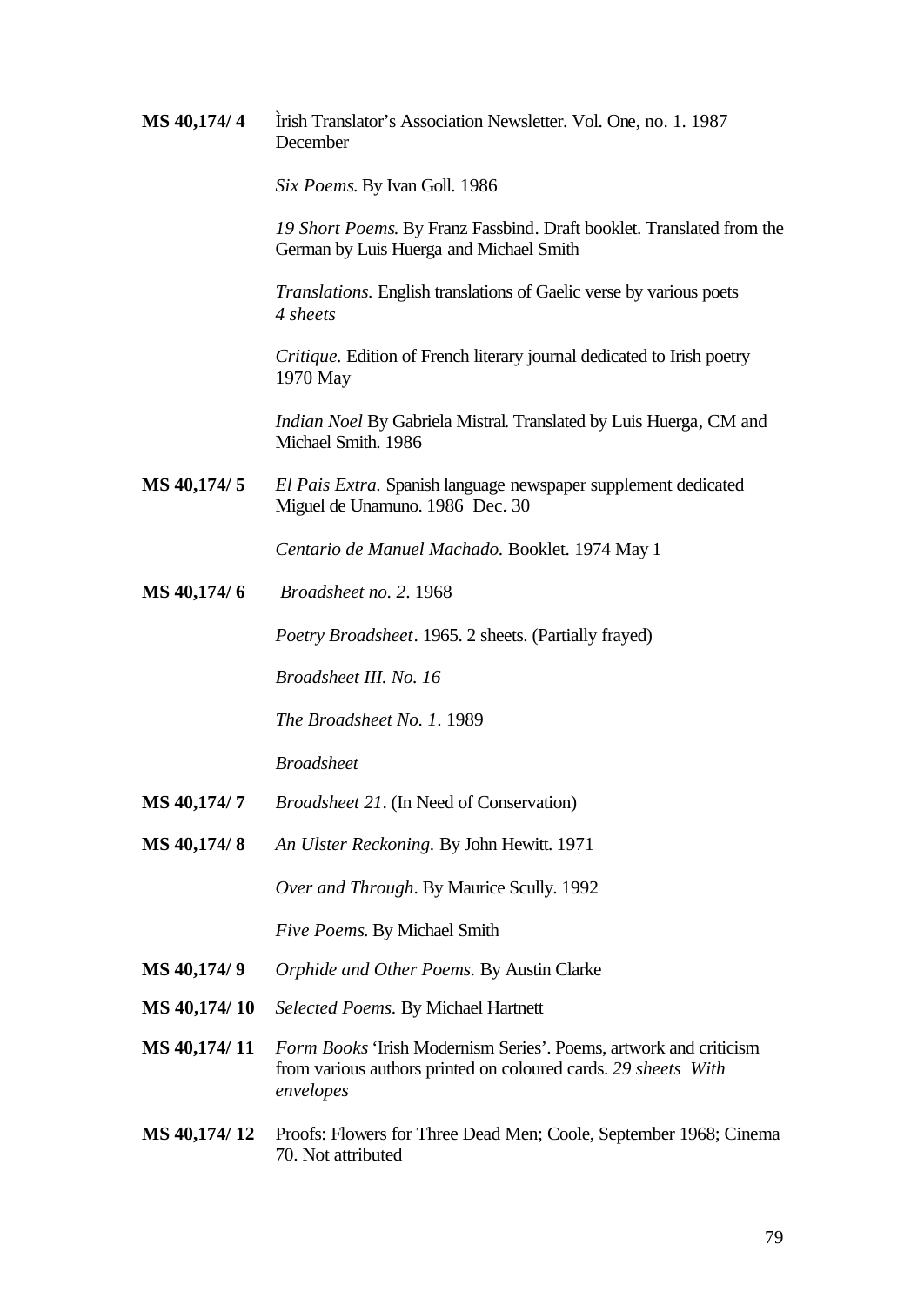**MS 40,174/ 4** Ìrish Translator's Association Newsletter. Vol. One, no. 1. 1987 December

*Six Poems*. By Ivan Goll. 1986

*19 Short Poems*. By Franz Fassbind. Draft booklet. Translated from the German by Luis Huerga and Michael Smith

*Translations.* English translations of Gaelic verse by various poets *4 sheets*

*Critique.* Edition of French literary journal dedicated to Irish poetry 1970 May

*Indian Noel* By Gabriela Mistral. Translated by Luis Huerga, CM and Michael Smith. 1986

**MS 40,174/ 5** *El Pais Extra.* Spanish language newspaper supplement dedicated Miguel de Unamuno. 1986 Dec. 30

*Centario de Manuel Machado.* Booklet. 1974 May 1

**MS 40,174/ 6** *Broadsheet no. 2*. 1968

*Poetry Broadsheet*. 1965. 2 sheets. (Partially frayed)

*Broadsheet III. No. 16*

*The Broadsheet No. 1*. 1989

*Broadsheet*

- **MS 40,174/ 7** *Broadsheet 21*. (In Need of Conservation)
- **MS 40,174/ 8** *An Ulster Reckoning.* By John Hewitt. 1971

*Over and Through*. By Maurice Scully. 1992

*Five Poems*. By Michael Smith

- **MS 40,174/ 9** *Orphide and Other Poems.* By Austin Clarke
- **MS 40,174/ 10** *Selected Poems.* By Michael Hartnett
- **MS 40,174/ 11** *Form Books* 'Irish Modernism Series'. Poems, artwork and criticism from various authors printed on coloured cards. *29 sheets With envelopes*
- **MS 40,174/ 12** Proofs: Flowers for Three Dead Men; Coole, September 1968; Cinema 70. Not attributed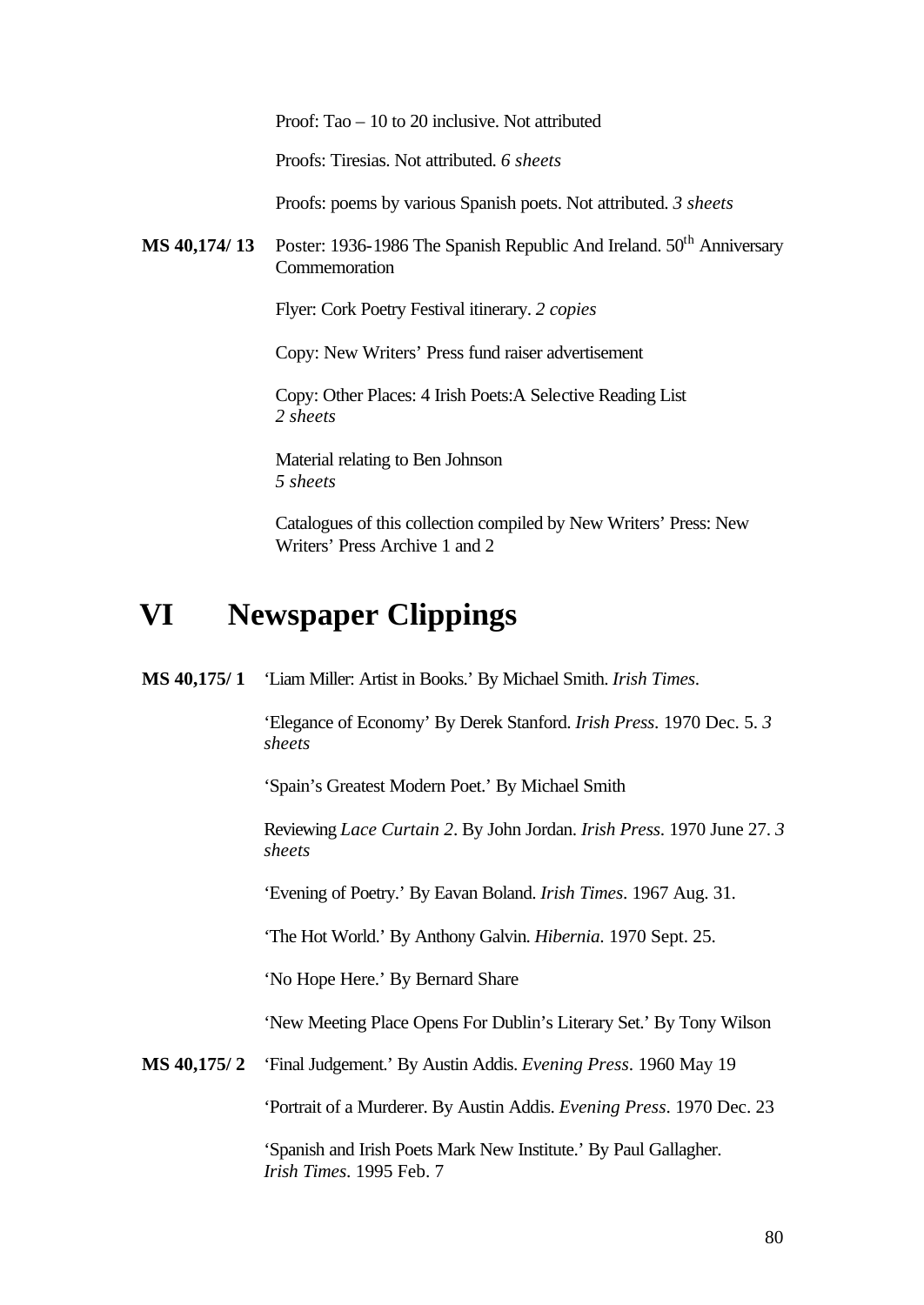Proof: Tao – 10 to 20 inclusive. Not attributed

Proofs: Tiresias. Not attributed. *6 sheets*

Proofs: poems by various Spanish poets. Not attributed. *3 sheets*

**MS 40,174/ 13** Poster: 1936-1986 The Spanish Republic And Ireland. 50<sup>th</sup> Anniversary **Commemoration** 

Flyer: Cork Poetry Festival itinerary. *2 copies*

Copy: New Writers' Press fund raiser advertisement

Copy: Other Places: 4 Irish Poets:A Selective Reading List *2 sheets*

Material relating to Ben Johnson *5 sheets*

Catalogues of this collection compiled by New Writers' Press: New Writers' Press Archive 1 and 2

# **VI Newspaper Clippings**

**MS 40,175/ 1** 'Liam Miller: Artist in Books.' By Michael Smith. *Irish Times*.

'Elegance of Economy' By Derek Stanford. *Irish Press*. 1970 Dec. 5. *3 sheets*

'Spain's Greatest Modern Poet.' By Michael Smith

Reviewing *Lace Curtain 2*. By John Jordan. *Irish Press*. 1970 June 27. *3 sheets*

'Evening of Poetry.' By Eavan Boland. *Irish Times*. 1967 Aug. 31.

'The Hot World.' By Anthony Galvin. *Hibernia*. 1970 Sept. 25.

'No Hope Here.' By Bernard Share

'New Meeting Place Opens For Dublin's Literary Set.' By Tony Wilson

**MS 40,175/ 2** 'Final Judgement.' By Austin Addis. *Evening Press*. 1960 May 19

'Portrait of a Murderer. By Austin Addis. *Evening Press*. 1970 Dec. 23

'Spanish and Irish Poets Mark New Institute.' By Paul Gallagher. *Irish Times*. 1995 Feb. 7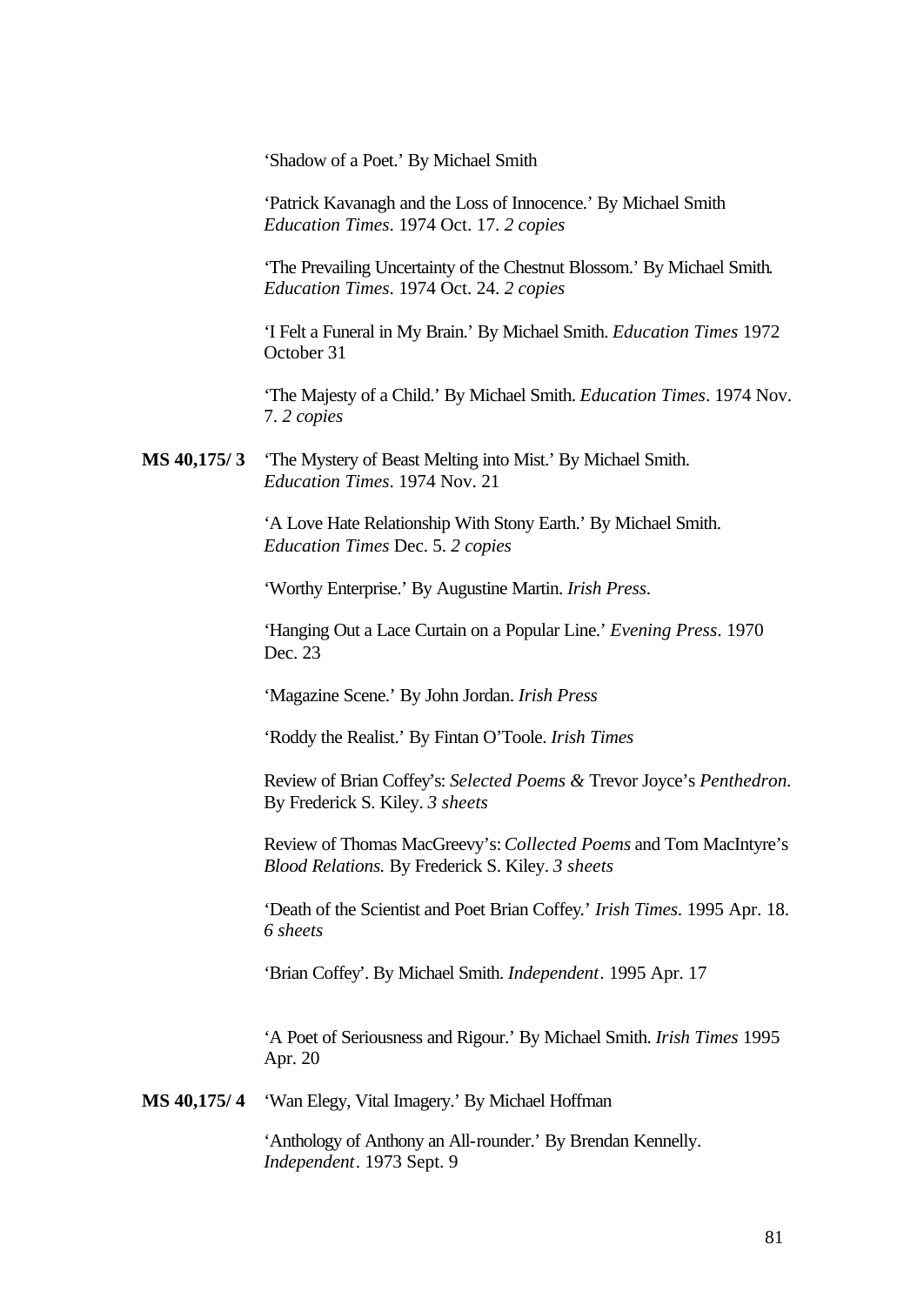'Shadow of a Poet.' By Michael Smith

'Patrick Kavanagh and the Loss of Innocence.' By Michael Smith *Education Times*. 1974 Oct. 17. *2 copies*

'The Prevailing Uncertainty of the Chestnut Blossom.' By Michael Smith. *Education Times*. 1974 Oct. 24. *2 copies*

'I Felt a Funeral in My Brain.' By Michael Smith. *Education Times* 1972 October 31

'The Majesty of a Child.' By Michael Smith. *Education Times*. 1974 Nov. 7. *2 copies*

**MS 40,175/ 3** 'The Mystery of Beast Melting into Mist.' By Michael Smith. *Education Times*. 1974 Nov. 21

> 'A Love Hate Relationship With Stony Earth.' By Michael Smith. *Education Times* Dec. 5. *2 copies*

'Worthy Enterprise.' By Augustine Martin. *Irish Press*.

'Hanging Out a Lace Curtain on a Popular Line.' *Evening Press*. 1970 Dec. 23

'Magazine Scene.' By John Jordan. *Irish Press*

'Roddy the Realist.' By Fintan O'Toole. *Irish Times*

Review of Brian Coffey's: *Selected Poems &* Trevor Joyce's *Penthedron.*  By Frederick S. Kiley. *3 sheets*

Review of Thomas MacGreevy's: *Collected Poems* and Tom MacIntyre's *Blood Relations.* By Frederick S. Kiley. *3 sheets*

'Death of the Scientist and Poet Brian Coffey.' *Irish Times*. 1995 Apr. 18. *6 sheets* 

'Brian Coffey'. By Michael Smith. *Independent*. 1995 Apr. 17

'A Poet of Seriousness and Rigour.' By Michael Smith. *Irish Times* 1995 Apr. 20

**MS 40,175/ 4** 'Wan Elegy, Vital Imagery.' By Michael Hoffman

'Anthology of Anthony an All-rounder.' By Brendan Kennelly. *Independent*. 1973 Sept. 9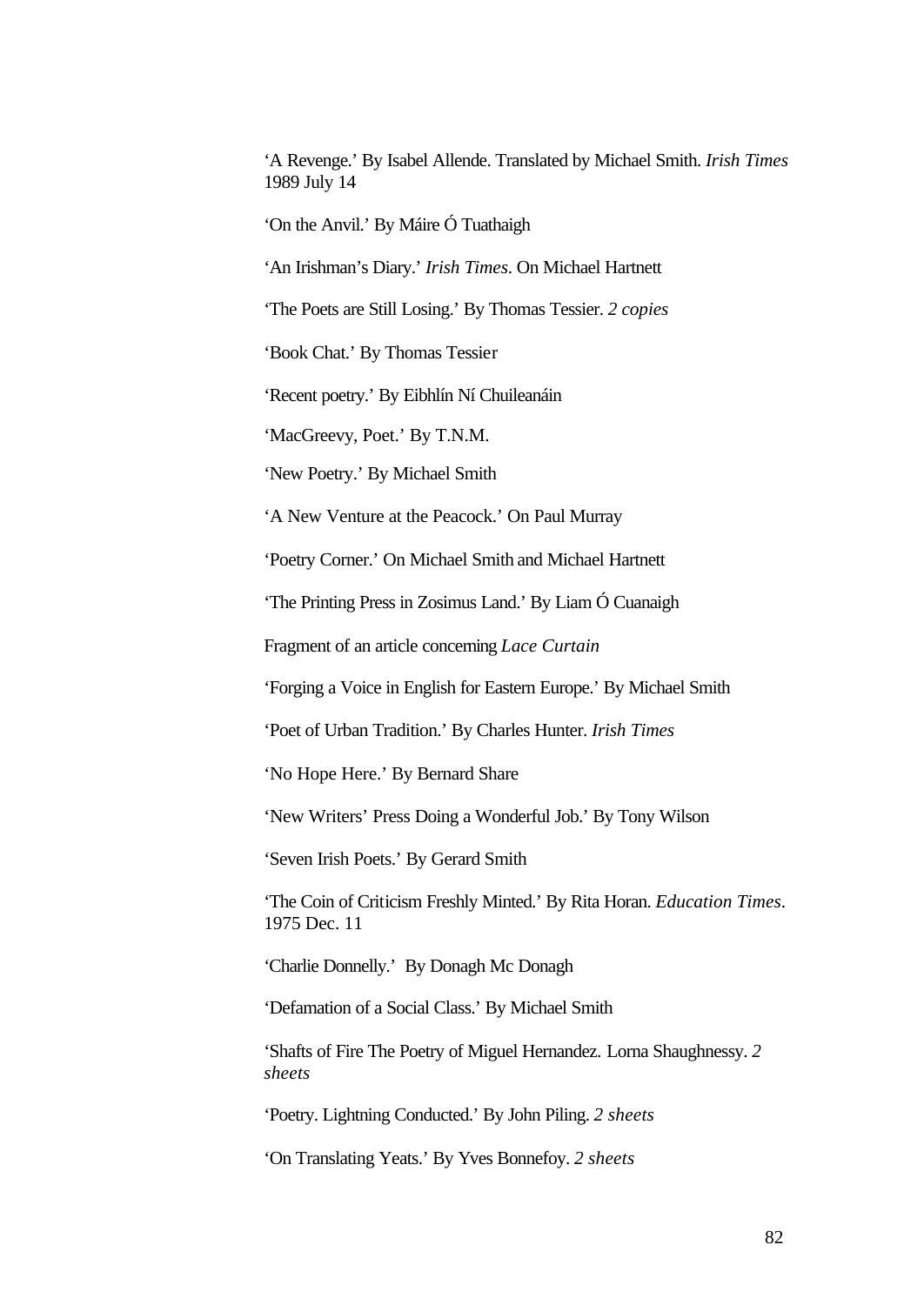'A Revenge.' By Isabel Allende. Translated by Michael Smith. *Irish Times* 1989 July 14

'On the Anvil.' By Máire Ó Tuathaigh

'An Irishman's Diary.' *Irish Times*. On Michael Hartnett

'The Poets are Still Losing.' By Thomas Tessier. *2 copies*

'Book Chat.' By Thomas Tessier

'Recent poetry.' By Eibhlín Ní Chuileanáin

'MacGreevy, Poet.' By T.N.M.

'New Poetry.' By Michael Smith

'A New Venture at the Peacock.' On Paul Murray

'Poetry Corner.' On Michael Smith and Michael Hartnett

'The Printing Press in Zosimus Land.' By Liam Ó Cuanaigh

Fragment of an article concerning *Lace Curtain*

'Forging a Voice in English for Eastern Europe.' By Michael Smith

'Poet of Urban Tradition.' By Charles Hunter. *Irish Times*

'No Hope Here.' By Bernard Share

'New Writers' Press Doing a Wonderful Job.' By Tony Wilson

'Seven Irish Poets.' By Gerard Smith

'The Coin of Criticism Freshly Minted.' By Rita Horan. *Education Times*. 1975 Dec. 11

'Charlie Donnelly.' By Donagh Mc Donagh

'Defamation of a Social Class.' By Michael Smith

'Shafts of Fire The Poetry of Miguel Hernandez. Lorna Shaughnessy. *2 sheets*

'Poetry. Lightning Conducted.' By John Piling. *2 sheets*

'On Translating Yeats.' By Yves Bonnefoy. *2 sheets*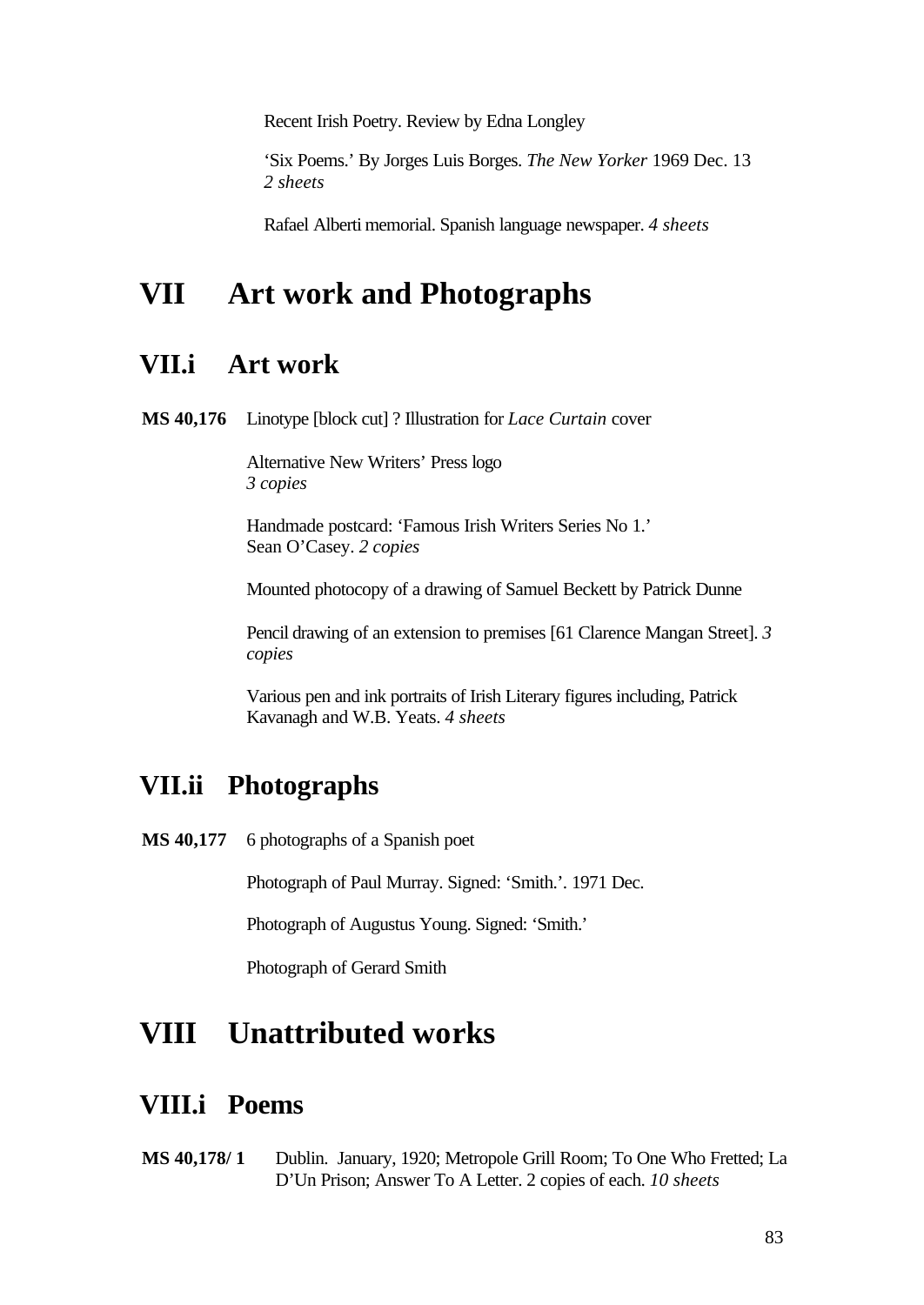Recent Irish Poetry. Review by Edna Longley

'Six Poems.' By Jorges Luis Borges. *The New Yorker* 1969 Dec. 13 *2 sheets*

Rafael Alberti memorial. Spanish language newspaper. *4 sheets*

# **VII Art work and Photographs**

#### **VII.i Art work**

**MS 40,176** Linotype [block cut] ? Illustration for *Lace Curtain* cover

Alternative New Writers' Press logo *3 copies*

Handmade postcard: 'Famous Irish Writers Series No 1.' Sean O'Casey. *2 copies*

Mounted photocopy of a drawing of Samuel Beckett by Patrick Dunne

Pencil drawing of an extension to premises [61 Clarence Mangan Street]. *3 copies*

Various pen and ink portraits of Irish Literary figures including, Patrick Kavanagh and W.B. Yeats. *4 sheets*

### **VII.ii Photographs**

MS 40,177 6 photographs of a Spanish poet

Photograph of Paul Murray. Signed: 'Smith.'. 1971 Dec.

Photograph of Augustus Young. Signed: 'Smith.'

Photograph of Gerard Smith

# **VIII Unattributed works**

#### **VIII.i Poems**

**MS 40,178/ 1** Dublin. January, 1920; Metropole Grill Room; To One Who Fretted; La D'Un Prison; Answer To A Letter. 2 copies of each. *10 sheets*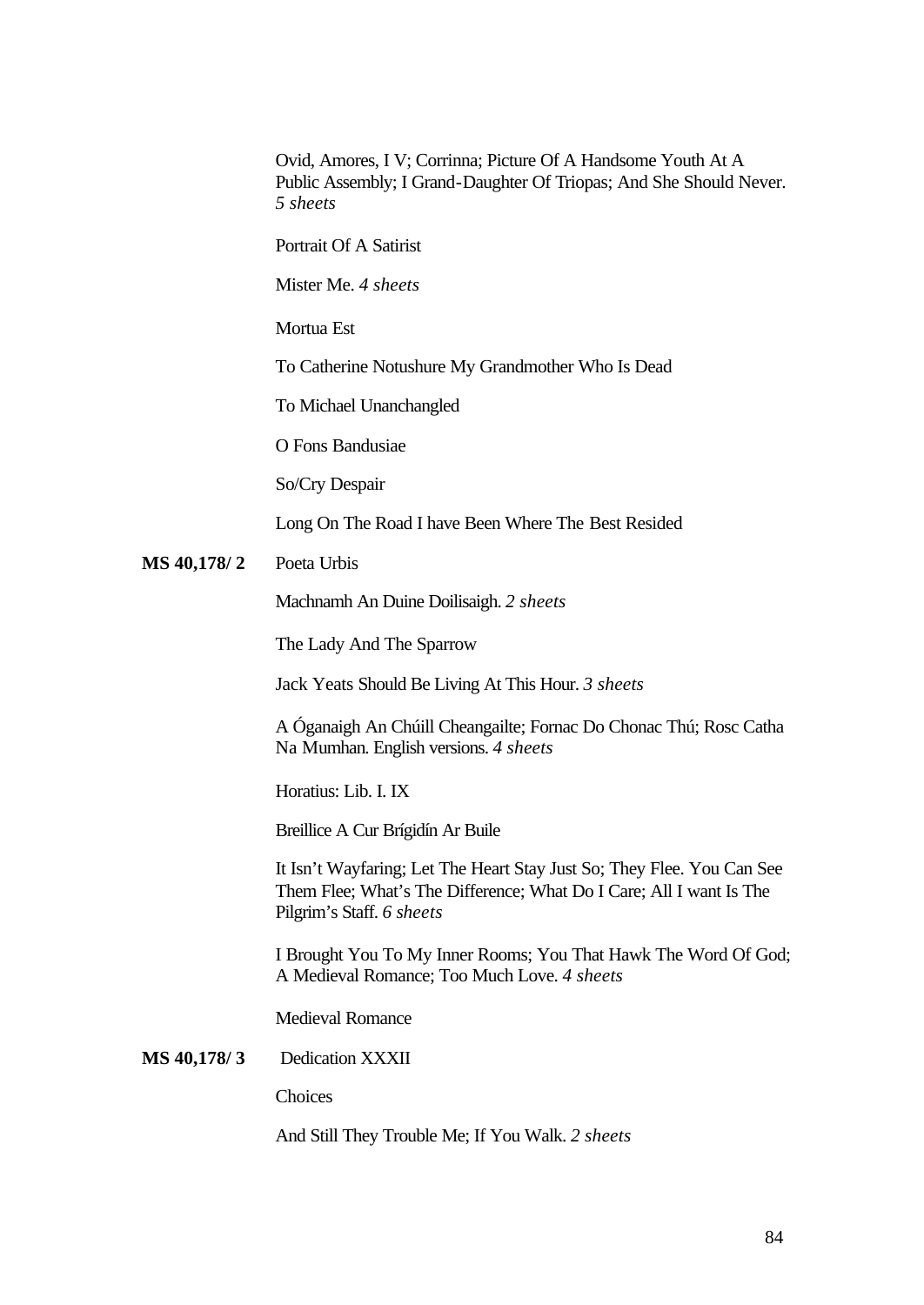Ovid, Amores, I V; Corrinna; Picture Of A Handsome Youth At A Public Assembly; I Grand-Daughter Of Triopas; And She Should Never. *5 sheets*

Portrait Of A Satirist

Mister Me. *4 sheets*

Mortua Est

To Catherine Notushure My Grandmother Who Is Dead

To Michael Unanchangled

O Fons Bandusiae

So/Cry Despair

Long On The Road I have Been Where The Best Resided

**MS 40,178/ 2** Poeta Urbis

Machnamh An Duine Doilisaigh. *2 sheets*

The Lady And The Sparrow

Jack Yeats Should Be Living At This Hour. *3 sheets*

A Óganaigh An Chúill Cheangailte; Fornac Do Chonac Thú; Rosc Catha Na Mumhan. English versions. *4 sheets*

Horatius: Lib. I. IX

Breillice A Cur Brígidín Ar Buile

It Isn't Wayfaring; Let The Heart Stay Just So; They Flee. You Can See Them Flee; What's The Difference; What Do I Care; All I want Is The Pilgrim's Staff. *6 sheets*

I Brought You To My Inner Rooms; You That Hawk The Word Of God; A Medieval Romance; Too Much Love. *4 sheets*

Medieval Romance

**MS 40,178/ 3** Dedication XXXII

**Choices** 

And Still They Trouble Me; If You Walk. *2 sheets*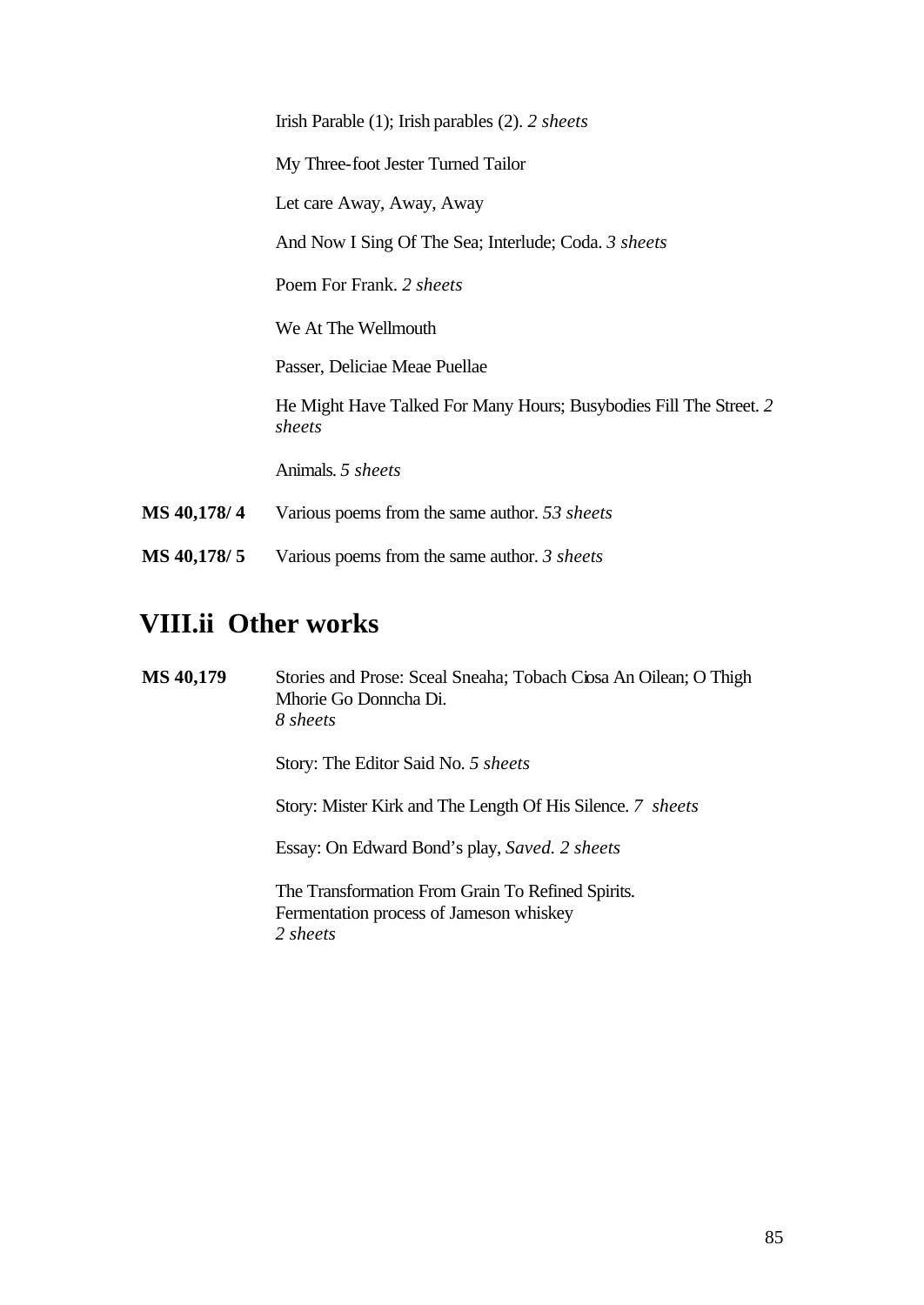|             | Irish Parable $(1)$ ; Irish parables $(2)$ . 2 sheets                        |
|-------------|------------------------------------------------------------------------------|
|             | My Three-foot Jester Turned Tailor                                           |
|             | Let care Away, Away, Away                                                    |
|             | And Now I Sing Of The Sea; Interlude; Coda. 3 sheets                         |
|             | Poem For Frank. 2 sheets                                                     |
|             | We At The Wellmouth                                                          |
|             | Passer, Deliciae Meae Puellae                                                |
|             | He Might Have Talked For Many Hours; Busybodies Fill The Street. 2<br>sheets |
|             | Animals. 5 sheets                                                            |
| MS 40,178/4 | Various poems from the same author. 53 sheets                                |
| MS 40,178/5 | Various poems from the same author. 3 sheets                                 |

# **VIII.ii Other works**

**MS 40,179** Stories and Prose: Sceal Sneaha; Tobach Ciosa An Oilean; O Thigh Mhorie Go Donncha Di. *8 sheets* Story: The Editor Said No. *5 sheets* Story: Mister Kirk and The Length Of His Silence. *7 sheets* Essay: On Edward Bond's play, *Saved. 2 sheets* The Transformation From Grain To Refined Spirits. Fermentation process of Jameson whiskey *2 sheets*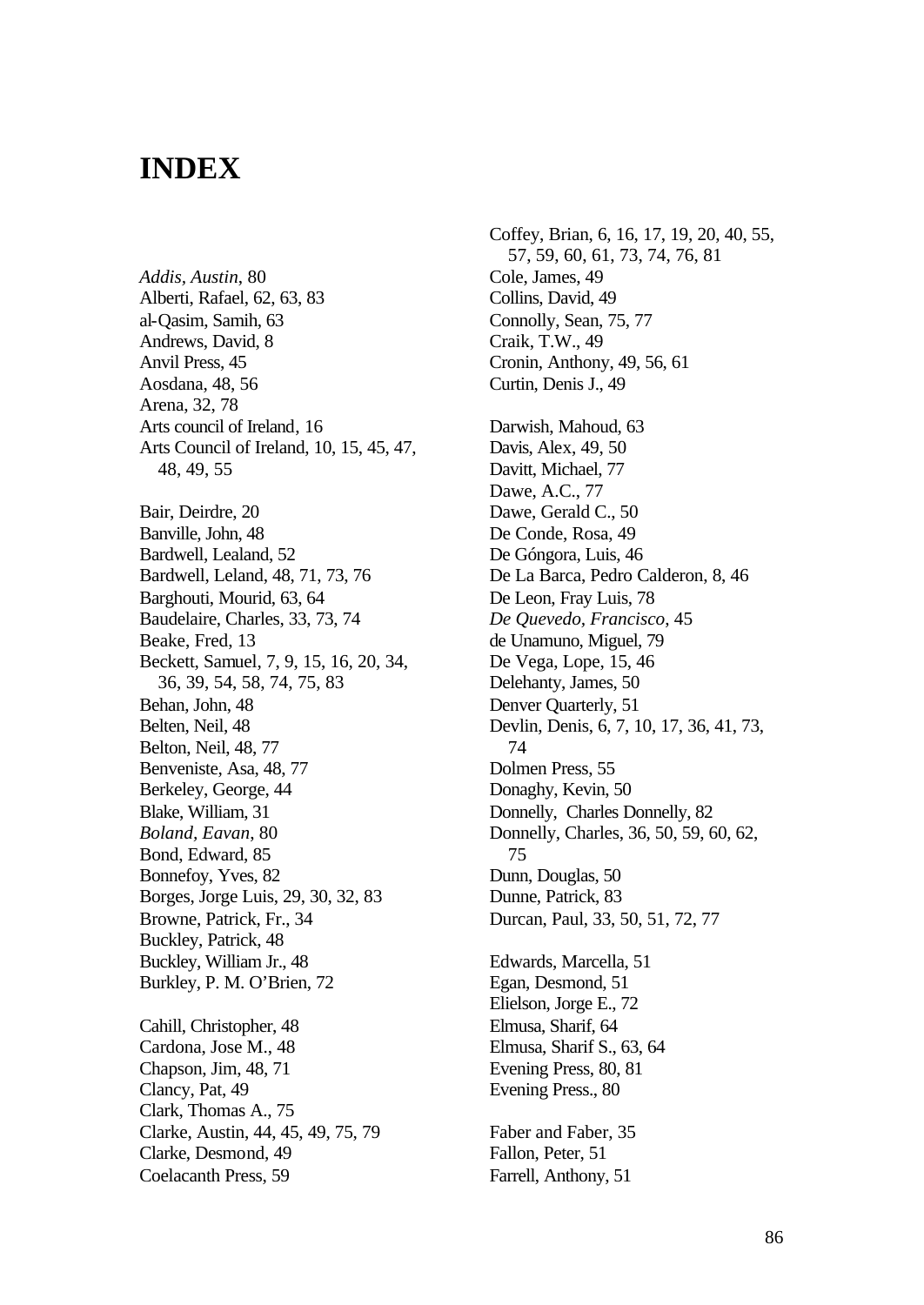# **INDEX**

*Addis, Austin*, 80 Alberti, Rafael, 62, 63, 83 al-Qasim, Samih, 63 Andrews, David, 8 Anvil Press, 45 Aosdana, 48, 56 Arena, 32, 78 Arts council of Ireland, 16 Arts Council of Ireland, 10, 15, 45, 47, 48, 49, 55 Bair, Deirdre, 20 Banville, John, 48 Bardwell, Lealand, 52 Bardwell, Leland, 48, 71, 73, 76 Barghouti, Mourid, 63, 64 Baudelaire, Charles, 33, 73, 74 Beake, Fred, 13 Beckett, Samuel, 7, 9, 15, 16, 20, 34, 36, 39, 54, 58, 74, 75, 83 Behan, John, 48 Belten, Neil, 48 Belton, Neil, 48, 77 Benveniste, Asa, 48, 77 Berkeley, George, 44 Blake, William, 31 *Boland, Eavan*, 80 Bond, Edward, 85 Bonnefoy, Yves, 82 Borges, Jorge Luis, 29, 30, 32, 83 Browne, Patrick, Fr., 34 Buckley, Patrick, 48 Buckley, William Jr., 48 Burkley, P. M. O'Brien, 72 Cahill, Christopher, 48 Cardona, Jose M., 48 Chapson, Jim, 48, 71 Clancy, Pat, 49 Clark, Thomas A., 75 Clarke, Austin, 44, 45, 49, 75, 79

Clarke, Desmond, 49 Coelacanth Press, 59

Coffey, Brian, 6, 16, 17, 19, 20, 40, 55, 57, 59, 60, 61, 73, 74, 76, 81 Cole, James, 49 Collins, David, 49 Connolly, Sean, 75, 77 Craik, T.W., 49 Cronin, Anthony, 49, 56, 61 Curtin, Denis J., 49 Darwish, Mahoud, 63 Davis, Alex, 49, 50 Davitt, Michael, 77 Dawe, A.C., 77 Dawe, Gerald C., 50 De Conde, Rosa, 49 De Góngora, Luis, 46 De La Barca, Pedro Calderon, 8, 46 De Leon, Fray Luis, 78 *De Quevedo, Francisco*, 45 de Unamuno, Miguel, 79 De Vega, Lope, 15, 46 Delehanty, James, 50 Denver Quarterly, 51 Devlin, Denis, 6, 7, 10, 17, 36, 41, 73, 74 Dolmen Press, 55 Donaghy, Kevin, 50 Donnelly, Charles Donnelly, 82 Donnelly, Charles, 36, 50, 59, 60, 62, 75 Dunn, Douglas, 50 Dunne, Patrick, 83 Durcan, Paul, 33, 50, 51, 72, 77 Edwards, Marcella, 51 Egan, Desmond, 51 Elielson, Jorge E., 72 Elmusa, Sharif, 64 Elmusa, Sharif S., 63, 64 Evening Press, 80, 81 Evening Press., 80 Faber and Faber, 35 Fallon, Peter, 51 Farrell, Anthony, 51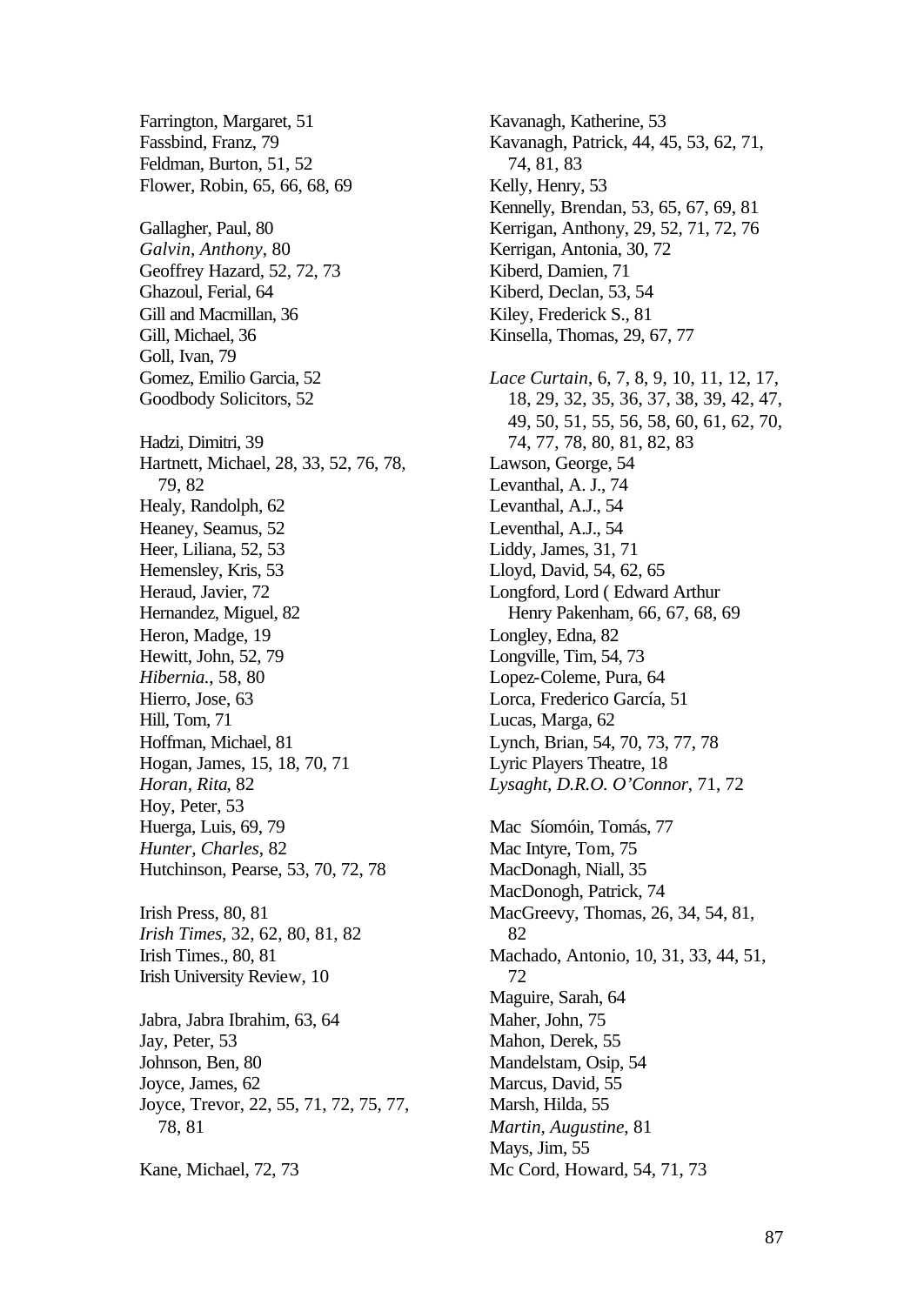Farrington, Margaret, 51 Fassbind, Franz, 79 Feldman, Burton, 51, 52 Flower, Robin, 65, 66, 68, 69 Gallagher, Paul, 80 *Galvin, Anthony*, 80 Geoffrey Hazard, 52, 72, 73 Ghazoul, Ferial, 64 Gill and Macmillan, 36 Gill, Michael, 36 Goll, Ivan, 79 Gomez, Emilio Garcia, 52 Goodbody Solicitors, 52 Hadzi, Dimitri, 39 Hartnett, Michael, 28, 33, 52, 76, 78, 79, 82 Healy, Randolph, 62 Heaney, Seamus, 52 Heer, Liliana, 52, 53 Hemensley, Kris, 53 Heraud, Javier, 72 Hernandez, Miguel, 82 Heron, Madge, 19 Hewitt, John, 52, 79 *Hibernia.*, 58, 80 Hierro, Jose, 63 Hill, Tom, 71 Hoffman, Michael, 81 Hogan, James, 15, 18, 70, 71 *Horan, Rita*, 82 Hoy, Peter, 53 Huerga, Luis, 69, 79 *Hunter, Charles*, 82 Hutchinson, Pearse, 53, 70, 72, 78 Irish Press, 80, 81 *Irish Times*, 32, 62, 80, 81, 82 Irish Times., 80, 81 Irish University Review, 10 Jabra, Jabra Ibrahim, 63, 64 Jay, Peter, 53 Johnson, Ben, 80 Joyce, James, 62 Joyce, Trevor, 22, 55, 71, 72, 75, 77, 78, 81 Kane, Michael, 72, 73

Kavanagh, Katherine, 53 Kavanagh, Patrick, 44, 45, 53, 62, 71, 74, 81, 83 Kelly, Henry, 53 Kennelly, Brendan, 53, 65, 67, 69, 81 Kerrigan, Anthony, 29, 52, 71, 72, 76 Kerrigan, Antonia, 30, 72 Kiberd, Damien, 71 Kiberd, Declan, 53, 54 Kiley, Frederick S., 81 Kinsella, Thomas, 29, 67, 77 *Lace Curtain*, 6, 7, 8, 9, 10, 11, 12, 17, 18, 29, 32, 35, 36, 37, 38, 39, 42, 47, 49, 50, 51, 55, 56, 58, 60, 61, 62, 70, 74, 77, 78, 80, 81, 82, 83 Lawson, George, 54 Levanthal, A. J., 74 Levanthal, A.J., 54 Leventhal, A.J., 54 Liddy, James, 31, 71 Lloyd, David, 54, 62, 65 Longford, Lord ( Edward Arthur Henry Pakenham, 66, 67, 68, 69 Longley, Edna, 82 Longville, Tim, 54, 73 Lopez-Coleme, Pura, 64 Lorca, Frederico García, 51 Lucas, Marga, 62 Lynch, Brian, 54, 70, 73, 77, 78 Lyric Players Theatre, 18 *Lysaght, D.R.O. O'Connor*, 71, 72 Mac Síomóin, Tomás, 77 Mac Intyre, Tom, 75 MacDonagh, Niall, 35 MacDonogh, Patrick, 74 MacGreevy, Thomas, 26, 34, 54, 81, 82 Machado, Antonio, 10, 31, 33, 44, 51, 72 Maguire, Sarah, 64 Maher, John, 75 Mahon, Derek, 55 Mandelstam, Osip, 54 Marcus, David, 55 Marsh, Hilda, 55 *Martin, Augustine*, 81 Mays, Jim, 55 Mc Cord, Howard, 54, 71, 73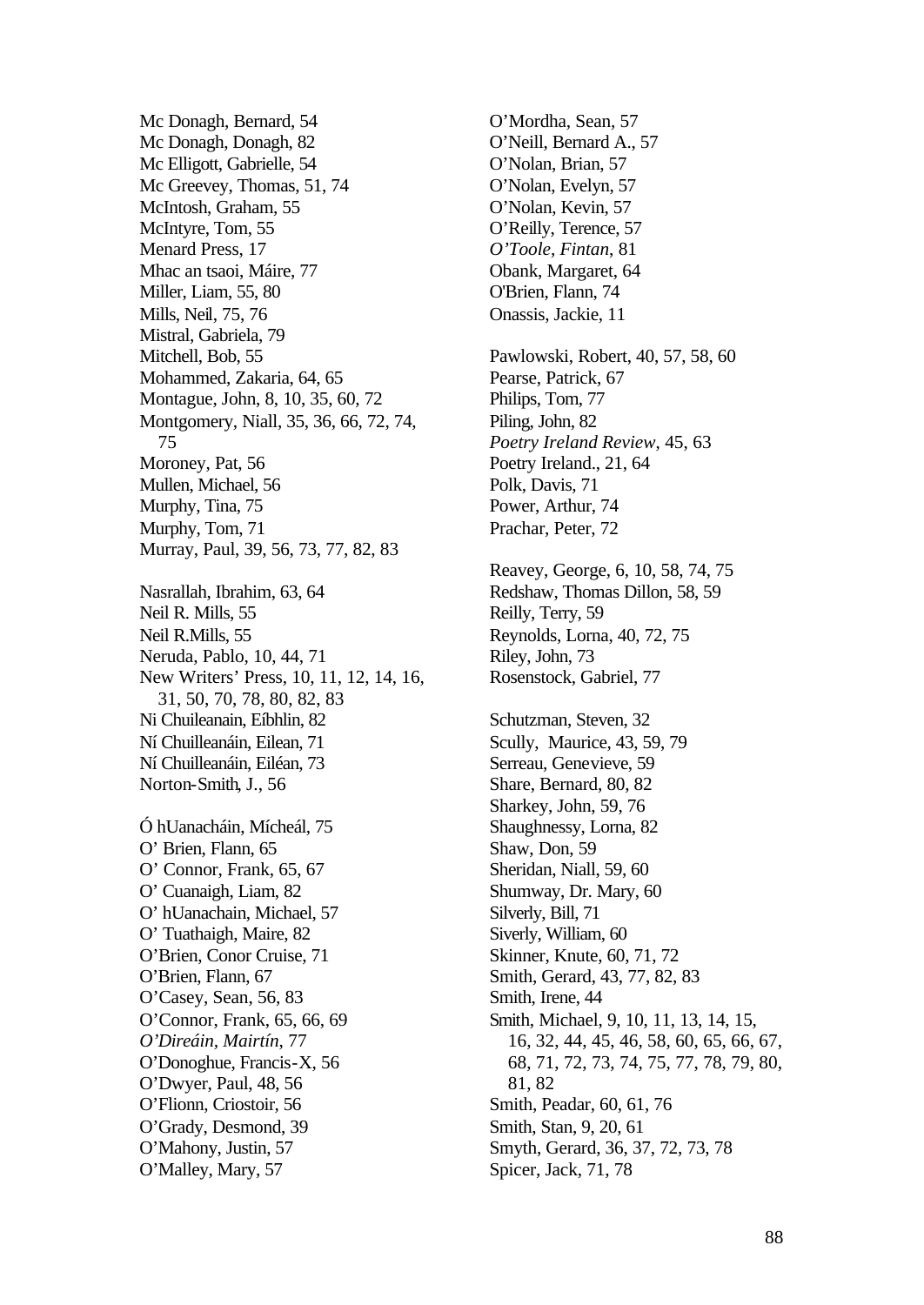Mc Donagh, Bernard, 54 Mc Donagh, Donagh, 82 Mc Elligott, Gabrielle, 54 Mc Greevey, Thomas, 51, 74 McIntosh, Graham, 55 McIntyre, Tom, 55 Menard Press, 17 Mhac an tsaoi, Máire, 77 Miller, Liam, 55, 80 Mills, Neil, 75, 76 Mistral, Gabriela, 79 Mitchell, Bob, 55 Mohammed, Zakaria, 64, 65 Montague, John, 8, 10, 35, 60, 72 Montgomery, Niall, 35, 36, 66, 72, 74, 75 Moroney, Pat, 56 Mullen, Michael, 56 Murphy, Tina, 75 Murphy, Tom, 71 Murray, Paul, 39, 56, 73, 77, 82, 83 Nasrallah, Ibrahim, 63, 64 Neil R. Mills, 55 Neil R.Mills, 55 Neruda, Pablo, 10, 44, 71 New Writers' Press, 10, 11, 12, 14, 16, 31, 50, 70, 78, 80, 82, 83 Ni Chuileanain, Eíbhlin, 82 Ní Chuilleanáin, Eilean, 71 Ní Chuilleanáin, Eiléan, 73 Norton-Smith, J., 56 Ó hUanacháin, Mícheál, 75 O' Brien, Flann, 65 O' Connor, Frank, 65, 67 O' Cuanaigh, Liam, 82 O' hUanachain, Michael, 57 O' Tuathaigh, Maire, 82 O'Brien, Conor Cruise, 71 O'Brien, Flann, 67 O'Casey, Sean, 56, 83 O'Connor, Frank, 65, 66, 69 *O'Direáin, Mairtín*, 77 O'Donoghue, Francis-X, 56 O'Dwyer, Paul, 48, 56 O'Flionn, Criostoir, 56 O'Grady, Desmond, 39 O'Mahony, Justin, 57 O'Malley, Mary, 57

O'Mordha, Sean, 57 O'Neill, Bernard A., 57 O'Nolan, Brian, 57 O'Nolan, Evelyn, 57 O'Nolan, Kevin, 57 O'Reilly, Terence, 57 *O'Toole, Fintan*, 81 Obank, Margaret, 64 O'Brien, Flann, 74 Onassis, Jackie, 11 Pawlowski, Robert, 40, 57, 58, 60 Pearse, Patrick, 67 Philips, Tom, 77 Piling, John, 82 *Poetry Ireland Review*, 45, 63 Poetry Ireland., 21, 64 Polk, Davis, 71 Power, Arthur, 74 Prachar, Peter, 72 Reavey, George, 6, 10, 58, 74, 75 Redshaw, Thomas Dillon, 58, 59 Reilly, Terry, 59 Reynolds, Lorna, 40, 72, 75 Riley, John, 73 Rosenstock, Gabriel, 77 Schutzman, Steven, 32 Scully, Maurice, 43, 59, 79 Serreau, Genevieve, 59 Share, Bernard, 80, 82 Sharkey, John, 59, 76 Shaughnessy, Lorna, 82 Shaw, Don, 59 Sheridan, Niall, 59, 60 Shumway, Dr. Mary, 60 Silverly, Bill, 71 Siverly, William, 60 Skinner, Knute, 60, 71, 72 Smith, Gerard, 43, 77, 82, 83 Smith, Irene, 44 Smith, Michael, 9, 10, 11, 13, 14, 15, 16, 32, 44, 45, 46, 58, 60, 65, 66, 67, 68, 71, 72, 73, 74, 75, 77, 78, 79, 80, 81, 82 Smith, Peadar, 60, 61, 76 Smith, Stan, 9, 20, 61 Smyth, Gerard, 36, 37, 72, 73, 78 Spicer, Jack, 71, 78